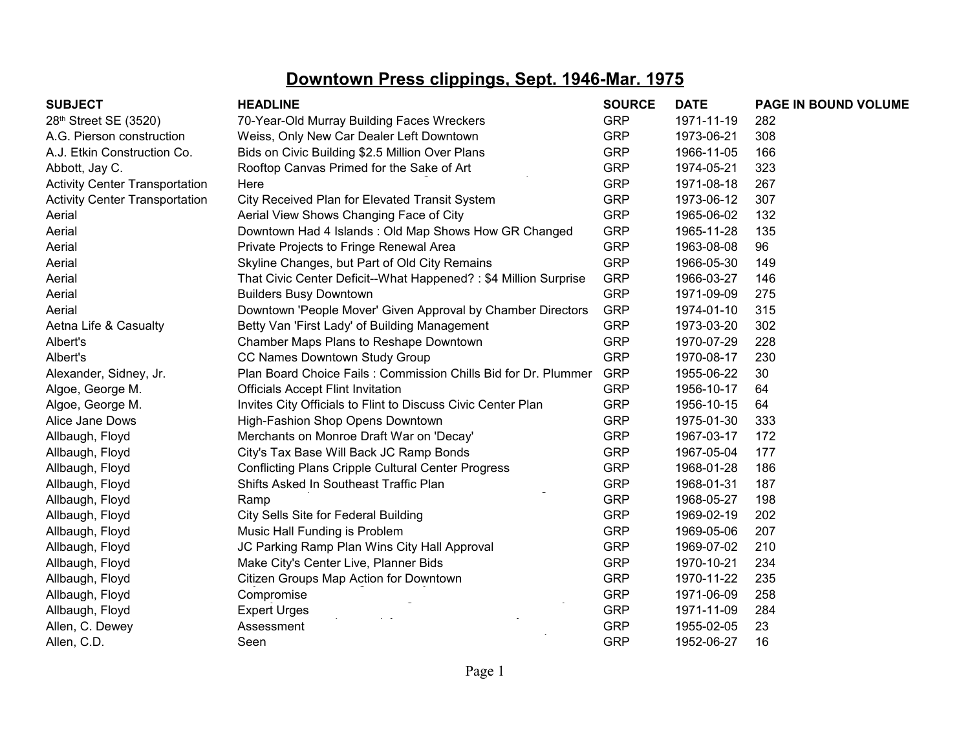| <b>SUBJECT</b>                        | <b>HEADLINE</b>                                                 | <b>SOURCE</b> | <b>DATE</b> | PAGE IN BOUND VOLUME |
|---------------------------------------|-----------------------------------------------------------------|---------------|-------------|----------------------|
| 28th Street SE (3520)                 | 70-Year-Old Murray Building Faces Wreckers                      | <b>GRP</b>    | 1971-11-19  | 282                  |
| A.G. Pierson construction             | Weiss, Only New Car Dealer Left Downtown                        | <b>GRP</b>    | 1973-06-21  | 308                  |
| A.J. Etkin Construction Co.           | Bids on Civic Building \$2.5 Million Over Plans                 | <b>GRP</b>    | 1966-11-05  | 166                  |
| Abbott, Jay C.                        | Rooftop Canvas Primed for the Sake of Art                       | <b>GRP</b>    | 1974-05-21  | 323                  |
| <b>Activity Center Transportation</b> | Here                                                            | <b>GRP</b>    | 1971-08-18  | 267                  |
| <b>Activity Center Transportation</b> | City Received Plan for Elevated Transit System                  | <b>GRP</b>    | 1973-06-12  | 307                  |
| Aerial                                | Aerial View Shows Changing Face of City                         | <b>GRP</b>    | 1965-06-02  | 132                  |
| Aerial                                | Downtown Had 4 Islands: Old Map Shows How GR Changed            | <b>GRP</b>    | 1965-11-28  | 135                  |
| Aerial                                | Private Projects to Fringe Renewal Area                         | <b>GRP</b>    | 1963-08-08  | 96                   |
| Aerial                                | Skyline Changes, but Part of Old City Remains                   | <b>GRP</b>    | 1966-05-30  | 149                  |
| Aerial                                | That Civic Center Deficit--What Happened?: \$4 Million Surprise | <b>GRP</b>    | 1966-03-27  | 146                  |
| Aerial                                | <b>Builders Busy Downtown</b>                                   | <b>GRP</b>    | 1971-09-09  | 275                  |
| Aerial                                | Downtown 'People Mover' Given Approval by Chamber Directors     | <b>GRP</b>    | 1974-01-10  | 315                  |
| Aetna Life & Casualty                 | Betty Van 'First Lady' of Building Management                   | <b>GRP</b>    | 1973-03-20  | 302                  |
| Albert's                              | Chamber Maps Plans to Reshape Downtown                          | <b>GRP</b>    | 1970-07-29  | 228                  |
| Albert's                              | CC Names Downtown Study Group                                   | <b>GRP</b>    | 1970-08-17  | 230                  |
| Alexander, Sidney, Jr.                | Plan Board Choice Fails: Commission Chills Bid for Dr. Plummer  | <b>GRP</b>    | 1955-06-22  | 30                   |
| Algoe, George M.                      | <b>Officials Accept Flint Invitation</b>                        | <b>GRP</b>    | 1956-10-17  | 64                   |
| Algoe, George M.                      | Invites City Officials to Flint to Discuss Civic Center Plan    | <b>GRP</b>    | 1956-10-15  | 64                   |
| Alice Jane Dows                       | High-Fashion Shop Opens Downtown                                | <b>GRP</b>    | 1975-01-30  | 333                  |
| Allbaugh, Floyd                       | Merchants on Monroe Draft War on 'Decay'                        | <b>GRP</b>    | 1967-03-17  | 172                  |
| Allbaugh, Floyd                       | City's Tax Base Will Back JC Ramp Bonds                         | <b>GRP</b>    | 1967-05-04  | 177                  |
| Allbaugh, Floyd                       | <b>Conflicting Plans Cripple Cultural Center Progress</b>       | <b>GRP</b>    | 1968-01-28  | 186                  |
| Allbaugh, Floyd                       | Shifts Asked In Southeast Traffic Plan                          | <b>GRP</b>    | 1968-01-31  | 187                  |
| Allbaugh, Floyd                       | Ramp                                                            | <b>GRP</b>    | 1968-05-27  | 198                  |
| Allbaugh, Floyd                       | City Sells Site for Federal Building                            | <b>GRP</b>    | 1969-02-19  | 202                  |
| Allbaugh, Floyd                       | Music Hall Funding is Problem                                   | <b>GRP</b>    | 1969-05-06  | 207                  |
| Allbaugh, Floyd                       | JC Parking Ramp Plan Wins City Hall Approval                    | <b>GRP</b>    | 1969-07-02  | 210                  |
| Allbaugh, Floyd                       | Make City's Center Live, Planner Bids                           | <b>GRP</b>    | 1970-10-21  | 234                  |
| Allbaugh, Floyd                       | Citizen Groups Map Action for Downtown                          | <b>GRP</b>    | 1970-11-22  | 235                  |
| Allbaugh, Floyd                       | Compromise                                                      | <b>GRP</b>    | 1971-06-09  | 258                  |
| Allbaugh, Floyd                       | <b>Expert Urges</b>                                             | <b>GRP</b>    | 1971-11-09  | 284                  |
| Allen, C. Dewey                       | Assessment                                                      | <b>GRP</b>    | 1955-02-05  | 23                   |
| Allen, C.D.                           | Seen                                                            | <b>GRP</b>    | 1952-06-27  | 16                   |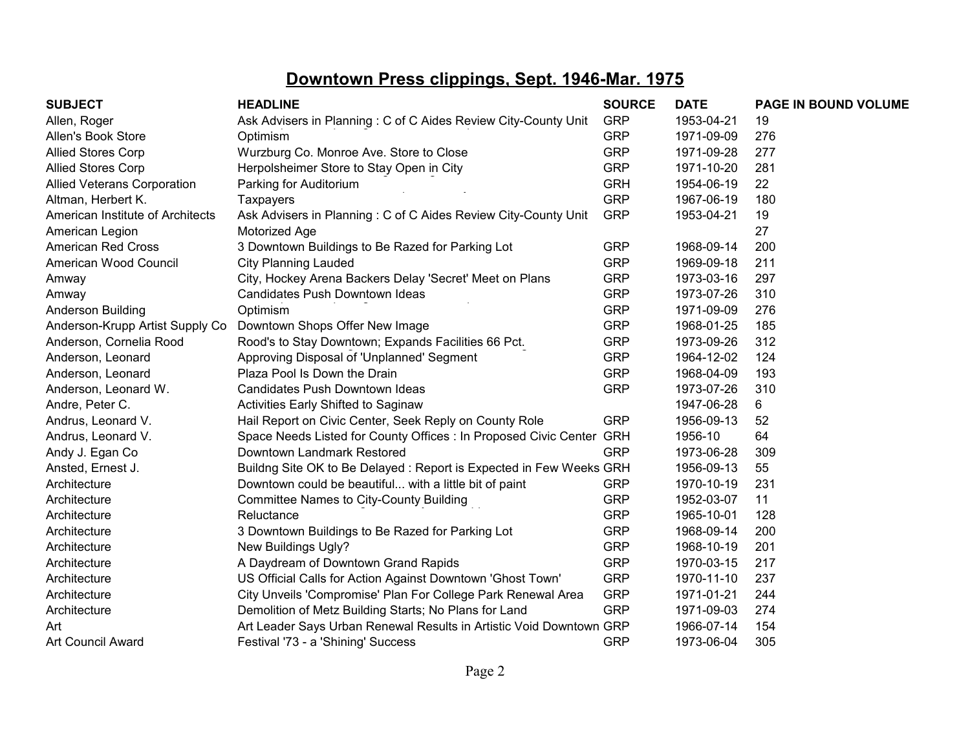| <b>SUBJECT</b>                     | <b>HEADLINE</b>                                                      | <b>SOURCE</b> | <b>DATE</b> | PAGE IN BOUND VOLUME |
|------------------------------------|----------------------------------------------------------------------|---------------|-------------|----------------------|
| Allen, Roger                       | Ask Advisers in Planning: C of C Aides Review City-County Unit       | <b>GRP</b>    | 1953-04-21  | 19                   |
| Allen's Book Store                 | Optimism                                                             | <b>GRP</b>    | 1971-09-09  | 276                  |
| <b>Allied Stores Corp</b>          | Wurzburg Co. Monroe Ave. Store to Close                              | <b>GRP</b>    | 1971-09-28  | 277                  |
| <b>Allied Stores Corp</b>          | Herpolsheimer Store to Stay Open in City                             | <b>GRP</b>    | 1971-10-20  | 281                  |
| <b>Allied Veterans Corporation</b> | Parking for Auditorium                                               | <b>GRH</b>    | 1954-06-19  | 22                   |
| Altman, Herbert K.                 | <b>Taxpayers</b>                                                     | <b>GRP</b>    | 1967-06-19  | 180                  |
| American Institute of Architects   | Ask Advisers in Planning: C of C Aides Review City-County Unit       | <b>GRP</b>    | 1953-04-21  | 19                   |
| American Legion                    | Motorized Age                                                        |               |             | 27                   |
| <b>American Red Cross</b>          | 3 Downtown Buildings to Be Razed for Parking Lot                     | <b>GRP</b>    | 1968-09-14  | 200                  |
| American Wood Council              | <b>City Planning Lauded</b>                                          | <b>GRP</b>    | 1969-09-18  | 211                  |
| Amway                              | City, Hockey Arena Backers Delay 'Secret' Meet on Plans              | <b>GRP</b>    | 1973-03-16  | 297                  |
| Amway                              | Candidates Push Downtown Ideas                                       | <b>GRP</b>    | 1973-07-26  | 310                  |
| Anderson Building                  | Optimism                                                             | <b>GRP</b>    | 1971-09-09  | 276                  |
| Anderson-Krupp Artist Supply Co    | Downtown Shops Offer New Image                                       | <b>GRP</b>    | 1968-01-25  | 185                  |
| Anderson, Cornelia Rood            | Rood's to Stay Downtown; Expands Facilities 66 Pct.                  | <b>GRP</b>    | 1973-09-26  | 312                  |
| Anderson, Leonard                  | Approving Disposal of 'Unplanned' Segment                            | <b>GRP</b>    | 1964-12-02  | 124                  |
| Anderson, Leonard                  | Plaza Pool Is Down the Drain                                         | <b>GRP</b>    | 1968-04-09  | 193                  |
| Anderson, Leonard W.               | Candidates Push Downtown Ideas                                       | <b>GRP</b>    | 1973-07-26  | 310                  |
| Andre, Peter C.                    | Activities Early Shifted to Saginaw                                  |               | 1947-06-28  | 6                    |
| Andrus, Leonard V.                 | Hail Report on Civic Center, Seek Reply on County Role               | <b>GRP</b>    | 1956-09-13  | 52                   |
| Andrus, Leonard V.                 | Space Needs Listed for County Offices : In Proposed Civic Center GRH |               | 1956-10     | 64                   |
| Andy J. Egan Co                    | Downtown Landmark Restored                                           | <b>GRP</b>    | 1973-06-28  | 309                  |
| Ansted, Ernest J.                  | Buildng Site OK to Be Delayed: Report is Expected in Few Weeks GRH   |               | 1956-09-13  | 55                   |
| Architecture                       | Downtown could be beautiful with a little bit of paint               | <b>GRP</b>    | 1970-10-19  | 231                  |
| Architecture                       | Committee Names to City-County Building                              | <b>GRP</b>    | 1952-03-07  | 11                   |
| Architecture                       | Reluctance                                                           | <b>GRP</b>    | 1965-10-01  | 128                  |
| Architecture                       | 3 Downtown Buildings to Be Razed for Parking Lot                     | <b>GRP</b>    | 1968-09-14  | 200                  |
| Architecture                       | New Buildings Ugly?                                                  | <b>GRP</b>    | 1968-10-19  | 201                  |
| Architecture                       | A Daydream of Downtown Grand Rapids                                  | <b>GRP</b>    | 1970-03-15  | 217                  |
| Architecture                       | US Official Calls for Action Against Downtown 'Ghost Town'           | <b>GRP</b>    | 1970-11-10  | 237                  |
| Architecture                       | City Unveils 'Compromise' Plan For College Park Renewal Area         | <b>GRP</b>    | 1971-01-21  | 244                  |
| Architecture                       | Demolition of Metz Building Starts; No Plans for Land                | <b>GRP</b>    | 1971-09-03  | 274                  |
| Art                                | Art Leader Says Urban Renewal Results in Artistic Void Downtown GRP  |               | 1966-07-14  | 154                  |
| <b>Art Council Award</b>           | Festival '73 - a 'Shining' Success                                   | <b>GRP</b>    | 1973-06-04  | 305                  |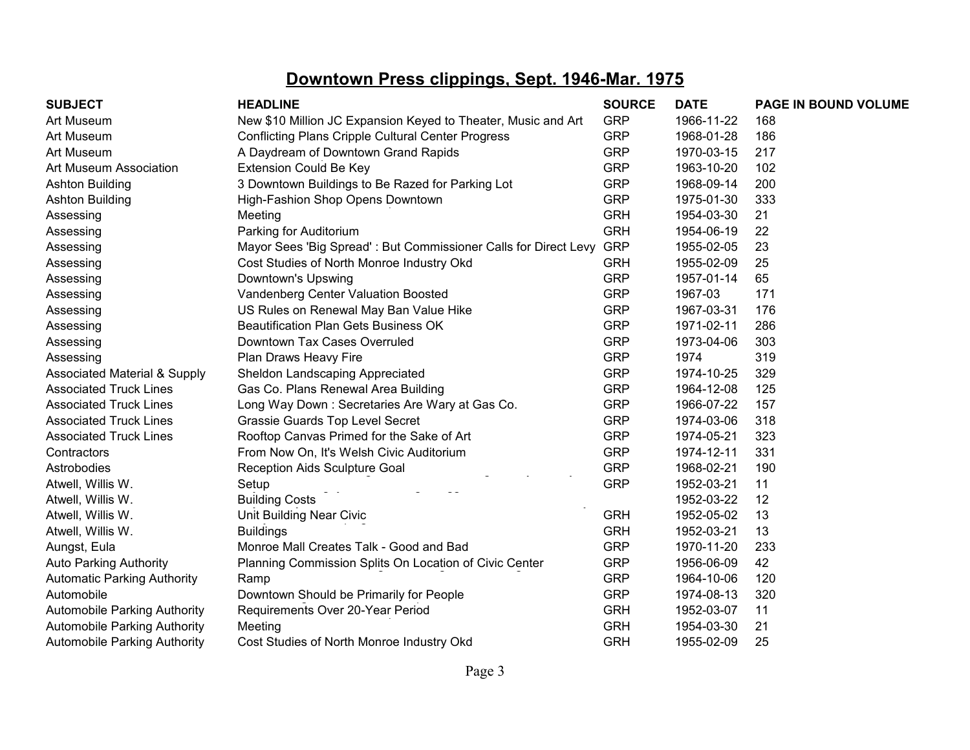| <b>SUBJECT</b>                          | <b>HEADLINE</b>                                                 | <b>SOURCE</b> | <b>DATE</b> | PAGE IN BOUND VOLUME |
|-----------------------------------------|-----------------------------------------------------------------|---------------|-------------|----------------------|
| Art Museum                              | New \$10 Million JC Expansion Keyed to Theater, Music and Art   | <b>GRP</b>    | 1966-11-22  | 168                  |
| Art Museum                              | <b>Conflicting Plans Cripple Cultural Center Progress</b>       | <b>GRP</b>    | 1968-01-28  | 186                  |
| Art Museum                              | A Daydream of Downtown Grand Rapids                             | <b>GRP</b>    | 1970-03-15  | 217                  |
| Art Museum Association                  | <b>Extension Could Be Key</b>                                   | <b>GRP</b>    | 1963-10-20  | 102                  |
| <b>Ashton Building</b>                  | 3 Downtown Buildings to Be Razed for Parking Lot                | <b>GRP</b>    | 1968-09-14  | 200                  |
| <b>Ashton Building</b>                  | High-Fashion Shop Opens Downtown                                | <b>GRP</b>    | 1975-01-30  | 333                  |
| Assessing                               | Meeting                                                         | <b>GRH</b>    | 1954-03-30  | 21                   |
| Assessing                               | Parking for Auditorium                                          | <b>GRH</b>    | 1954-06-19  | 22                   |
| Assessing                               | Mayor Sees 'Big Spread': But Commissioner Calls for Direct Levy | <b>GRP</b>    | 1955-02-05  | 23                   |
| Assessing                               | Cost Studies of North Monroe Industry Okd                       | <b>GRH</b>    | 1955-02-09  | 25                   |
| Assessing                               | Downtown's Upswing                                              | <b>GRP</b>    | 1957-01-14  | 65                   |
| Assessing                               | Vandenberg Center Valuation Boosted                             | <b>GRP</b>    | 1967-03     | 171                  |
| Assessing                               | US Rules on Renewal May Ban Value Hike                          | <b>GRP</b>    | 1967-03-31  | 176                  |
| Assessing                               | <b>Beautification Plan Gets Business OK</b>                     | <b>GRP</b>    | 1971-02-11  | 286                  |
| Assessing                               | Downtown Tax Cases Overruled                                    | <b>GRP</b>    | 1973-04-06  | 303                  |
| Assessing                               | Plan Draws Heavy Fire                                           | <b>GRP</b>    | 1974        | 319                  |
| <b>Associated Material &amp; Supply</b> | Sheldon Landscaping Appreciated                                 | <b>GRP</b>    | 1974-10-25  | 329                  |
| <b>Associated Truck Lines</b>           | Gas Co. Plans Renewal Area Building                             | <b>GRP</b>    | 1964-12-08  | 125                  |
| <b>Associated Truck Lines</b>           | Long Way Down: Secretaries Are Wary at Gas Co.                  | <b>GRP</b>    | 1966-07-22  | 157                  |
| <b>Associated Truck Lines</b>           | <b>Grassie Guards Top Level Secret</b>                          | <b>GRP</b>    | 1974-03-06  | 318                  |
| <b>Associated Truck Lines</b>           | Rooftop Canvas Primed for the Sake of Art                       | <b>GRP</b>    | 1974-05-21  | 323                  |
| Contractors                             | From Now On, It's Welsh Civic Auditorium                        | <b>GRP</b>    | 1974-12-11  | 331                  |
| Astrobodies                             | Reception Aids Sculpture Goal                                   | <b>GRP</b>    | 1968-02-21  | 190                  |
| Atwell, Willis W.                       | Setup                                                           | <b>GRP</b>    | 1952-03-21  | 11                   |
| Atwell, Willis W.                       | <b>Building Costs</b>                                           |               | 1952-03-22  | 12                   |
| Atwell, Willis W.                       | Unit Building Near Civic                                        | <b>GRH</b>    | 1952-05-02  | 13                   |
| Atwell, Willis W.                       | <b>Buildings</b>                                                | <b>GRH</b>    | 1952-03-21  | 13                   |
| Aungst, Eula                            | Monroe Mall Creates Talk - Good and Bad                         | <b>GRP</b>    | 1970-11-20  | 233                  |
| <b>Auto Parking Authority</b>           | Planning Commission Splits On Location of Civic Center          | <b>GRP</b>    | 1956-06-09  | 42                   |
| <b>Automatic Parking Authority</b>      | Ramp                                                            | <b>GRP</b>    | 1964-10-06  | 120                  |
| Automobile                              | Downtown Should be Primarily for People                         | <b>GRP</b>    | 1974-08-13  | 320                  |
| <b>Automobile Parking Authority</b>     | Requirements Over 20-Year Period                                | <b>GRH</b>    | 1952-03-07  | 11                   |
| <b>Automobile Parking Authority</b>     | Meeting                                                         | <b>GRH</b>    | 1954-03-30  | 21                   |
| <b>Automobile Parking Authority</b>     | Cost Studies of North Monroe Industry Okd                       | <b>GRH</b>    | 1955-02-09  | 25                   |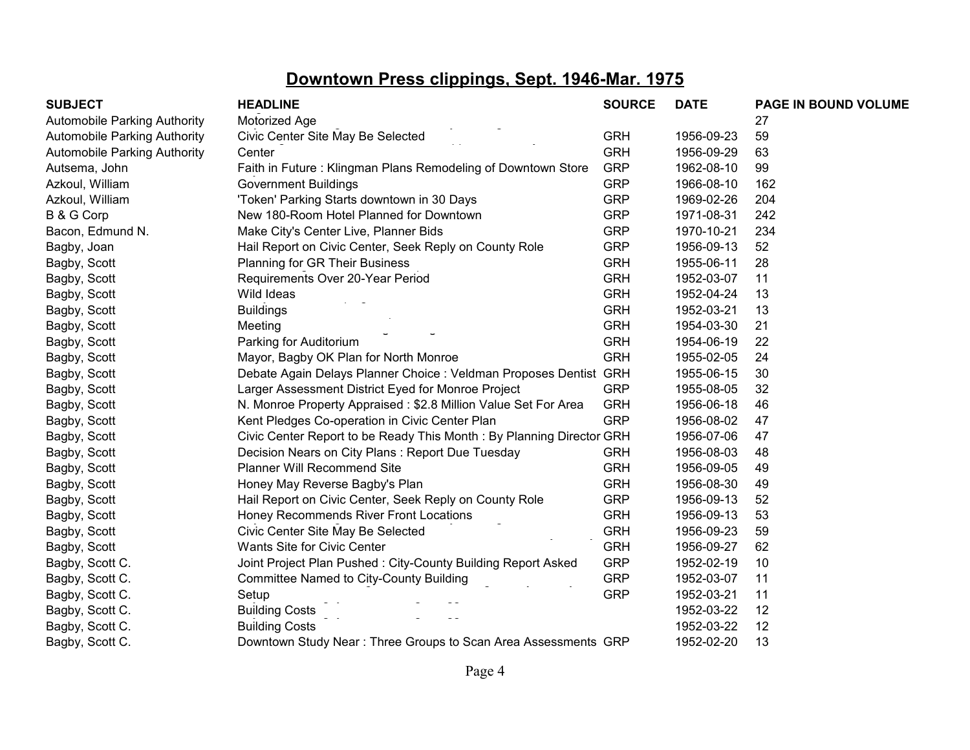| <b>SUBJECT</b>                      | <b>HEADLINE</b>                                                      | <b>SOURCE</b> | <b>DATE</b> | PAGE IN BOUND VOLUME |
|-------------------------------------|----------------------------------------------------------------------|---------------|-------------|----------------------|
| <b>Automobile Parking Authority</b> | Motorized Age                                                        |               |             | 27                   |
| <b>Automobile Parking Authority</b> | Civic Center Site May Be Selected                                    | <b>GRH</b>    | 1956-09-23  | 59                   |
| <b>Automobile Parking Authority</b> | Center                                                               | <b>GRH</b>    | 1956-09-29  | 63                   |
| Autsema, John                       | Faith in Future: Klingman Plans Remodeling of Downtown Store         | <b>GRP</b>    | 1962-08-10  | 99                   |
| Azkoul, William                     | <b>Government Buildings</b>                                          | <b>GRP</b>    | 1966-08-10  | 162                  |
| Azkoul, William                     | 'Token' Parking Starts downtown in 30 Days                           | <b>GRP</b>    | 1969-02-26  | 204                  |
| <b>B &amp; G Corp</b>               | New 180-Room Hotel Planned for Downtown                              | <b>GRP</b>    | 1971-08-31  | 242                  |
| Bacon, Edmund N.                    | Make City's Center Live, Planner Bids                                | <b>GRP</b>    | 1970-10-21  | 234                  |
| Bagby, Joan                         | Hail Report on Civic Center, Seek Reply on County Role               | <b>GRP</b>    | 1956-09-13  | 52                   |
| Bagby, Scott                        | Planning for GR Their Business                                       | <b>GRH</b>    | 1955-06-11  | 28                   |
| Bagby, Scott                        | Requirements Over 20-Year Period                                     | <b>GRH</b>    | 1952-03-07  | 11                   |
| Bagby, Scott                        | Wild Ideas                                                           | <b>GRH</b>    | 1952-04-24  | 13                   |
| Bagby, Scott                        | <b>Buildings</b>                                                     | <b>GRH</b>    | 1952-03-21  | 13                   |
| Bagby, Scott                        | Meeting                                                              | <b>GRH</b>    | 1954-03-30  | 21                   |
| Bagby, Scott                        | Parking for Auditorium                                               | <b>GRH</b>    | 1954-06-19  | 22                   |
| Bagby, Scott                        | Mayor, Bagby OK Plan for North Monroe                                | <b>GRH</b>    | 1955-02-05  | 24                   |
| Bagby, Scott                        | Debate Again Delays Planner Choice : Veldman Proposes Dentist GRH    |               | 1955-06-15  | 30                   |
| Bagby, Scott                        | Larger Assessment District Eyed for Monroe Project                   | <b>GRP</b>    | 1955-08-05  | 32                   |
| Bagby, Scott                        | N. Monroe Property Appraised: \$2.8 Million Value Set For Area       | <b>GRH</b>    | 1956-06-18  | 46                   |
| Bagby, Scott                        | Kent Pledges Co-operation in Civic Center Plan                       | <b>GRP</b>    | 1956-08-02  | 47                   |
| Bagby, Scott                        | Civic Center Report to be Ready This Month: By Planning Director GRH |               | 1956-07-06  | 47                   |
| Bagby, Scott                        | Decision Nears on City Plans: Report Due Tuesday                     | <b>GRH</b>    | 1956-08-03  | 48                   |
| Bagby, Scott                        | <b>Planner Will Recommend Site</b>                                   | <b>GRH</b>    | 1956-09-05  | 49                   |
| Bagby, Scott                        | Honey May Reverse Bagby's Plan                                       | <b>GRH</b>    | 1956-08-30  | 49                   |
| Bagby, Scott                        | Hail Report on Civic Center, Seek Reply on County Role               | <b>GRP</b>    | 1956-09-13  | 52                   |
| Bagby, Scott                        | Honey Recommends River Front Locations                               | <b>GRH</b>    | 1956-09-13  | 53                   |
| Bagby, Scott                        | Civic Center Site May Be Selected                                    | <b>GRH</b>    | 1956-09-23  | 59                   |
| Bagby, Scott                        | Wants Site for Civic Center                                          | <b>GRH</b>    | 1956-09-27  | 62                   |
| Bagby, Scott C.                     | Joint Project Plan Pushed: City-County Building Report Asked         | <b>GRP</b>    | 1952-02-19  | 10                   |
| Bagby, Scott C.                     | <b>Committee Named to City-County Building</b>                       | <b>GRP</b>    | 1952-03-07  | 11                   |
| Bagby, Scott C.                     | Setup                                                                | <b>GRP</b>    | 1952-03-21  | 11                   |
| Bagby, Scott C.                     | <b>Building Costs</b>                                                |               | 1952-03-22  | 12                   |
| Bagby, Scott C.                     | <b>Building Costs</b>                                                |               | 1952-03-22  | 12                   |
| Bagby, Scott C.                     | Downtown Study Near: Three Groups to Scan Area Assessments GRP       |               | 1952-02-20  | 13                   |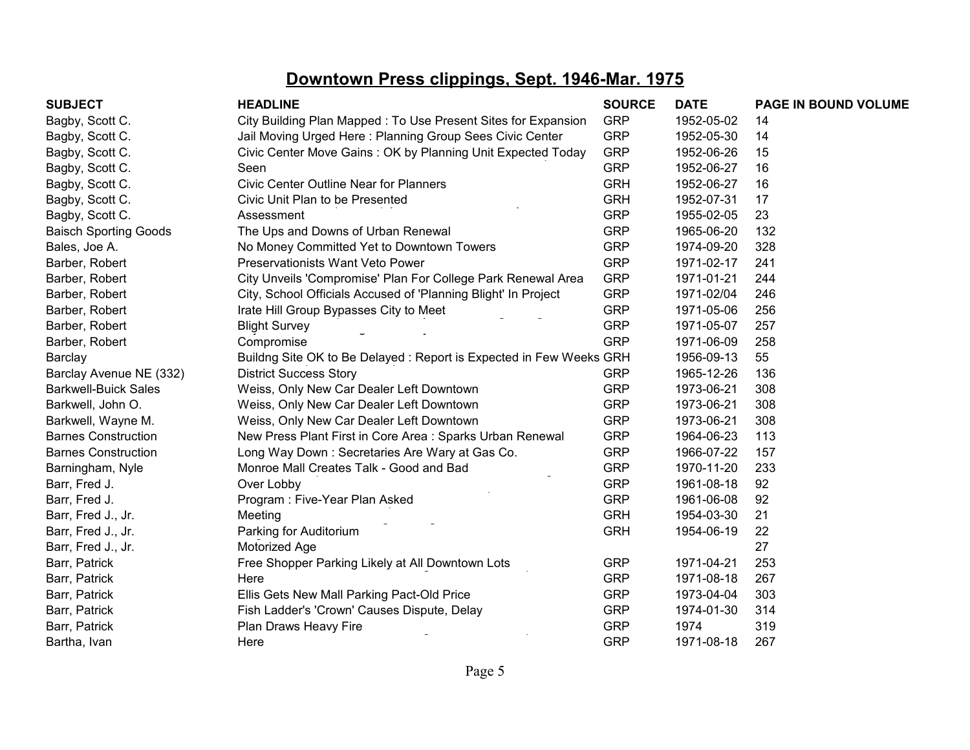| <b>SUBJECT</b>               | <b>HEADLINE</b>                                                    | <b>SOURCE</b> | <b>DATE</b> | PAGE IN BOUND VOLUME |
|------------------------------|--------------------------------------------------------------------|---------------|-------------|----------------------|
| Bagby, Scott C.              | City Building Plan Mapped: To Use Present Sites for Expansion      | <b>GRP</b>    | 1952-05-02  | 14                   |
| Bagby, Scott C.              | Jail Moving Urged Here: Planning Group Sees Civic Center           | <b>GRP</b>    | 1952-05-30  | 14                   |
| Bagby, Scott C.              | Civic Center Move Gains: OK by Planning Unit Expected Today        | <b>GRP</b>    | 1952-06-26  | 15                   |
| Bagby, Scott C.              | Seen                                                               | <b>GRP</b>    | 1952-06-27  | 16                   |
| Bagby, Scott C.              | <b>Civic Center Outline Near for Planners</b>                      | <b>GRH</b>    | 1952-06-27  | 16                   |
| Bagby, Scott C.              | Civic Unit Plan to be Presented                                    | <b>GRH</b>    | 1952-07-31  | 17                   |
| Bagby, Scott C.              | Assessment                                                         | <b>GRP</b>    | 1955-02-05  | 23                   |
| <b>Baisch Sporting Goods</b> | The Ups and Downs of Urban Renewal                                 | <b>GRP</b>    | 1965-06-20  | 132                  |
| Bales, Joe A.                | No Money Committed Yet to Downtown Towers                          | <b>GRP</b>    | 1974-09-20  | 328                  |
| Barber, Robert               | Preservationists Want Veto Power                                   | <b>GRP</b>    | 1971-02-17  | 241                  |
| Barber, Robert               | City Unveils 'Compromise' Plan For College Park Renewal Area       | <b>GRP</b>    | 1971-01-21  | 244                  |
| Barber, Robert               | City, School Officials Accused of 'Planning Blight' In Project     | <b>GRP</b>    | 1971-02/04  | 246                  |
| Barber, Robert               | Irate Hill Group Bypasses City to Meet                             | <b>GRP</b>    | 1971-05-06  | 256                  |
| Barber, Robert               | <b>Blight Survey</b>                                               | <b>GRP</b>    | 1971-05-07  | 257                  |
| Barber, Robert               | Compromise                                                         | <b>GRP</b>    | 1971-06-09  | 258                  |
| Barclay                      | Buildng Site OK to Be Delayed: Report is Expected in Few Weeks GRH |               | 1956-09-13  | 55                   |
| Barclay Avenue NE (332)      | <b>District Success Story</b>                                      | <b>GRP</b>    | 1965-12-26  | 136                  |
| <b>Barkwell-Buick Sales</b>  | Weiss, Only New Car Dealer Left Downtown                           | <b>GRP</b>    | 1973-06-21  | 308                  |
| Barkwell, John O.            | Weiss, Only New Car Dealer Left Downtown                           | <b>GRP</b>    | 1973-06-21  | 308                  |
| Barkwell, Wayne M.           | Weiss, Only New Car Dealer Left Downtown                           | <b>GRP</b>    | 1973-06-21  | 308                  |
| <b>Barnes Construction</b>   | New Press Plant First in Core Area: Sparks Urban Renewal           | <b>GRP</b>    | 1964-06-23  | 113                  |
| <b>Barnes Construction</b>   | Long Way Down: Secretaries Are Wary at Gas Co.                     | <b>GRP</b>    | 1966-07-22  | 157                  |
| Barningham, Nyle             | Monroe Mall Creates Talk - Good and Bad                            | <b>GRP</b>    | 1970-11-20  | 233                  |
| Barr, Fred J.                | Over Lobby                                                         | <b>GRP</b>    | 1961-08-18  | 92                   |
| Barr, Fred J.                | Program: Five-Year Plan Asked                                      | <b>GRP</b>    | 1961-06-08  | 92                   |
| Barr, Fred J., Jr.           | Meeting                                                            | <b>GRH</b>    | 1954-03-30  | 21                   |
| Barr, Fred J., Jr.           | Parking for Auditorium                                             | <b>GRH</b>    | 1954-06-19  | 22                   |
| Barr, Fred J., Jr.           | Motorized Age                                                      |               |             | 27                   |
| Barr, Patrick                | Free Shopper Parking Likely at All Downtown Lots                   | <b>GRP</b>    | 1971-04-21  | 253                  |
| Barr, Patrick                | Here                                                               | <b>GRP</b>    | 1971-08-18  | 267                  |
| Barr, Patrick                | Ellis Gets New Mall Parking Pact-Old Price                         | <b>GRP</b>    | 1973-04-04  | 303                  |
| Barr, Patrick                | Fish Ladder's 'Crown' Causes Dispute, Delay                        | <b>GRP</b>    | 1974-01-30  | 314                  |
| Barr, Patrick                | Plan Draws Heavy Fire                                              | <b>GRP</b>    | 1974        | 319                  |
| Bartha, Ivan                 | Here                                                               | <b>GRP</b>    | 1971-08-18  | 267                  |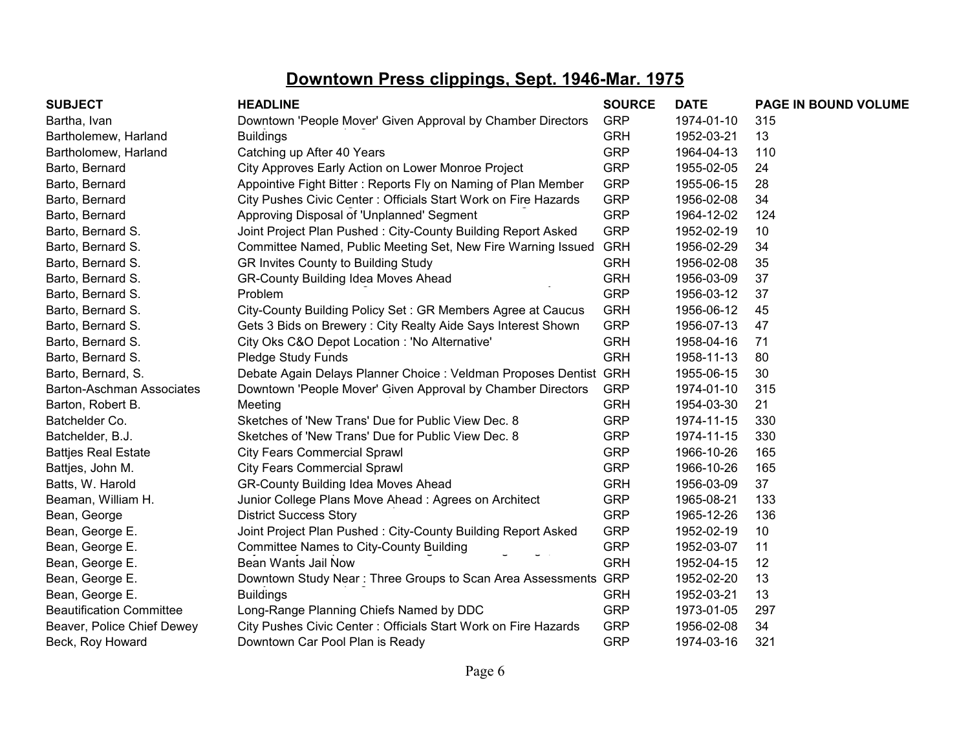| <b>SUBJECT</b>                   | <b>HEADLINE</b>                                                   | <b>SOURCE</b> | <b>DATE</b> | PAGE IN BOUND VOLUME |
|----------------------------------|-------------------------------------------------------------------|---------------|-------------|----------------------|
| Bartha, Ivan                     | Downtown 'People Mover' Given Approval by Chamber Directors       | <b>GRP</b>    | 1974-01-10  | 315                  |
| Bartholemew, Harland             | <b>Buildings</b>                                                  | <b>GRH</b>    | 1952-03-21  | 13                   |
| Bartholomew, Harland             | Catching up After 40 Years                                        | <b>GRP</b>    | 1964-04-13  | 110                  |
| Barto, Bernard                   | City Approves Early Action on Lower Monroe Project                | <b>GRP</b>    | 1955-02-05  | 24                   |
| Barto, Bernard                   | Appointive Fight Bitter: Reports Fly on Naming of Plan Member     | <b>GRP</b>    | 1955-06-15  | 28                   |
| Barto, Bernard                   | City Pushes Civic Center: Officials Start Work on Fire Hazards    | <b>GRP</b>    | 1956-02-08  | 34                   |
| Barto, Bernard                   | Approving Disposal of 'Unplanned' Segment                         | <b>GRP</b>    | 1964-12-02  | 124                  |
| Barto, Bernard S.                | Joint Project Plan Pushed: City-County Building Report Asked      | <b>GRP</b>    | 1952-02-19  | 10                   |
| Barto, Bernard S.                | Committee Named, Public Meeting Set, New Fire Warning Issued      | <b>GRH</b>    | 1956-02-29  | 34                   |
| Barto, Bernard S.                | GR Invites County to Building Study                               | <b>GRH</b>    | 1956-02-08  | 35                   |
| Barto, Bernard S.                | <b>GR-County Building Idea Moves Ahead</b>                        | <b>GRH</b>    | 1956-03-09  | 37                   |
| Barto, Bernard S.                | Problem                                                           | <b>GRP</b>    | 1956-03-12  | 37                   |
| Barto, Bernard S.                | City-County Building Policy Set: GR Members Agree at Caucus       | <b>GRH</b>    | 1956-06-12  | 45                   |
| Barto, Bernard S.                | Gets 3 Bids on Brewery: City Realty Aide Says Interest Shown      | <b>GRP</b>    | 1956-07-13  | 47                   |
| Barto, Bernard S.                | City Oks C&O Depot Location : 'No Alternative'                    | <b>GRH</b>    | 1958-04-16  | 71                   |
| Barto, Bernard S.                | Pledge Study Funds                                                | <b>GRH</b>    | 1958-11-13  | 80                   |
| Barto, Bernard, S.               | Debate Again Delays Planner Choice : Veldman Proposes Dentist GRH |               | 1955-06-15  | 30                   |
| <b>Barton-Aschman Associates</b> | Downtown 'People Mover' Given Approval by Chamber Directors       | <b>GRP</b>    | 1974-01-10  | 315                  |
| Barton, Robert B.                | Meeting                                                           | <b>GRH</b>    | 1954-03-30  | 21                   |
| Batchelder Co.                   | Sketches of 'New Trans' Due for Public View Dec. 8                | <b>GRP</b>    | 1974-11-15  | 330                  |
| Batchelder, B.J.                 | Sketches of 'New Trans' Due for Public View Dec. 8                | <b>GRP</b>    | 1974-11-15  | 330                  |
| <b>Battjes Real Estate</b>       | <b>City Fears Commercial Sprawl</b>                               | <b>GRP</b>    | 1966-10-26  | 165                  |
| Battjes, John M.                 | <b>City Fears Commercial Sprawl</b>                               | <b>GRP</b>    | 1966-10-26  | 165                  |
| Batts, W. Harold                 | <b>GR-County Building Idea Moves Ahead</b>                        | <b>GRH</b>    | 1956-03-09  | 37                   |
| Beaman, William H.               | Junior College Plans Move Ahead: Agrees on Architect              | <b>GRP</b>    | 1965-08-21  | 133                  |
| Bean, George                     | <b>District Success Story</b>                                     | <b>GRP</b>    | 1965-12-26  | 136                  |
| Bean, George E.                  | Joint Project Plan Pushed: City-County Building Report Asked      | <b>GRP</b>    | 1952-02-19  | 10                   |
| Bean, George E.                  | <b>Committee Names to City-County Building</b>                    | <b>GRP</b>    | 1952-03-07  | 11                   |
| Bean, George E.                  | Bean Wants Jail Now                                               | <b>GRH</b>    | 1952-04-15  | 12                   |
| Bean, George E.                  | Downtown Study Near: Three Groups to Scan Area Assessments GRP    |               | 1952-02-20  | 13                   |
| Bean, George E.                  | <b>Buildings</b>                                                  | <b>GRH</b>    | 1952-03-21  | 13                   |
| <b>Beautification Committee</b>  | Long-Range Planning Chiefs Named by DDC                           | <b>GRP</b>    | 1973-01-05  | 297                  |
| Beaver, Police Chief Dewey       | City Pushes Civic Center: Officials Start Work on Fire Hazards    | <b>GRP</b>    | 1956-02-08  | 34                   |
| Beck, Roy Howard                 | Downtown Car Pool Plan is Ready                                   | <b>GRP</b>    | 1974-03-16  | 321                  |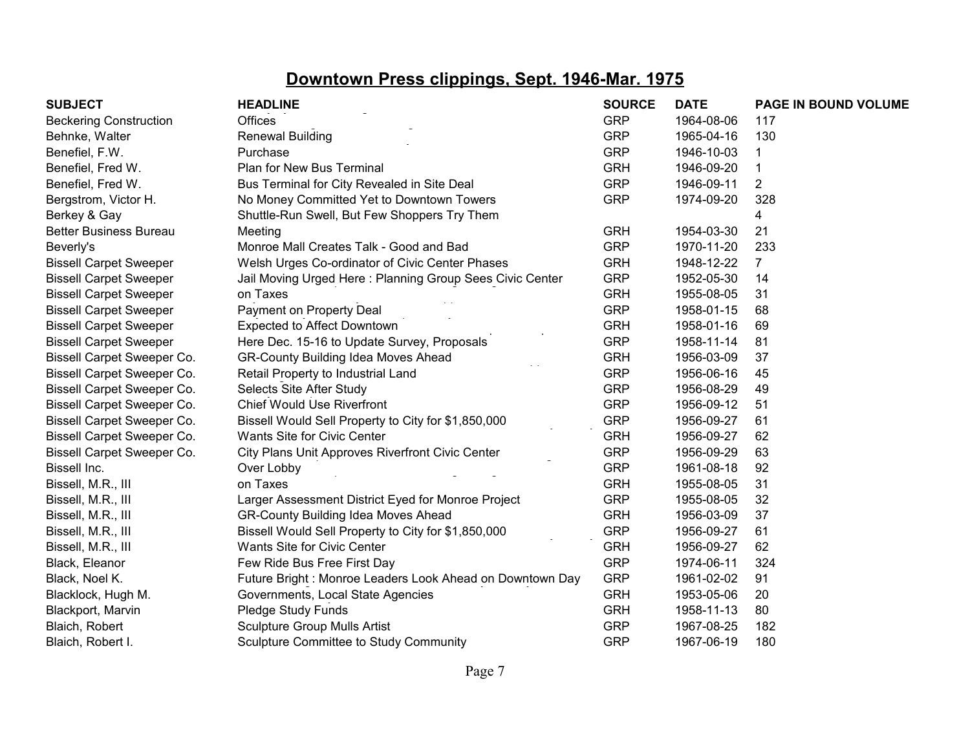| <b>SUBJECT</b>                    | <b>HEADLINE</b>                                          | <b>SOURCE</b> | <b>DATE</b> | PAGE IN BOUND VOLUME |
|-----------------------------------|----------------------------------------------------------|---------------|-------------|----------------------|
| <b>Beckering Construction</b>     | Offices                                                  | <b>GRP</b>    | 1964-08-06  | 117                  |
| Behnke, Walter                    | <b>Renewal Building</b>                                  | <b>GRP</b>    | 1965-04-16  | 130                  |
| Benefiel, F.W.                    | Purchase                                                 | <b>GRP</b>    | 1946-10-03  |                      |
| Benefiel, Fred W.                 | Plan for New Bus Terminal                                | <b>GRH</b>    | 1946-09-20  |                      |
| Benefiel, Fred W.                 | Bus Terminal for City Revealed in Site Deal              | <b>GRP</b>    | 1946-09-11  | 2                    |
| Bergstrom, Victor H.              | No Money Committed Yet to Downtown Towers                | <b>GRP</b>    | 1974-09-20  | 328                  |
| Berkey & Gay                      | Shuttle-Run Swell, But Few Shoppers Try Them             |               |             | 4                    |
| <b>Better Business Bureau</b>     | Meeting                                                  | <b>GRH</b>    | 1954-03-30  | 21                   |
| Beverly's                         | Monroe Mall Creates Talk - Good and Bad                  | <b>GRP</b>    | 1970-11-20  | 233                  |
| <b>Bissell Carpet Sweeper</b>     | Welsh Urges Co-ordinator of Civic Center Phases          | <b>GRH</b>    | 1948-12-22  | $\overline{7}$       |
| <b>Bissell Carpet Sweeper</b>     | Jail Moving Urged Here: Planning Group Sees Civic Center | <b>GRP</b>    | 1952-05-30  | 14                   |
| <b>Bissell Carpet Sweeper</b>     | on Taxes                                                 | <b>GRH</b>    | 1955-08-05  | 31                   |
| <b>Bissell Carpet Sweeper</b>     | Payment on Property Deal                                 | <b>GRP</b>    | 1958-01-15  | 68                   |
| <b>Bissell Carpet Sweeper</b>     | <b>Expected to Affect Downtown</b>                       | <b>GRH</b>    | 1958-01-16  | 69                   |
| <b>Bissell Carpet Sweeper</b>     | Here Dec. 15-16 to Update Survey, Proposals              | <b>GRP</b>    | 1958-11-14  | 81                   |
| <b>Bissell Carpet Sweeper Co.</b> | <b>GR-County Building Idea Moves Ahead</b>               | <b>GRH</b>    | 1956-03-09  | 37                   |
| Bissell Carpet Sweeper Co.        | Retail Property to Industrial Land                       | <b>GRP</b>    | 1956-06-16  | 45                   |
| Bissell Carpet Sweeper Co.        | Selects Site After Study                                 | <b>GRP</b>    | 1956-08-29  | 49                   |
| Bissell Carpet Sweeper Co.        | <b>Chief Would Use Riverfront</b>                        | <b>GRP</b>    | 1956-09-12  | 51                   |
| <b>Bissell Carpet Sweeper Co.</b> | Bissell Would Sell Property to City for \$1,850,000      | <b>GRP</b>    | 1956-09-27  | 61                   |
| Bissell Carpet Sweeper Co.        | Wants Site for Civic Center                              | <b>GRH</b>    | 1956-09-27  | 62                   |
| Bissell Carpet Sweeper Co.        | <b>City Plans Unit Approves Riverfront Civic Center</b>  | <b>GRP</b>    | 1956-09-29  | 63                   |
| Bissell Inc.                      | Over Lobby                                               | <b>GRP</b>    | 1961-08-18  | 92                   |
| Bissell, M.R., III                | on Taxes                                                 | <b>GRH</b>    | 1955-08-05  | 31                   |
| Bissell, M.R., III                | Larger Assessment District Eyed for Monroe Project       | <b>GRP</b>    | 1955-08-05  | 32                   |
| Bissell, M.R., III                | <b>GR-County Building Idea Moves Ahead</b>               | <b>GRH</b>    | 1956-03-09  | 37                   |
| Bissell, M.R., III                | Bissell Would Sell Property to City for \$1,850,000      | <b>GRP</b>    | 1956-09-27  | 61                   |
| Bissell, M.R., III                | Wants Site for Civic Center                              | <b>GRH</b>    | 1956-09-27  | 62                   |
| Black, Eleanor                    | Few Ride Bus Free First Day                              | <b>GRP</b>    | 1974-06-11  | 324                  |
| Black, Noel K.                    | Future Bright: Monroe Leaders Look Ahead on Downtown Day | <b>GRP</b>    | 1961-02-02  | 91                   |
| Blacklock, Hugh M.                | Governments, Local State Agencies                        | <b>GRH</b>    | 1953-05-06  | 20                   |
| Blackport, Marvin                 | Pledge Study Funds                                       | <b>GRH</b>    | 1958-11-13  | 80                   |
| Blaich, Robert                    | <b>Sculpture Group Mulls Artist</b>                      | <b>GRP</b>    | 1967-08-25  | 182                  |
| Blaich, Robert I.                 | Sculpture Committee to Study Community                   | <b>GRP</b>    | 1967-06-19  | 180                  |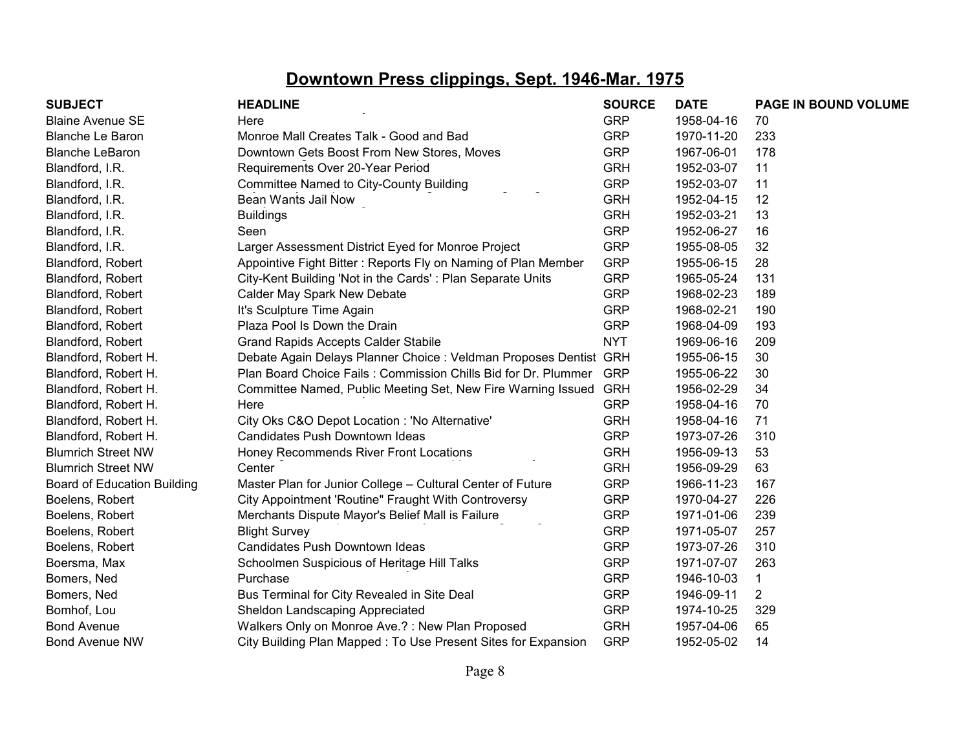| <b>SUBJECT</b>                     | <b>HEADLINE</b>                                                   | <b>SOURCE</b> | <b>DATE</b> | PAGE IN BOUND VOLUME |
|------------------------------------|-------------------------------------------------------------------|---------------|-------------|----------------------|
| <b>Blaine Avenue SE</b>            | Here                                                              | <b>GRP</b>    | 1958-04-16  | 70                   |
| <b>Blanche Le Baron</b>            | Monroe Mall Creates Talk - Good and Bad                           | <b>GRP</b>    | 1970-11-20  | 233                  |
| <b>Blanche LeBaron</b>             | Downtown Gets Boost From New Stores, Moves                        | <b>GRP</b>    | 1967-06-01  | 178                  |
| Blandford, I.R.                    | Requirements Over 20-Year Period                                  | <b>GRH</b>    | 1952-03-07  | 11                   |
| Blandford, I.R.                    | <b>Committee Named to City-County Building</b>                    | <b>GRP</b>    | 1952-03-07  | 11                   |
| Blandford, I.R.                    | Bean Wants Jail Now                                               | <b>GRH</b>    | 1952-04-15  | 12                   |
| Blandford, I.R.                    | <b>Buildings</b>                                                  | <b>GRH</b>    | 1952-03-21  | 13                   |
| Blandford, I.R.                    | Seen                                                              | <b>GRP</b>    | 1952-06-27  | 16                   |
| Blandford, I.R.                    | Larger Assessment District Eyed for Monroe Project                | <b>GRP</b>    | 1955-08-05  | 32                   |
| Blandford, Robert                  | Appointive Fight Bitter: Reports Fly on Naming of Plan Member     | <b>GRP</b>    | 1955-06-15  | 28                   |
| Blandford, Robert                  | City-Kent Building 'Not in the Cards': Plan Separate Units        | <b>GRP</b>    | 1965-05-24  | 131                  |
| Blandford, Robert                  | Calder May Spark New Debate                                       | <b>GRP</b>    | 1968-02-23  | 189                  |
| Blandford, Robert                  | It's Sculpture Time Again                                         | <b>GRP</b>    | 1968-02-21  | 190                  |
| Blandford, Robert                  | Plaza Pool Is Down the Drain                                      | <b>GRP</b>    | 1968-04-09  | 193                  |
| Blandford, Robert                  | <b>Grand Rapids Accepts Calder Stabile</b>                        | <b>NYT</b>    | 1969-06-16  | 209                  |
| Blandford, Robert H.               | Debate Again Delays Planner Choice : Veldman Proposes Dentist GRH |               | 1955-06-15  | 30                   |
| Blandford, Robert H.               | Plan Board Choice Fails: Commission Chills Bid for Dr. Plummer    | <b>GRP</b>    | 1955-06-22  | 30                   |
| Blandford, Robert H.               | Committee Named, Public Meeting Set, New Fire Warning Issued      | <b>GRH</b>    | 1956-02-29  | 34                   |
| Blandford, Robert H.               | Here                                                              | <b>GRP</b>    | 1958-04-16  | 70                   |
| Blandford, Robert H.               | City Oks C&O Depot Location : 'No Alternative'                    | <b>GRH</b>    | 1958-04-16  | 71                   |
| Blandford, Robert H.               | Candidates Push Downtown Ideas                                    | <b>GRP</b>    | 1973-07-26  | 310                  |
| <b>Blumrich Street NW</b>          | Honey Recommends River Front Locations                            | <b>GRH</b>    | 1956-09-13  | 53                   |
| <b>Blumrich Street NW</b>          | Center                                                            | <b>GRH</b>    | 1956-09-29  | 63                   |
| <b>Board of Education Building</b> | Master Plan for Junior College - Cultural Center of Future        | <b>GRP</b>    | 1966-11-23  | 167                  |
| Boelens, Robert                    | City Appointment 'Routine" Fraught With Controversy               | <b>GRP</b>    | 1970-04-27  | 226                  |
| Boelens, Robert                    | Merchants Dispute Mayor's Belief Mall is Failure                  | <b>GRP</b>    | 1971-01-06  | 239                  |
| Boelens, Robert                    | <b>Blight Survey</b>                                              | <b>GRP</b>    | 1971-05-07  | 257                  |
| Boelens, Robert                    | Candidates Push Downtown Ideas                                    | <b>GRP</b>    | 1973-07-26  | 310                  |
| Boersma, Max                       | Schoolmen Suspicious of Heritage Hill Talks                       | <b>GRP</b>    | 1971-07-07  | 263                  |
| Bomers, Ned                        | Purchase                                                          | <b>GRP</b>    | 1946-10-03  | 1                    |
| Bomers, Ned                        | Bus Terminal for City Revealed in Site Deal                       | <b>GRP</b>    | 1946-09-11  | $\overline{2}$       |
| Bomhof, Lou                        | Sheldon Landscaping Appreciated                                   | <b>GRP</b>    | 1974-10-25  | 329                  |
| <b>Bond Avenue</b>                 | Walkers Only on Monroe Ave.?: New Plan Proposed                   | <b>GRH</b>    | 1957-04-06  | 65                   |
| <b>Bond Avenue NW</b>              | City Building Plan Mapped: To Use Present Sites for Expansion     | <b>GRP</b>    | 1952-05-02  | 14                   |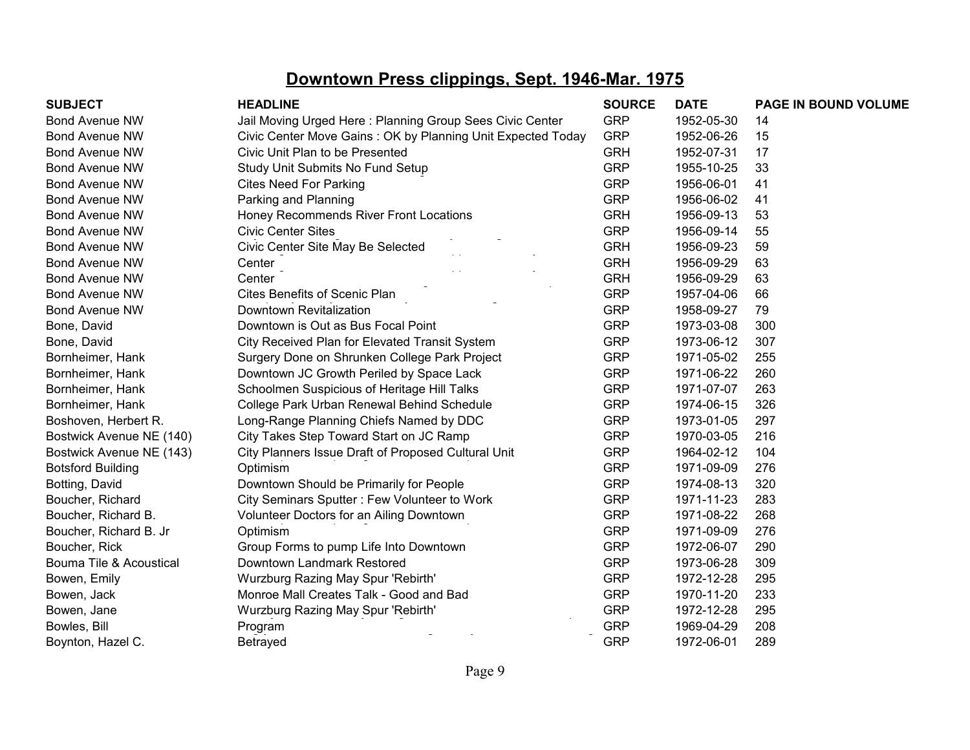| <b>SUBJECT</b>           | <b>HEADLINE</b>                                             | <b>SOURCE</b> | <b>DATE</b> | <b>PAGE IN BOUND VOLUME</b> |
|--------------------------|-------------------------------------------------------------|---------------|-------------|-----------------------------|
| <b>Bond Avenue NW</b>    | Jail Moving Urged Here: Planning Group Sees Civic Center    | <b>GRP</b>    | 1952-05-30  | 14                          |
| <b>Bond Avenue NW</b>    | Civic Center Move Gains: OK by Planning Unit Expected Today | <b>GRP</b>    | 1952-06-26  | 15                          |
| <b>Bond Avenue NW</b>    | Civic Unit Plan to be Presented                             | <b>GRH</b>    | 1952-07-31  | 17                          |
| <b>Bond Avenue NW</b>    | Study Unit Submits No Fund Setup                            | <b>GRP</b>    | 1955-10-25  | 33                          |
| <b>Bond Avenue NW</b>    | <b>Cites Need For Parking</b>                               | <b>GRP</b>    | 1956-06-01  | 41                          |
| <b>Bond Avenue NW</b>    | Parking and Planning                                        | <b>GRP</b>    | 1956-06-02  | 41                          |
| <b>Bond Avenue NW</b>    | Honey Recommends River Front Locations                      | <b>GRH</b>    | 1956-09-13  | 53                          |
| <b>Bond Avenue NW</b>    | <b>Civic Center Sites</b>                                   | <b>GRP</b>    | 1956-09-14  | 55                          |
| <b>Bond Avenue NW</b>    | Civic Center Site May Be Selected                           | <b>GRH</b>    | 1956-09-23  | 59                          |
| <b>Bond Avenue NW</b>    | Center                                                      | <b>GRH</b>    | 1956-09-29  | 63                          |
| <b>Bond Avenue NW</b>    | Center                                                      | <b>GRH</b>    | 1956-09-29  | 63                          |
| <b>Bond Avenue NW</b>    | Cites Benefits of Scenic Plan                               | <b>GRP</b>    | 1957-04-06  | 66                          |
| <b>Bond Avenue NW</b>    | Downtown Revitalization                                     | <b>GRP</b>    | 1958-09-27  | 79                          |
| Bone, David              | Downtown is Out as Bus Focal Point                          | <b>GRP</b>    | 1973-03-08  | 300                         |
| Bone, David              | City Received Plan for Elevated Transit System              | <b>GRP</b>    | 1973-06-12  | 307                         |
| Bornheimer, Hank         | Surgery Done on Shrunken College Park Project               | <b>GRP</b>    | 1971-05-02  | 255                         |
| Bornheimer, Hank         | Downtown JC Growth Periled by Space Lack                    | <b>GRP</b>    | 1971-06-22  | 260                         |
| Bornheimer, Hank         | Schoolmen Suspicious of Heritage Hill Talks                 | <b>GRP</b>    | 1971-07-07  | 263                         |
| Bornheimer, Hank         | College Park Urban Renewal Behind Schedule                  | <b>GRP</b>    | 1974-06-15  | 326                         |
| Boshoven, Herbert R.     | Long-Range Planning Chiefs Named by DDC                     | <b>GRP</b>    | 1973-01-05  | 297                         |
| Bostwick Avenue NE (140) | City Takes Step Toward Start on JC Ramp                     | <b>GRP</b>    | 1970-03-05  | 216                         |
| Bostwick Avenue NE (143) | City Planners Issue Draft of Proposed Cultural Unit         | <b>GRP</b>    | 1964-02-12  | 104                         |
| <b>Botsford Building</b> | Optimism                                                    | <b>GRP</b>    | 1971-09-09  | 276                         |
| Botting, David           | Downtown Should be Primarily for People                     | <b>GRP</b>    | 1974-08-13  | 320                         |
| Boucher, Richard         | City Seminars Sputter: Few Volunteer to Work                | <b>GRP</b>    | 1971-11-23  | 283                         |
| Boucher, Richard B.      | Volunteer Doctors for an Ailing Downtown                    | <b>GRP</b>    | 1971-08-22  | 268                         |
| Boucher, Richard B. Jr   | Optimism                                                    | <b>GRP</b>    | 1971-09-09  | 276                         |
| Boucher, Rick            | Group Forms to pump Life Into Downtown                      | <b>GRP</b>    | 1972-06-07  | 290                         |
| Bouma Tile & Acoustical  | Downtown Landmark Restored                                  | <b>GRP</b>    | 1973-06-28  | 309                         |
| Bowen, Emily             | Wurzburg Razing May Spur 'Rebirth'                          | <b>GRP</b>    | 1972-12-28  | 295                         |
| Bowen, Jack              | Monroe Mall Creates Talk - Good and Bad                     | <b>GRP</b>    | 1970-11-20  | 233                         |
| Bowen, Jane              | Wurzburg Razing May Spur 'Rebirth'                          | <b>GRP</b>    | 1972-12-28  | 295                         |
| Bowles, Bill             | Program                                                     | <b>GRP</b>    | 1969-04-29  | 208                         |
| Boynton, Hazel C.        | <b>Betrayed</b>                                             | <b>GRP</b>    | 1972-06-01  | 289                         |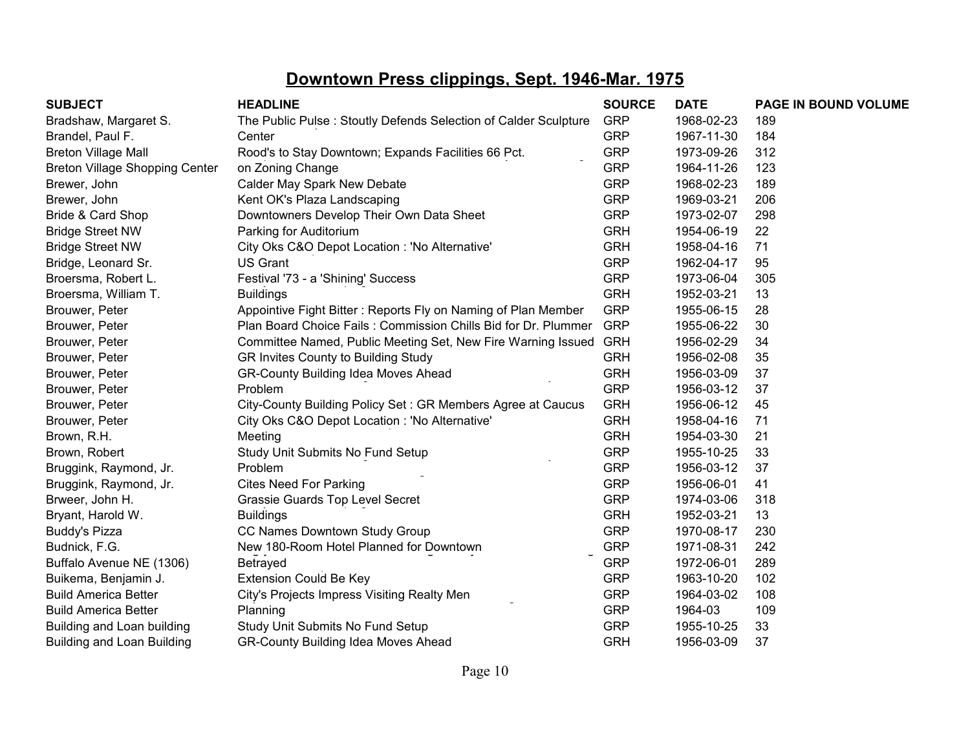| <b>SUBJECT</b>                        | <b>HEADLINE</b>                                                 | <b>SOURCE</b> | <b>DATE</b> | PAGE IN BOUND VOLUME |
|---------------------------------------|-----------------------------------------------------------------|---------------|-------------|----------------------|
| Bradshaw, Margaret S.                 | The Public Pulse: Stoutly Defends Selection of Calder Sculpture | <b>GRP</b>    | 1968-02-23  | 189                  |
| Brandel, Paul F.                      | Center                                                          | <b>GRP</b>    | 1967-11-30  | 184                  |
| <b>Breton Village Mall</b>            | Rood's to Stay Downtown; Expands Facilities 66 Pct.             | <b>GRP</b>    | 1973-09-26  | 312                  |
| <b>Breton Village Shopping Center</b> | on Zoning Change                                                | <b>GRP</b>    | 1964-11-26  | 123                  |
| Brewer, John                          | Calder May Spark New Debate                                     | <b>GRP</b>    | 1968-02-23  | 189                  |
| Brewer, John                          | Kent OK's Plaza Landscaping                                     | <b>GRP</b>    | 1969-03-21  | 206                  |
| Bride & Card Shop                     | Downtowners Develop Their Own Data Sheet                        | <b>GRP</b>    | 1973-02-07  | 298                  |
| <b>Bridge Street NW</b>               | Parking for Auditorium                                          | <b>GRH</b>    | 1954-06-19  | 22                   |
| <b>Bridge Street NW</b>               | City Oks C&O Depot Location : 'No Alternative'                  | <b>GRH</b>    | 1958-04-16  | 71                   |
| Bridge, Leonard Sr.                   | <b>US Grant</b>                                                 | <b>GRP</b>    | 1962-04-17  | 95                   |
| Broersma, Robert L.                   | Festival '73 - a 'Shining' Success                              | <b>GRP</b>    | 1973-06-04  | 305                  |
| Broersma, William T.                  | <b>Buildings</b>                                                | <b>GRH</b>    | 1952-03-21  | 13                   |
| Brouwer, Peter                        | Appointive Fight Bitter: Reports Fly on Naming of Plan Member   | <b>GRP</b>    | 1955-06-15  | 28                   |
| Brouwer, Peter                        | Plan Board Choice Fails: Commission Chills Bid for Dr. Plummer  | <b>GRP</b>    | 1955-06-22  | 30                   |
| Brouwer, Peter                        | Committee Named, Public Meeting Set, New Fire Warning Issued    | <b>GRH</b>    | 1956-02-29  | 34                   |
| Brouwer, Peter                        | GR Invites County to Building Study                             | <b>GRH</b>    | 1956-02-08  | 35                   |
| Brouwer, Peter                        | GR-County Building Idea Moves Ahead                             | <b>GRH</b>    | 1956-03-09  | 37                   |
| Brouwer, Peter                        | Problem                                                         | <b>GRP</b>    | 1956-03-12  | 37                   |
| Brouwer, Peter                        | City-County Building Policy Set: GR Members Agree at Caucus     | <b>GRH</b>    | 1956-06-12  | 45                   |
| Brouwer, Peter                        | City Oks C&O Depot Location : 'No Alternative'                  | <b>GRH</b>    | 1958-04-16  | 71                   |
| Brown, R.H.                           | Meeting                                                         | <b>GRH</b>    | 1954-03-30  | 21                   |
| Brown, Robert                         | Study Unit Submits No Fund Setup                                | <b>GRP</b>    | 1955-10-25  | 33                   |
| Bruggink, Raymond, Jr.                | Problem                                                         | <b>GRP</b>    | 1956-03-12  | 37                   |
| Bruggink, Raymond, Jr.                | <b>Cites Need For Parking</b>                                   | <b>GRP</b>    | 1956-06-01  | 41                   |
| Brweer, John H.                       | Grassie Guards Top Level Secret                                 | <b>GRP</b>    | 1974-03-06  | 318                  |
| Bryant, Harold W.                     | <b>Buildings</b>                                                | <b>GRH</b>    | 1952-03-21  | 13                   |
| <b>Buddy's Pizza</b>                  | CC Names Downtown Study Group                                   | <b>GRP</b>    | 1970-08-17  | 230                  |
| Budnick, F.G.                         | New 180-Room Hotel Planned for Downtown                         | <b>GRP</b>    | 1971-08-31  | 242                  |
| Buffalo Avenue NE (1306)              | Betrayed                                                        | <b>GRP</b>    | 1972-06-01  | 289                  |
| Buikema, Benjamin J.                  | <b>Extension Could Be Key</b>                                   | <b>GRP</b>    | 1963-10-20  | 102                  |
| <b>Build America Better</b>           | City's Projects Impress Visiting Realty Men                     | <b>GRP</b>    | 1964-03-02  | 108                  |
| <b>Build America Better</b>           | Planning                                                        | <b>GRP</b>    | 1964-03     | 109                  |
| Building and Loan building            | Study Unit Submits No Fund Setup                                | <b>GRP</b>    | 1955-10-25  | 33                   |
| <b>Building and Loan Building</b>     | <b>GR-County Building Idea Moves Ahead</b>                      | <b>GRH</b>    | 1956-03-09  | 37                   |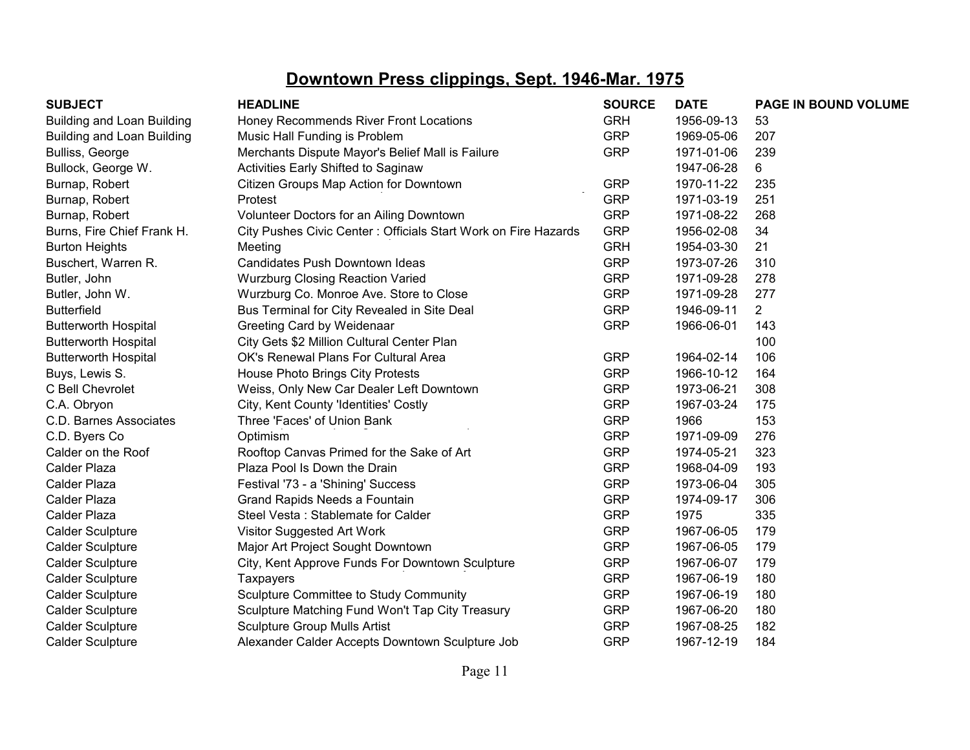| <b>SUBJECT</b>                    | <b>HEADLINE</b>                                                | <b>SOURCE</b> | <b>DATE</b> | PAGE IN BOUND VOLUME |
|-----------------------------------|----------------------------------------------------------------|---------------|-------------|----------------------|
| <b>Building and Loan Building</b> | Honey Recommends River Front Locations                         | <b>GRH</b>    | 1956-09-13  | 53                   |
| Building and Loan Building        | Music Hall Funding is Problem                                  | <b>GRP</b>    | 1969-05-06  | 207                  |
| Bulliss, George                   | Merchants Dispute Mayor's Belief Mall is Failure               | <b>GRP</b>    | 1971-01-06  | 239                  |
| Bullock, George W.                | Activities Early Shifted to Saginaw                            |               | 1947-06-28  | 6                    |
| Burnap, Robert                    | Citizen Groups Map Action for Downtown                         | <b>GRP</b>    | 1970-11-22  | 235                  |
| Burnap, Robert                    | Protest                                                        | <b>GRP</b>    | 1971-03-19  | 251                  |
| Burnap, Robert                    | Volunteer Doctors for an Ailing Downtown                       | <b>GRP</b>    | 1971-08-22  | 268                  |
| Burns, Fire Chief Frank H.        | City Pushes Civic Center: Officials Start Work on Fire Hazards | <b>GRP</b>    | 1956-02-08  | 34                   |
| <b>Burton Heights</b>             | Meeting                                                        | <b>GRH</b>    | 1954-03-30  | 21                   |
| Buschert, Warren R.               | Candidates Push Downtown Ideas                                 | <b>GRP</b>    | 1973-07-26  | 310                  |
| Butler, John                      | <b>Wurzburg Closing Reaction Varied</b>                        | <b>GRP</b>    | 1971-09-28  | 278                  |
| Butler, John W.                   | Wurzburg Co. Monroe Ave. Store to Close                        | <b>GRP</b>    | 1971-09-28  | 277                  |
| <b>Butterfield</b>                | Bus Terminal for City Revealed in Site Deal                    | <b>GRP</b>    | 1946-09-11  | $\overline{2}$       |
| <b>Butterworth Hospital</b>       | Greeting Card by Weidenaar                                     | <b>GRP</b>    | 1966-06-01  | 143                  |
| <b>Butterworth Hospital</b>       | City Gets \$2 Million Cultural Center Plan                     |               |             | 100                  |
| <b>Butterworth Hospital</b>       | OK's Renewal Plans For Cultural Area                           | <b>GRP</b>    | 1964-02-14  | 106                  |
| Buys, Lewis S.                    | House Photo Brings City Protests                               | <b>GRP</b>    | 1966-10-12  | 164                  |
| C Bell Chevrolet                  | Weiss, Only New Car Dealer Left Downtown                       | <b>GRP</b>    | 1973-06-21  | 308                  |
| C.A. Obryon                       | City, Kent County 'Identities' Costly                          | <b>GRP</b>    | 1967-03-24  | 175                  |
| C.D. Barnes Associates            | Three 'Faces' of Union Bank                                    | <b>GRP</b>    | 1966        | 153                  |
| C.D. Byers Co                     | Optimism                                                       | <b>GRP</b>    | 1971-09-09  | 276                  |
| Calder on the Roof                | Rooftop Canvas Primed for the Sake of Art                      | <b>GRP</b>    | 1974-05-21  | 323                  |
| Calder Plaza                      | Plaza Pool Is Down the Drain                                   | <b>GRP</b>    | 1968-04-09  | 193                  |
| Calder Plaza                      | Festival '73 - a 'Shining' Success                             | <b>GRP</b>    | 1973-06-04  | 305                  |
| Calder Plaza                      | Grand Rapids Needs a Fountain                                  | <b>GRP</b>    | 1974-09-17  | 306                  |
| Calder Plaza                      | Steel Vesta: Stablemate for Calder                             | <b>GRP</b>    | 1975        | 335                  |
| <b>Calder Sculpture</b>           | Visitor Suggested Art Work                                     | <b>GRP</b>    | 1967-06-05  | 179                  |
| <b>Calder Sculpture</b>           | Major Art Project Sought Downtown                              | <b>GRP</b>    | 1967-06-05  | 179                  |
| <b>Calder Sculpture</b>           | City, Kent Approve Funds For Downtown Sculpture                | <b>GRP</b>    | 1967-06-07  | 179                  |
| <b>Calder Sculpture</b>           | <b>Taxpayers</b>                                               | <b>GRP</b>    | 1967-06-19  | 180                  |
| <b>Calder Sculpture</b>           | Sculpture Committee to Study Community                         | <b>GRP</b>    | 1967-06-19  | 180                  |
| <b>Calder Sculpture</b>           | Sculpture Matching Fund Won't Tap City Treasury                | <b>GRP</b>    | 1967-06-20  | 180                  |
| <b>Calder Sculpture</b>           | <b>Sculpture Group Mulls Artist</b>                            | <b>GRP</b>    | 1967-08-25  | 182                  |
| <b>Calder Sculpture</b>           | Alexander Calder Accepts Downtown Sculpture Job                | <b>GRP</b>    | 1967-12-19  | 184                  |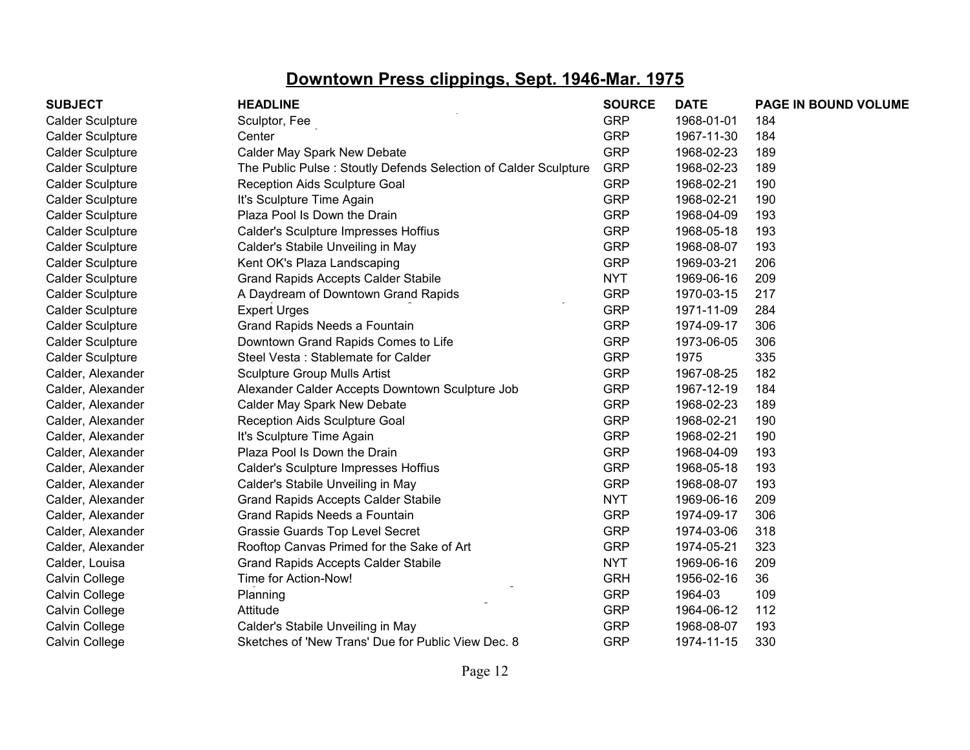| <b>SUBJECT</b>          | <b>HEADLINE</b>                                                 | <b>SOURCE</b> | <b>DATE</b> | PAGE IN BOUND VOLUME |
|-------------------------|-----------------------------------------------------------------|---------------|-------------|----------------------|
| <b>Calder Sculpture</b> | Sculptor, Fee                                                   | <b>GRP</b>    | 1968-01-01  | 184                  |
| <b>Calder Sculpture</b> | Center                                                          | <b>GRP</b>    | 1967-11-30  | 184                  |
| <b>Calder Sculpture</b> | Calder May Spark New Debate                                     | <b>GRP</b>    | 1968-02-23  | 189                  |
| <b>Calder Sculpture</b> | The Public Pulse: Stoutly Defends Selection of Calder Sculpture | <b>GRP</b>    | 1968-02-23  | 189                  |
| <b>Calder Sculpture</b> | Reception Aids Sculpture Goal                                   | <b>GRP</b>    | 1968-02-21  | 190                  |
| <b>Calder Sculpture</b> | It's Sculpture Time Again                                       | <b>GRP</b>    | 1968-02-21  | 190                  |
| <b>Calder Sculpture</b> | Plaza Pool Is Down the Drain                                    | <b>GRP</b>    | 1968-04-09  | 193                  |
| <b>Calder Sculpture</b> | Calder's Sculpture Impresses Hoffius                            | <b>GRP</b>    | 1968-05-18  | 193                  |
| <b>Calder Sculpture</b> | Calder's Stabile Unveiling in May                               | <b>GRP</b>    | 1968-08-07  | 193                  |
| <b>Calder Sculpture</b> | Kent OK's Plaza Landscaping                                     | <b>GRP</b>    | 1969-03-21  | 206                  |
| <b>Calder Sculpture</b> | <b>Grand Rapids Accepts Calder Stabile</b>                      | <b>NYT</b>    | 1969-06-16  | 209                  |
| <b>Calder Sculpture</b> | A Daydream of Downtown Grand Rapids                             | <b>GRP</b>    | 1970-03-15  | 217                  |
| <b>Calder Sculpture</b> | <b>Expert Urges</b>                                             | <b>GRP</b>    | 1971-11-09  | 284                  |
| <b>Calder Sculpture</b> | Grand Rapids Needs a Fountain                                   | <b>GRP</b>    | 1974-09-17  | 306                  |
| <b>Calder Sculpture</b> | Downtown Grand Rapids Comes to Life                             | <b>GRP</b>    | 1973-06-05  | 306                  |
| <b>Calder Sculpture</b> | Steel Vesta: Stablemate for Calder                              | <b>GRP</b>    | 1975        | 335                  |
| Calder, Alexander       | <b>Sculpture Group Mulls Artist</b>                             | <b>GRP</b>    | 1967-08-25  | 182                  |
| Calder, Alexander       | Alexander Calder Accepts Downtown Sculpture Job                 | <b>GRP</b>    | 1967-12-19  | 184                  |
| Calder, Alexander       | Calder May Spark New Debate                                     | <b>GRP</b>    | 1968-02-23  | 189                  |
| Calder, Alexander       | Reception Aids Sculpture Goal                                   | <b>GRP</b>    | 1968-02-21  | 190                  |
| Calder, Alexander       | It's Sculpture Time Again                                       | <b>GRP</b>    | 1968-02-21  | 190                  |
| Calder, Alexander       | Plaza Pool Is Down the Drain                                    | <b>GRP</b>    | 1968-04-09  | 193                  |
| Calder, Alexander       | Calder's Sculpture Impresses Hoffius                            | <b>GRP</b>    | 1968-05-18  | 193                  |
| Calder, Alexander       | Calder's Stabile Unveiling in May                               | <b>GRP</b>    | 1968-08-07  | 193                  |
| Calder, Alexander       | <b>Grand Rapids Accepts Calder Stabile</b>                      | <b>NYT</b>    | 1969-06-16  | 209                  |
| Calder, Alexander       | Grand Rapids Needs a Fountain                                   | <b>GRP</b>    | 1974-09-17  | 306                  |
| Calder, Alexander       | Grassie Guards Top Level Secret                                 | <b>GRP</b>    | 1974-03-06  | 318                  |
| Calder, Alexander       | Rooftop Canvas Primed for the Sake of Art                       | <b>GRP</b>    | 1974-05-21  | 323                  |
| Calder, Louisa          | <b>Grand Rapids Accepts Calder Stabile</b>                      | <b>NYT</b>    | 1969-06-16  | 209                  |
| Calvin College          | Time for Action-Now!                                            | <b>GRH</b>    | 1956-02-16  | 36                   |
| Calvin College          | Planning                                                        | <b>GRP</b>    | 1964-03     | 109                  |
| Calvin College          | Attitude                                                        | <b>GRP</b>    | 1964-06-12  | 112                  |
| Calvin College          | Calder's Stabile Unveiling in May                               | <b>GRP</b>    | 1968-08-07  | 193                  |
| Calvin College          | Sketches of 'New Trans' Due for Public View Dec. 8              | <b>GRP</b>    | 1974-11-15  | 330                  |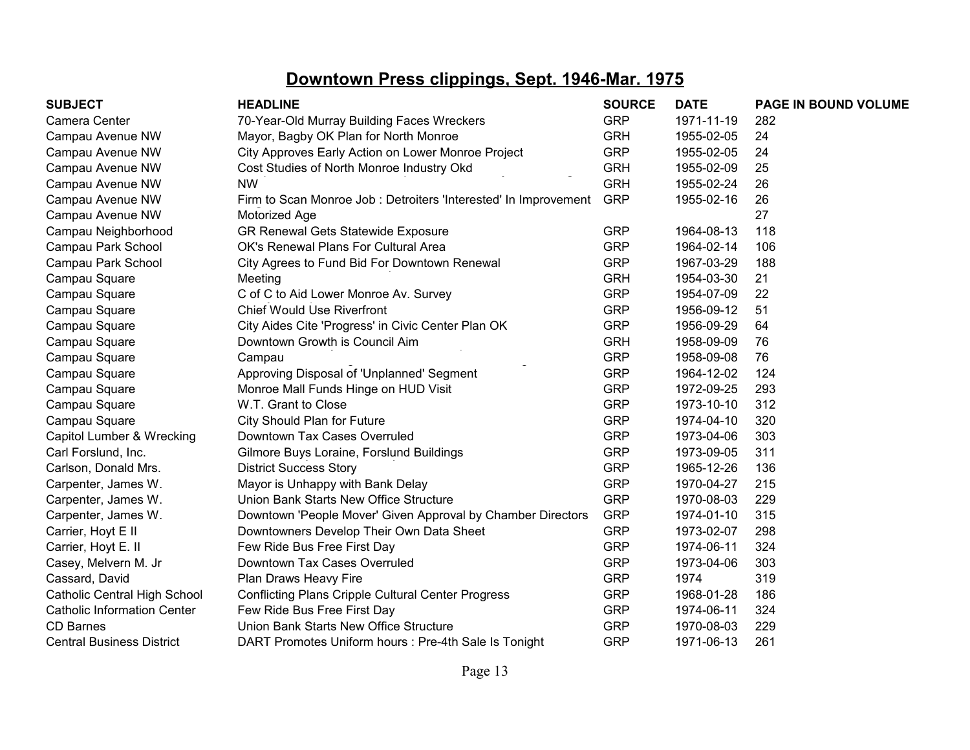| <b>SUBJECT</b>                      | <b>HEADLINE</b>                                                 | <b>SOURCE</b> | <b>DATE</b> | PAGE IN BOUND VOLUME |
|-------------------------------------|-----------------------------------------------------------------|---------------|-------------|----------------------|
| Camera Center                       | 70-Year-Old Murray Building Faces Wreckers                      | <b>GRP</b>    | 1971-11-19  | 282                  |
| Campau Avenue NW                    | Mayor, Bagby OK Plan for North Monroe                           | <b>GRH</b>    | 1955-02-05  | 24                   |
| Campau Avenue NW                    | City Approves Early Action on Lower Monroe Project              | <b>GRP</b>    | 1955-02-05  | 24                   |
| Campau Avenue NW                    | Cost Studies of North Monroe Industry Okd                       | <b>GRH</b>    | 1955-02-09  | 25                   |
| Campau Avenue NW                    | <b>NW</b>                                                       | <b>GRH</b>    | 1955-02-24  | 26                   |
| Campau Avenue NW                    | Firm to Scan Monroe Job: Detroiters 'Interested' In Improvement | <b>GRP</b>    | 1955-02-16  | 26                   |
| Campau Avenue NW                    | Motorized Age                                                   |               |             | 27                   |
| Campau Neighborhood                 | GR Renewal Gets Statewide Exposure                              | <b>GRP</b>    | 1964-08-13  | 118                  |
| Campau Park School                  | OK's Renewal Plans For Cultural Area                            | <b>GRP</b>    | 1964-02-14  | 106                  |
| Campau Park School                  | City Agrees to Fund Bid For Downtown Renewal                    | <b>GRP</b>    | 1967-03-29  | 188                  |
| Campau Square                       | Meeting                                                         | <b>GRH</b>    | 1954-03-30  | 21                   |
| Campau Square                       | C of C to Aid Lower Monroe Av. Survey                           | <b>GRP</b>    | 1954-07-09  | 22                   |
| Campau Square                       | <b>Chief Would Use Riverfront</b>                               | <b>GRP</b>    | 1956-09-12  | 51                   |
| Campau Square                       | City Aides Cite 'Progress' in Civic Center Plan OK              | <b>GRP</b>    | 1956-09-29  | 64                   |
| Campau Square                       | Downtown Growth is Council Aim                                  | <b>GRH</b>    | 1958-09-09  | 76                   |
| Campau Square                       | Campau                                                          | <b>GRP</b>    | 1958-09-08  | 76                   |
| Campau Square                       | Approving Disposal of 'Unplanned' Segment                       | <b>GRP</b>    | 1964-12-02  | 124                  |
| Campau Square                       | Monroe Mall Funds Hinge on HUD Visit                            | <b>GRP</b>    | 1972-09-25  | 293                  |
| Campau Square                       | W.T. Grant to Close                                             | <b>GRP</b>    | 1973-10-10  | 312                  |
| Campau Square                       | City Should Plan for Future                                     | <b>GRP</b>    | 1974-04-10  | 320                  |
| Capitol Lumber & Wrecking           | Downtown Tax Cases Overruled                                    | <b>GRP</b>    | 1973-04-06  | 303                  |
| Carl Forslund, Inc.                 | Gilmore Buys Loraine, Forslund Buildings                        | <b>GRP</b>    | 1973-09-05  | 311                  |
| Carlson, Donald Mrs.                | <b>District Success Story</b>                                   | <b>GRP</b>    | 1965-12-26  | 136                  |
| Carpenter, James W.                 | Mayor is Unhappy with Bank Delay                                | <b>GRP</b>    | 1970-04-27  | 215                  |
| Carpenter, James W.                 | Union Bank Starts New Office Structure                          | <b>GRP</b>    | 1970-08-03  | 229                  |
| Carpenter, James W.                 | Downtown 'People Mover' Given Approval by Chamber Directors     | <b>GRP</b>    | 1974-01-10  | 315                  |
| Carrier, Hoyt E II                  | Downtowners Develop Their Own Data Sheet                        | <b>GRP</b>    | 1973-02-07  | 298                  |
| Carrier, Hoyt E. II                 | Few Ride Bus Free First Day                                     | <b>GRP</b>    | 1974-06-11  | 324                  |
| Casey, Melvern M. Jr                | Downtown Tax Cases Overruled                                    | <b>GRP</b>    | 1973-04-06  | 303                  |
| Cassard, David                      | Plan Draws Heavy Fire                                           | <b>GRP</b>    | 1974        | 319                  |
| <b>Catholic Central High School</b> | <b>Conflicting Plans Cripple Cultural Center Progress</b>       | <b>GRP</b>    | 1968-01-28  | 186                  |
| <b>Catholic Information Center</b>  | Few Ride Bus Free First Day                                     | <b>GRP</b>    | 1974-06-11  | 324                  |
| <b>CD Barnes</b>                    | Union Bank Starts New Office Structure                          | <b>GRP</b>    | 1970-08-03  | 229                  |
| <b>Central Business District</b>    | DART Promotes Uniform hours : Pre-4th Sale Is Tonight           | <b>GRP</b>    | 1971-06-13  | 261                  |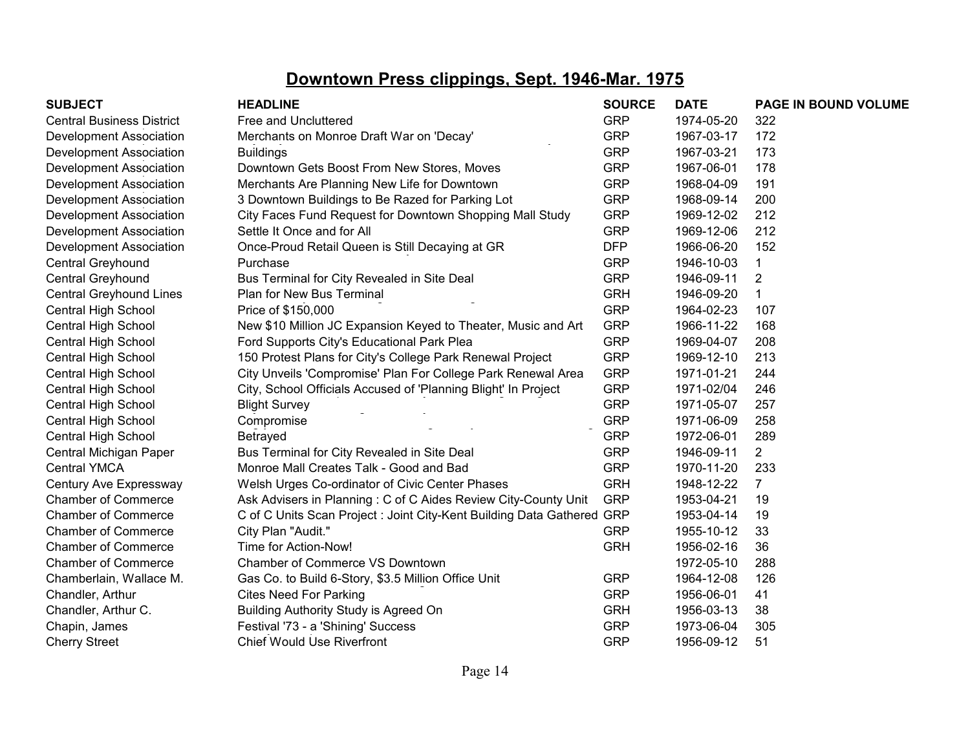| <b>SUBJECT</b>                   | <b>HEADLINE</b>                                                        | <b>SOURCE</b> | <b>DATE</b> | PAGE IN BOUND VOLUME |
|----------------------------------|------------------------------------------------------------------------|---------------|-------------|----------------------|
| <b>Central Business District</b> | Free and Uncluttered                                                   | <b>GRP</b>    | 1974-05-20  | 322                  |
| Development Association          | Merchants on Monroe Draft War on 'Decay'                               | <b>GRP</b>    | 1967-03-17  | 172                  |
| Development Association          | <b>Buildings</b>                                                       | <b>GRP</b>    | 1967-03-21  | 173                  |
| Development Association          | Downtown Gets Boost From New Stores, Moves                             | <b>GRP</b>    | 1967-06-01  | 178                  |
| Development Association          | Merchants Are Planning New Life for Downtown                           | <b>GRP</b>    | 1968-04-09  | 191                  |
| Development Association          | 3 Downtown Buildings to Be Razed for Parking Lot                       | <b>GRP</b>    | 1968-09-14  | 200                  |
| Development Association          | City Faces Fund Request for Downtown Shopping Mall Study               | <b>GRP</b>    | 1969-12-02  | 212                  |
| Development Association          | Settle It Once and for All                                             | <b>GRP</b>    | 1969-12-06  | 212                  |
| Development Association          | Once-Proud Retail Queen is Still Decaying at GR                        | <b>DFP</b>    | 1966-06-20  | 152                  |
| Central Greyhound                | Purchase                                                               | <b>GRP</b>    | 1946-10-03  |                      |
| Central Greyhound                | Bus Terminal for City Revealed in Site Deal                            | <b>GRP</b>    | 1946-09-11  | $\overline{2}$       |
| <b>Central Greyhound Lines</b>   | Plan for New Bus Terminal                                              | <b>GRH</b>    | 1946-09-20  |                      |
| Central High School              | Price of \$150,000                                                     | <b>GRP</b>    | 1964-02-23  | 107                  |
| Central High School              | New \$10 Million JC Expansion Keyed to Theater, Music and Art          | <b>GRP</b>    | 1966-11-22  | 168                  |
| Central High School              | Ford Supports City's Educational Park Plea                             | <b>GRP</b>    | 1969-04-07  | 208                  |
| Central High School              | 150 Protest Plans for City's College Park Renewal Project              | <b>GRP</b>    | 1969-12-10  | 213                  |
| Central High School              | City Unveils 'Compromise' Plan For College Park Renewal Area           | <b>GRP</b>    | 1971-01-21  | 244                  |
| Central High School              | City, School Officials Accused of 'Planning Blight' In Project         | <b>GRP</b>    | 1971-02/04  | 246                  |
| Central High School              | <b>Blight Survey</b>                                                   | <b>GRP</b>    | 1971-05-07  | 257                  |
| Central High School              | Compromise                                                             | <b>GRP</b>    | 1971-06-09  | 258                  |
| Central High School              | Betrayed                                                               | <b>GRP</b>    | 1972-06-01  | 289                  |
| Central Michigan Paper           | Bus Terminal for City Revealed in Site Deal                            | <b>GRP</b>    | 1946-09-11  | $\overline{2}$       |
| <b>Central YMCA</b>              | Monroe Mall Creates Talk - Good and Bad                                | <b>GRP</b>    | 1970-11-20  | 233                  |
| Century Ave Expressway           | Welsh Urges Co-ordinator of Civic Center Phases                        | <b>GRH</b>    | 1948-12-22  | $\overline{7}$       |
| <b>Chamber of Commerce</b>       | Ask Advisers in Planning: C of C Aides Review City-County Unit         | <b>GRP</b>    | 1953-04-21  | 19                   |
| <b>Chamber of Commerce</b>       | C of C Units Scan Project : Joint City-Kent Building Data Gathered GRP |               | 1953-04-14  | 19                   |
| <b>Chamber of Commerce</b>       | City Plan "Audit."                                                     | <b>GRP</b>    | 1955-10-12  | 33                   |
| <b>Chamber of Commerce</b>       | Time for Action-Now!                                                   | <b>GRH</b>    | 1956-02-16  | 36                   |
| <b>Chamber of Commerce</b>       | Chamber of Commerce VS Downtown                                        |               | 1972-05-10  | 288                  |
| Chamberlain, Wallace M.          | Gas Co. to Build 6-Story, \$3.5 Million Office Unit                    | <b>GRP</b>    | 1964-12-08  | 126                  |
| Chandler, Arthur                 | <b>Cites Need For Parking</b>                                          | <b>GRP</b>    | 1956-06-01  | 41                   |
| Chandler, Arthur C.              | Building Authority Study is Agreed On                                  | <b>GRH</b>    | 1956-03-13  | 38                   |
| Chapin, James                    | Festival '73 - a 'Shining' Success                                     | <b>GRP</b>    | 1973-06-04  | 305                  |
| <b>Cherry Street</b>             | <b>Chief Would Use Riverfront</b>                                      | <b>GRP</b>    | 1956-09-12  | 51                   |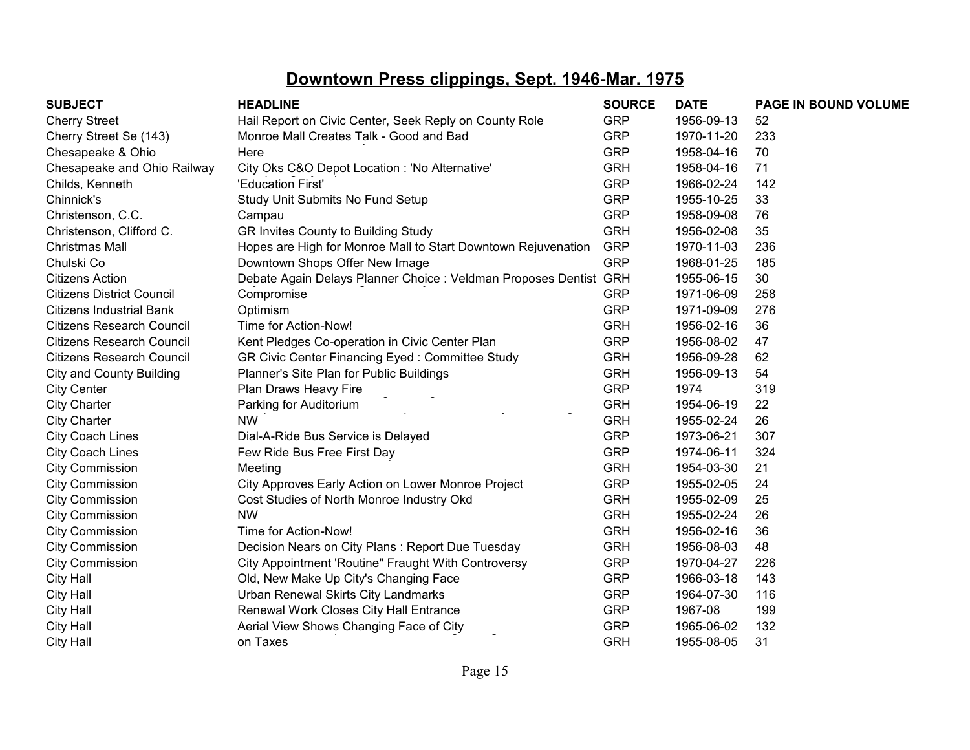| <b>SUBJECT</b>                   | <b>HEADLINE</b>                                                   | <b>SOURCE</b> | <b>DATE</b> | <b>PAGE IN BOUND VOLUME</b> |
|----------------------------------|-------------------------------------------------------------------|---------------|-------------|-----------------------------|
| <b>Cherry Street</b>             | Hail Report on Civic Center, Seek Reply on County Role            | <b>GRP</b>    | 1956-09-13  | 52                          |
| Cherry Street Se (143)           | Monroe Mall Creates Talk - Good and Bad                           | <b>GRP</b>    | 1970-11-20  | 233                         |
| Chesapeake & Ohio                | Here                                                              | <b>GRP</b>    | 1958-04-16  | 70                          |
| Chesapeake and Ohio Railway      | City Oks C&O Depot Location : 'No Alternative'                    | <b>GRH</b>    | 1958-04-16  | 71                          |
| Childs, Kenneth                  | 'Education First'                                                 | <b>GRP</b>    | 1966-02-24  | 142                         |
| Chinnick's                       | Study Unit Submits No Fund Setup                                  | <b>GRP</b>    | 1955-10-25  | 33                          |
| Christenson, C.C.                | Campau                                                            | <b>GRP</b>    | 1958-09-08  | 76                          |
| Christenson, Clifford C.         | GR Invites County to Building Study                               | <b>GRH</b>    | 1956-02-08  | 35                          |
| <b>Christmas Mall</b>            | Hopes are High for Monroe Mall to Start Downtown Rejuvenation     | <b>GRP</b>    | 1970-11-03  | 236                         |
| Chulski Co                       | Downtown Shops Offer New Image                                    | <b>GRP</b>    | 1968-01-25  | 185                         |
| <b>Citizens Action</b>           | Debate Again Delays Planner Choice : Veldman Proposes Dentist GRH |               | 1955-06-15  | 30                          |
| <b>Citizens District Council</b> | Compromise                                                        | <b>GRP</b>    | 1971-06-09  | 258                         |
| <b>Citizens Industrial Bank</b>  | Optimism                                                          | <b>GRP</b>    | 1971-09-09  | 276                         |
| Citizens Research Council        | Time for Action-Now!                                              | <b>GRH</b>    | 1956-02-16  | 36                          |
| <b>Citizens Research Council</b> | Kent Pledges Co-operation in Civic Center Plan                    | <b>GRP</b>    | 1956-08-02  | 47                          |
| <b>Citizens Research Council</b> | GR Civic Center Financing Eyed: Committee Study                   | <b>GRH</b>    | 1956-09-28  | 62                          |
| <b>City and County Building</b>  | Planner's Site Plan for Public Buildings                          | <b>GRH</b>    | 1956-09-13  | 54                          |
| <b>City Center</b>               | Plan Draws Heavy Fire                                             | <b>GRP</b>    | 1974        | 319                         |
| <b>City Charter</b>              | Parking for Auditorium                                            | <b>GRH</b>    | 1954-06-19  | 22                          |
| <b>City Charter</b>              | <b>NW</b>                                                         | <b>GRH</b>    | 1955-02-24  | 26                          |
| <b>City Coach Lines</b>          | Dial-A-Ride Bus Service is Delayed                                | <b>GRP</b>    | 1973-06-21  | 307                         |
| <b>City Coach Lines</b>          | Few Ride Bus Free First Day                                       | <b>GRP</b>    | 1974-06-11  | 324                         |
| <b>City Commission</b>           | Meeting                                                           | <b>GRH</b>    | 1954-03-30  | 21                          |
| <b>City Commission</b>           | City Approves Early Action on Lower Monroe Project                | <b>GRP</b>    | 1955-02-05  | 24                          |
| <b>City Commission</b>           | Cost Studies of North Monroe Industry Okd                         | <b>GRH</b>    | 1955-02-09  | 25                          |
| <b>City Commission</b>           | <b>NW</b>                                                         | <b>GRH</b>    | 1955-02-24  | 26                          |
| <b>City Commission</b>           | Time for Action-Now!                                              | <b>GRH</b>    | 1956-02-16  | 36                          |
| <b>City Commission</b>           | Decision Nears on City Plans: Report Due Tuesday                  | <b>GRH</b>    | 1956-08-03  | 48                          |
| <b>City Commission</b>           | City Appointment 'Routine" Fraught With Controversy               | <b>GRP</b>    | 1970-04-27  | 226                         |
| <b>City Hall</b>                 | Old, New Make Up City's Changing Face                             | <b>GRP</b>    | 1966-03-18  | 143                         |
| City Hall                        | Urban Renewal Skirts City Landmarks                               | <b>GRP</b>    | 1964-07-30  | 116                         |
| City Hall                        | Renewal Work Closes City Hall Entrance                            | <b>GRP</b>    | 1967-08     | 199                         |
| City Hall                        | Aerial View Shows Changing Face of City                           | <b>GRP</b>    | 1965-06-02  | 132                         |
| <b>City Hall</b>                 | on Taxes                                                          | <b>GRH</b>    | 1955-08-05  | 31                          |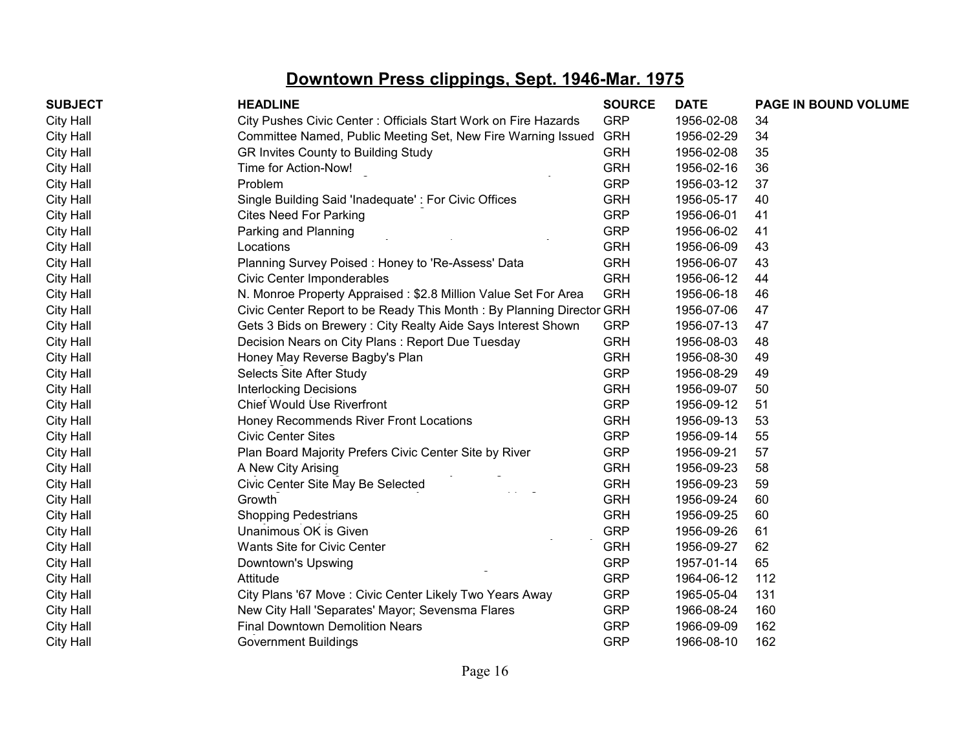| <b>SUBJECT</b>   | <b>HEADLINE</b>                                                      | <b>SOURCE</b> | <b>DATE</b> | PAGE IN BOUND VOLUME |
|------------------|----------------------------------------------------------------------|---------------|-------------|----------------------|
| <b>City Hall</b> | City Pushes Civic Center: Officials Start Work on Fire Hazards       | <b>GRP</b>    | 1956-02-08  | 34                   |
| <b>City Hall</b> | Committee Named, Public Meeting Set, New Fire Warning Issued         | <b>GRH</b>    | 1956-02-29  | 34                   |
| <b>City Hall</b> | GR Invites County to Building Study                                  | <b>GRH</b>    | 1956-02-08  | 35                   |
| <b>City Hall</b> | Time for Action-Now!                                                 | <b>GRH</b>    | 1956-02-16  | 36                   |
| City Hall        | Problem                                                              | <b>GRP</b>    | 1956-03-12  | 37                   |
| City Hall        | Single Building Said 'Inadequate': For Civic Offices                 | <b>GRH</b>    | 1956-05-17  | 40                   |
| <b>City Hall</b> | <b>Cites Need For Parking</b>                                        | <b>GRP</b>    | 1956-06-01  | 41                   |
| <b>City Hall</b> | Parking and Planning                                                 | <b>GRP</b>    | 1956-06-02  | 41                   |
| <b>City Hall</b> | Locations                                                            | <b>GRH</b>    | 1956-06-09  | 43                   |
| <b>City Hall</b> | Planning Survey Poised: Honey to 'Re-Assess' Data                    | <b>GRH</b>    | 1956-06-07  | 43                   |
| <b>City Hall</b> | Civic Center Imponderables                                           | <b>GRH</b>    | 1956-06-12  | 44                   |
| City Hall        | N. Monroe Property Appraised: \$2.8 Million Value Set For Area       | <b>GRH</b>    | 1956-06-18  | 46                   |
| <b>City Hall</b> | Civic Center Report to be Ready This Month: By Planning Director GRH |               | 1956-07-06  | 47                   |
| <b>City Hall</b> | Gets 3 Bids on Brewery: City Realty Aide Says Interest Shown         | <b>GRP</b>    | 1956-07-13  | 47                   |
| City Hall        | Decision Nears on City Plans : Report Due Tuesday                    | <b>GRH</b>    | 1956-08-03  | 48                   |
| <b>City Hall</b> | Honey May Reverse Bagby's Plan                                       | <b>GRH</b>    | 1956-08-30  | 49                   |
| <b>City Hall</b> | Selects Site After Study                                             | <b>GRP</b>    | 1956-08-29  | 49                   |
| <b>City Hall</b> | <b>Interlocking Decisions</b>                                        | <b>GRH</b>    | 1956-09-07  | 50                   |
| <b>City Hall</b> | <b>Chief Would Use Riverfront</b>                                    | <b>GRP</b>    | 1956-09-12  | 51                   |
| City Hall        | Honey Recommends River Front Locations                               | <b>GRH</b>    | 1956-09-13  | 53                   |
| City Hall        | <b>Civic Center Sites</b>                                            | <b>GRP</b>    | 1956-09-14  | 55                   |
| <b>City Hall</b> | Plan Board Majority Prefers Civic Center Site by River               | <b>GRP</b>    | 1956-09-21  | 57                   |
| <b>City Hall</b> | A New City Arising                                                   | <b>GRH</b>    | 1956-09-23  | 58                   |
| <b>City Hall</b> | Civic Center Site May Be Selected                                    | <b>GRH</b>    | 1956-09-23  | 59                   |
| <b>City Hall</b> | . .<br>Growth                                                        | <b>GRH</b>    | 1956-09-24  | 60                   |
| City Hall        | <b>Shopping Pedestrians</b>                                          | <b>GRH</b>    | 1956-09-25  | 60                   |
| City Hall        | Unanimous OK is Given                                                | <b>GRP</b>    | 1956-09-26  | 61                   |
| <b>City Hall</b> | Wants Site for Civic Center                                          | <b>GRH</b>    | 1956-09-27  | 62                   |
| <b>City Hall</b> | Downtown's Upswing                                                   | <b>GRP</b>    | 1957-01-14  | 65                   |
| City Hall        | Attitude                                                             | <b>GRP</b>    | 1964-06-12  | 112                  |
| <b>City Hall</b> | City Plans '67 Move: Civic Center Likely Two Years Away              | <b>GRP</b>    | 1965-05-04  | 131                  |
| <b>City Hall</b> | New City Hall 'Separates' Mayor; Sevensma Flares                     | <b>GRP</b>    | 1966-08-24  | 160                  |
| <b>City Hall</b> | <b>Final Downtown Demolition Nears</b>                               | <b>GRP</b>    | 1966-09-09  | 162                  |
| City Hall        | <b>Government Buildings</b>                                          | <b>GRP</b>    | 1966-08-10  | 162                  |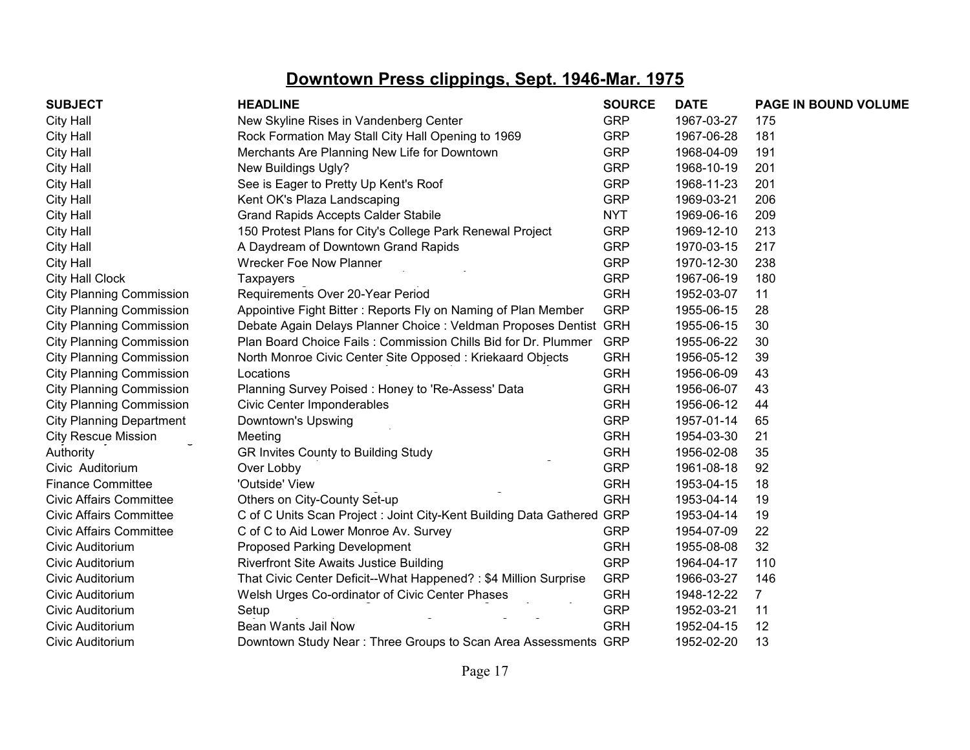| <b>SUBJECT</b>                  | <b>HEADLINE</b>                                                        | <b>SOURCE</b> | <b>DATE</b> | PAGE IN BOUND VOLUME |
|---------------------------------|------------------------------------------------------------------------|---------------|-------------|----------------------|
| <b>City Hall</b>                | New Skyline Rises in Vandenberg Center                                 | <b>GRP</b>    | 1967-03-27  | 175                  |
| <b>City Hall</b>                | Rock Formation May Stall City Hall Opening to 1969                     | <b>GRP</b>    | 1967-06-28  | 181                  |
| <b>City Hall</b>                | Merchants Are Planning New Life for Downtown                           | <b>GRP</b>    | 1968-04-09  | 191                  |
| City Hall                       | New Buildings Ugly?                                                    | <b>GRP</b>    | 1968-10-19  | 201                  |
| <b>City Hall</b>                | See is Eager to Pretty Up Kent's Roof                                  | <b>GRP</b>    | 1968-11-23  | 201                  |
| <b>City Hall</b>                | Kent OK's Plaza Landscaping                                            | <b>GRP</b>    | 1969-03-21  | 206                  |
| <b>City Hall</b>                | <b>Grand Rapids Accepts Calder Stabile</b>                             | <b>NYT</b>    | 1969-06-16  | 209                  |
| <b>City Hall</b>                | 150 Protest Plans for City's College Park Renewal Project              | <b>GRP</b>    | 1969-12-10  | 213                  |
| <b>City Hall</b>                | A Daydream of Downtown Grand Rapids                                    | <b>GRP</b>    | 1970-03-15  | 217                  |
| <b>City Hall</b>                | <b>Wrecker Foe Now Planner</b>                                         | <b>GRP</b>    | 1970-12-30  | 238                  |
| City Hall Clock                 | <b>Taxpayers</b>                                                       | <b>GRP</b>    | 1967-06-19  | 180                  |
| <b>City Planning Commission</b> | Requirements Over 20-Year Period                                       | <b>GRH</b>    | 1952-03-07  | 11                   |
| <b>City Planning Commission</b> | Appointive Fight Bitter: Reports Fly on Naming of Plan Member          | <b>GRP</b>    | 1955-06-15  | 28                   |
| <b>City Planning Commission</b> | Debate Again Delays Planner Choice : Veldman Proposes Dentist GRH      |               | 1955-06-15  | 30                   |
| <b>City Planning Commission</b> | Plan Board Choice Fails: Commission Chills Bid for Dr. Plummer         | <b>GRP</b>    | 1955-06-22  | 30                   |
| <b>City Planning Commission</b> | North Monroe Civic Center Site Opposed: Kriekaard Objects              | <b>GRH</b>    | 1956-05-12  | 39                   |
| <b>City Planning Commission</b> | Locations                                                              | <b>GRH</b>    | 1956-06-09  | 43                   |
| <b>City Planning Commission</b> | Planning Survey Poised: Honey to 'Re-Assess' Data                      | <b>GRH</b>    | 1956-06-07  | 43                   |
| <b>City Planning Commission</b> | Civic Center Imponderables                                             | <b>GRH</b>    | 1956-06-12  | 44                   |
| <b>City Planning Department</b> | Downtown's Upswing                                                     | <b>GRP</b>    | 1957-01-14  | 65                   |
| <b>City Rescue Mission</b>      | Meeting                                                                | <b>GRH</b>    | 1954-03-30  | 21                   |
| Authority                       | GR Invites County to Building Study                                    | <b>GRH</b>    | 1956-02-08  | 35                   |
| Civic Auditorium                | Over Lobby                                                             | <b>GRP</b>    | 1961-08-18  | 92                   |
| <b>Finance Committee</b>        | 'Outside' View                                                         | <b>GRH</b>    | 1953-04-15  | 18                   |
| <b>Civic Affairs Committee</b>  | Others on City-County Set-up                                           | <b>GRH</b>    | 1953-04-14  | 19                   |
| <b>Civic Affairs Committee</b>  | C of C Units Scan Project : Joint City-Kent Building Data Gathered GRP |               | 1953-04-14  | 19                   |
| <b>Civic Affairs Committee</b>  | C of C to Aid Lower Monroe Av. Survey                                  | <b>GRP</b>    | 1954-07-09  | 22                   |
| Civic Auditorium                | <b>Proposed Parking Development</b>                                    | <b>GRH</b>    | 1955-08-08  | 32                   |
| Civic Auditorium                | <b>Riverfront Site Awaits Justice Building</b>                         | <b>GRP</b>    | 1964-04-17  | 110                  |
| Civic Auditorium                | That Civic Center Deficit--What Happened? : \$4 Million Surprise       | <b>GRP</b>    | 1966-03-27  | 146                  |
| Civic Auditorium                | Welsh Urges Co-ordinator of Civic Center Phases                        | <b>GRH</b>    | 1948-12-22  | $\overline{7}$       |
| Civic Auditorium                | Setup                                                                  | <b>GRP</b>    | 1952-03-21  | 11                   |
| Civic Auditorium                | Bean Wants Jail Now                                                    | <b>GRH</b>    | 1952-04-15  | 12                   |
| Civic Auditorium                | Downtown Study Near: Three Groups to Scan Area Assessments GRP         |               | 1952-02-20  | 13                   |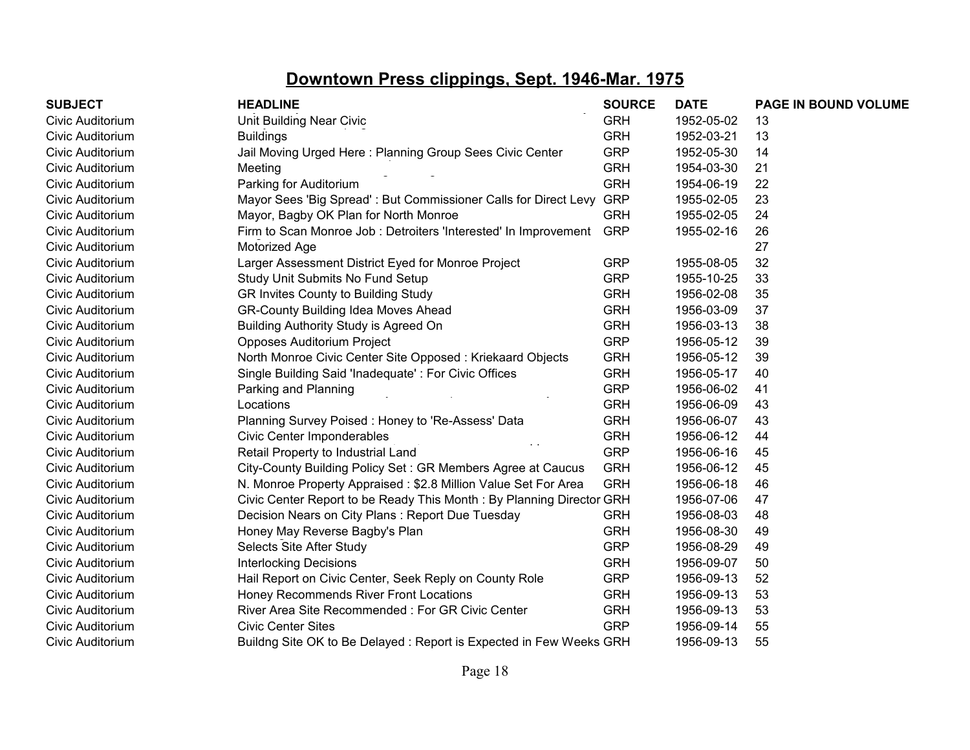| <b>SUBJECT</b>   | <b>HEADLINE</b>                                                      | <b>SOURCE</b> | <b>DATE</b> | PAGE IN BOUND VOLUME |
|------------------|----------------------------------------------------------------------|---------------|-------------|----------------------|
| Civic Auditorium | Unit Building Near Civic                                             | <b>GRH</b>    | 1952-05-02  | 13                   |
| Civic Auditorium | <b>Buildings</b>                                                     | <b>GRH</b>    | 1952-03-21  | 13                   |
| Civic Auditorium | Jail Moving Urged Here: Planning Group Sees Civic Center             | <b>GRP</b>    | 1952-05-30  | 14                   |
| Civic Auditorium | Meeting                                                              | <b>GRH</b>    | 1954-03-30  | 21                   |
| Civic Auditorium | Parking for Auditorium                                               | <b>GRH</b>    | 1954-06-19  | 22                   |
| Civic Auditorium | Mayor Sees 'Big Spread': But Commissioner Calls for Direct Levy      | <b>GRP</b>    | 1955-02-05  | 23                   |
| Civic Auditorium | Mayor, Bagby OK Plan for North Monroe                                | <b>GRH</b>    | 1955-02-05  | 24                   |
| Civic Auditorium | Firm to Scan Monroe Job : Detroiters 'Interested' In Improvement     | <b>GRP</b>    | 1955-02-16  | 26                   |
| Civic Auditorium | Motorized Age                                                        |               |             | 27                   |
| Civic Auditorium | Larger Assessment District Eyed for Monroe Project                   | <b>GRP</b>    | 1955-08-05  | 32                   |
| Civic Auditorium | Study Unit Submits No Fund Setup                                     | <b>GRP</b>    | 1955-10-25  | 33                   |
| Civic Auditorium | GR Invites County to Building Study                                  | <b>GRH</b>    | 1956-02-08  | 35                   |
| Civic Auditorium | <b>GR-County Building Idea Moves Ahead</b>                           | <b>GRH</b>    | 1956-03-09  | 37                   |
| Civic Auditorium | Building Authority Study is Agreed On                                | <b>GRH</b>    | 1956-03-13  | 38                   |
| Civic Auditorium | Opposes Auditorium Project                                           | <b>GRP</b>    | 1956-05-12  | 39                   |
| Civic Auditorium | North Monroe Civic Center Site Opposed: Kriekaard Objects            | <b>GRH</b>    | 1956-05-12  | 39                   |
| Civic Auditorium | Single Building Said 'Inadequate': For Civic Offices                 | <b>GRH</b>    | 1956-05-17  | 40                   |
| Civic Auditorium | Parking and Planning                                                 | <b>GRP</b>    | 1956-06-02  | 41                   |
| Civic Auditorium | Locations                                                            | <b>GRH</b>    | 1956-06-09  | 43                   |
| Civic Auditorium | Planning Survey Poised: Honey to 'Re-Assess' Data                    | <b>GRH</b>    | 1956-06-07  | 43                   |
| Civic Auditorium | <b>Civic Center Imponderables</b>                                    | <b>GRH</b>    | 1956-06-12  | 44                   |
| Civic Auditorium | Retail Property to Industrial Land                                   | <b>GRP</b>    | 1956-06-16  | 45                   |
| Civic Auditorium | City-County Building Policy Set: GR Members Agree at Caucus          | <b>GRH</b>    | 1956-06-12  | 45                   |
| Civic Auditorium | N. Monroe Property Appraised: \$2.8 Million Value Set For Area       | <b>GRH</b>    | 1956-06-18  | 46                   |
| Civic Auditorium | Civic Center Report to be Ready This Month: By Planning Director GRH |               | 1956-07-06  | 47                   |
| Civic Auditorium | Decision Nears on City Plans: Report Due Tuesday                     | <b>GRH</b>    | 1956-08-03  | 48                   |
| Civic Auditorium | Honey May Reverse Bagby's Plan                                       | <b>GRH</b>    | 1956-08-30  | 49                   |
| Civic Auditorium | Selects Site After Study                                             | <b>GRP</b>    | 1956-08-29  | 49                   |
| Civic Auditorium | <b>Interlocking Decisions</b>                                        | <b>GRH</b>    | 1956-09-07  | 50                   |
| Civic Auditorium | Hail Report on Civic Center, Seek Reply on County Role               | <b>GRP</b>    | 1956-09-13  | 52                   |
| Civic Auditorium | Honey Recommends River Front Locations                               | <b>GRH</b>    | 1956-09-13  | 53                   |
| Civic Auditorium | River Area Site Recommended: For GR Civic Center                     | <b>GRH</b>    | 1956-09-13  | 53                   |
| Civic Auditorium | <b>Civic Center Sites</b>                                            | <b>GRP</b>    | 1956-09-14  | 55                   |
| Civic Auditorium | Buildng Site OK to Be Delayed: Report is Expected in Few Weeks GRH   |               | 1956-09-13  | 55                   |
|                  |                                                                      |               |             |                      |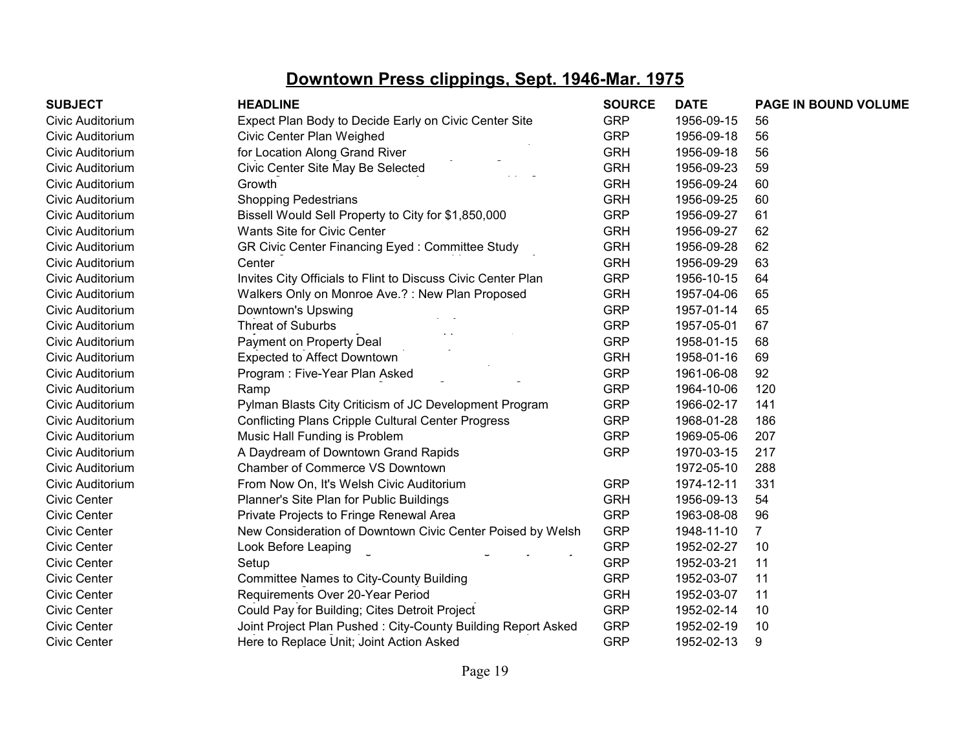| <b>SUBJECT</b>      | <b>HEADLINE</b>                                              | <b>SOURCE</b> | <b>DATE</b> | PAGE IN BOUND VOLUME |
|---------------------|--------------------------------------------------------------|---------------|-------------|----------------------|
| Civic Auditorium    | Expect Plan Body to Decide Early on Civic Center Site        | <b>GRP</b>    | 1956-09-15  | 56                   |
| Civic Auditorium    | Civic Center Plan Weighed                                    | <b>GRP</b>    | 1956-09-18  | 56                   |
| Civic Auditorium    | for Location Along Grand River                               | <b>GRH</b>    | 1956-09-18  | 56                   |
| Civic Auditorium    | Civic Center Site May Be Selected                            | <b>GRH</b>    | 1956-09-23  | 59                   |
| Civic Auditorium    | Growth                                                       | <b>GRH</b>    | 1956-09-24  | 60                   |
| Civic Auditorium    | <b>Shopping Pedestrians</b>                                  | <b>GRH</b>    | 1956-09-25  | 60                   |
| Civic Auditorium    | Bissell Would Sell Property to City for \$1,850,000          | <b>GRP</b>    | 1956-09-27  | 61                   |
| Civic Auditorium    | Wants Site for Civic Center                                  | <b>GRH</b>    | 1956-09-27  | 62                   |
| Civic Auditorium    | GR Civic Center Financing Eyed: Committee Study              | <b>GRH</b>    | 1956-09-28  | 62                   |
| Civic Auditorium    | Center                                                       | <b>GRH</b>    | 1956-09-29  | 63                   |
| Civic Auditorium    | Invites City Officials to Flint to Discuss Civic Center Plan | <b>GRP</b>    | 1956-10-15  | 64                   |
| Civic Auditorium    | Walkers Only on Monroe Ave.?: New Plan Proposed              | <b>GRH</b>    | 1957-04-06  | 65                   |
| Civic Auditorium    | Downtown's Upswing                                           | <b>GRP</b>    | 1957-01-14  | 65                   |
| Civic Auditorium    | <b>Threat of Suburbs</b>                                     | <b>GRP</b>    | 1957-05-01  | 67                   |
| Civic Auditorium    | Payment on Property Deal                                     | <b>GRP</b>    | 1958-01-15  | 68                   |
| Civic Auditorium    | <b>Expected to Affect Downtown</b>                           | <b>GRH</b>    | 1958-01-16  | 69                   |
| Civic Auditorium    | Program: Five-Year Plan Asked                                | <b>GRP</b>    | 1961-06-08  | 92                   |
| Civic Auditorium    | Ramp                                                         | <b>GRP</b>    | 1964-10-06  | 120                  |
| Civic Auditorium    | Pylman Blasts City Criticism of JC Development Program       | <b>GRP</b>    | 1966-02-17  | 141                  |
| Civic Auditorium    | <b>Conflicting Plans Cripple Cultural Center Progress</b>    | <b>GRP</b>    | 1968-01-28  | 186                  |
| Civic Auditorium    | Music Hall Funding is Problem                                | <b>GRP</b>    | 1969-05-06  | 207                  |
| Civic Auditorium    | A Daydream of Downtown Grand Rapids                          | <b>GRP</b>    | 1970-03-15  | 217                  |
| Civic Auditorium    | Chamber of Commerce VS Downtown                              |               | 1972-05-10  | 288                  |
| Civic Auditorium    | From Now On, It's Welsh Civic Auditorium                     | <b>GRP</b>    | 1974-12-11  | 331                  |
| <b>Civic Center</b> | Planner's Site Plan for Public Buildings                     | <b>GRH</b>    | 1956-09-13  | 54                   |
| <b>Civic Center</b> | Private Projects to Fringe Renewal Area                      | <b>GRP</b>    | 1963-08-08  | 96                   |
| <b>Civic Center</b> | New Consideration of Downtown Civic Center Poised by Welsh   | <b>GRP</b>    | 1948-11-10  | $\overline{7}$       |
| <b>Civic Center</b> | Look Before Leaping                                          | <b>GRP</b>    | 1952-02-27  | 10                   |
| <b>Civic Center</b> | Setup                                                        | <b>GRP</b>    | 1952-03-21  | 11                   |
| <b>Civic Center</b> | <b>Committee Names to City-County Building</b>               | <b>GRP</b>    | 1952-03-07  | 11                   |
| <b>Civic Center</b> | Requirements Over 20-Year Period                             | <b>GRH</b>    | 1952-03-07  | 11                   |
| <b>Civic Center</b> | Could Pay for Building; Cites Detroit Project                | <b>GRP</b>    | 1952-02-14  | 10                   |
| <b>Civic Center</b> | Joint Project Plan Pushed: City-County Building Report Asked | <b>GRP</b>    | 1952-02-19  | 10                   |
| <b>Civic Center</b> | Here to Replace Unit; Joint Action Asked                     | <b>GRP</b>    | 1952-02-13  | 9                    |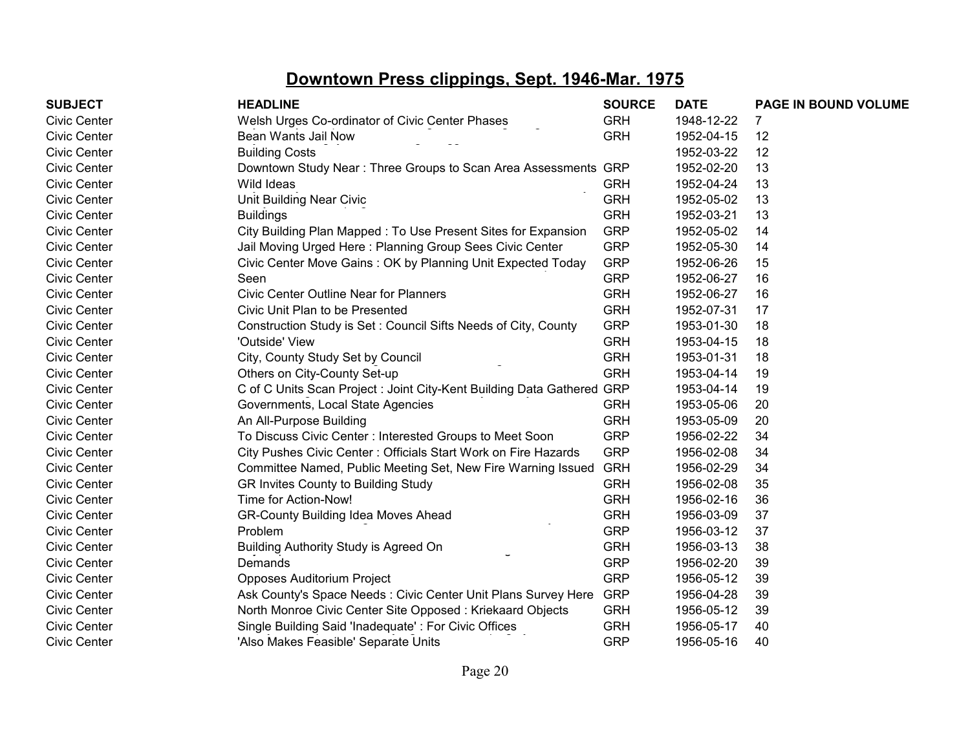| <b>SUBJECT</b> | <b>HEADLINE</b>                                                        | <b>SOURCE</b> | <b>DATE</b> | PAGE IN BOUND VOLUME |
|----------------|------------------------------------------------------------------------|---------------|-------------|----------------------|
| Civic Center   | Welsh Urges Co-ordinator of Civic Center Phases                        | <b>GRH</b>    | 1948-12-22  |                      |
| Civic Center   | Bean Wants Jail Now                                                    | <b>GRH</b>    | 1952-04-15  | 12                   |
| Civic Center   | <b>Building Costs</b>                                                  |               | 1952-03-22  | 12                   |
| Civic Center   | Downtown Study Near: Three Groups to Scan Area Assessments GRP         |               | 1952-02-20  | 13                   |
| Civic Center   | Wild Ideas                                                             | <b>GRH</b>    | 1952-04-24  | 13                   |
| Civic Center   | Unit Building Near Civic                                               | <b>GRH</b>    | 1952-05-02  | 13                   |
| Civic Center   | <b>Buildings</b>                                                       | <b>GRH</b>    | 1952-03-21  | 13                   |
| Civic Center   | City Building Plan Mapped: To Use Present Sites for Expansion          | <b>GRP</b>    | 1952-05-02  | 14                   |
| Civic Center   | Jail Moving Urged Here: Planning Group Sees Civic Center               | <b>GRP</b>    | 1952-05-30  | 14                   |
| Civic Center   | Civic Center Move Gains: OK by Planning Unit Expected Today            | <b>GRP</b>    | 1952-06-26  | 15                   |
| Civic Center   | Seen                                                                   | <b>GRP</b>    | 1952-06-27  | 16                   |
| Civic Center   | <b>Civic Center Outline Near for Planners</b>                          | <b>GRH</b>    | 1952-06-27  | 16                   |
| Civic Center   | Civic Unit Plan to be Presented                                        | <b>GRH</b>    | 1952-07-31  | 17                   |
| Civic Center   | Construction Study is Set: Council Sifts Needs of City, County         | <b>GRP</b>    | 1953-01-30  | 18                   |
| Civic Center   | 'Outside' View                                                         | <b>GRH</b>    | 1953-04-15  | 18                   |
| Civic Center   | City, County Study Set by Council                                      | <b>GRH</b>    | 1953-01-31  | 18                   |
| Civic Center   | Others on City-County Set-up                                           | <b>GRH</b>    | 1953-04-14  | 19                   |
| Civic Center   | C of C Units Scan Project : Joint City-Kent Building Data Gathered GRP |               | 1953-04-14  | 19                   |
| Civic Center   | Governments, Local State Agencies                                      | <b>GRH</b>    | 1953-05-06  | 20                   |
| Civic Center   | An All-Purpose Building                                                | <b>GRH</b>    | 1953-05-09  | 20                   |
| Civic Center   | To Discuss Civic Center: Interested Groups to Meet Soon                | <b>GRP</b>    | 1956-02-22  | 34                   |
| Civic Center   | City Pushes Civic Center: Officials Start Work on Fire Hazards         | <b>GRP</b>    | 1956-02-08  | 34                   |
| Civic Center   | Committee Named, Public Meeting Set, New Fire Warning Issued           | <b>GRH</b>    | 1956-02-29  | 34                   |
| Civic Center   | GR Invites County to Building Study                                    | <b>GRH</b>    | 1956-02-08  | 35                   |
| Civic Center   | Time for Action-Now!                                                   | <b>GRH</b>    | 1956-02-16  | 36                   |
| Civic Center   | <b>GR-County Building Idea Moves Ahead</b>                             | <b>GRH</b>    | 1956-03-09  | 37                   |
| Civic Center   | Problem                                                                | <b>GRP</b>    | 1956-03-12  | 37                   |
| Civic Center   | Building Authority Study is Agreed On                                  | <b>GRH</b>    | 1956-03-13  | 38                   |
| Civic Center   | Demands                                                                | <b>GRP</b>    | 1956-02-20  | 39                   |
| Civic Center   | <b>Opposes Auditorium Project</b>                                      | <b>GRP</b>    | 1956-05-12  | 39                   |
| Civic Center   | Ask County's Space Needs: Civic Center Unit Plans Survey Here          | <b>GRP</b>    | 1956-04-28  | 39                   |
| Civic Center   | North Monroe Civic Center Site Opposed: Kriekaard Objects              | <b>GRH</b>    | 1956-05-12  | 39                   |
| Civic Center   | Single Building Said 'Inadequate': For Civic Offices                   | <b>GRH</b>    | 1956-05-17  | 40                   |
| Civic Center   | 'Also Makes Feasible' Separate Units                                   | <b>GRP</b>    | 1956-05-16  | 40                   |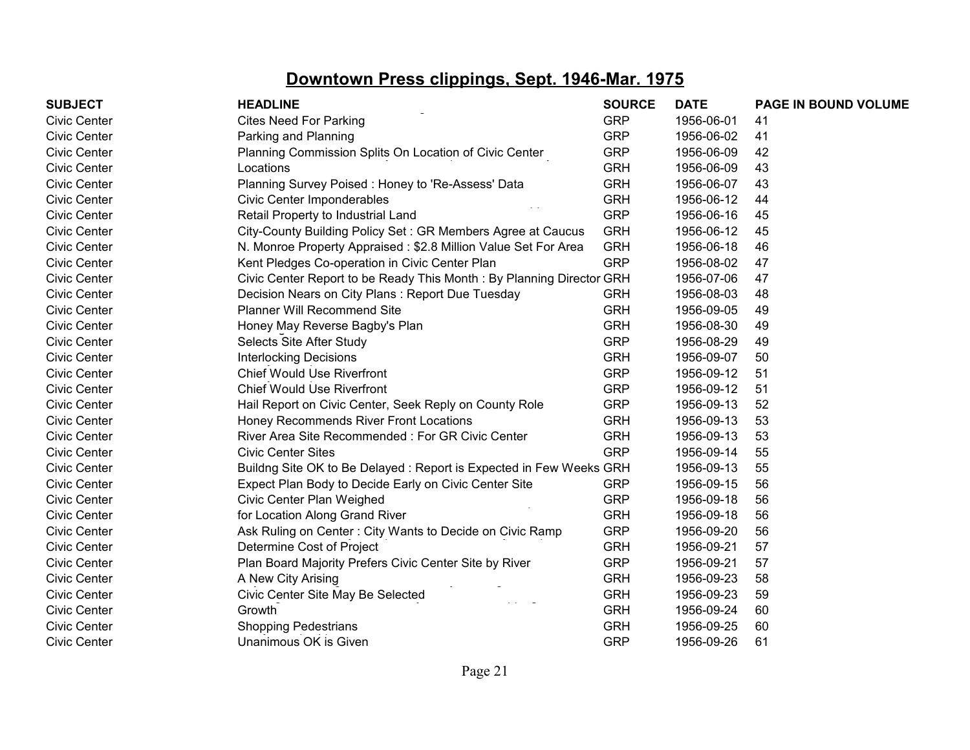| <b>SUBJECT</b>      | <b>HEADLINE</b>                                                      | <b>SOURCE</b> | <b>DATE</b> | PAGE IN BOUND VOLUME |
|---------------------|----------------------------------------------------------------------|---------------|-------------|----------------------|
| <b>Civic Center</b> | <b>Cites Need For Parking</b>                                        | <b>GRP</b>    | 1956-06-01  | 41                   |
| <b>Civic Center</b> | Parking and Planning                                                 | <b>GRP</b>    | 1956-06-02  | 41                   |
| <b>Civic Center</b> | Planning Commission Splits On Location of Civic Center               | <b>GRP</b>    | 1956-06-09  | 42                   |
| <b>Civic Center</b> | Locations                                                            | <b>GRH</b>    | 1956-06-09  | 43                   |
| <b>Civic Center</b> | Planning Survey Poised: Honey to 'Re-Assess' Data                    | <b>GRH</b>    | 1956-06-07  | 43                   |
| <b>Civic Center</b> | Civic Center Imponderables                                           | <b>GRH</b>    | 1956-06-12  | 44                   |
| <b>Civic Center</b> | Retail Property to Industrial Land                                   | <b>GRP</b>    | 1956-06-16  | 45                   |
| <b>Civic Center</b> | City-County Building Policy Set: GR Members Agree at Caucus          | <b>GRH</b>    | 1956-06-12  | 45                   |
| <b>Civic Center</b> | N. Monroe Property Appraised: \$2.8 Million Value Set For Area       | <b>GRH</b>    | 1956-06-18  | 46                   |
| <b>Civic Center</b> | Kent Pledges Co-operation in Civic Center Plan                       | <b>GRP</b>    | 1956-08-02  | 47                   |
| <b>Civic Center</b> | Civic Center Report to be Ready This Month: By Planning Director GRH |               | 1956-07-06  | 47                   |
| <b>Civic Center</b> | Decision Nears on City Plans: Report Due Tuesday                     | <b>GRH</b>    | 1956-08-03  | 48                   |
| <b>Civic Center</b> | <b>Planner Will Recommend Site</b>                                   | <b>GRH</b>    | 1956-09-05  | 49                   |
| <b>Civic Center</b> | Honey May Reverse Bagby's Plan                                       | <b>GRH</b>    | 1956-08-30  | 49                   |
| <b>Civic Center</b> | Selects Site After Study                                             | <b>GRP</b>    | 1956-08-29  | 49                   |
| <b>Civic Center</b> | <b>Interlocking Decisions</b>                                        | <b>GRH</b>    | 1956-09-07  | 50                   |
| <b>Civic Center</b> | <b>Chief Would Use Riverfront</b>                                    | <b>GRP</b>    | 1956-09-12  | 51                   |
| <b>Civic Center</b> | <b>Chief Would Use Riverfront</b>                                    | <b>GRP</b>    | 1956-09-12  | 51                   |
| <b>Civic Center</b> | Hail Report on Civic Center, Seek Reply on County Role               | <b>GRP</b>    | 1956-09-13  | 52                   |
| <b>Civic Center</b> | Honey Recommends River Front Locations                               | <b>GRH</b>    | 1956-09-13  | 53                   |
| <b>Civic Center</b> | River Area Site Recommended: For GR Civic Center                     | <b>GRH</b>    | 1956-09-13  | 53                   |
| <b>Civic Center</b> | <b>Civic Center Sites</b>                                            | <b>GRP</b>    | 1956-09-14  | 55                   |
| <b>Civic Center</b> | Buildng Site OK to Be Delayed: Report is Expected in Few Weeks GRH   |               | 1956-09-13  | 55                   |
| <b>Civic Center</b> | Expect Plan Body to Decide Early on Civic Center Site                | <b>GRP</b>    | 1956-09-15  | 56                   |
| <b>Civic Center</b> | Civic Center Plan Weighed                                            | <b>GRP</b>    | 1956-09-18  | 56                   |
| <b>Civic Center</b> | for Location Along Grand River                                       | <b>GRH</b>    | 1956-09-18  | 56                   |
| <b>Civic Center</b> | Ask Ruling on Center: City Wants to Decide on Civic Ramp             | <b>GRP</b>    | 1956-09-20  | 56                   |
| <b>Civic Center</b> | Determine Cost of Project                                            | <b>GRH</b>    | 1956-09-21  | 57                   |
| <b>Civic Center</b> | Plan Board Majority Prefers Civic Center Site by River               | <b>GRP</b>    | 1956-09-21  | 57                   |
| <b>Civic Center</b> | A New City Arising                                                   | <b>GRH</b>    | 1956-09-23  | 58                   |
| <b>Civic Center</b> | Civic Center Site May Be Selected                                    | <b>GRH</b>    | 1956-09-23  | 59                   |
| <b>Civic Center</b> | Growth                                                               | <b>GRH</b>    | 1956-09-24  | 60                   |
| <b>Civic Center</b> | <b>Shopping Pedestrians</b>                                          | <b>GRH</b>    | 1956-09-25  | 60                   |
| <b>Civic Center</b> | Unanimous OK is Given                                                | <b>GRP</b>    | 1956-09-26  | 61                   |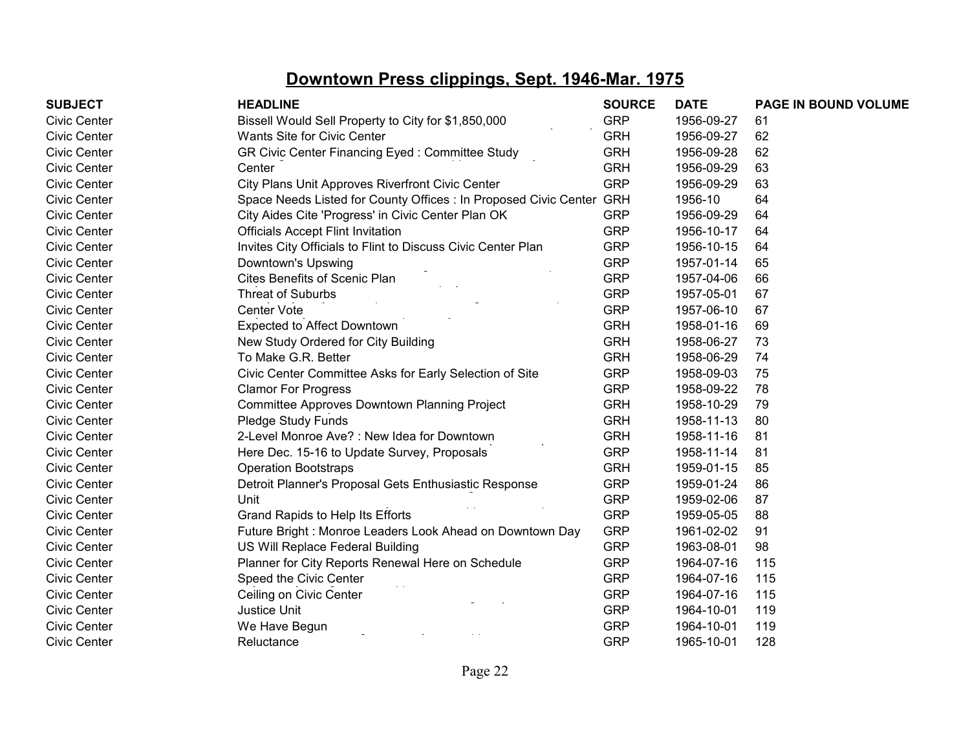| <b>SUBJECT</b> | <b>HEADLINE</b>                                                      | <b>SOURCE</b> | <b>DATE</b> | PAGE IN BOUND VOLUME |
|----------------|----------------------------------------------------------------------|---------------|-------------|----------------------|
| Civic Center   | Bissell Would Sell Property to City for \$1,850,000                  | <b>GRP</b>    | 1956-09-27  | 61                   |
| Civic Center   | Wants Site for Civic Center                                          | <b>GRH</b>    | 1956-09-27  | 62                   |
| Civic Center   | GR Civic Center Financing Eyed: Committee Study                      | <b>GRH</b>    | 1956-09-28  | 62                   |
| Civic Center   | Center                                                               | <b>GRH</b>    | 1956-09-29  | 63                   |
| Civic Center   | City Plans Unit Approves Riverfront Civic Center                     | <b>GRP</b>    | 1956-09-29  | 63                   |
| Civic Center   | Space Needs Listed for County Offices : In Proposed Civic Center GRH |               | 1956-10     | 64                   |
| Civic Center   | City Aides Cite 'Progress' in Civic Center Plan OK                   | <b>GRP</b>    | 1956-09-29  | 64                   |
| Civic Center   | <b>Officials Accept Flint Invitation</b>                             | <b>GRP</b>    | 1956-10-17  | 64                   |
| Civic Center   | Invites City Officials to Flint to Discuss Civic Center Plan         | <b>GRP</b>    | 1956-10-15  | 64                   |
| Civic Center   | Downtown's Upswing                                                   | <b>GRP</b>    | 1957-01-14  | 65                   |
| Civic Center   | Cites Benefits of Scenic Plan                                        | <b>GRP</b>    | 1957-04-06  | 66                   |
| Civic Center   | Threat of Suburbs                                                    | <b>GRP</b>    | 1957-05-01  | 67                   |
| Civic Center   | Center Vote                                                          | <b>GRP</b>    | 1957-06-10  | 67                   |
| Civic Center   | Expected to Affect Downtown                                          | <b>GRH</b>    | 1958-01-16  | 69                   |
| Civic Center   | New Study Ordered for City Building                                  | <b>GRH</b>    | 1958-06-27  | 73                   |
| Civic Center   | To Make G.R. Better                                                  | <b>GRH</b>    | 1958-06-29  | 74                   |
| Civic Center   | Civic Center Committee Asks for Early Selection of Site              | <b>GRP</b>    | 1958-09-03  | 75                   |
| Civic Center   | <b>Clamor For Progress</b>                                           | <b>GRP</b>    | 1958-09-22  | 78                   |
| Civic Center   | Committee Approves Downtown Planning Project                         | <b>GRH</b>    | 1958-10-29  | 79                   |
| Civic Center   | Pledge Study Funds                                                   | <b>GRH</b>    | 1958-11-13  | 80                   |
| Civic Center   | 2-Level Monroe Ave? : New Idea for Downtown                          | <b>GRH</b>    | 1958-11-16  | 81                   |
| Civic Center   | Here Dec. 15-16 to Update Survey, Proposals                          | <b>GRP</b>    | 1958-11-14  | 81                   |
| Civic Center   | <b>Operation Bootstraps</b>                                          | <b>GRH</b>    | 1959-01-15  | 85                   |
| Civic Center   | Detroit Planner's Proposal Gets Enthusiastic Response                | <b>GRP</b>    | 1959-01-24  | 86                   |
| Civic Center   | Unit                                                                 | <b>GRP</b>    | 1959-02-06  | 87                   |
| Civic Center   | Grand Rapids to Help Its Efforts                                     | <b>GRP</b>    | 1959-05-05  | 88                   |
| Civic Center   | Future Bright: Monroe Leaders Look Ahead on Downtown Day             | <b>GRP</b>    | 1961-02-02  | 91                   |
| Civic Center   | US Will Replace Federal Building                                     | <b>GRP</b>    | 1963-08-01  | 98                   |
| Civic Center   | Planner for City Reports Renewal Here on Schedule                    | <b>GRP</b>    | 1964-07-16  | 115                  |
| Civic Center   | Speed the Civic Center                                               | <b>GRP</b>    | 1964-07-16  | 115                  |
| Civic Center   | Ceiling on Civic Center                                              | <b>GRP</b>    | 1964-07-16  | 115                  |
| Civic Center   | Justice Unit                                                         | <b>GRP</b>    | 1964-10-01  | 119                  |
| Civic Center   | We Have Begun                                                        | <b>GRP</b>    | 1964-10-01  | 119                  |
| Civic Center   | Reluctance                                                           | <b>GRP</b>    | 1965-10-01  | 128                  |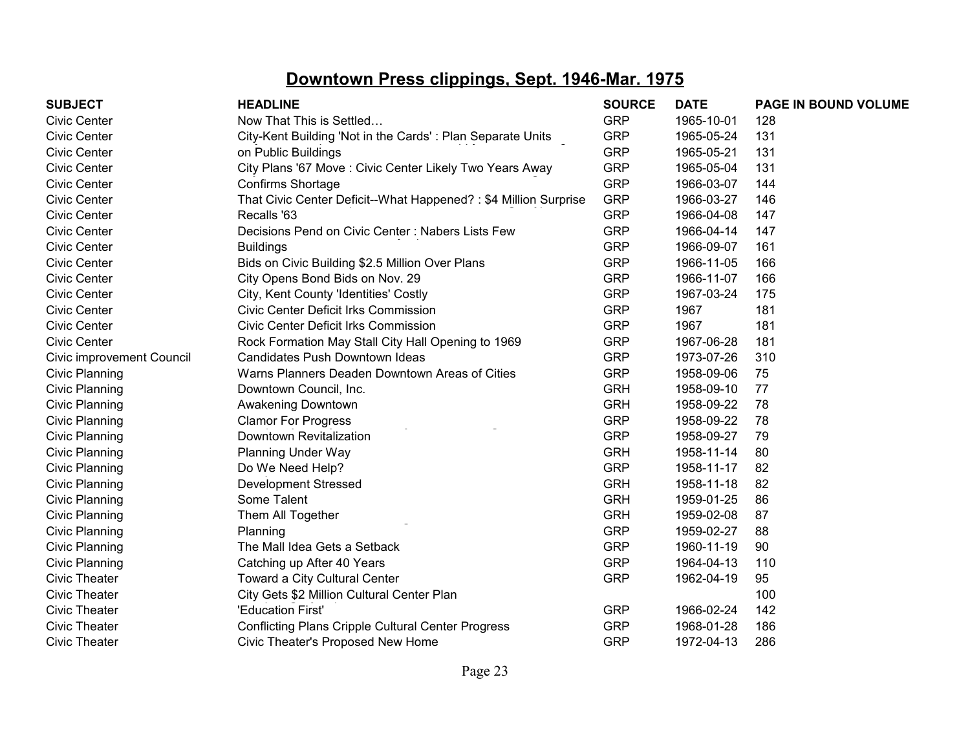| <b>SUBJECT</b>            | <b>HEADLINE</b>                                                 | <b>SOURCE</b> | <b>DATE</b> | PAGE IN BOUND VOLUME |
|---------------------------|-----------------------------------------------------------------|---------------|-------------|----------------------|
| <b>Civic Center</b>       | Now That This is Settled                                        | <b>GRP</b>    | 1965-10-01  | 128                  |
| <b>Civic Center</b>       | City-Kent Building 'Not in the Cards': Plan Separate Units      | <b>GRP</b>    | 1965-05-24  | 131                  |
| <b>Civic Center</b>       | on Public Buildings                                             | <b>GRP</b>    | 1965-05-21  | 131                  |
| <b>Civic Center</b>       | City Plans '67 Move: Civic Center Likely Two Years Away         | <b>GRP</b>    | 1965-05-04  | 131                  |
| <b>Civic Center</b>       | Confirms Shortage                                               | <b>GRP</b>    | 1966-03-07  | 144                  |
| <b>Civic Center</b>       | That Civic Center Deficit--What Happened?: \$4 Million Surprise | <b>GRP</b>    | 1966-03-27  | 146                  |
| <b>Civic Center</b>       | Recalls '63                                                     | <b>GRP</b>    | 1966-04-08  | 147                  |
| <b>Civic Center</b>       | Decisions Pend on Civic Center: Nabers Lists Few                | <b>GRP</b>    | 1966-04-14  | 147                  |
| <b>Civic Center</b>       | <b>Buildings</b>                                                | <b>GRP</b>    | 1966-09-07  | 161                  |
| <b>Civic Center</b>       | Bids on Civic Building \$2.5 Million Over Plans                 | <b>GRP</b>    | 1966-11-05  | 166                  |
| <b>Civic Center</b>       | City Opens Bond Bids on Nov. 29                                 | <b>GRP</b>    | 1966-11-07  | 166                  |
| <b>Civic Center</b>       | City, Kent County 'Identities' Costly                           | <b>GRP</b>    | 1967-03-24  | 175                  |
| <b>Civic Center</b>       | <b>Civic Center Deficit Irks Commission</b>                     | <b>GRP</b>    | 1967        | 181                  |
| <b>Civic Center</b>       | <b>Civic Center Deficit Irks Commission</b>                     | <b>GRP</b>    | 1967        | 181                  |
| <b>Civic Center</b>       | Rock Formation May Stall City Hall Opening to 1969              | <b>GRP</b>    | 1967-06-28  | 181                  |
| Civic improvement Council | Candidates Push Downtown Ideas                                  | <b>GRP</b>    | 1973-07-26  | 310                  |
| Civic Planning            | Warns Planners Deaden Downtown Areas of Cities                  | <b>GRP</b>    | 1958-09-06  | 75                   |
| Civic Planning            | Downtown Council, Inc.                                          | <b>GRH</b>    | 1958-09-10  | 77                   |
| Civic Planning            | Awakening Downtown                                              | <b>GRH</b>    | 1958-09-22  | 78                   |
| Civic Planning            | <b>Clamor For Progress</b>                                      | <b>GRP</b>    | 1958-09-22  | 78                   |
| Civic Planning            | Downtown Revitalization                                         | <b>GRP</b>    | 1958-09-27  | 79                   |
| Civic Planning            | <b>Planning Under Way</b>                                       | <b>GRH</b>    | 1958-11-14  | 80                   |
| Civic Planning            | Do We Need Help?                                                | <b>GRP</b>    | 1958-11-17  | 82                   |
| Civic Planning            | <b>Development Stressed</b>                                     | <b>GRH</b>    | 1958-11-18  | 82                   |
| Civic Planning            | Some Talent                                                     | <b>GRH</b>    | 1959-01-25  | 86                   |
| Civic Planning            | Them All Together                                               | <b>GRH</b>    | 1959-02-08  | 87                   |
| <b>Civic Planning</b>     | Planning                                                        | <b>GRP</b>    | 1959-02-27  | 88                   |
| Civic Planning            | The Mall Idea Gets a Setback                                    | <b>GRP</b>    | 1960-11-19  | 90                   |
| <b>Civic Planning</b>     | Catching up After 40 Years                                      | <b>GRP</b>    | 1964-04-13  | 110                  |
| <b>Civic Theater</b>      | Toward a City Cultural Center                                   | <b>GRP</b>    | 1962-04-19  | 95                   |
| <b>Civic Theater</b>      | City Gets \$2 Million Cultural Center Plan                      |               |             | 100                  |
| <b>Civic Theater</b>      | 'Education First'                                               | <b>GRP</b>    | 1966-02-24  | 142                  |
| <b>Civic Theater</b>      | <b>Conflicting Plans Cripple Cultural Center Progress</b>       | <b>GRP</b>    | 1968-01-28  | 186                  |
| <b>Civic Theater</b>      | Civic Theater's Proposed New Home                               | <b>GRP</b>    | 1972-04-13  | 286                  |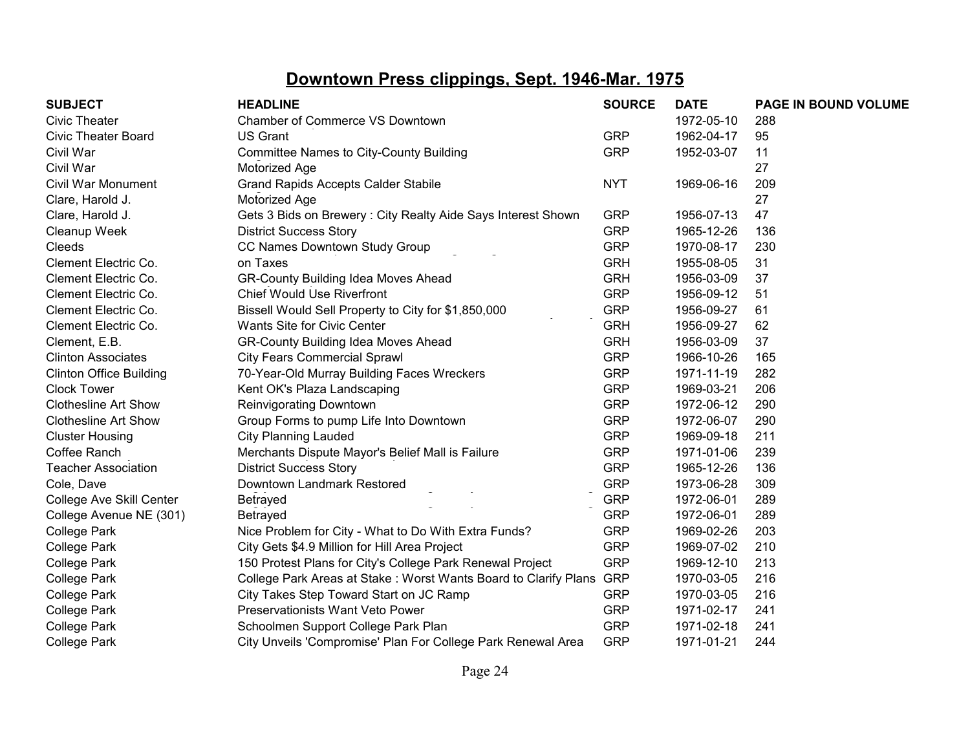| <b>SUBJECT</b>                 | <b>HEADLINE</b>                                                 | <b>SOURCE</b> | <b>DATE</b> | PAGE IN BOUND VOLUME |
|--------------------------------|-----------------------------------------------------------------|---------------|-------------|----------------------|
| <b>Civic Theater</b>           | Chamber of Commerce VS Downtown                                 |               | 1972-05-10  | 288                  |
| <b>Civic Theater Board</b>     | <b>US Grant</b>                                                 | <b>GRP</b>    | 1962-04-17  | 95                   |
| Civil War                      | <b>Committee Names to City-County Building</b>                  | <b>GRP</b>    | 1952-03-07  | 11                   |
| Civil War                      | Motorized Age                                                   |               |             | 27                   |
| Civil War Monument             | <b>Grand Rapids Accepts Calder Stabile</b>                      | <b>NYT</b>    | 1969-06-16  | 209                  |
| Clare, Harold J.               | Motorized Age                                                   |               |             | 27                   |
| Clare, Harold J.               | Gets 3 Bids on Brewery: City Realty Aide Says Interest Shown    | <b>GRP</b>    | 1956-07-13  | 47                   |
| Cleanup Week                   | <b>District Success Story</b>                                   | <b>GRP</b>    | 1965-12-26  | 136                  |
| Cleeds                         | CC Names Downtown Study Group                                   | <b>GRP</b>    | 1970-08-17  | 230                  |
| Clement Electric Co.           | on Taxes                                                        | <b>GRH</b>    | 1955-08-05  | 31                   |
| Clement Electric Co.           | <b>GR-County Building Idea Moves Ahead</b>                      | <b>GRH</b>    | 1956-03-09  | 37                   |
| Clement Electric Co.           | <b>Chief Would Use Riverfront</b>                               | <b>GRP</b>    | 1956-09-12  | 51                   |
| Clement Electric Co.           | Bissell Would Sell Property to City for \$1,850,000             | <b>GRP</b>    | 1956-09-27  | 61                   |
| Clement Electric Co.           | Wants Site for Civic Center                                     | <b>GRH</b>    | 1956-09-27  | 62                   |
| Clement, E.B.                  | <b>GR-County Building Idea Moves Ahead</b>                      | <b>GRH</b>    | 1956-03-09  | 37                   |
| <b>Clinton Associates</b>      | <b>City Fears Commercial Sprawl</b>                             | <b>GRP</b>    | 1966-10-26  | 165                  |
| <b>Clinton Office Building</b> | 70-Year-Old Murray Building Faces Wreckers                      | <b>GRP</b>    | 1971-11-19  | 282                  |
| <b>Clock Tower</b>             | Kent OK's Plaza Landscaping                                     | <b>GRP</b>    | 1969-03-21  | 206                  |
| <b>Clothesline Art Show</b>    | Reinvigorating Downtown                                         | <b>GRP</b>    | 1972-06-12  | 290                  |
| <b>Clothesline Art Show</b>    | Group Forms to pump Life Into Downtown                          | <b>GRP</b>    | 1972-06-07  | 290                  |
| <b>Cluster Housing</b>         | <b>City Planning Lauded</b>                                     | <b>GRP</b>    | 1969-09-18  | 211                  |
| Coffee Ranch                   | Merchants Dispute Mayor's Belief Mall is Failure                | <b>GRP</b>    | 1971-01-06  | 239                  |
| <b>Teacher Association</b>     | <b>District Success Story</b>                                   | <b>GRP</b>    | 1965-12-26  | 136                  |
| Cole, Dave                     | Downtown Landmark Restored                                      | <b>GRP</b>    | 1973-06-28  | 309                  |
| College Ave Skill Center       | Betrayed                                                        | <b>GRP</b>    | 1972-06-01  | 289                  |
| College Avenue NE (301)        | Betrayed                                                        | <b>GRP</b>    | 1972-06-01  | 289                  |
| <b>College Park</b>            | Nice Problem for City - What to Do With Extra Funds?            | <b>GRP</b>    | 1969-02-26  | 203                  |
| <b>College Park</b>            | City Gets \$4.9 Million for Hill Area Project                   | <b>GRP</b>    | 1969-07-02  | 210                  |
| College Park                   | 150 Protest Plans for City's College Park Renewal Project       | <b>GRP</b>    | 1969-12-10  | 213                  |
| College Park                   | College Park Areas at Stake: Worst Wants Board to Clarify Plans | <b>GRP</b>    | 1970-03-05  | 216                  |
| College Park                   | City Takes Step Toward Start on JC Ramp                         | <b>GRP</b>    | 1970-03-05  | 216                  |
| <b>College Park</b>            | <b>Preservationists Want Veto Power</b>                         | <b>GRP</b>    | 1971-02-17  | 241                  |
| College Park                   | Schoolmen Support College Park Plan                             | <b>GRP</b>    | 1971-02-18  | 241                  |
| <b>College Park</b>            | City Unveils 'Compromise' Plan For College Park Renewal Area    | <b>GRP</b>    | 1971-01-21  | 244                  |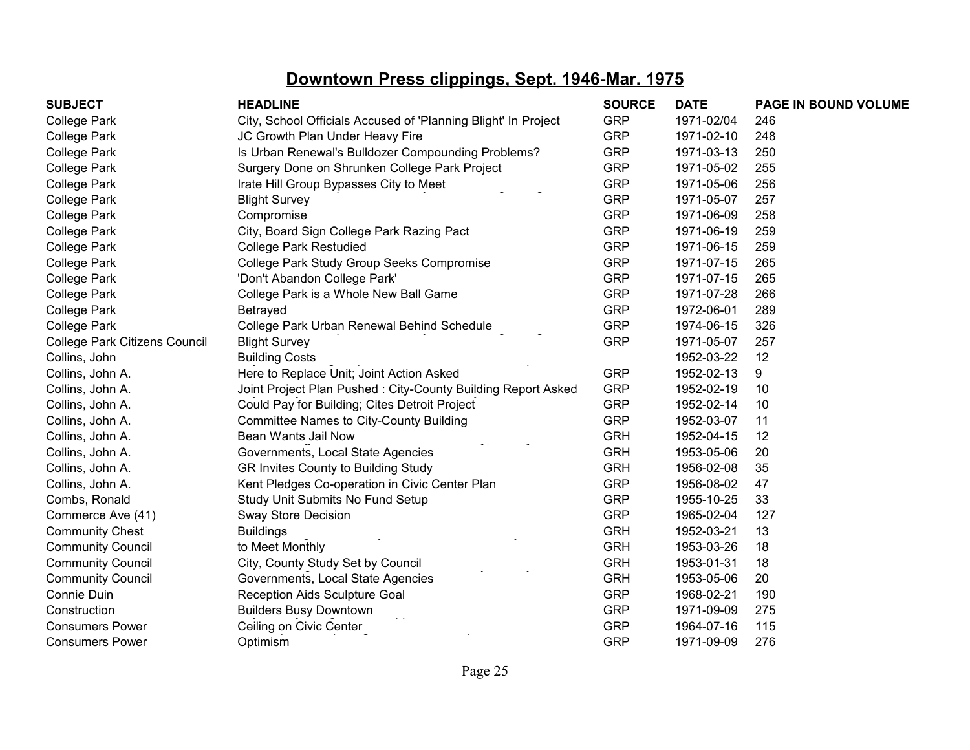| <b>SUBJECT</b>                | <b>HEADLINE</b>                                                | <b>SOURCE</b> | <b>DATE</b> | PAGE IN BOUND VOLUME |
|-------------------------------|----------------------------------------------------------------|---------------|-------------|----------------------|
| <b>College Park</b>           | City, School Officials Accused of 'Planning Blight' In Project | <b>GRP</b>    | 1971-02/04  | 246                  |
| <b>College Park</b>           | JC Growth Plan Under Heavy Fire                                | <b>GRP</b>    | 1971-02-10  | 248                  |
| <b>College Park</b>           | Is Urban Renewal's Bulldozer Compounding Problems?             | <b>GRP</b>    | 1971-03-13  | 250                  |
| <b>College Park</b>           | Surgery Done on Shrunken College Park Project                  | <b>GRP</b>    | 1971-05-02  | 255                  |
| <b>College Park</b>           | Irate Hill Group Bypasses City to Meet                         | <b>GRP</b>    | 1971-05-06  | 256                  |
| <b>College Park</b>           | <b>Blight Survey</b>                                           | <b>GRP</b>    | 1971-05-07  | 257                  |
| <b>College Park</b>           | Compromise                                                     | <b>GRP</b>    | 1971-06-09  | 258                  |
| <b>College Park</b>           | City, Board Sign College Park Razing Pact                      | <b>GRP</b>    | 1971-06-19  | 259                  |
| <b>College Park</b>           | <b>College Park Restudied</b>                                  | <b>GRP</b>    | 1971-06-15  | 259                  |
| <b>College Park</b>           | College Park Study Group Seeks Compromise                      | <b>GRP</b>    | 1971-07-15  | 265                  |
| <b>College Park</b>           | 'Don't Abandon College Park'                                   | <b>GRP</b>    | 1971-07-15  | 265                  |
| <b>College Park</b>           | College Park is a Whole New Ball Game                          | <b>GRP</b>    | 1971-07-28  | 266                  |
| <b>College Park</b>           | Betrayed                                                       | <b>GRP</b>    | 1972-06-01  | 289                  |
| <b>College Park</b>           | College Park Urban Renewal Behind Schedule                     | <b>GRP</b>    | 1974-06-15  | 326                  |
| College Park Citizens Council | <b>Blight Survey</b>                                           | <b>GRP</b>    | 1971-05-07  | 257                  |
| Collins, John                 | <b>Building Costs</b>                                          |               | 1952-03-22  | 12                   |
| Collins, John A.              | Here to Replace Unit; Joint Action Asked                       | <b>GRP</b>    | 1952-02-13  | 9                    |
| Collins, John A.              | Joint Project Plan Pushed: City-County Building Report Asked   | <b>GRP</b>    | 1952-02-19  | 10                   |
| Collins, John A.              | Could Pay for Building; Cites Detroit Project                  | <b>GRP</b>    | 1952-02-14  | 10                   |
| Collins, John A.              | <b>Committee Names to City-County Building</b>                 | <b>GRP</b>    | 1952-03-07  | 11                   |
| Collins, John A.              | Bean Wants Jail Now                                            | <b>GRH</b>    | 1952-04-15  | 12                   |
| Collins, John A.              | Governments, Local State Agencies                              | <b>GRH</b>    | 1953-05-06  | 20                   |
| Collins, John A.              | GR Invites County to Building Study                            | <b>GRH</b>    | 1956-02-08  | 35                   |
| Collins, John A.              | Kent Pledges Co-operation in Civic Center Plan                 | <b>GRP</b>    | 1956-08-02  | 47                   |
| Combs, Ronald                 | Study Unit Submits No Fund Setup                               | <b>GRP</b>    | 1955-10-25  | 33                   |
| Commerce Ave (41)             | Sway Store Decision                                            | <b>GRP</b>    | 1965-02-04  | 127                  |
| <b>Community Chest</b>        | <b>Buildings</b>                                               | <b>GRH</b>    | 1952-03-21  | 13                   |
| <b>Community Council</b>      | to Meet Monthly                                                | <b>GRH</b>    | 1953-03-26  | 18                   |
| <b>Community Council</b>      | City, County Study Set by Council                              | <b>GRH</b>    | 1953-01-31  | 18                   |
| <b>Community Council</b>      | Governments, Local State Agencies                              | <b>GRH</b>    | 1953-05-06  | 20                   |
| Connie Duin                   | Reception Aids Sculpture Goal                                  | <b>GRP</b>    | 1968-02-21  | 190                  |
| Construction                  | <b>Builders Busy Downtown</b>                                  | <b>GRP</b>    | 1971-09-09  | 275                  |
| <b>Consumers Power</b>        | Ceiling on Civic Center                                        | <b>GRP</b>    | 1964-07-16  | 115                  |
| <b>Consumers Power</b>        | Optimism                                                       | <b>GRP</b>    | 1971-09-09  | 276                  |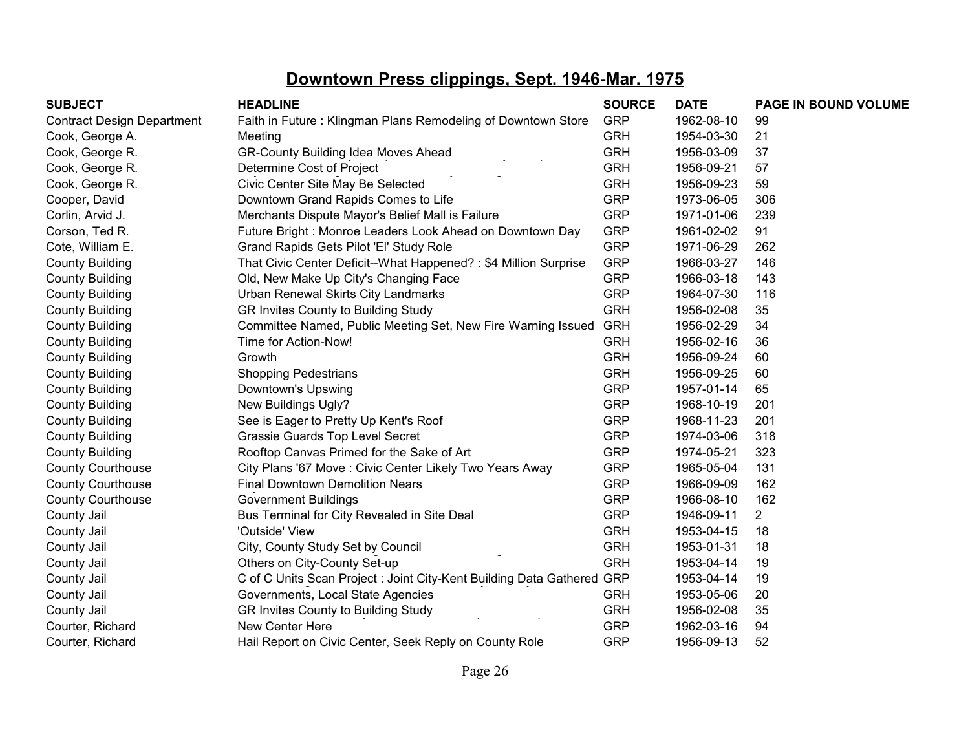| <b>SUBJECT</b>                    | <b>HEADLINE</b>                                                        | <b>SOURCE</b> | <b>DATE</b> | PAGE IN BOUND VOLUME |
|-----------------------------------|------------------------------------------------------------------------|---------------|-------------|----------------------|
| <b>Contract Design Department</b> | Faith in Future: Klingman Plans Remodeling of Downtown Store           | <b>GRP</b>    | 1962-08-10  | 99                   |
| Cook, George A.                   | Meeting                                                                | <b>GRH</b>    | 1954-03-30  | 21                   |
| Cook, George R.                   | GR-County Building Idea Moves Ahead                                    | <b>GRH</b>    | 1956-03-09  | 37                   |
| Cook, George R.                   | Determine Cost of Project                                              | <b>GRH</b>    | 1956-09-21  | 57                   |
| Cook, George R.                   | Civic Center Site May Be Selected                                      | <b>GRH</b>    | 1956-09-23  | 59                   |
| Cooper, David                     | Downtown Grand Rapids Comes to Life                                    | <b>GRP</b>    | 1973-06-05  | 306                  |
| Corlin, Arvid J.                  | Merchants Dispute Mayor's Belief Mall is Failure                       | <b>GRP</b>    | 1971-01-06  | 239                  |
| Corson, Ted R.                    | Future Bright: Monroe Leaders Look Ahead on Downtown Day               | <b>GRP</b>    | 1961-02-02  | 91                   |
| Cote, William E.                  | Grand Rapids Gets Pilot 'El' Study Role                                | <b>GRP</b>    | 1971-06-29  | 262                  |
| <b>County Building</b>            | That Civic Center Deficit--What Happened? : \$4 Million Surprise       | <b>GRP</b>    | 1966-03-27  | 146                  |
| <b>County Building</b>            | Old, New Make Up City's Changing Face                                  | <b>GRP</b>    | 1966-03-18  | 143                  |
| <b>County Building</b>            | Urban Renewal Skirts City Landmarks                                    | <b>GRP</b>    | 1964-07-30  | 116                  |
| <b>County Building</b>            | GR Invites County to Building Study                                    | <b>GRH</b>    | 1956-02-08  | 35                   |
| <b>County Building</b>            | Committee Named, Public Meeting Set, New Fire Warning Issued           | <b>GRH</b>    | 1956-02-29  | 34                   |
| <b>County Building</b>            | Time for Action-Now!                                                   | <b>GRH</b>    | 1956-02-16  | 36                   |
| <b>County Building</b>            | Growth                                                                 | <b>GRH</b>    | 1956-09-24  | 60                   |
| <b>County Building</b>            | <b>Shopping Pedestrians</b>                                            | <b>GRH</b>    | 1956-09-25  | 60                   |
| <b>County Building</b>            | Downtown's Upswing                                                     | <b>GRP</b>    | 1957-01-14  | 65                   |
| <b>County Building</b>            | New Buildings Ugly?                                                    | <b>GRP</b>    | 1968-10-19  | 201                  |
| <b>County Building</b>            | See is Eager to Pretty Up Kent's Roof                                  | <b>GRP</b>    | 1968-11-23  | 201                  |
| <b>County Building</b>            | Grassie Guards Top Level Secret                                        | <b>GRP</b>    | 1974-03-06  | 318                  |
| <b>County Building</b>            | Rooftop Canvas Primed for the Sake of Art                              | <b>GRP</b>    | 1974-05-21  | 323                  |
| <b>County Courthouse</b>          | City Plans '67 Move : Civic Center Likely Two Years Away               | <b>GRP</b>    | 1965-05-04  | 131                  |
| <b>County Courthouse</b>          | <b>Final Downtown Demolition Nears</b>                                 | <b>GRP</b>    | 1966-09-09  | 162                  |
| <b>County Courthouse</b>          | <b>Government Buildings</b>                                            | <b>GRP</b>    | 1966-08-10  | 162                  |
| County Jail                       | Bus Terminal for City Revealed in Site Deal                            | <b>GRP</b>    | 1946-09-11  | $\overline{2}$       |
| County Jail                       | 'Outside' View                                                         | <b>GRH</b>    | 1953-04-15  | 18                   |
| County Jail                       | City, County Study Set by Council                                      | <b>GRH</b>    | 1953-01-31  | 18                   |
| County Jail                       | Others on City-County Set-up                                           | <b>GRH</b>    | 1953-04-14  | 19                   |
| County Jail                       | C of C Units Scan Project : Joint City-Kent Building Data Gathered GRP |               | 1953-04-14  | 19                   |
| County Jail                       | Governments, Local State Agencies                                      | <b>GRH</b>    | 1953-05-06  | 20                   |
| County Jail                       | GR Invites County to Building Study                                    | <b>GRH</b>    | 1956-02-08  | 35                   |
| Courter, Richard                  | New Center Here                                                        | <b>GRP</b>    | 1962-03-16  | 94                   |
| Courter, Richard                  | Hail Report on Civic Center, Seek Reply on County Role                 | <b>GRP</b>    | 1956-09-13  | 52                   |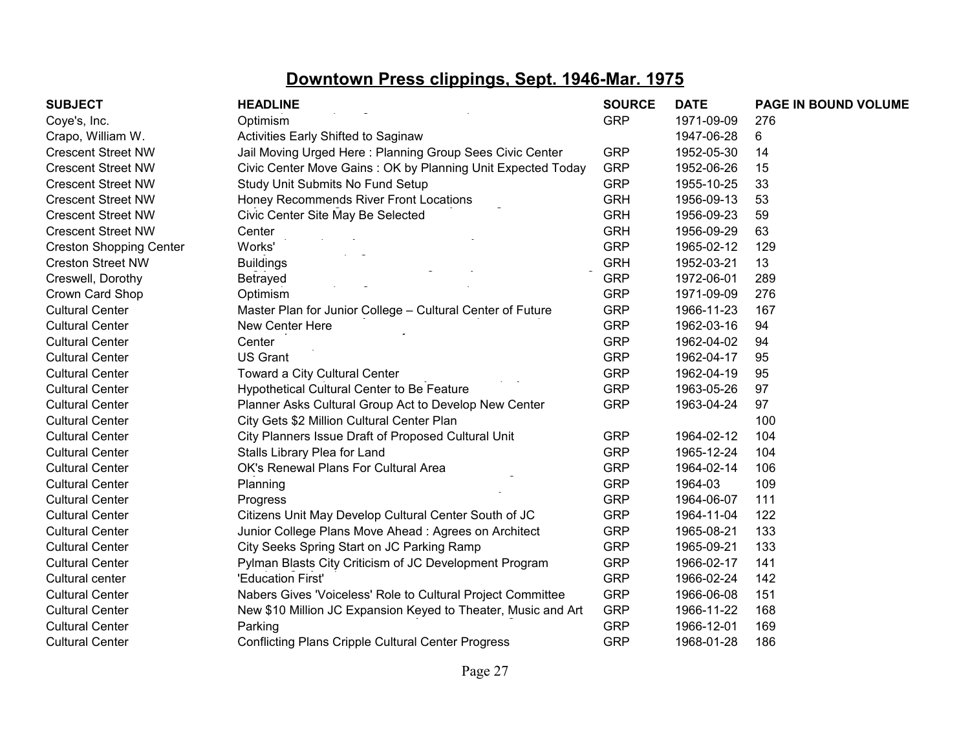| <b>SUBJECT</b>                 | <b>HEADLINE</b>                                               | <b>SOURCE</b> | <b>DATE</b> | PAGE IN BOUND VOLUME |
|--------------------------------|---------------------------------------------------------------|---------------|-------------|----------------------|
| Coye's, Inc.                   | Optimism                                                      | <b>GRP</b>    | 1971-09-09  | 276                  |
| Crapo, William W.              | Activities Early Shifted to Saginaw                           |               | 1947-06-28  | 6                    |
| <b>Crescent Street NW</b>      | Jail Moving Urged Here: Planning Group Sees Civic Center      | <b>GRP</b>    | 1952-05-30  | 14                   |
| <b>Crescent Street NW</b>      | Civic Center Move Gains: OK by Planning Unit Expected Today   | <b>GRP</b>    | 1952-06-26  | 15                   |
| <b>Crescent Street NW</b>      | Study Unit Submits No Fund Setup                              | <b>GRP</b>    | 1955-10-25  | 33                   |
| <b>Crescent Street NW</b>      | Honey Recommends River Front Locations                        | <b>GRH</b>    | 1956-09-13  | 53                   |
| <b>Crescent Street NW</b>      | Civic Center Site May Be Selected                             | <b>GRH</b>    | 1956-09-23  | 59                   |
| <b>Crescent Street NW</b>      | Center                                                        | <b>GRH</b>    | 1956-09-29  | 63                   |
| <b>Creston Shopping Center</b> | Works'                                                        | <b>GRP</b>    | 1965-02-12  | 129                  |
| <b>Creston Street NW</b>       | <b>Buildings</b>                                              | <b>GRH</b>    | 1952-03-21  | 13                   |
| Creswell, Dorothy              | Betrayed                                                      | <b>GRP</b>    | 1972-06-01  | 289                  |
| Crown Card Shop                | Optimism                                                      | <b>GRP</b>    | 1971-09-09  | 276                  |
| <b>Cultural Center</b>         | Master Plan for Junior College - Cultural Center of Future    | <b>GRP</b>    | 1966-11-23  | 167                  |
| <b>Cultural Center</b>         | New Center Here                                               | <b>GRP</b>    | 1962-03-16  | 94                   |
| <b>Cultural Center</b>         | Center                                                        | <b>GRP</b>    | 1962-04-02  | 94                   |
| <b>Cultural Center</b>         | <b>US Grant</b>                                               | <b>GRP</b>    | 1962-04-17  | 95                   |
| <b>Cultural Center</b>         | Toward a City Cultural Center                                 | <b>GRP</b>    | 1962-04-19  | 95                   |
| <b>Cultural Center</b>         | Hypothetical Cultural Center to Be Feature                    | <b>GRP</b>    | 1963-05-26  | 97                   |
| <b>Cultural Center</b>         | Planner Asks Cultural Group Act to Develop New Center         | <b>GRP</b>    | 1963-04-24  | 97                   |
| <b>Cultural Center</b>         | City Gets \$2 Million Cultural Center Plan                    |               |             | 100                  |
| <b>Cultural Center</b>         | City Planners Issue Draft of Proposed Cultural Unit           | <b>GRP</b>    | 1964-02-12  | 104                  |
| <b>Cultural Center</b>         | Stalls Library Plea for Land                                  | <b>GRP</b>    | 1965-12-24  | 104                  |
| <b>Cultural Center</b>         | OK's Renewal Plans For Cultural Area                          | <b>GRP</b>    | 1964-02-14  | 106                  |
| <b>Cultural Center</b>         | Planning                                                      | <b>GRP</b>    | 1964-03     | 109                  |
| <b>Cultural Center</b>         | Progress                                                      | <b>GRP</b>    | 1964-06-07  | 111                  |
| <b>Cultural Center</b>         | Citizens Unit May Develop Cultural Center South of JC         | <b>GRP</b>    | 1964-11-04  | 122                  |
| <b>Cultural Center</b>         | Junior College Plans Move Ahead: Agrees on Architect          | <b>GRP</b>    | 1965-08-21  | 133                  |
| <b>Cultural Center</b>         | City Seeks Spring Start on JC Parking Ramp                    | <b>GRP</b>    | 1965-09-21  | 133                  |
| <b>Cultural Center</b>         | Pylman Blasts City Criticism of JC Development Program        | <b>GRP</b>    | 1966-02-17  | 141                  |
| Cultural center                | 'Education First'                                             | <b>GRP</b>    | 1966-02-24  | 142                  |
| <b>Cultural Center</b>         | Nabers Gives 'Voiceless' Role to Cultural Project Committee   | <b>GRP</b>    | 1966-06-08  | 151                  |
| <b>Cultural Center</b>         | New \$10 Million JC Expansion Keyed to Theater, Music and Art | <b>GRP</b>    | 1966-11-22  | 168                  |
| <b>Cultural Center</b>         | Parking                                                       | <b>GRP</b>    | 1966-12-01  | 169                  |
| <b>Cultural Center</b>         | <b>Conflicting Plans Cripple Cultural Center Progress</b>     | <b>GRP</b>    | 1968-01-28  | 186                  |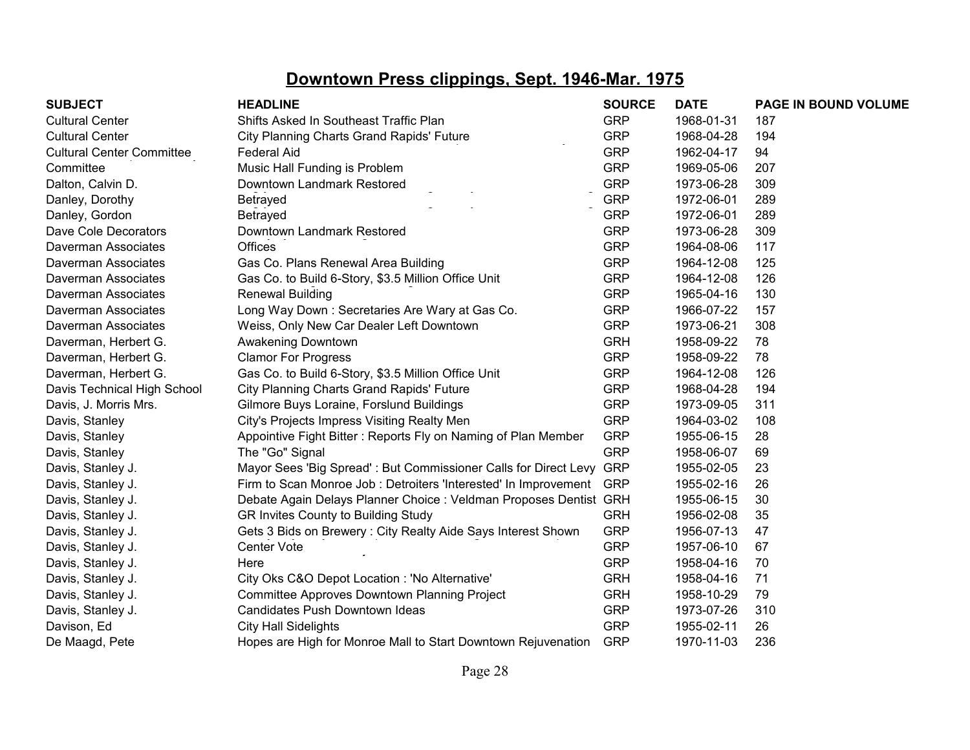| <b>SUBJECT</b>                   | <b>HEADLINE</b>                                                   | <b>SOURCE</b> | <b>DATE</b> | PAGE IN BOUND VOLUME |
|----------------------------------|-------------------------------------------------------------------|---------------|-------------|----------------------|
| <b>Cultural Center</b>           | Shifts Asked In Southeast Traffic Plan                            | <b>GRP</b>    | 1968-01-31  | 187                  |
| <b>Cultural Center</b>           | City Planning Charts Grand Rapids' Future                         | <b>GRP</b>    | 1968-04-28  | 194                  |
| <b>Cultural Center Committee</b> | <b>Federal Aid</b>                                                | <b>GRP</b>    | 1962-04-17  | 94                   |
| Committee                        | Music Hall Funding is Problem                                     | <b>GRP</b>    | 1969-05-06  | 207                  |
| Dalton, Calvin D.                | Downtown Landmark Restored                                        | <b>GRP</b>    | 1973-06-28  | 309                  |
| Danley, Dorothy                  | Betrayed                                                          | <b>GRP</b>    | 1972-06-01  | 289                  |
| Danley, Gordon                   | Betrayed                                                          | <b>GRP</b>    | 1972-06-01  | 289                  |
| Dave Cole Decorators             | Downtown Landmark Restored                                        | <b>GRP</b>    | 1973-06-28  | 309                  |
| Daverman Associates              | Offices                                                           | <b>GRP</b>    | 1964-08-06  | 117                  |
| Daverman Associates              | Gas Co. Plans Renewal Area Building                               | <b>GRP</b>    | 1964-12-08  | 125                  |
| Daverman Associates              | Gas Co. to Build 6-Story, \$3.5 Million Office Unit               | <b>GRP</b>    | 1964-12-08  | 126                  |
| Daverman Associates              | <b>Renewal Building</b>                                           | <b>GRP</b>    | 1965-04-16  | 130                  |
| Daverman Associates              | Long Way Down: Secretaries Are Wary at Gas Co.                    | <b>GRP</b>    | 1966-07-22  | 157                  |
| Daverman Associates              | Weiss, Only New Car Dealer Left Downtown                          | <b>GRP</b>    | 1973-06-21  | 308                  |
| Daverman, Herbert G.             | Awakening Downtown                                                | <b>GRH</b>    | 1958-09-22  | 78                   |
| Daverman, Herbert G.             | <b>Clamor For Progress</b>                                        | <b>GRP</b>    | 1958-09-22  | 78                   |
| Daverman, Herbert G.             | Gas Co. to Build 6-Story, \$3.5 Million Office Unit               | <b>GRP</b>    | 1964-12-08  | 126                  |
| Davis Technical High School      | City Planning Charts Grand Rapids' Future                         | <b>GRP</b>    | 1968-04-28  | 194                  |
| Davis, J. Morris Mrs.            | Gilmore Buys Loraine, Forslund Buildings                          | <b>GRP</b>    | 1973-09-05  | 311                  |
| Davis, Stanley                   | City's Projects Impress Visiting Realty Men                       | <b>GRP</b>    | 1964-03-02  | 108                  |
| Davis, Stanley                   | Appointive Fight Bitter: Reports Fly on Naming of Plan Member     | <b>GRP</b>    | 1955-06-15  | 28                   |
| Davis, Stanley                   | The "Go" Signal                                                   | <b>GRP</b>    | 1958-06-07  | 69                   |
| Davis, Stanley J.                | Mayor Sees 'Big Spread': But Commissioner Calls for Direct Levy   | <b>GRP</b>    | 1955-02-05  | 23                   |
| Davis, Stanley J.                | Firm to Scan Monroe Job : Detroiters 'Interested' In Improvement  | <b>GRP</b>    | 1955-02-16  | 26                   |
| Davis, Stanley J.                | Debate Again Delays Planner Choice : Veldman Proposes Dentist GRH |               | 1955-06-15  | 30                   |
| Davis, Stanley J.                | GR Invites County to Building Study                               | <b>GRH</b>    | 1956-02-08  | 35                   |
| Davis, Stanley J.                | Gets 3 Bids on Brewery: City Realty Aide Says Interest Shown      | <b>GRP</b>    | 1956-07-13  | 47                   |
| Davis, Stanley J.                | Center Vote                                                       | <b>GRP</b>    | 1957-06-10  | 67                   |
| Davis, Stanley J.                | Here                                                              | <b>GRP</b>    | 1958-04-16  | 70                   |
| Davis, Stanley J.                | City Oks C&O Depot Location : 'No Alternative'                    | <b>GRH</b>    | 1958-04-16  | 71                   |
| Davis, Stanley J.                | Committee Approves Downtown Planning Project                      | <b>GRH</b>    | 1958-10-29  | 79                   |
| Davis, Stanley J.                | Candidates Push Downtown Ideas                                    | <b>GRP</b>    | 1973-07-26  | 310                  |
| Davison, Ed                      | <b>City Hall Sidelights</b>                                       | <b>GRP</b>    | 1955-02-11  | 26                   |
| De Maagd, Pete                   | Hopes are High for Monroe Mall to Start Downtown Rejuvenation     | <b>GRP</b>    | 1970-11-03  | 236                  |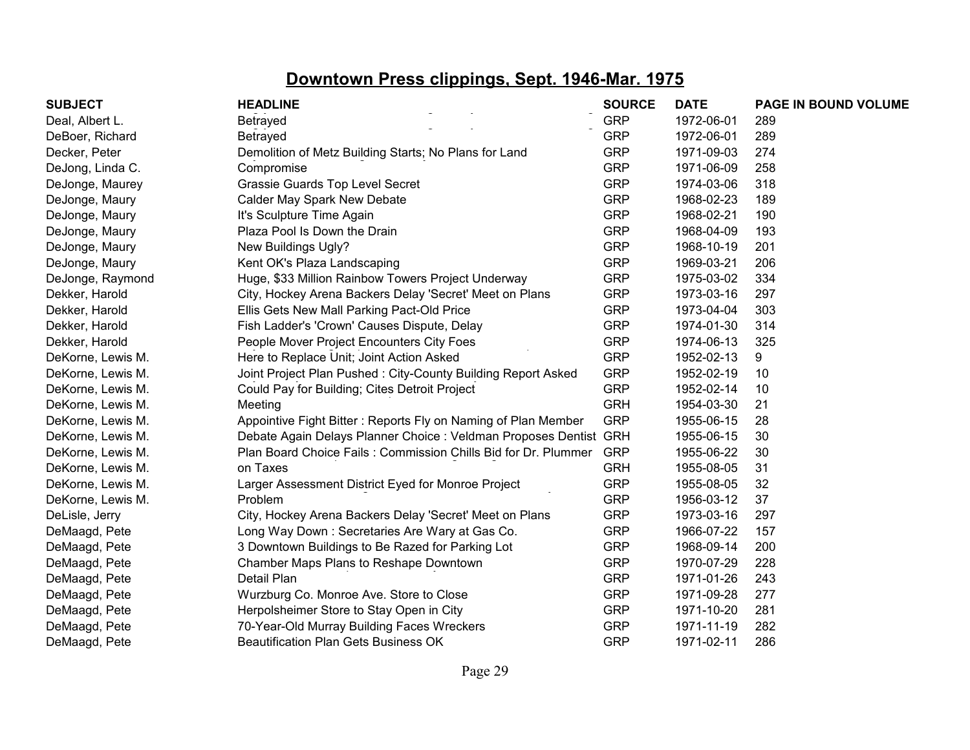| <b>SUBJECT</b>    | <b>HEADLINE</b>                                                   | <b>SOURCE</b> | <b>DATE</b> | PAGE IN BOUND VOLUME |
|-------------------|-------------------------------------------------------------------|---------------|-------------|----------------------|
| Deal, Albert L.   | Betrayed                                                          | <b>GRP</b>    | 1972-06-01  | 289                  |
| DeBoer, Richard   | Betrayed                                                          | <b>GRP</b>    | 1972-06-01  | 289                  |
| Decker, Peter     | Demolition of Metz Building Starts; No Plans for Land             | <b>GRP</b>    | 1971-09-03  | 274                  |
| DeJong, Linda C.  | Compromise                                                        | <b>GRP</b>    | 1971-06-09  | 258                  |
| DeJonge, Maurey   | Grassie Guards Top Level Secret                                   | <b>GRP</b>    | 1974-03-06  | 318                  |
| DeJonge, Maury    | Calder May Spark New Debate                                       | <b>GRP</b>    | 1968-02-23  | 189                  |
| DeJonge, Maury    | It's Sculpture Time Again                                         | <b>GRP</b>    | 1968-02-21  | 190                  |
| DeJonge, Maury    | Plaza Pool Is Down the Drain                                      | <b>GRP</b>    | 1968-04-09  | 193                  |
| DeJonge, Maury    | New Buildings Ugly?                                               | <b>GRP</b>    | 1968-10-19  | 201                  |
| DeJonge, Maury    | Kent OK's Plaza Landscaping                                       | <b>GRP</b>    | 1969-03-21  | 206                  |
| DeJonge, Raymond  | Huge, \$33 Million Rainbow Towers Project Underway                | <b>GRP</b>    | 1975-03-02  | 334                  |
| Dekker, Harold    | City, Hockey Arena Backers Delay 'Secret' Meet on Plans           | <b>GRP</b>    | 1973-03-16  | 297                  |
| Dekker, Harold    | Ellis Gets New Mall Parking Pact-Old Price                        | <b>GRP</b>    | 1973-04-04  | 303                  |
| Dekker, Harold    | Fish Ladder's 'Crown' Causes Dispute, Delay                       | <b>GRP</b>    | 1974-01-30  | 314                  |
| Dekker, Harold    | People Mover Project Encounters City Foes                         | <b>GRP</b>    | 1974-06-13  | 325                  |
| DeKorne, Lewis M. | Here to Replace Unit; Joint Action Asked                          | <b>GRP</b>    | 1952-02-13  | 9                    |
| DeKorne, Lewis M. | Joint Project Plan Pushed: City-County Building Report Asked      | <b>GRP</b>    | 1952-02-19  | 10                   |
| DeKorne, Lewis M. | Could Pay for Building; Cites Detroit Project                     | <b>GRP</b>    | 1952-02-14  | 10                   |
| DeKorne, Lewis M. | Meeting                                                           | <b>GRH</b>    | 1954-03-30  | 21                   |
| DeKorne, Lewis M. | Appointive Fight Bitter: Reports Fly on Naming of Plan Member     | <b>GRP</b>    | 1955-06-15  | 28                   |
| DeKorne, Lewis M. | Debate Again Delays Planner Choice : Veldman Proposes Dentist GRH |               | 1955-06-15  | 30                   |
| DeKorne, Lewis M. | Plan Board Choice Fails: Commission Chills Bid for Dr. Plummer    | <b>GRP</b>    | 1955-06-22  | 30                   |
| DeKorne, Lewis M. | on Taxes                                                          | <b>GRH</b>    | 1955-08-05  | 31                   |
| DeKorne, Lewis M. | Larger Assessment District Eyed for Monroe Project                | <b>GRP</b>    | 1955-08-05  | 32                   |
| DeKorne, Lewis M. | Problem                                                           | <b>GRP</b>    | 1956-03-12  | 37                   |
| DeLisle, Jerry    | City, Hockey Arena Backers Delay 'Secret' Meet on Plans           | <b>GRP</b>    | 1973-03-16  | 297                  |
| DeMaagd, Pete     | Long Way Down: Secretaries Are Wary at Gas Co.                    | <b>GRP</b>    | 1966-07-22  | 157                  |
| DeMaagd, Pete     | 3 Downtown Buildings to Be Razed for Parking Lot                  | <b>GRP</b>    | 1968-09-14  | 200                  |
| DeMaagd, Pete     | Chamber Maps Plans to Reshape Downtown                            | <b>GRP</b>    | 1970-07-29  | 228                  |
| DeMaagd, Pete     | Detail Plan                                                       | <b>GRP</b>    | 1971-01-26  | 243                  |
| DeMaagd, Pete     | Wurzburg Co. Monroe Ave. Store to Close                           | <b>GRP</b>    | 1971-09-28  | 277                  |
| DeMaagd, Pete     | Herpolsheimer Store to Stay Open in City                          | <b>GRP</b>    | 1971-10-20  | 281                  |
| DeMaagd, Pete     | 70-Year-Old Murray Building Faces Wreckers                        | <b>GRP</b>    | 1971-11-19  | 282                  |
| DeMaagd, Pete     | <b>Beautification Plan Gets Business OK</b>                       | <b>GRP</b>    | 1971-02-11  | 286                  |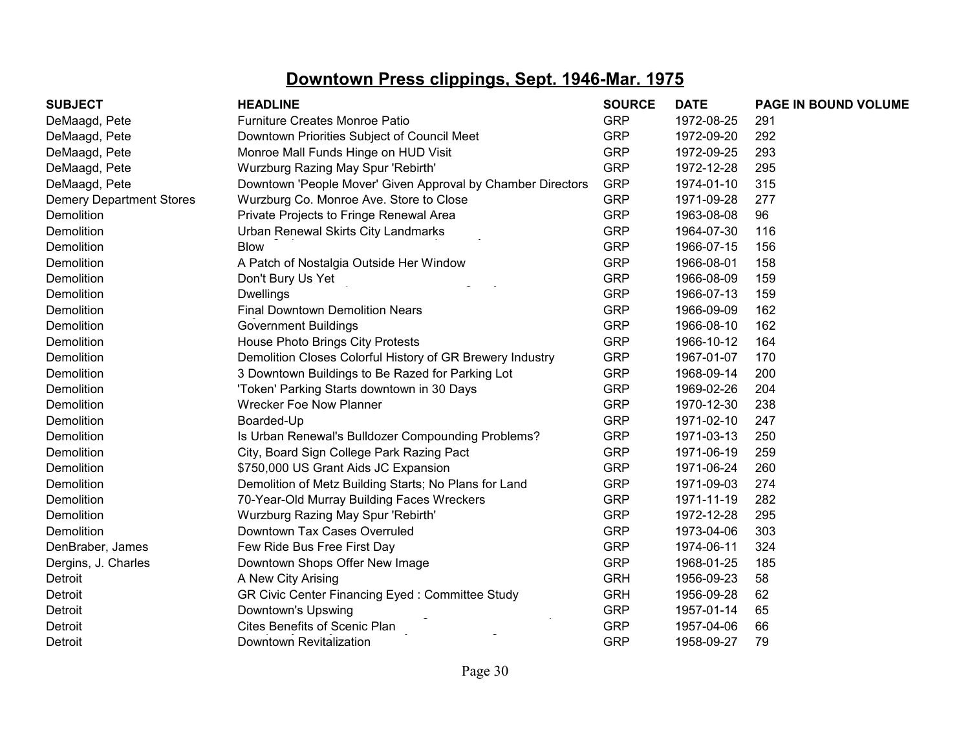| <b>SUBJECT</b>                  | <b>HEADLINE</b>                                             | <b>SOURCE</b> | <b>DATE</b> | PAGE IN BOUND VOLUME |
|---------------------------------|-------------------------------------------------------------|---------------|-------------|----------------------|
| DeMaagd, Pete                   | <b>Furniture Creates Monroe Patio</b>                       | <b>GRP</b>    | 1972-08-25  | 291                  |
| DeMaagd, Pete                   | Downtown Priorities Subject of Council Meet                 | <b>GRP</b>    | 1972-09-20  | 292                  |
| DeMaagd, Pete                   | Monroe Mall Funds Hinge on HUD Visit                        | <b>GRP</b>    | 1972-09-25  | 293                  |
| DeMaagd, Pete                   | Wurzburg Razing May Spur 'Rebirth'                          | <b>GRP</b>    | 1972-12-28  | 295                  |
| DeMaagd, Pete                   | Downtown 'People Mover' Given Approval by Chamber Directors | <b>GRP</b>    | 1974-01-10  | 315                  |
| <b>Demery Department Stores</b> | Wurzburg Co. Monroe Ave. Store to Close                     | <b>GRP</b>    | 1971-09-28  | 277                  |
| Demolition                      | Private Projects to Fringe Renewal Area                     | <b>GRP</b>    | 1963-08-08  | 96                   |
| Demolition                      | Urban Renewal Skirts City Landmarks                         | <b>GRP</b>    | 1964-07-30  | 116                  |
| Demolition                      | <b>Blow</b>                                                 | <b>GRP</b>    | 1966-07-15  | 156                  |
| Demolition                      | A Patch of Nostalgia Outside Her Window                     | <b>GRP</b>    | 1966-08-01  | 158                  |
| Demolition                      | Don't Bury Us Yet                                           | <b>GRP</b>    | 1966-08-09  | 159                  |
| Demolition                      | <b>Dwellings</b>                                            | <b>GRP</b>    | 1966-07-13  | 159                  |
| Demolition                      | <b>Final Downtown Demolition Nears</b>                      | <b>GRP</b>    | 1966-09-09  | 162                  |
| Demolition                      | <b>Government Buildings</b>                                 | <b>GRP</b>    | 1966-08-10  | 162                  |
| Demolition                      | House Photo Brings City Protests                            | <b>GRP</b>    | 1966-10-12  | 164                  |
| Demolition                      | Demolition Closes Colorful History of GR Brewery Industry   | <b>GRP</b>    | 1967-01-07  | 170                  |
| Demolition                      | 3 Downtown Buildings to Be Razed for Parking Lot            | <b>GRP</b>    | 1968-09-14  | 200                  |
| Demolition                      | 'Token' Parking Starts downtown in 30 Days                  | <b>GRP</b>    | 1969-02-26  | 204                  |
| Demolition                      | <b>Wrecker Foe Now Planner</b>                              | <b>GRP</b>    | 1970-12-30  | 238                  |
| Demolition                      | Boarded-Up                                                  | <b>GRP</b>    | 1971-02-10  | 247                  |
| Demolition                      | Is Urban Renewal's Bulldozer Compounding Problems?          | <b>GRP</b>    | 1971-03-13  | 250                  |
| Demolition                      | City, Board Sign College Park Razing Pact                   | <b>GRP</b>    | 1971-06-19  | 259                  |
| Demolition                      | \$750,000 US Grant Aids JC Expansion                        | <b>GRP</b>    | 1971-06-24  | 260                  |
| Demolition                      | Demolition of Metz Building Starts; No Plans for Land       | <b>GRP</b>    | 1971-09-03  | 274                  |
| Demolition                      | 70-Year-Old Murray Building Faces Wreckers                  | <b>GRP</b>    | 1971-11-19  | 282                  |
| Demolition                      | Wurzburg Razing May Spur 'Rebirth'                          | <b>GRP</b>    | 1972-12-28  | 295                  |
| Demolition                      | Downtown Tax Cases Overruled                                | <b>GRP</b>    | 1973-04-06  | 303                  |
| DenBraber, James                | Few Ride Bus Free First Day                                 | <b>GRP</b>    | 1974-06-11  | 324                  |
| Dergins, J. Charles             | Downtown Shops Offer New Image                              | <b>GRP</b>    | 1968-01-25  | 185                  |
| Detroit                         | A New City Arising                                          | <b>GRH</b>    | 1956-09-23  | 58                   |
| Detroit                         | GR Civic Center Financing Eyed: Committee Study             | <b>GRH</b>    | 1956-09-28  | 62                   |
| Detroit                         | Downtown's Upswing                                          | <b>GRP</b>    | 1957-01-14  | 65                   |
| Detroit                         | Cites Benefits of Scenic Plan                               | <b>GRP</b>    | 1957-04-06  | 66                   |
| Detroit                         | Downtown Revitalization                                     | <b>GRP</b>    | 1958-09-27  | 79                   |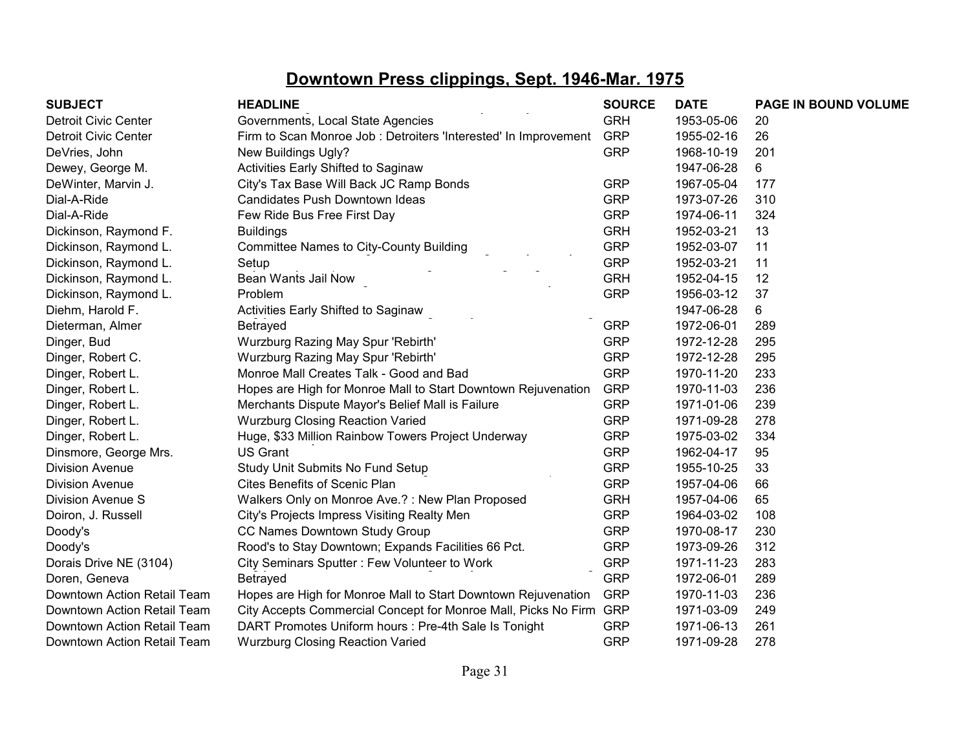| <b>SUBJECT</b>              | <b>HEADLINE</b>                                                    | <b>SOURCE</b> | <b>DATE</b> | PAGE IN BOUND VOLUME |
|-----------------------------|--------------------------------------------------------------------|---------------|-------------|----------------------|
| Detroit Civic Center        | Governments, Local State Agencies                                  | <b>GRH</b>    | 1953-05-06  | 20                   |
| Detroit Civic Center        | Firm to Scan Monroe Job : Detroiters 'Interested' In Improvement   | <b>GRP</b>    | 1955-02-16  | 26                   |
| DeVries, John               | New Buildings Ugly?                                                | <b>GRP</b>    | 1968-10-19  | 201                  |
| Dewey, George M.            | Activities Early Shifted to Saginaw                                |               | 1947-06-28  | 6                    |
| DeWinter, Marvin J.         | City's Tax Base Will Back JC Ramp Bonds                            | <b>GRP</b>    | 1967-05-04  | 177                  |
| Dial-A-Ride                 | Candidates Push Downtown Ideas                                     | <b>GRP</b>    | 1973-07-26  | 310                  |
| Dial-A-Ride                 | Few Ride Bus Free First Day                                        | <b>GRP</b>    | 1974-06-11  | 324                  |
| Dickinson, Raymond F.       | <b>Buildings</b>                                                   | <b>GRH</b>    | 1952-03-21  | 13                   |
| Dickinson, Raymond L.       | <b>Committee Names to City-County Building</b>                     | <b>GRP</b>    | 1952-03-07  | 11                   |
| Dickinson, Raymond L.       | Setup                                                              | <b>GRP</b>    | 1952-03-21  | 11                   |
| Dickinson, Raymond L.       | Bean Wants Jail Now                                                | <b>GRH</b>    | 1952-04-15  | 12                   |
| Dickinson, Raymond L.       | Problem                                                            | <b>GRP</b>    | 1956-03-12  | 37                   |
| Diehm, Harold F.            | Activities Early Shifted to Saginaw                                |               | 1947-06-28  | 6                    |
| Dieterman, Almer            | Betrayed                                                           | <b>GRP</b>    | 1972-06-01  | 289                  |
| Dinger, Bud                 | Wurzburg Razing May Spur 'Rebirth'                                 | <b>GRP</b>    | 1972-12-28  | 295                  |
| Dinger, Robert C.           | Wurzburg Razing May Spur 'Rebirth'                                 | <b>GRP</b>    | 1972-12-28  | 295                  |
| Dinger, Robert L.           | Monroe Mall Creates Talk - Good and Bad                            | <b>GRP</b>    | 1970-11-20  | 233                  |
| Dinger, Robert L.           | Hopes are High for Monroe Mall to Start Downtown Rejuvenation      | <b>GRP</b>    | 1970-11-03  | 236                  |
| Dinger, Robert L.           | Merchants Dispute Mayor's Belief Mall is Failure                   | <b>GRP</b>    | 1971-01-06  | 239                  |
| Dinger, Robert L.           | <b>Wurzburg Closing Reaction Varied</b>                            | <b>GRP</b>    | 1971-09-28  | 278                  |
| Dinger, Robert L.           | Huge, \$33 Million Rainbow Towers Project Underway                 | <b>GRP</b>    | 1975-03-02  | 334                  |
| Dinsmore, George Mrs.       | <b>US Grant</b>                                                    | <b>GRP</b>    | 1962-04-17  | 95                   |
| <b>Division Avenue</b>      | Study Unit Submits No Fund Setup                                   | <b>GRP</b>    | 1955-10-25  | 33                   |
| <b>Division Avenue</b>      | Cites Benefits of Scenic Plan                                      | <b>GRP</b>    | 1957-04-06  | 66                   |
| Division Avenue S           | Walkers Only on Monroe Ave.?: New Plan Proposed                    | <b>GRH</b>    | 1957-04-06  | 65                   |
| Doiron, J. Russell          | City's Projects Impress Visiting Realty Men                        | <b>GRP</b>    | 1964-03-02  | 108                  |
| Doody's                     | CC Names Downtown Study Group                                      | <b>GRP</b>    | 1970-08-17  | 230                  |
| Doody's                     | Rood's to Stay Downtown; Expands Facilities 66 Pct.                | <b>GRP</b>    | 1973-09-26  | 312                  |
| Dorais Drive NE (3104)      | City Seminars Sputter: Few Volunteer to Work                       | <b>GRP</b>    | 1971-11-23  | 283                  |
| Doren, Geneva               | Betrayed                                                           | <b>GRP</b>    | 1972-06-01  | 289                  |
| Downtown Action Retail Team | Hopes are High for Monroe Mall to Start Downtown Rejuvenation      | <b>GRP</b>    | 1970-11-03  | 236                  |
| Downtown Action Retail Team | City Accepts Commercial Concept for Monroe Mall, Picks No Firm GRP |               | 1971-03-09  | 249                  |
| Downtown Action Retail Team | DART Promotes Uniform hours : Pre-4th Sale Is Tonight              | <b>GRP</b>    | 1971-06-13  | 261                  |
| Downtown Action Retail Team | <b>Wurzburg Closing Reaction Varied</b>                            | <b>GRP</b>    | 1971-09-28  | 278                  |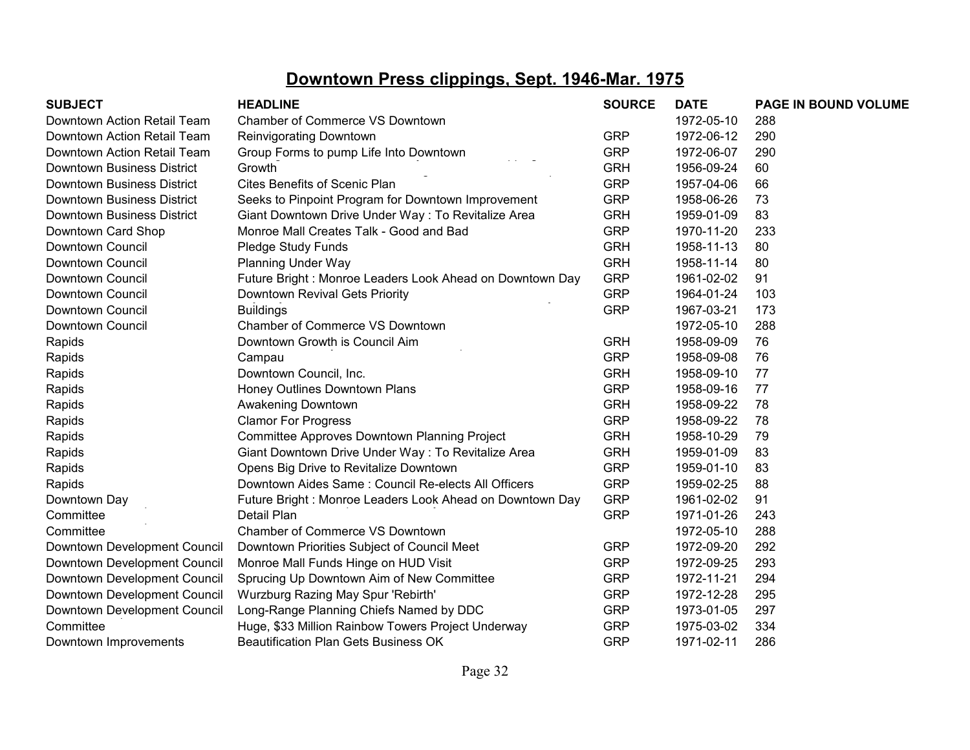| <b>SUBJECT</b>               | <b>HEADLINE</b>                                          | <b>SOURCE</b> | <b>DATE</b> | PAGE IN BOUND VOLUME |
|------------------------------|----------------------------------------------------------|---------------|-------------|----------------------|
| Downtown Action Retail Team  | Chamber of Commerce VS Downtown                          |               | 1972-05-10  | 288                  |
| Downtown Action Retail Team  | <b>Reinvigorating Downtown</b>                           | <b>GRP</b>    | 1972-06-12  | 290                  |
| Downtown Action Retail Team  | Group Forms to pump Life Into Downtown                   | <b>GRP</b>    | 1972-06-07  | 290                  |
| Downtown Business District   | Growth                                                   | <b>GRH</b>    | 1956-09-24  | 60                   |
| Downtown Business District   | <b>Cites Benefits of Scenic Plan</b>                     | <b>GRP</b>    | 1957-04-06  | 66                   |
| Downtown Business District   | Seeks to Pinpoint Program for Downtown Improvement       | <b>GRP</b>    | 1958-06-26  | 73                   |
| Downtown Business District   | Giant Downtown Drive Under Way: To Revitalize Area       | <b>GRH</b>    | 1959-01-09  | 83                   |
| Downtown Card Shop           | Monroe Mall Creates Talk - Good and Bad                  | <b>GRP</b>    | 1970-11-20  | 233                  |
| Downtown Council             | Pledge Study Funds                                       | <b>GRH</b>    | 1958-11-13  | 80                   |
| Downtown Council             | <b>Planning Under Way</b>                                | <b>GRH</b>    | 1958-11-14  | 80                   |
| Downtown Council             | Future Bright: Monroe Leaders Look Ahead on Downtown Day | <b>GRP</b>    | 1961-02-02  | 91                   |
| Downtown Council             | Downtown Revival Gets Priority                           | <b>GRP</b>    | 1964-01-24  | 103                  |
| Downtown Council             | <b>Buildings</b>                                         | <b>GRP</b>    | 1967-03-21  | 173                  |
| Downtown Council             | Chamber of Commerce VS Downtown                          |               | 1972-05-10  | 288                  |
| Rapids                       | Downtown Growth is Council Aim                           | <b>GRH</b>    | 1958-09-09  | 76                   |
| Rapids                       | Campau                                                   | <b>GRP</b>    | 1958-09-08  | 76                   |
| Rapids                       | Downtown Council, Inc.                                   | <b>GRH</b>    | 1958-09-10  | 77                   |
| Rapids                       | Honey Outlines Downtown Plans                            | <b>GRP</b>    | 1958-09-16  | 77                   |
| Rapids                       | Awakening Downtown                                       | <b>GRH</b>    | 1958-09-22  | 78                   |
| Rapids                       | <b>Clamor For Progress</b>                               | <b>GRP</b>    | 1958-09-22  | 78                   |
| Rapids                       | Committee Approves Downtown Planning Project             | <b>GRH</b>    | 1958-10-29  | 79                   |
| Rapids                       | Giant Downtown Drive Under Way: To Revitalize Area       | <b>GRH</b>    | 1959-01-09  | 83                   |
| Rapids                       | Opens Big Drive to Revitalize Downtown                   | <b>GRP</b>    | 1959-01-10  | 83                   |
| Rapids                       | Downtown Aides Same: Council Re-elects All Officers      | <b>GRP</b>    | 1959-02-25  | 88                   |
| Downtown Day                 | Future Bright: Monroe Leaders Look Ahead on Downtown Day | <b>GRP</b>    | 1961-02-02  | 91                   |
| Committee                    | Detail Plan                                              | <b>GRP</b>    | 1971-01-26  | 243                  |
| Committee                    | Chamber of Commerce VS Downtown                          |               | 1972-05-10  | 288                  |
| Downtown Development Council | Downtown Priorities Subject of Council Meet              | <b>GRP</b>    | 1972-09-20  | 292                  |
| Downtown Development Council | Monroe Mall Funds Hinge on HUD Visit                     | <b>GRP</b>    | 1972-09-25  | 293                  |
| Downtown Development Council | Sprucing Up Downtown Aim of New Committee                | <b>GRP</b>    | 1972-11-21  | 294                  |
| Downtown Development Council | Wurzburg Razing May Spur 'Rebirth'                       | <b>GRP</b>    | 1972-12-28  | 295                  |
| Downtown Development Council | Long-Range Planning Chiefs Named by DDC                  | <b>GRP</b>    | 1973-01-05  | 297                  |
| Committee                    | Huge, \$33 Million Rainbow Towers Project Underway       | <b>GRP</b>    | 1975-03-02  | 334                  |
| Downtown Improvements        | Beautification Plan Gets Business OK                     | <b>GRP</b>    | 1971-02-11  | 286                  |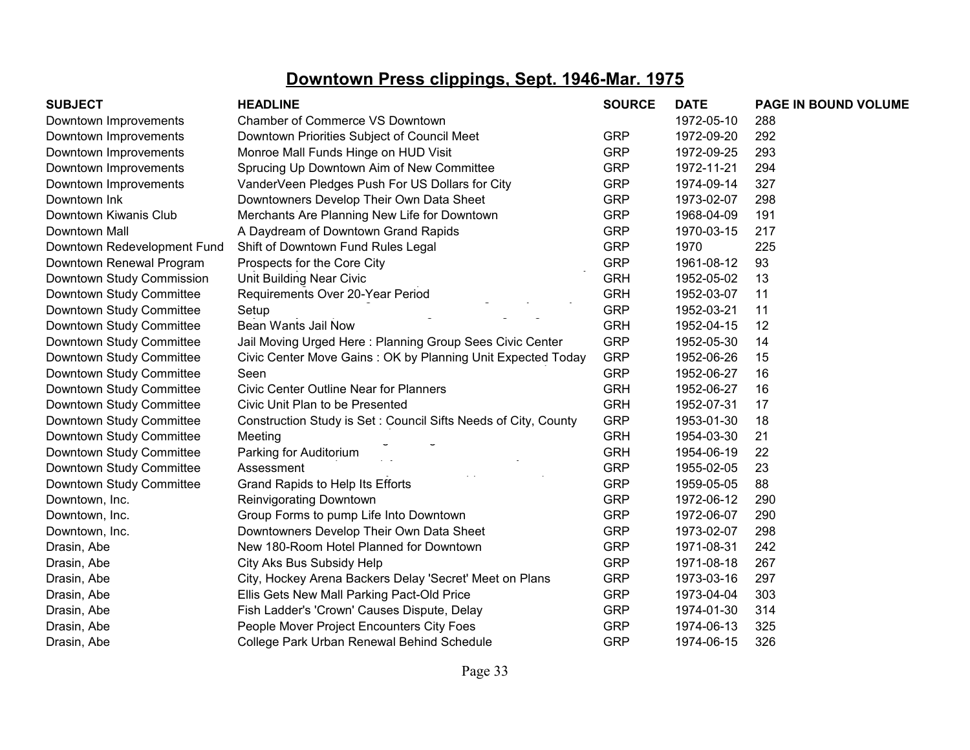| <b>SUBJECT</b>              | <b>HEADLINE</b>                                                | <b>SOURCE</b> | <b>DATE</b> | PAGE IN BOUND VOLUME |
|-----------------------------|----------------------------------------------------------------|---------------|-------------|----------------------|
| Downtown Improvements       | Chamber of Commerce VS Downtown                                |               | 1972-05-10  | 288                  |
| Downtown Improvements       | Downtown Priorities Subject of Council Meet                    | <b>GRP</b>    | 1972-09-20  | 292                  |
| Downtown Improvements       | Monroe Mall Funds Hinge on HUD Visit                           | <b>GRP</b>    | 1972-09-25  | 293                  |
| Downtown Improvements       | Sprucing Up Downtown Aim of New Committee                      | <b>GRP</b>    | 1972-11-21  | 294                  |
| Downtown Improvements       | VanderVeen Pledges Push For US Dollars for City                | <b>GRP</b>    | 1974-09-14  | 327                  |
| Downtown Ink                | Downtowners Develop Their Own Data Sheet                       | <b>GRP</b>    | 1973-02-07  | 298                  |
| Downtown Kiwanis Club       | Merchants Are Planning New Life for Downtown                   | <b>GRP</b>    | 1968-04-09  | 191                  |
| Downtown Mall               | A Daydream of Downtown Grand Rapids                            | <b>GRP</b>    | 1970-03-15  | 217                  |
| Downtown Redevelopment Fund | Shift of Downtown Fund Rules Legal                             | <b>GRP</b>    | 1970        | 225                  |
| Downtown Renewal Program    | Prospects for the Core City                                    | <b>GRP</b>    | 1961-08-12  | 93                   |
| Downtown Study Commission   | <b>Unit Building Near Civic</b>                                | <b>GRH</b>    | 1952-05-02  | 13                   |
| Downtown Study Committee    | Requirements Over 20-Year Period                               | <b>GRH</b>    | 1952-03-07  | 11                   |
| Downtown Study Committee    | Setup                                                          | <b>GRP</b>    | 1952-03-21  | 11                   |
| Downtown Study Committee    | Bean Wants Jail Now                                            | <b>GRH</b>    | 1952-04-15  | 12                   |
| Downtown Study Committee    | Jail Moving Urged Here: Planning Group Sees Civic Center       | <b>GRP</b>    | 1952-05-30  | 14                   |
| Downtown Study Committee    | Civic Center Move Gains: OK by Planning Unit Expected Today    | <b>GRP</b>    | 1952-06-26  | 15                   |
| Downtown Study Committee    | Seen                                                           | <b>GRP</b>    | 1952-06-27  | 16                   |
| Downtown Study Committee    | <b>Civic Center Outline Near for Planners</b>                  | <b>GRH</b>    | 1952-06-27  | 16                   |
| Downtown Study Committee    | Civic Unit Plan to be Presented                                | <b>GRH</b>    | 1952-07-31  | 17                   |
| Downtown Study Committee    | Construction Study is Set: Council Sifts Needs of City, County | <b>GRP</b>    | 1953-01-30  | 18                   |
| Downtown Study Committee    | Meeting                                                        | <b>GRH</b>    | 1954-03-30  | 21                   |
| Downtown Study Committee    | Parking for Auditorium                                         | <b>GRH</b>    | 1954-06-19  | 22                   |
| Downtown Study Committee    | Assessment                                                     | <b>GRP</b>    | 1955-02-05  | 23                   |
| Downtown Study Committee    | Grand Rapids to Help Its Efforts                               | <b>GRP</b>    | 1959-05-05  | 88                   |
| Downtown, Inc.              | Reinvigorating Downtown                                        | <b>GRP</b>    | 1972-06-12  | 290                  |
| Downtown, Inc.              | Group Forms to pump Life Into Downtown                         | <b>GRP</b>    | 1972-06-07  | 290                  |
| Downtown, Inc.              | Downtowners Develop Their Own Data Sheet                       | <b>GRP</b>    | 1973-02-07  | 298                  |
| Drasin, Abe                 | New 180-Room Hotel Planned for Downtown                        | <b>GRP</b>    | 1971-08-31  | 242                  |
| Drasin, Abe                 | City Aks Bus Subsidy Help                                      | <b>GRP</b>    | 1971-08-18  | 267                  |
| Drasin, Abe                 | City, Hockey Arena Backers Delay 'Secret' Meet on Plans        | <b>GRP</b>    | 1973-03-16  | 297                  |
| Drasin, Abe                 | Ellis Gets New Mall Parking Pact-Old Price                     | <b>GRP</b>    | 1973-04-04  | 303                  |
| Drasin, Abe                 | Fish Ladder's 'Crown' Causes Dispute, Delay                    | <b>GRP</b>    | 1974-01-30  | 314                  |
| Drasin, Abe                 | People Mover Project Encounters City Foes                      | <b>GRP</b>    | 1974-06-13  | 325                  |
| Drasin, Abe                 | College Park Urban Renewal Behind Schedule                     | <b>GRP</b>    | 1974-06-15  | 326                  |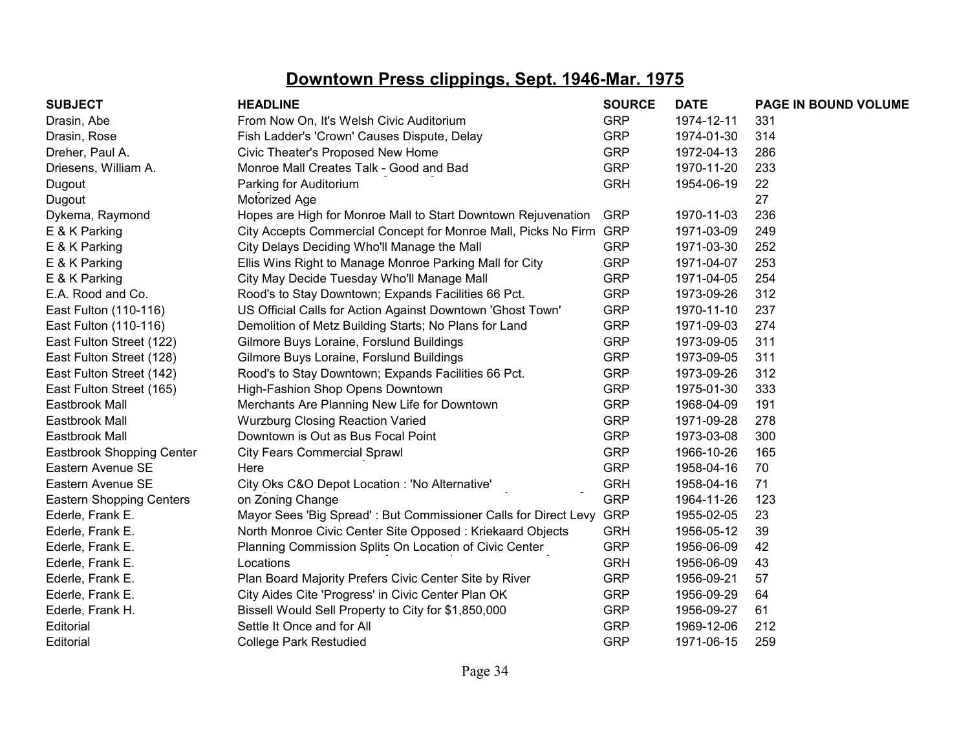| <b>SUBJECT</b>                  | <b>HEADLINE</b>                                                    | <b>SOURCE</b> | <b>DATE</b> | PAGE IN BOUND VOLUME |
|---------------------------------|--------------------------------------------------------------------|---------------|-------------|----------------------|
| Drasin, Abe                     | From Now On, It's Welsh Civic Auditorium                           | <b>GRP</b>    | 1974-12-11  | 331                  |
| Drasin, Rose                    | Fish Ladder's 'Crown' Causes Dispute, Delay                        | <b>GRP</b>    | 1974-01-30  | 314                  |
| Dreher, Paul A.                 | Civic Theater's Proposed New Home                                  | <b>GRP</b>    | 1972-04-13  | 286                  |
| Driesens, William A.            | Monroe Mall Creates Talk - Good and Bad                            | <b>GRP</b>    | 1970-11-20  | 233                  |
| Dugout                          | Parking for Auditorium                                             | <b>GRH</b>    | 1954-06-19  | 22                   |
| Dugout                          | Motorized Age                                                      |               |             | 27                   |
| Dykema, Raymond                 | Hopes are High for Monroe Mall to Start Downtown Rejuvenation      | <b>GRP</b>    | 1970-11-03  | 236                  |
| E & K Parking                   | City Accepts Commercial Concept for Monroe Mall, Picks No Firm GRP |               | 1971-03-09  | 249                  |
| E & K Parking                   | City Delays Deciding Who'll Manage the Mall                        | <b>GRP</b>    | 1971-03-30  | 252                  |
| E & K Parking                   | Ellis Wins Right to Manage Monroe Parking Mall for City            | <b>GRP</b>    | 1971-04-07  | 253                  |
| E & K Parking                   | City May Decide Tuesday Who'll Manage Mall                         | <b>GRP</b>    | 1971-04-05  | 254                  |
| E.A. Rood and Co.               | Rood's to Stay Downtown; Expands Facilities 66 Pct.                | <b>GRP</b>    | 1973-09-26  | 312                  |
| East Fulton (110-116)           | US Official Calls for Action Against Downtown 'Ghost Town'         | <b>GRP</b>    | 1970-11-10  | 237                  |
| East Fulton (110-116)           | Demolition of Metz Building Starts; No Plans for Land              | <b>GRP</b>    | 1971-09-03  | 274                  |
| East Fulton Street (122)        | Gilmore Buys Loraine, Forslund Buildings                           | <b>GRP</b>    | 1973-09-05  | 311                  |
| East Fulton Street (128)        | Gilmore Buys Loraine, Forslund Buildings                           | <b>GRP</b>    | 1973-09-05  | 311                  |
| East Fulton Street (142)        | Rood's to Stay Downtown; Expands Facilities 66 Pct.                | <b>GRP</b>    | 1973-09-26  | 312                  |
| East Fulton Street (165)        | High-Fashion Shop Opens Downtown                                   | <b>GRP</b>    | 1975-01-30  | 333                  |
| Eastbrook Mall                  | Merchants Are Planning New Life for Downtown                       | <b>GRP</b>    | 1968-04-09  | 191                  |
| Eastbrook Mall                  | <b>Wurzburg Closing Reaction Varied</b>                            | <b>GRP</b>    | 1971-09-28  | 278                  |
| Eastbrook Mall                  | Downtown is Out as Bus Focal Point                                 | <b>GRP</b>    | 1973-03-08  | 300                  |
| Eastbrook Shopping Center       | <b>City Fears Commercial Sprawl</b>                                | <b>GRP</b>    | 1966-10-26  | 165                  |
| Eastern Avenue SE               | Here                                                               | <b>GRP</b>    | 1958-04-16  | 70                   |
| Eastern Avenue SE               | City Oks C&O Depot Location : 'No Alternative'                     | <b>GRH</b>    | 1958-04-16  | 71                   |
| <b>Eastern Shopping Centers</b> | on Zoning Change                                                   | <b>GRP</b>    | 1964-11-26  | 123                  |
| Ederle, Frank E.                | Mayor Sees 'Big Spread': But Commissioner Calls for Direct Levy    | <b>GRP</b>    | 1955-02-05  | 23                   |
| Ederle, Frank E.                | North Monroe Civic Center Site Opposed: Kriekaard Objects          | <b>GRH</b>    | 1956-05-12  | 39                   |
| Ederle, Frank E.                | Planning Commission Splits On Location of Civic Center             | <b>GRP</b>    | 1956-06-09  | 42                   |
| Ederle, Frank E.                | Locations                                                          | <b>GRH</b>    | 1956-06-09  | 43                   |
| Ederle, Frank E.                | Plan Board Majority Prefers Civic Center Site by River             | <b>GRP</b>    | 1956-09-21  | 57                   |
| Ederle, Frank E.                | City Aides Cite 'Progress' in Civic Center Plan OK                 | <b>GRP</b>    | 1956-09-29  | 64                   |
| Ederle, Frank H.                | Bissell Would Sell Property to City for \$1,850,000                | <b>GRP</b>    | 1956-09-27  | 61                   |
| Editorial                       | Settle It Once and for All                                         | <b>GRP</b>    | 1969-12-06  | 212                  |
| Editorial                       | <b>College Park Restudied</b>                                      | <b>GRP</b>    | 1971-06-15  | 259                  |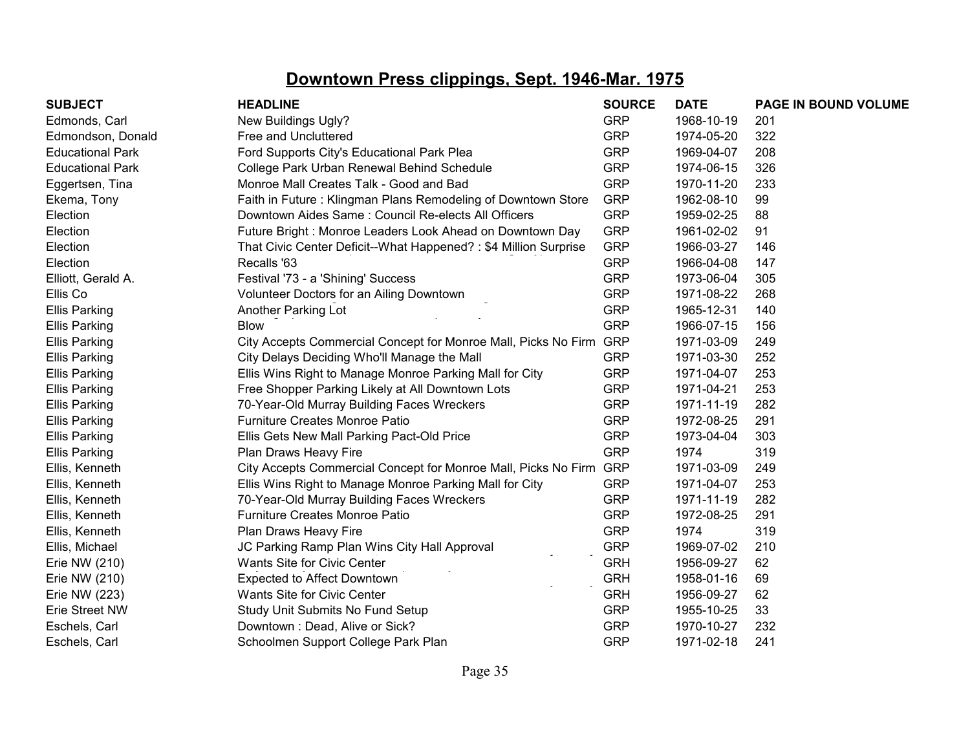| <b>SUBJECT</b>          | <b>HEADLINE</b>                                                    | <b>SOURCE</b> | <b>DATE</b> | PAGE IN BOUND VOLUME |
|-------------------------|--------------------------------------------------------------------|---------------|-------------|----------------------|
| Edmonds, Carl           | New Buildings Ugly?                                                | <b>GRP</b>    | 1968-10-19  | 201                  |
| Edmondson, Donald       | Free and Uncluttered                                               | <b>GRP</b>    | 1974-05-20  | 322                  |
| <b>Educational Park</b> | Ford Supports City's Educational Park Plea                         | <b>GRP</b>    | 1969-04-07  | 208                  |
| <b>Educational Park</b> | College Park Urban Renewal Behind Schedule                         | <b>GRP</b>    | 1974-06-15  | 326                  |
| Eggertsen, Tina         | Monroe Mall Creates Talk - Good and Bad                            | <b>GRP</b>    | 1970-11-20  | 233                  |
| Ekema, Tony             | Faith in Future: Klingman Plans Remodeling of Downtown Store       | <b>GRP</b>    | 1962-08-10  | 99                   |
| Election                | Downtown Aides Same: Council Re-elects All Officers                | <b>GRP</b>    | 1959-02-25  | 88                   |
| Election                | Future Bright: Monroe Leaders Look Ahead on Downtown Day           | <b>GRP</b>    | 1961-02-02  | 91                   |
| Election                | That Civic Center Deficit--What Happened?: \$4 Million Surprise    | <b>GRP</b>    | 1966-03-27  | 146                  |
| Election                | Recalls '63                                                        | <b>GRP</b>    | 1966-04-08  | 147                  |
| Elliott, Gerald A.      | Festival '73 - a 'Shining' Success                                 | <b>GRP</b>    | 1973-06-04  | 305                  |
| Ellis Co                | Volunteer Doctors for an Ailing Downtown                           | <b>GRP</b>    | 1971-08-22  | 268                  |
| <b>Ellis Parking</b>    | Another Parking Lot                                                | <b>GRP</b>    | 1965-12-31  | 140                  |
| <b>Ellis Parking</b>    | <b>Blow</b>                                                        | <b>GRP</b>    | 1966-07-15  | 156                  |
| <b>Ellis Parking</b>    | City Accepts Commercial Concept for Monroe Mall, Picks No Firm GRP |               | 1971-03-09  | 249                  |
| <b>Ellis Parking</b>    | City Delays Deciding Who'll Manage the Mall                        | <b>GRP</b>    | 1971-03-30  | 252                  |
| <b>Ellis Parking</b>    | Ellis Wins Right to Manage Monroe Parking Mall for City            | <b>GRP</b>    | 1971-04-07  | 253                  |
| <b>Ellis Parking</b>    | Free Shopper Parking Likely at All Downtown Lots                   | <b>GRP</b>    | 1971-04-21  | 253                  |
| <b>Ellis Parking</b>    | 70-Year-Old Murray Building Faces Wreckers                         | <b>GRP</b>    | 1971-11-19  | 282                  |
| <b>Ellis Parking</b>    | <b>Furniture Creates Monroe Patio</b>                              | <b>GRP</b>    | 1972-08-25  | 291                  |
| <b>Ellis Parking</b>    | Ellis Gets New Mall Parking Pact-Old Price                         | <b>GRP</b>    | 1973-04-04  | 303                  |
| <b>Ellis Parking</b>    | Plan Draws Heavy Fire                                              | <b>GRP</b>    | 1974        | 319                  |
| Ellis, Kenneth          | City Accepts Commercial Concept for Monroe Mall, Picks No Firm GRP |               | 1971-03-09  | 249                  |
| Ellis, Kenneth          | Ellis Wins Right to Manage Monroe Parking Mall for City            | <b>GRP</b>    | 1971-04-07  | 253                  |
| Ellis, Kenneth          | 70-Year-Old Murray Building Faces Wreckers                         | <b>GRP</b>    | 1971-11-19  | 282                  |
| Ellis, Kenneth          | Furniture Creates Monroe Patio                                     | <b>GRP</b>    | 1972-08-25  | 291                  |
| Ellis, Kenneth          | Plan Draws Heavy Fire                                              | <b>GRP</b>    | 1974        | 319                  |
| Ellis, Michael          | JC Parking Ramp Plan Wins City Hall Approval                       | <b>GRP</b>    | 1969-07-02  | 210                  |
| Erie NW (210)           | Wants Site for Civic Center                                        | <b>GRH</b>    | 1956-09-27  | 62                   |
| Erie NW (210)           | <b>Expected to Affect Downtown</b>                                 | <b>GRH</b>    | 1958-01-16  | 69                   |
| Erie NW (223)           | Wants Site for Civic Center                                        | <b>GRH</b>    | 1956-09-27  | 62                   |
| Erie Street NW          | Study Unit Submits No Fund Setup                                   | <b>GRP</b>    | 1955-10-25  | 33                   |
| Eschels, Carl           | Downtown: Dead, Alive or Sick?                                     | <b>GRP</b>    | 1970-10-27  | 232                  |
| Eschels, Carl           | Schoolmen Support College Park Plan                                | <b>GRP</b>    | 1971-02-18  | 241                  |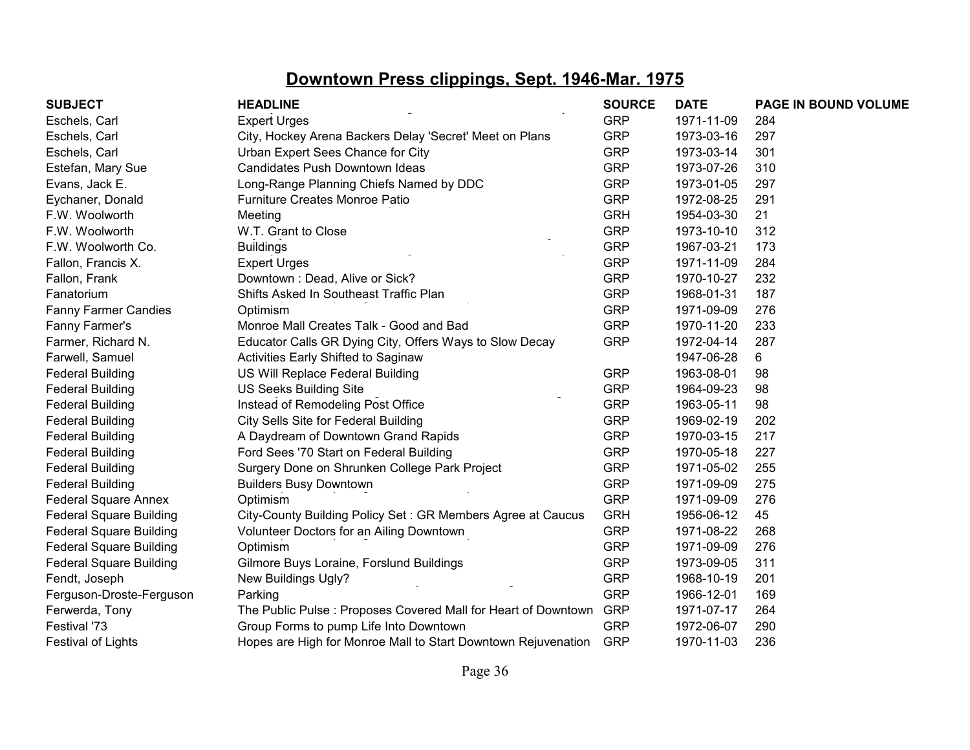| <b>SUBJECT</b>                 | <b>HEADLINE</b>                                                    | <b>SOURCE</b> | <b>DATE</b> | PAGE IN BOUND VOLUME |
|--------------------------------|--------------------------------------------------------------------|---------------|-------------|----------------------|
| Eschels, Carl                  | <b>Expert Urges</b>                                                | <b>GRP</b>    | 1971-11-09  | 284                  |
| Eschels, Carl                  | City, Hockey Arena Backers Delay 'Secret' Meet on Plans            | <b>GRP</b>    | 1973-03-16  | 297                  |
| Eschels, Carl                  | Urban Expert Sees Chance for City                                  | <b>GRP</b>    | 1973-03-14  | 301                  |
| Estefan, Mary Sue              | Candidates Push Downtown Ideas                                     | <b>GRP</b>    | 1973-07-26  | 310                  |
| Evans, Jack E.                 | Long-Range Planning Chiefs Named by DDC                            | <b>GRP</b>    | 1973-01-05  | 297                  |
| Eychaner, Donald               | Furniture Creates Monroe Patio                                     | <b>GRP</b>    | 1972-08-25  | 291                  |
| F.W. Woolworth                 | Meeting                                                            | <b>GRH</b>    | 1954-03-30  | 21                   |
| F.W. Woolworth                 | W.T. Grant to Close                                                | <b>GRP</b>    | 1973-10-10  | 312                  |
| F.W. Woolworth Co.             | <b>Buildings</b>                                                   | <b>GRP</b>    | 1967-03-21  | 173                  |
| Fallon, Francis X.             | <b>Expert Urges</b>                                                | <b>GRP</b>    | 1971-11-09  | 284                  |
| Fallon, Frank                  | Downtown: Dead, Alive or Sick?                                     | <b>GRP</b>    | 1970-10-27  | 232                  |
| Fanatorium                     | Shifts Asked In Southeast Traffic Plan                             | <b>GRP</b>    | 1968-01-31  | 187                  |
| <b>Fanny Farmer Candies</b>    | Optimism                                                           | <b>GRP</b>    | 1971-09-09  | 276                  |
| Fanny Farmer's                 | Monroe Mall Creates Talk - Good and Bad                            | <b>GRP</b>    | 1970-11-20  | 233                  |
| Farmer, Richard N.             | Educator Calls GR Dying City, Offers Ways to Slow Decay            | <b>GRP</b>    | 1972-04-14  | 287                  |
| Farwell, Samuel                | Activities Early Shifted to Saginaw                                |               | 1947-06-28  | 6                    |
| <b>Federal Building</b>        | US Will Replace Federal Building                                   | <b>GRP</b>    | 1963-08-01  | 98                   |
| <b>Federal Building</b>        | <b>US Seeks Building Site</b>                                      | <b>GRP</b>    | 1964-09-23  | 98                   |
| <b>Federal Building</b>        | Instead of Remodeling Post Office                                  | <b>GRP</b>    | 1963-05-11  | 98                   |
| <b>Federal Building</b>        | City Sells Site for Federal Building                               | <b>GRP</b>    | 1969-02-19  | 202                  |
| <b>Federal Building</b>        | A Daydream of Downtown Grand Rapids                                | <b>GRP</b>    | 1970-03-15  | 217                  |
| <b>Federal Building</b>        | Ford Sees '70 Start on Federal Building                            | <b>GRP</b>    | 1970-05-18  | 227                  |
| <b>Federal Building</b>        | Surgery Done on Shrunken College Park Project                      | <b>GRP</b>    | 1971-05-02  | 255                  |
| <b>Federal Building</b>        | <b>Builders Busy Downtown</b>                                      | <b>GRP</b>    | 1971-09-09  | 275                  |
| <b>Federal Square Annex</b>    | Optimism                                                           | <b>GRP</b>    | 1971-09-09  | 276                  |
| <b>Federal Square Building</b> | City-County Building Policy Set: GR Members Agree at Caucus        | <b>GRH</b>    | 1956-06-12  | 45                   |
| <b>Federal Square Building</b> | Volunteer Doctors for an Ailing Downtown                           | <b>GRP</b>    | 1971-08-22  | 268                  |
| <b>Federal Square Building</b> | Optimism                                                           | <b>GRP</b>    | 1971-09-09  | 276                  |
| <b>Federal Square Building</b> | Gilmore Buys Loraine, Forslund Buildings                           | <b>GRP</b>    | 1973-09-05  | 311                  |
| Fendt, Joseph                  | New Buildings Ugly?                                                | <b>GRP</b>    | 1968-10-19  | 201                  |
| Ferguson-Droste-Ferguson       | Parking                                                            | <b>GRP</b>    | 1966-12-01  | 169                  |
| Ferwerda, Tony                 | The Public Pulse : Proposes Covered Mall for Heart of Downtown GRP |               | 1971-07-17  | 264                  |
| Festival '73                   | Group Forms to pump Life Into Downtown                             | <b>GRP</b>    | 1972-06-07  | 290                  |
| <b>Festival of Lights</b>      | Hopes are High for Monroe Mall to Start Downtown Rejuvenation      | <b>GRP</b>    | 1970-11-03  | 236                  |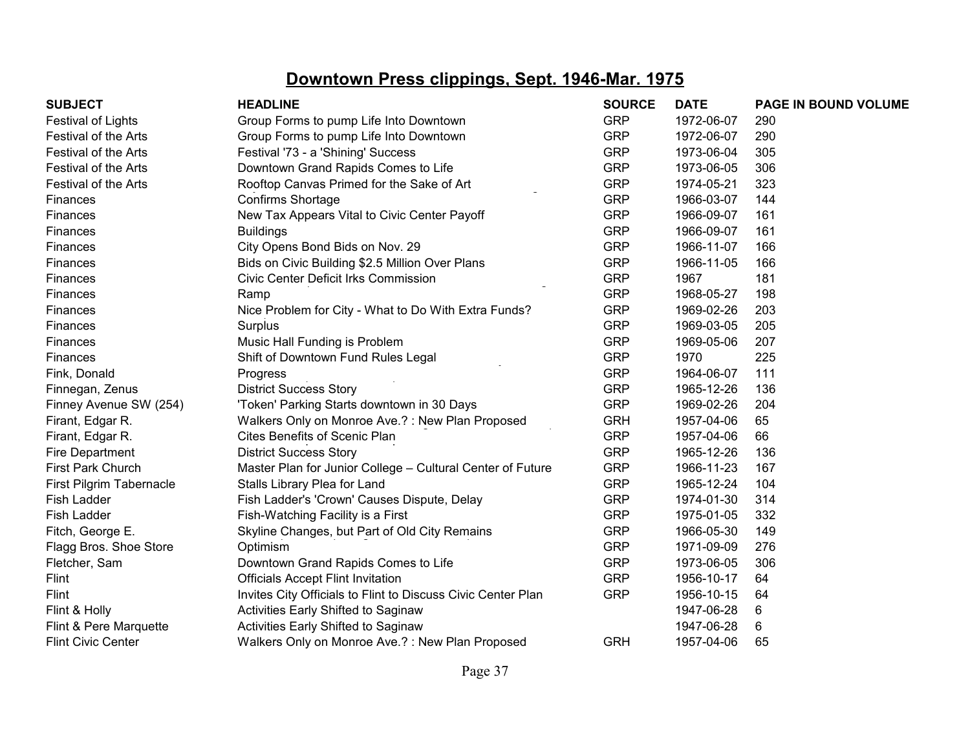| <b>SUBJECT</b>            | <b>HEADLINE</b>                                              | <b>SOURCE</b> | <b>DATE</b> | PAGE IN BOUND VOLUME |
|---------------------------|--------------------------------------------------------------|---------------|-------------|----------------------|
| Festival of Lights        | Group Forms to pump Life Into Downtown                       | <b>GRP</b>    | 1972-06-07  | 290                  |
| Festival of the Arts      | Group Forms to pump Life Into Downtown                       | <b>GRP</b>    | 1972-06-07  | 290                  |
| Festival of the Arts      | Festival '73 - a 'Shining' Success                           | <b>GRP</b>    | 1973-06-04  | 305                  |
| Festival of the Arts      | Downtown Grand Rapids Comes to Life                          | <b>GRP</b>    | 1973-06-05  | 306                  |
| Festival of the Arts      | Rooftop Canvas Primed for the Sake of Art                    | <b>GRP</b>    | 1974-05-21  | 323                  |
| Finances                  | <b>Confirms Shortage</b>                                     | <b>GRP</b>    | 1966-03-07  | 144                  |
| <b>Finances</b>           | New Tax Appears Vital to Civic Center Payoff                 | <b>GRP</b>    | 1966-09-07  | 161                  |
| Finances                  | <b>Buildings</b>                                             | <b>GRP</b>    | 1966-09-07  | 161                  |
| <b>Finances</b>           | City Opens Bond Bids on Nov. 29                              | <b>GRP</b>    | 1966-11-07  | 166                  |
| Finances                  | Bids on Civic Building \$2.5 Million Over Plans              | <b>GRP</b>    | 1966-11-05  | 166                  |
| Finances                  | Civic Center Deficit Irks Commission                         | <b>GRP</b>    | 1967        | 181                  |
| Finances                  | Ramp                                                         | <b>GRP</b>    | 1968-05-27  | 198                  |
| <b>Finances</b>           | Nice Problem for City - What to Do With Extra Funds?         | <b>GRP</b>    | 1969-02-26  | 203                  |
| Finances                  | Surplus                                                      | <b>GRP</b>    | 1969-03-05  | 205                  |
| Finances                  | Music Hall Funding is Problem                                | <b>GRP</b>    | 1969-05-06  | 207                  |
| Finances                  | Shift of Downtown Fund Rules Legal                           | <b>GRP</b>    | 1970        | 225                  |
| Fink, Donald              | Progress                                                     | <b>GRP</b>    | 1964-06-07  | 111                  |
| Finnegan, Zenus           | <b>District Success Story</b>                                | <b>GRP</b>    | 1965-12-26  | 136                  |
| Finney Avenue SW (254)    | 'Token' Parking Starts downtown in 30 Days                   | <b>GRP</b>    | 1969-02-26  | 204                  |
| Firant, Edgar R.          | Walkers Only on Monroe Ave.?: New Plan Proposed              | <b>GRH</b>    | 1957-04-06  | 65                   |
| Firant, Edgar R.          | Cites Benefits of Scenic Plan                                | <b>GRP</b>    | 1957-04-06  | 66                   |
| Fire Department           | <b>District Success Story</b>                                | <b>GRP</b>    | 1965-12-26  | 136                  |
| First Park Church         | Master Plan for Junior College - Cultural Center of Future   | <b>GRP</b>    | 1966-11-23  | 167                  |
| First Pilgrim Tabernacle  | Stalls Library Plea for Land                                 | <b>GRP</b>    | 1965-12-24  | 104                  |
| <b>Fish Ladder</b>        | Fish Ladder's 'Crown' Causes Dispute, Delay                  | <b>GRP</b>    | 1974-01-30  | 314                  |
| Fish Ladder               | Fish-Watching Facility is a First                            | <b>GRP</b>    | 1975-01-05  | 332                  |
| Fitch, George E.          | Skyline Changes, but Part of Old City Remains                | <b>GRP</b>    | 1966-05-30  | 149                  |
| Flagg Bros. Shoe Store    | Optimism                                                     | <b>GRP</b>    | 1971-09-09  | 276                  |
| Fletcher, Sam             | Downtown Grand Rapids Comes to Life                          | <b>GRP</b>    | 1973-06-05  | 306                  |
| Flint                     | <b>Officials Accept Flint Invitation</b>                     | <b>GRP</b>    | 1956-10-17  | 64                   |
| Flint                     | Invites City Officials to Flint to Discuss Civic Center Plan | <b>GRP</b>    | 1956-10-15  | 64                   |
| Flint & Holly             | Activities Early Shifted to Saginaw                          |               | 1947-06-28  | 6                    |
| Flint & Pere Marquette    | <b>Activities Early Shifted to Saginaw</b>                   |               | 1947-06-28  | 6                    |
| <b>Flint Civic Center</b> | Walkers Only on Monroe Ave.?: New Plan Proposed              | <b>GRH</b>    | 1957-04-06  | 65                   |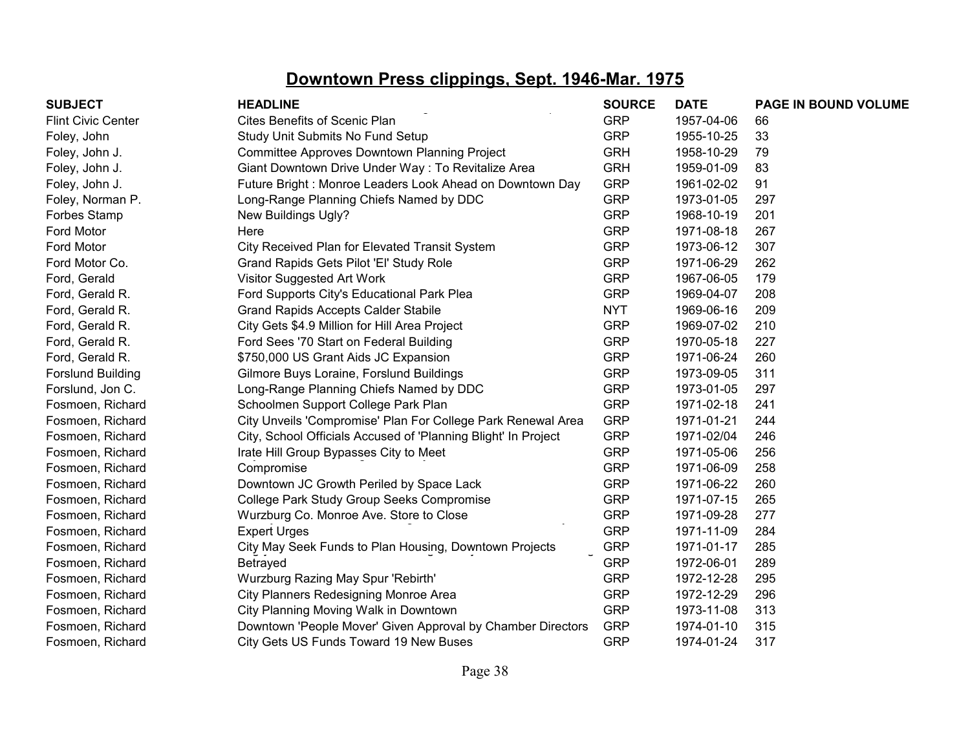| <b>SUBJECT</b>            | <b>HEADLINE</b>                                                | <b>SOURCE</b> | <b>DATE</b> | PAGE IN BOUND VOLUME |
|---------------------------|----------------------------------------------------------------|---------------|-------------|----------------------|
| <b>Flint Civic Center</b> | <b>Cites Benefits of Scenic Plan</b>                           | <b>GRP</b>    | 1957-04-06  | 66                   |
| Foley, John               | Study Unit Submits No Fund Setup                               | <b>GRP</b>    | 1955-10-25  | 33                   |
| Foley, John J.            | <b>Committee Approves Downtown Planning Project</b>            | <b>GRH</b>    | 1958-10-29  | 79                   |
| Foley, John J.            | Giant Downtown Drive Under Way: To Revitalize Area             | <b>GRH</b>    | 1959-01-09  | 83                   |
| Foley, John J.            | Future Bright: Monroe Leaders Look Ahead on Downtown Day       | <b>GRP</b>    | 1961-02-02  | 91                   |
| Foley, Norman P.          | Long-Range Planning Chiefs Named by DDC                        | <b>GRP</b>    | 1973-01-05  | 297                  |
| Forbes Stamp              | New Buildings Ugly?                                            | <b>GRP</b>    | 1968-10-19  | 201                  |
| Ford Motor                | Here                                                           | <b>GRP</b>    | 1971-08-18  | 267                  |
| Ford Motor                | City Received Plan for Elevated Transit System                 | <b>GRP</b>    | 1973-06-12  | 307                  |
| Ford Motor Co.            | Grand Rapids Gets Pilot 'El' Study Role                        | <b>GRP</b>    | 1971-06-29  | 262                  |
| Ford, Gerald              | Visitor Suggested Art Work                                     | <b>GRP</b>    | 1967-06-05  | 179                  |
| Ford, Gerald R.           | Ford Supports City's Educational Park Plea                     | <b>GRP</b>    | 1969-04-07  | 208                  |
| Ford, Gerald R.           | <b>Grand Rapids Accepts Calder Stabile</b>                     | <b>NYT</b>    | 1969-06-16  | 209                  |
| Ford, Gerald R.           | City Gets \$4.9 Million for Hill Area Project                  | <b>GRP</b>    | 1969-07-02  | 210                  |
| Ford, Gerald R.           | Ford Sees '70 Start on Federal Building                        | <b>GRP</b>    | 1970-05-18  | 227                  |
| Ford, Gerald R.           | \$750,000 US Grant Aids JC Expansion                           | <b>GRP</b>    | 1971-06-24  | 260                  |
| <b>Forslund Building</b>  | Gilmore Buys Loraine, Forslund Buildings                       | <b>GRP</b>    | 1973-09-05  | 311                  |
| Forslund, Jon C.          | Long-Range Planning Chiefs Named by DDC                        | <b>GRP</b>    | 1973-01-05  | 297                  |
| Fosmoen, Richard          | Schoolmen Support College Park Plan                            | <b>GRP</b>    | 1971-02-18  | 241                  |
| Fosmoen, Richard          | City Unveils 'Compromise' Plan For College Park Renewal Area   | <b>GRP</b>    | 1971-01-21  | 244                  |
| Fosmoen, Richard          | City, School Officials Accused of 'Planning Blight' In Project | <b>GRP</b>    | 1971-02/04  | 246                  |
| Fosmoen, Richard          | Irate Hill Group Bypasses City to Meet                         | <b>GRP</b>    | 1971-05-06  | 256                  |
| Fosmoen, Richard          | Compromise                                                     | <b>GRP</b>    | 1971-06-09  | 258                  |
| Fosmoen, Richard          | Downtown JC Growth Periled by Space Lack                       | <b>GRP</b>    | 1971-06-22  | 260                  |
| Fosmoen, Richard          | College Park Study Group Seeks Compromise                      | <b>GRP</b>    | 1971-07-15  | 265                  |
| Fosmoen, Richard          | Wurzburg Co. Monroe Ave. Store to Close                        | <b>GRP</b>    | 1971-09-28  | 277                  |
| Fosmoen, Richard          | <b>Expert Urges</b>                                            | <b>GRP</b>    | 1971-11-09  | 284                  |
| Fosmoen, Richard          | City May Seek Funds to Plan Housing, Downtown Projects         | <b>GRP</b>    | 1971-01-17  | 285                  |
| Fosmoen, Richard          | Betrayed                                                       | <b>GRP</b>    | 1972-06-01  | 289                  |
| Fosmoen, Richard          | Wurzburg Razing May Spur 'Rebirth'                             | <b>GRP</b>    | 1972-12-28  | 295                  |
| Fosmoen, Richard          | City Planners Redesigning Monroe Area                          | <b>GRP</b>    | 1972-12-29  | 296                  |
| Fosmoen, Richard          | City Planning Moving Walk in Downtown                          | <b>GRP</b>    | 1973-11-08  | 313                  |
| Fosmoen, Richard          | Downtown 'People Mover' Given Approval by Chamber Directors    | <b>GRP</b>    | 1974-01-10  | 315                  |
| Fosmoen, Richard          | City Gets US Funds Toward 19 New Buses                         | <b>GRP</b>    | 1974-01-24  | 317                  |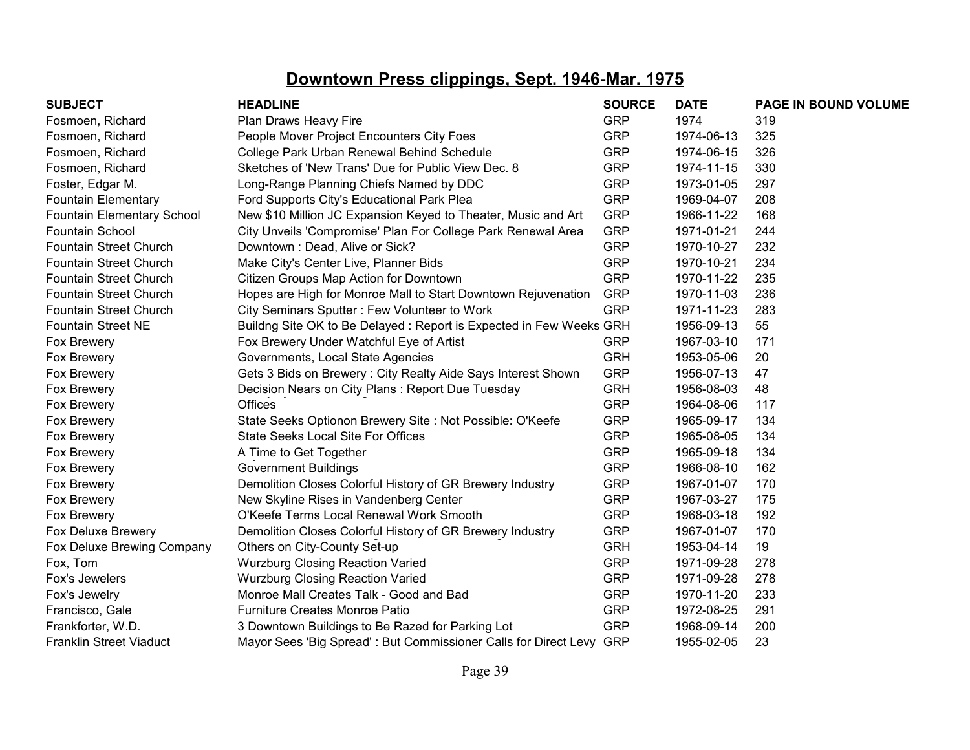| <b>SUBJECT</b>                    | <b>HEADLINE</b>                                                     | <b>SOURCE</b> | <b>DATE</b> | PAGE IN BOUND VOLUME |
|-----------------------------------|---------------------------------------------------------------------|---------------|-------------|----------------------|
| Fosmoen, Richard                  | Plan Draws Heavy Fire                                               | <b>GRP</b>    | 1974        | 319                  |
| Fosmoen, Richard                  | People Mover Project Encounters City Foes                           | <b>GRP</b>    | 1974-06-13  | 325                  |
| Fosmoen, Richard                  | College Park Urban Renewal Behind Schedule                          | <b>GRP</b>    | 1974-06-15  | 326                  |
| Fosmoen, Richard                  | Sketches of 'New Trans' Due for Public View Dec. 8                  | <b>GRP</b>    | 1974-11-15  | 330                  |
| Foster, Edgar M.                  | Long-Range Planning Chiefs Named by DDC                             | <b>GRP</b>    | 1973-01-05  | 297                  |
| <b>Fountain Elementary</b>        | Ford Supports City's Educational Park Plea                          | <b>GRP</b>    | 1969-04-07  | 208                  |
| <b>Fountain Elementary School</b> | New \$10 Million JC Expansion Keyed to Theater, Music and Art       | <b>GRP</b>    | 1966-11-22  | 168                  |
| <b>Fountain School</b>            | City Unveils 'Compromise' Plan For College Park Renewal Area        | <b>GRP</b>    | 1971-01-21  | 244                  |
| <b>Fountain Street Church</b>     | Downtown: Dead, Alive or Sick?                                      | <b>GRP</b>    | 1970-10-27  | 232                  |
| <b>Fountain Street Church</b>     | Make City's Center Live, Planner Bids                               | <b>GRP</b>    | 1970-10-21  | 234                  |
| <b>Fountain Street Church</b>     | Citizen Groups Map Action for Downtown                              | <b>GRP</b>    | 1970-11-22  | 235                  |
| <b>Fountain Street Church</b>     | Hopes are High for Monroe Mall to Start Downtown Rejuvenation       | <b>GRP</b>    | 1970-11-03  | 236                  |
| <b>Fountain Street Church</b>     | City Seminars Sputter: Few Volunteer to Work                        | <b>GRP</b>    | 1971-11-23  | 283                  |
| <b>Fountain Street NE</b>         | Buildng Site OK to Be Delayed: Report is Expected in Few Weeks GRH  |               | 1956-09-13  | 55                   |
| Fox Brewery                       | Fox Brewery Under Watchful Eye of Artist                            | <b>GRP</b>    | 1967-03-10  | 171                  |
| Fox Brewery                       | Governments, Local State Agencies                                   | <b>GRH</b>    | 1953-05-06  | 20                   |
| Fox Brewery                       | Gets 3 Bids on Brewery: City Realty Aide Says Interest Shown        | <b>GRP</b>    | 1956-07-13  | 47                   |
| Fox Brewery                       | Decision Nears on City Plans: Report Due Tuesday                    | <b>GRH</b>    | 1956-08-03  | 48                   |
| Fox Brewery                       | Offices                                                             | <b>GRP</b>    | 1964-08-06  | 117                  |
| Fox Brewery                       | State Seeks Optionon Brewery Site : Not Possible: O'Keefe           | <b>GRP</b>    | 1965-09-17  | 134                  |
| Fox Brewery                       | <b>State Seeks Local Site For Offices</b>                           | <b>GRP</b>    | 1965-08-05  | 134                  |
| Fox Brewery                       | A Time to Get Together                                              | <b>GRP</b>    | 1965-09-18  | 134                  |
| Fox Brewery                       | <b>Government Buildings</b>                                         | <b>GRP</b>    | 1966-08-10  | 162                  |
| Fox Brewery                       | Demolition Closes Colorful History of GR Brewery Industry           | <b>GRP</b>    | 1967-01-07  | 170                  |
| Fox Brewery                       | New Skyline Rises in Vandenberg Center                              | <b>GRP</b>    | 1967-03-27  | 175                  |
| Fox Brewery                       | O'Keefe Terms Local Renewal Work Smooth                             | <b>GRP</b>    | 1968-03-18  | 192                  |
| Fox Deluxe Brewery                | Demolition Closes Colorful History of GR Brewery Industry           | <b>GRP</b>    | 1967-01-07  | 170                  |
| Fox Deluxe Brewing Company        | Others on City-County Set-up                                        | <b>GRH</b>    | 1953-04-14  | 19                   |
| Fox, Tom                          | <b>Wurzburg Closing Reaction Varied</b>                             | <b>GRP</b>    | 1971-09-28  | 278                  |
| Fox's Jewelers                    | <b>Wurzburg Closing Reaction Varied</b>                             | <b>GRP</b>    | 1971-09-28  | 278                  |
| Fox's Jewelry                     | Monroe Mall Creates Talk - Good and Bad                             | <b>GRP</b>    | 1970-11-20  | 233                  |
| Francisco, Gale                   | <b>Furniture Creates Monroe Patio</b>                               | <b>GRP</b>    | 1972-08-25  | 291                  |
| Frankforter, W.D.                 | 3 Downtown Buildings to Be Razed for Parking Lot                    | <b>GRP</b>    | 1968-09-14  | 200                  |
| <b>Franklin Street Viaduct</b>    | Mayor Sees 'Big Spread': But Commissioner Calls for Direct Levy GRP |               | 1955-02-05  | 23                   |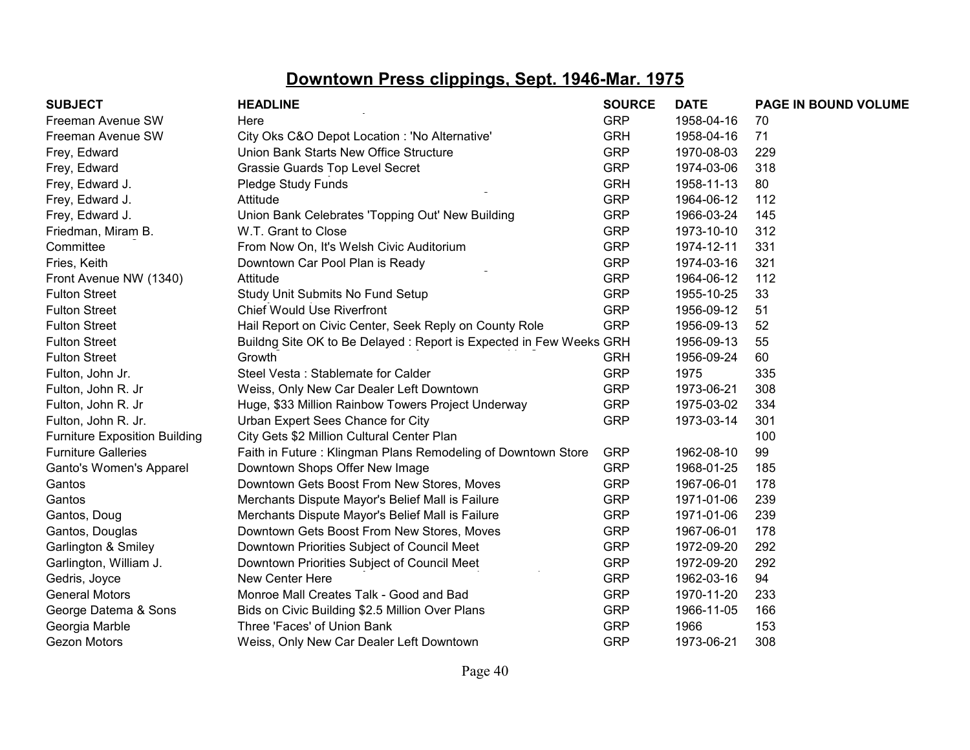| <b>SUBJECT</b>                       | <b>HEADLINE</b>                                                    | <b>SOURCE</b> | <b>DATE</b> | PAGE IN BOUND VOLUME |
|--------------------------------------|--------------------------------------------------------------------|---------------|-------------|----------------------|
| Freeman Avenue SW                    | Here                                                               | <b>GRP</b>    | 1958-04-16  | 70                   |
| Freeman Avenue SW                    | City Oks C&O Depot Location : 'No Alternative'                     | <b>GRH</b>    | 1958-04-16  | 71                   |
| Frey, Edward                         | Union Bank Starts New Office Structure                             | <b>GRP</b>    | 1970-08-03  | 229                  |
| Frey, Edward                         | Grassie Guards Top Level Secret                                    | <b>GRP</b>    | 1974-03-06  | 318                  |
| Frey, Edward J.                      | Pledge Study Funds                                                 | <b>GRH</b>    | 1958-11-13  | 80                   |
| Frey, Edward J.                      | Attitude                                                           | <b>GRP</b>    | 1964-06-12  | 112                  |
| Frey, Edward J.                      | Union Bank Celebrates 'Topping Out' New Building                   | <b>GRP</b>    | 1966-03-24  | 145                  |
| Friedman, Miram B.                   | W.T. Grant to Close                                                | <b>GRP</b>    | 1973-10-10  | 312                  |
| Committee                            | From Now On, It's Welsh Civic Auditorium                           | <b>GRP</b>    | 1974-12-11  | 331                  |
| Fries, Keith                         | Downtown Car Pool Plan is Ready                                    | <b>GRP</b>    | 1974-03-16  | 321                  |
| Front Avenue NW (1340)               | Attitude                                                           | <b>GRP</b>    | 1964-06-12  | 112                  |
| <b>Fulton Street</b>                 | Study Unit Submits No Fund Setup                                   | <b>GRP</b>    | 1955-10-25  | 33                   |
| <b>Fulton Street</b>                 | <b>Chief Would Use Riverfront</b>                                  | <b>GRP</b>    | 1956-09-12  | 51                   |
| <b>Fulton Street</b>                 | Hail Report on Civic Center, Seek Reply on County Role             | <b>GRP</b>    | 1956-09-13  | 52                   |
| <b>Fulton Street</b>                 | Buildng Site OK to Be Delayed: Report is Expected in Few Weeks GRH |               | 1956-09-13  | 55                   |
| <b>Fulton Street</b>                 | Growth                                                             | <b>GRH</b>    | 1956-09-24  | 60                   |
| Fulton, John Jr.                     | Steel Vesta: Stablemate for Calder                                 | <b>GRP</b>    | 1975        | 335                  |
| Fulton, John R. Jr                   | Weiss, Only New Car Dealer Left Downtown                           | <b>GRP</b>    | 1973-06-21  | 308                  |
| Fulton, John R. Jr                   | Huge, \$33 Million Rainbow Towers Project Underway                 | <b>GRP</b>    | 1975-03-02  | 334                  |
| Fulton, John R. Jr.                  | Urban Expert Sees Chance for City                                  | <b>GRP</b>    | 1973-03-14  | 301                  |
| <b>Furniture Exposition Building</b> | City Gets \$2 Million Cultural Center Plan                         |               |             | 100                  |
| <b>Furniture Galleries</b>           | Faith in Future: Klingman Plans Remodeling of Downtown Store       | <b>GRP</b>    | 1962-08-10  | 99                   |
| Ganto's Women's Apparel              | Downtown Shops Offer New Image                                     | <b>GRP</b>    | 1968-01-25  | 185                  |
| Gantos                               | Downtown Gets Boost From New Stores, Moves                         | <b>GRP</b>    | 1967-06-01  | 178                  |
| Gantos                               | Merchants Dispute Mayor's Belief Mall is Failure                   | <b>GRP</b>    | 1971-01-06  | 239                  |
| Gantos, Doug                         | Merchants Dispute Mayor's Belief Mall is Failure                   | <b>GRP</b>    | 1971-01-06  | 239                  |
| Gantos, Douglas                      | Downtown Gets Boost From New Stores, Moves                         | <b>GRP</b>    | 1967-06-01  | 178                  |
| Garlington & Smiley                  | Downtown Priorities Subject of Council Meet                        | <b>GRP</b>    | 1972-09-20  | 292                  |
| Garlington, William J.               | Downtown Priorities Subject of Council Meet                        | <b>GRP</b>    | 1972-09-20  | 292                  |
| Gedris, Joyce                        | New Center Here                                                    | <b>GRP</b>    | 1962-03-16  | 94                   |
| <b>General Motors</b>                | Monroe Mall Creates Talk - Good and Bad                            | <b>GRP</b>    | 1970-11-20  | 233                  |
| George Datema & Sons                 | Bids on Civic Building \$2.5 Million Over Plans                    | <b>GRP</b>    | 1966-11-05  | 166                  |
| Georgia Marble                       | Three 'Faces' of Union Bank                                        | <b>GRP</b>    | 1966        | 153                  |
| Gezon Motors                         | Weiss, Only New Car Dealer Left Downtown                           | <b>GRP</b>    | 1973-06-21  | 308                  |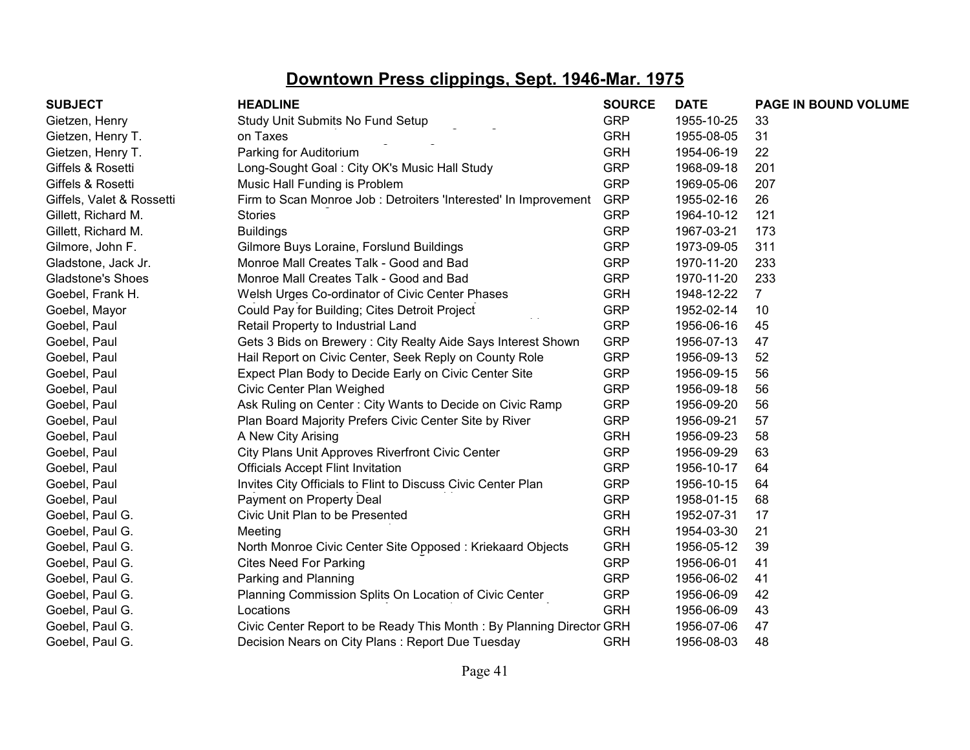| <b>SUBJECT</b>            | <b>HEADLINE</b>                                                      | <b>SOURCE</b> | <b>DATE</b> | PAGE IN BOUND VOLUME |
|---------------------------|----------------------------------------------------------------------|---------------|-------------|----------------------|
| Gietzen, Henry            | Study Unit Submits No Fund Setup                                     | <b>GRP</b>    | 1955-10-25  | 33                   |
| Gietzen, Henry T.         | on Taxes                                                             | <b>GRH</b>    | 1955-08-05  | 31                   |
| Gietzen, Henry T.         | Parking for Auditorium                                               | <b>GRH</b>    | 1954-06-19  | 22                   |
| Giffels & Rosetti         | Long-Sought Goal: City OK's Music Hall Study                         | <b>GRP</b>    | 1968-09-18  | 201                  |
| Giffels & Rosetti         | Music Hall Funding is Problem                                        | <b>GRP</b>    | 1969-05-06  | 207                  |
| Giffels, Valet & Rossetti | Firm to Scan Monroe Job : Detroiters 'Interested' In Improvement     | <b>GRP</b>    | 1955-02-16  | 26                   |
| Gillett, Richard M.       | <b>Stories</b>                                                       | <b>GRP</b>    | 1964-10-12  | 121                  |
| Gillett, Richard M.       | <b>Buildings</b>                                                     | <b>GRP</b>    | 1967-03-21  | 173                  |
| Gilmore, John F.          | Gilmore Buys Loraine, Forslund Buildings                             | <b>GRP</b>    | 1973-09-05  | 311                  |
| Gladstone, Jack Jr.       | Monroe Mall Creates Talk - Good and Bad                              | <b>GRP</b>    | 1970-11-20  | 233                  |
| <b>Gladstone's Shoes</b>  | Monroe Mall Creates Talk - Good and Bad                              | <b>GRP</b>    | 1970-11-20  | 233                  |
| Goebel, Frank H.          | Welsh Urges Co-ordinator of Civic Center Phases                      | <b>GRH</b>    | 1948-12-22  | $\overline{7}$       |
| Goebel, Mayor             | Could Pay for Building; Cites Detroit Project                        | <b>GRP</b>    | 1952-02-14  | 10                   |
| Goebel, Paul              | Retail Property to Industrial Land                                   | <b>GRP</b>    | 1956-06-16  | 45                   |
| Goebel, Paul              | Gets 3 Bids on Brewery : City Realty Aide Says Interest Shown        | <b>GRP</b>    | 1956-07-13  | 47                   |
| Goebel, Paul              | Hail Report on Civic Center, Seek Reply on County Role               | <b>GRP</b>    | 1956-09-13  | 52                   |
| Goebel, Paul              | Expect Plan Body to Decide Early on Civic Center Site                | <b>GRP</b>    | 1956-09-15  | 56                   |
| Goebel, Paul              | Civic Center Plan Weighed                                            | <b>GRP</b>    | 1956-09-18  | 56                   |
| Goebel, Paul              | Ask Ruling on Center: City Wants to Decide on Civic Ramp             | <b>GRP</b>    | 1956-09-20  | 56                   |
| Goebel, Paul              | Plan Board Majority Prefers Civic Center Site by River               | <b>GRP</b>    | 1956-09-21  | 57                   |
| Goebel, Paul              | A New City Arising                                                   | <b>GRH</b>    | 1956-09-23  | 58                   |
| Goebel, Paul              | City Plans Unit Approves Riverfront Civic Center                     | <b>GRP</b>    | 1956-09-29  | 63                   |
| Goebel, Paul              | <b>Officials Accept Flint Invitation</b>                             | <b>GRP</b>    | 1956-10-17  | 64                   |
| Goebel, Paul              | Invites City Officials to Flint to Discuss Civic Center Plan         | <b>GRP</b>    | 1956-10-15  | 64                   |
| Goebel, Paul              | Payment on Property Deal                                             | <b>GRP</b>    | 1958-01-15  | 68                   |
| Goebel, Paul G.           | Civic Unit Plan to be Presented                                      | <b>GRH</b>    | 1952-07-31  | 17                   |
| Goebel, Paul G.           | Meeting                                                              | <b>GRH</b>    | 1954-03-30  | 21                   |
| Goebel, Paul G.           | North Monroe Civic Center Site Opposed: Kriekaard Objects            | <b>GRH</b>    | 1956-05-12  | 39                   |
| Goebel, Paul G.           | <b>Cites Need For Parking</b>                                        | <b>GRP</b>    | 1956-06-01  | 41                   |
| Goebel, Paul G.           | Parking and Planning                                                 | <b>GRP</b>    | 1956-06-02  | 41                   |
| Goebel, Paul G.           | Planning Commission Splits On Location of Civic Center               | <b>GRP</b>    | 1956-06-09  | 42                   |
| Goebel, Paul G.           | Locations                                                            | <b>GRH</b>    | 1956-06-09  | 43                   |
| Goebel, Paul G.           | Civic Center Report to be Ready This Month: By Planning Director GRH |               | 1956-07-06  | 47                   |
| Goebel, Paul G.           | Decision Nears on City Plans: Report Due Tuesday                     | <b>GRH</b>    | 1956-08-03  | 48                   |
|                           |                                                                      |               |             |                      |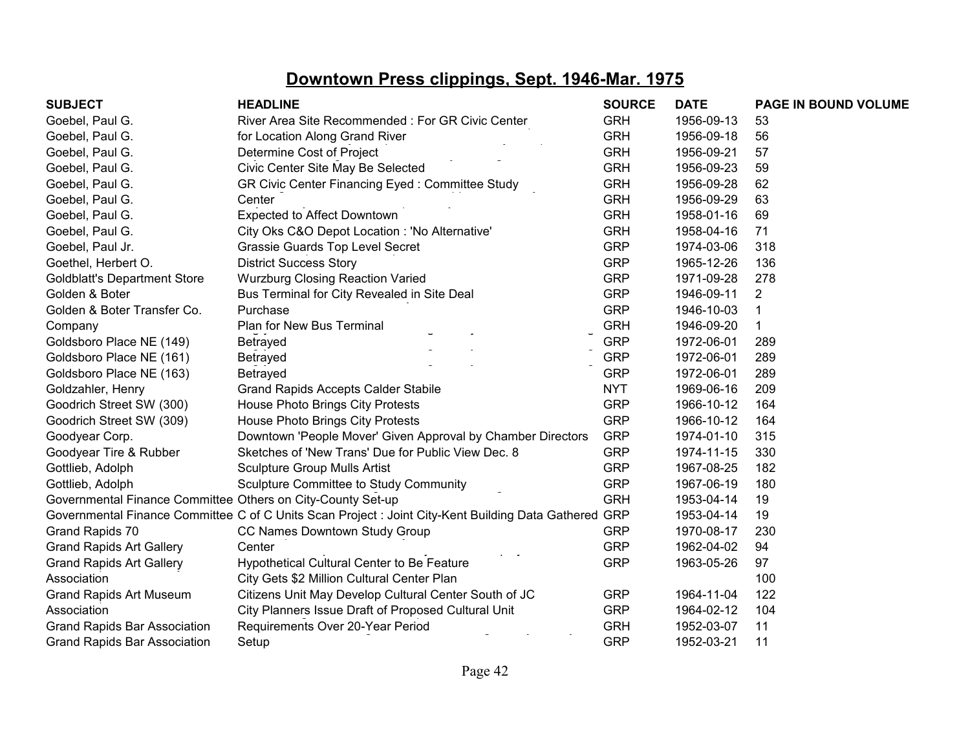| <b>SUBJECT</b>                                              | <b>HEADLINE</b>                                                                                       | <b>SOURCE</b> | <b>DATE</b> | PAGE IN BOUND VOLUME |
|-------------------------------------------------------------|-------------------------------------------------------------------------------------------------------|---------------|-------------|----------------------|
| Goebel, Paul G.                                             | River Area Site Recommended: For GR Civic Center                                                      | <b>GRH</b>    | 1956-09-13  | 53                   |
| Goebel, Paul G.                                             | for Location Along Grand River                                                                        | <b>GRH</b>    | 1956-09-18  | 56                   |
| Goebel, Paul G.                                             | Determine Cost of Project                                                                             | <b>GRH</b>    | 1956-09-21  | 57                   |
| Goebel, Paul G.                                             | Civic Center Site May Be Selected                                                                     | <b>GRH</b>    | 1956-09-23  | 59                   |
| Goebel, Paul G.                                             | GR Civic Center Financing Eyed: Committee Study                                                       | <b>GRH</b>    | 1956-09-28  | 62                   |
| Goebel, Paul G.                                             | Center                                                                                                | <b>GRH</b>    | 1956-09-29  | 63                   |
| Goebel, Paul G.                                             | <b>Expected to Affect Downtown</b>                                                                    | <b>GRH</b>    | 1958-01-16  | 69                   |
| Goebel, Paul G.                                             | City Oks C&O Depot Location : 'No Alternative'                                                        | <b>GRH</b>    | 1958-04-16  | 71                   |
| Goebel, Paul Jr.                                            | Grassie Guards Top Level Secret                                                                       | <b>GRP</b>    | 1974-03-06  | 318                  |
| Goethel, Herbert O.                                         | <b>District Success Story</b>                                                                         | <b>GRP</b>    | 1965-12-26  | 136                  |
| <b>Goldblatt's Department Store</b>                         | <b>Wurzburg Closing Reaction Varied</b>                                                               | <b>GRP</b>    | 1971-09-28  | 278                  |
| Golden & Boter                                              | Bus Terminal for City Revealed in Site Deal                                                           | <b>GRP</b>    | 1946-09-11  | $\overline{2}$       |
| Golden & Boter Transfer Co.                                 | Purchase                                                                                              | <b>GRP</b>    | 1946-10-03  | 1                    |
| Company                                                     | Plan for New Bus Terminal                                                                             | <b>GRH</b>    | 1946-09-20  | 1                    |
| Goldsboro Place NE (149)                                    | Betrayed                                                                                              | <b>GRP</b>    | 1972-06-01  | 289                  |
| Goldsboro Place NE (161)                                    | Betrayed                                                                                              | <b>GRP</b>    | 1972-06-01  | 289                  |
| Goldsboro Place NE (163)                                    | Betrayed                                                                                              | <b>GRP</b>    | 1972-06-01  | 289                  |
| Goldzahler, Henry                                           | <b>Grand Rapids Accepts Calder Stabile</b>                                                            | <b>NYT</b>    | 1969-06-16  | 209                  |
| Goodrich Street SW (300)                                    | House Photo Brings City Protests                                                                      | <b>GRP</b>    | 1966-10-12  | 164                  |
| Goodrich Street SW (309)                                    | House Photo Brings City Protests                                                                      | <b>GRP</b>    | 1966-10-12  | 164                  |
| Goodyear Corp.                                              | Downtown 'People Mover' Given Approval by Chamber Directors                                           | <b>GRP</b>    | 1974-01-10  | 315                  |
| Goodyear Tire & Rubber                                      | Sketches of 'New Trans' Due for Public View Dec. 8                                                    | <b>GRP</b>    | 1974-11-15  | 330                  |
| Gottlieb, Adolph                                            | <b>Sculpture Group Mulls Artist</b>                                                                   | <b>GRP</b>    | 1967-08-25  | 182                  |
| Gottlieb, Adolph                                            | Sculpture Committee to Study Community                                                                | <b>GRP</b>    | 1967-06-19  | 180                  |
| Governmental Finance Committee Others on City-County Set-up |                                                                                                       | <b>GRH</b>    | 1953-04-14  | 19                   |
|                                                             | Governmental Finance Committee C of C Units Scan Project : Joint City-Kent Building Data Gathered GRP |               | 1953-04-14  | 19                   |
| Grand Rapids 70                                             | CC Names Downtown Study Group                                                                         | <b>GRP</b>    | 1970-08-17  | 230                  |
| <b>Grand Rapids Art Gallery</b>                             | Center                                                                                                | <b>GRP</b>    | 1962-04-02  | 94                   |
| <b>Grand Rapids Art Gallery</b>                             | Hypothetical Cultural Center to Be Feature                                                            | <b>GRP</b>    | 1963-05-26  | 97                   |
| Association                                                 | City Gets \$2 Million Cultural Center Plan                                                            |               |             | 100                  |
| <b>Grand Rapids Art Museum</b>                              | Citizens Unit May Develop Cultural Center South of JC                                                 | <b>GRP</b>    | 1964-11-04  | 122                  |
| Association                                                 | City Planners Issue Draft of Proposed Cultural Unit                                                   | <b>GRP</b>    | 1964-02-12  | 104                  |
| <b>Grand Rapids Bar Association</b>                         | Requirements Over 20-Year Period                                                                      | <b>GRH</b>    | 1952-03-07  | 11                   |
| <b>Grand Rapids Bar Association</b>                         | Setup                                                                                                 | <b>GRP</b>    | 1952-03-21  | 11                   |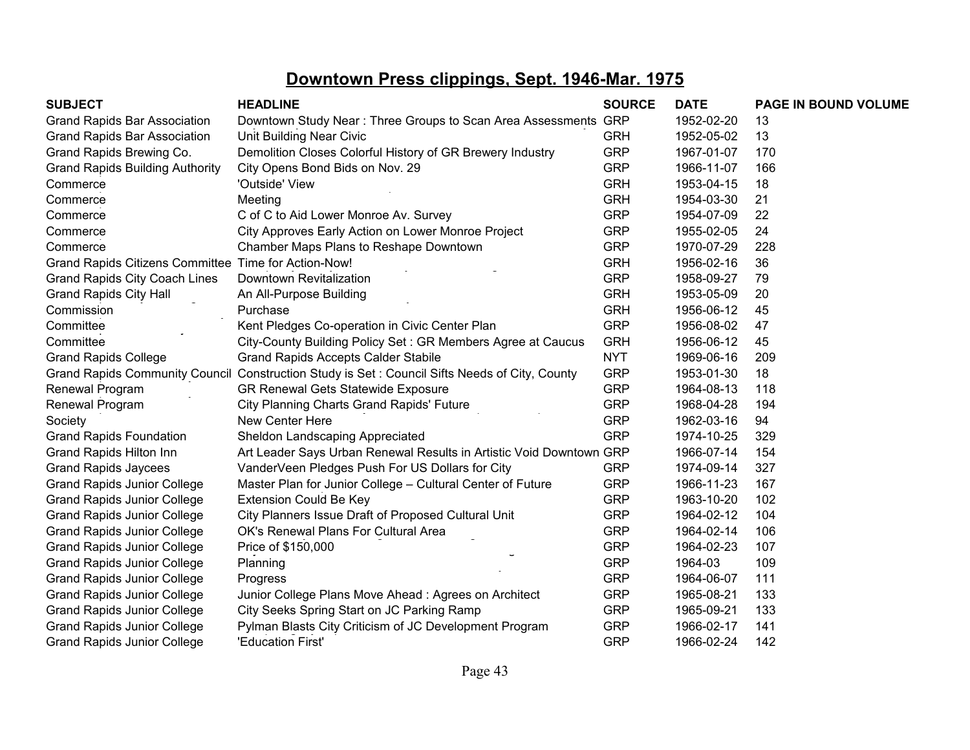| <b>SUBJECT</b>                                       | <b>HEADLINE</b>                                                     | <b>SOURCE</b> | <b>DATE</b> | PAGE IN BOUND VOLUME |
|------------------------------------------------------|---------------------------------------------------------------------|---------------|-------------|----------------------|
| <b>Grand Rapids Bar Association</b>                  | Downtown Study Near: Three Groups to Scan Area Assessments GRP      |               | 1952-02-20  | 13                   |
| <b>Grand Rapids Bar Association</b>                  | Unit Building Near Civic                                            | <b>GRH</b>    | 1952-05-02  | 13                   |
| Grand Rapids Brewing Co.                             | Demolition Closes Colorful History of GR Brewery Industry           | <b>GRP</b>    | 1967-01-07  | 170                  |
| <b>Grand Rapids Building Authority</b>               | City Opens Bond Bids on Nov. 29                                     | <b>GRP</b>    | 1966-11-07  | 166                  |
| Commerce                                             | 'Outside' View                                                      | <b>GRH</b>    | 1953-04-15  | 18                   |
| Commerce                                             | Meeting                                                             | <b>GRH</b>    | 1954-03-30  | 21                   |
| Commerce                                             | C of C to Aid Lower Monroe Av. Survey                               | <b>GRP</b>    | 1954-07-09  | 22                   |
| Commerce                                             | City Approves Early Action on Lower Monroe Project                  | <b>GRP</b>    | 1955-02-05  | 24                   |
| Commerce                                             | Chamber Maps Plans to Reshape Downtown                              | <b>GRP</b>    | 1970-07-29  | 228                  |
| Grand Rapids Citizens Committee Time for Action-Now! |                                                                     | <b>GRH</b>    | 1956-02-16  | 36                   |
| Grand Rapids City Coach Lines                        | Downtown Revitalization                                             | <b>GRP</b>    | 1958-09-27  | 79                   |
| <b>Grand Rapids City Hall</b>                        | An All-Purpose Building                                             | <b>GRH</b>    | 1953-05-09  | 20                   |
| Commission                                           | Purchase                                                            | <b>GRH</b>    | 1956-06-12  | 45                   |
| Committee                                            | Kent Pledges Co-operation in Civic Center Plan                      | <b>GRP</b>    | 1956-08-02  | 47                   |
| Committee                                            | City-County Building Policy Set: GR Members Agree at Caucus         | <b>GRH</b>    | 1956-06-12  | 45                   |
| <b>Grand Rapids College</b>                          | <b>Grand Rapids Accepts Calder Stabile</b>                          | <b>NYT</b>    | 1969-06-16  | 209                  |
| <b>Grand Rapids Community Council</b>                | Construction Study is Set: Council Sifts Needs of City, County      | <b>GRP</b>    | 1953-01-30  | 18                   |
| Renewal Program                                      | <b>GR Renewal Gets Statewide Exposure</b>                           | <b>GRP</b>    | 1964-08-13  | 118                  |
| Renewal Program                                      | City Planning Charts Grand Rapids' Future                           | <b>GRP</b>    | 1968-04-28  | 194                  |
| Society                                              | New Center Here                                                     | <b>GRP</b>    | 1962-03-16  | 94                   |
| <b>Grand Rapids Foundation</b>                       | Sheldon Landscaping Appreciated                                     | <b>GRP</b>    | 1974-10-25  | 329                  |
| Grand Rapids Hilton Inn                              | Art Leader Says Urban Renewal Results in Artistic Void Downtown GRP |               | 1966-07-14  | 154                  |
| <b>Grand Rapids Jaycees</b>                          | VanderVeen Pledges Push For US Dollars for City                     | <b>GRP</b>    | 1974-09-14  | 327                  |
| <b>Grand Rapids Junior College</b>                   | Master Plan for Junior College - Cultural Center of Future          | <b>GRP</b>    | 1966-11-23  | 167                  |
| <b>Grand Rapids Junior College</b>                   | <b>Extension Could Be Key</b>                                       | <b>GRP</b>    | 1963-10-20  | 102                  |
| <b>Grand Rapids Junior College</b>                   | City Planners Issue Draft of Proposed Cultural Unit                 | <b>GRP</b>    | 1964-02-12  | 104                  |
| <b>Grand Rapids Junior College</b>                   | OK's Renewal Plans For Cultural Area                                | <b>GRP</b>    | 1964-02-14  | 106                  |
| <b>Grand Rapids Junior College</b>                   | Price of \$150,000                                                  | <b>GRP</b>    | 1964-02-23  | 107                  |
| <b>Grand Rapids Junior College</b>                   | Planning                                                            | <b>GRP</b>    | 1964-03     | 109                  |
| <b>Grand Rapids Junior College</b>                   | Progress                                                            | <b>GRP</b>    | 1964-06-07  | 111                  |
| <b>Grand Rapids Junior College</b>                   | Junior College Plans Move Ahead: Agrees on Architect                | <b>GRP</b>    | 1965-08-21  | 133                  |
| <b>Grand Rapids Junior College</b>                   | City Seeks Spring Start on JC Parking Ramp                          | <b>GRP</b>    | 1965-09-21  | 133                  |
| <b>Grand Rapids Junior College</b>                   | Pylman Blasts City Criticism of JC Development Program              | <b>GRP</b>    | 1966-02-17  | 141                  |
| <b>Grand Rapids Junior College</b>                   | 'Education First'                                                   | <b>GRP</b>    | 1966-02-24  | 142                  |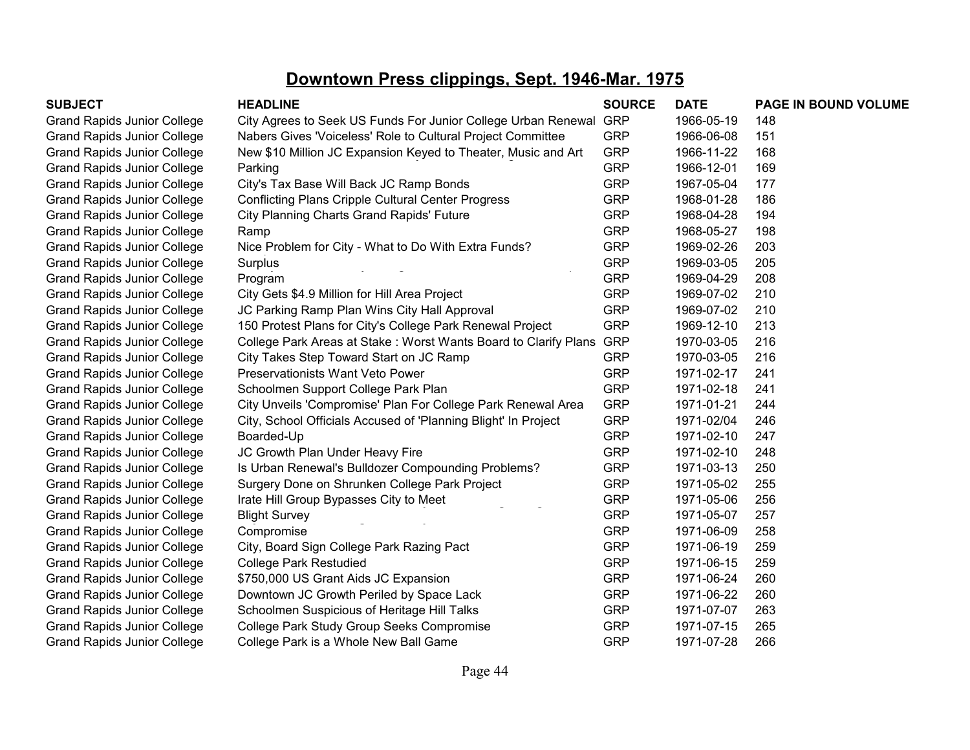| <b>SUBJECT</b>                     | <b>HEADLINE</b>                                                 | <b>SOURCE</b> | <b>DATE</b> | PAGE IN BOUND VOLUME |
|------------------------------------|-----------------------------------------------------------------|---------------|-------------|----------------------|
| <b>Grand Rapids Junior College</b> | City Agrees to Seek US Funds For Junior College Urban Renewal   | <b>GRP</b>    | 1966-05-19  | 148                  |
| <b>Grand Rapids Junior College</b> | Nabers Gives 'Voiceless' Role to Cultural Project Committee     | <b>GRP</b>    | 1966-06-08  | 151                  |
| <b>Grand Rapids Junior College</b> | New \$10 Million JC Expansion Keyed to Theater, Music and Art   | <b>GRP</b>    | 1966-11-22  | 168                  |
| <b>Grand Rapids Junior College</b> | Parking                                                         | <b>GRP</b>    | 1966-12-01  | 169                  |
| <b>Grand Rapids Junior College</b> | City's Tax Base Will Back JC Ramp Bonds                         | <b>GRP</b>    | 1967-05-04  | 177                  |
| <b>Grand Rapids Junior College</b> | <b>Conflicting Plans Cripple Cultural Center Progress</b>       | <b>GRP</b>    | 1968-01-28  | 186                  |
| <b>Grand Rapids Junior College</b> | City Planning Charts Grand Rapids' Future                       | <b>GRP</b>    | 1968-04-28  | 194                  |
| <b>Grand Rapids Junior College</b> | Ramp                                                            | <b>GRP</b>    | 1968-05-27  | 198                  |
| <b>Grand Rapids Junior College</b> | Nice Problem for City - What to Do With Extra Funds?            | <b>GRP</b>    | 1969-02-26  | 203                  |
| <b>Grand Rapids Junior College</b> | Surplus                                                         | <b>GRP</b>    | 1969-03-05  | 205                  |
| <b>Grand Rapids Junior College</b> | Program                                                         | <b>GRP</b>    | 1969-04-29  | 208                  |
| <b>Grand Rapids Junior College</b> | City Gets \$4.9 Million for Hill Area Project                   | <b>GRP</b>    | 1969-07-02  | 210                  |
| <b>Grand Rapids Junior College</b> | JC Parking Ramp Plan Wins City Hall Approval                    | <b>GRP</b>    | 1969-07-02  | 210                  |
| <b>Grand Rapids Junior College</b> | 150 Protest Plans for City's College Park Renewal Project       | <b>GRP</b>    | 1969-12-10  | 213                  |
| <b>Grand Rapids Junior College</b> | College Park Areas at Stake: Worst Wants Board to Clarify Plans | <b>GRP</b>    | 1970-03-05  | 216                  |
| <b>Grand Rapids Junior College</b> | City Takes Step Toward Start on JC Ramp                         | <b>GRP</b>    | 1970-03-05  | 216                  |
| <b>Grand Rapids Junior College</b> | Preservationists Want Veto Power                                | <b>GRP</b>    | 1971-02-17  | 241                  |
| <b>Grand Rapids Junior College</b> | Schoolmen Support College Park Plan                             | <b>GRP</b>    | 1971-02-18  | 241                  |
| <b>Grand Rapids Junior College</b> | City Unveils 'Compromise' Plan For College Park Renewal Area    | <b>GRP</b>    | 1971-01-21  | 244                  |
| <b>Grand Rapids Junior College</b> | City, School Officials Accused of 'Planning Blight' In Project  | <b>GRP</b>    | 1971-02/04  | 246                  |
| <b>Grand Rapids Junior College</b> | Boarded-Up                                                      | <b>GRP</b>    | 1971-02-10  | 247                  |
| <b>Grand Rapids Junior College</b> | JC Growth Plan Under Heavy Fire                                 | <b>GRP</b>    | 1971-02-10  | 248                  |
| <b>Grand Rapids Junior College</b> | Is Urban Renewal's Bulldozer Compounding Problems?              | <b>GRP</b>    | 1971-03-13  | 250                  |
| <b>Grand Rapids Junior College</b> | Surgery Done on Shrunken College Park Project                   | <b>GRP</b>    | 1971-05-02  | 255                  |
| <b>Grand Rapids Junior College</b> | Irate Hill Group Bypasses City to Meet                          | <b>GRP</b>    | 1971-05-06  | 256                  |
| <b>Grand Rapids Junior College</b> | <b>Blight Survey</b>                                            | <b>GRP</b>    | 1971-05-07  | 257                  |
| <b>Grand Rapids Junior College</b> | Compromise                                                      | <b>GRP</b>    | 1971-06-09  | 258                  |
| <b>Grand Rapids Junior College</b> | City, Board Sign College Park Razing Pact                       | <b>GRP</b>    | 1971-06-19  | 259                  |
| <b>Grand Rapids Junior College</b> | <b>College Park Restudied</b>                                   | <b>GRP</b>    | 1971-06-15  | 259                  |
| <b>Grand Rapids Junior College</b> | \$750,000 US Grant Aids JC Expansion                            | <b>GRP</b>    | 1971-06-24  | 260                  |
| <b>Grand Rapids Junior College</b> | Downtown JC Growth Periled by Space Lack                        | <b>GRP</b>    | 1971-06-22  | 260                  |
| <b>Grand Rapids Junior College</b> | Schoolmen Suspicious of Heritage Hill Talks                     | <b>GRP</b>    | 1971-07-07  | 263                  |
| <b>Grand Rapids Junior College</b> | College Park Study Group Seeks Compromise                       | <b>GRP</b>    | 1971-07-15  | 265                  |
| <b>Grand Rapids Junior College</b> | College Park is a Whole New Ball Game                           | <b>GRP</b>    | 1971-07-28  | 266                  |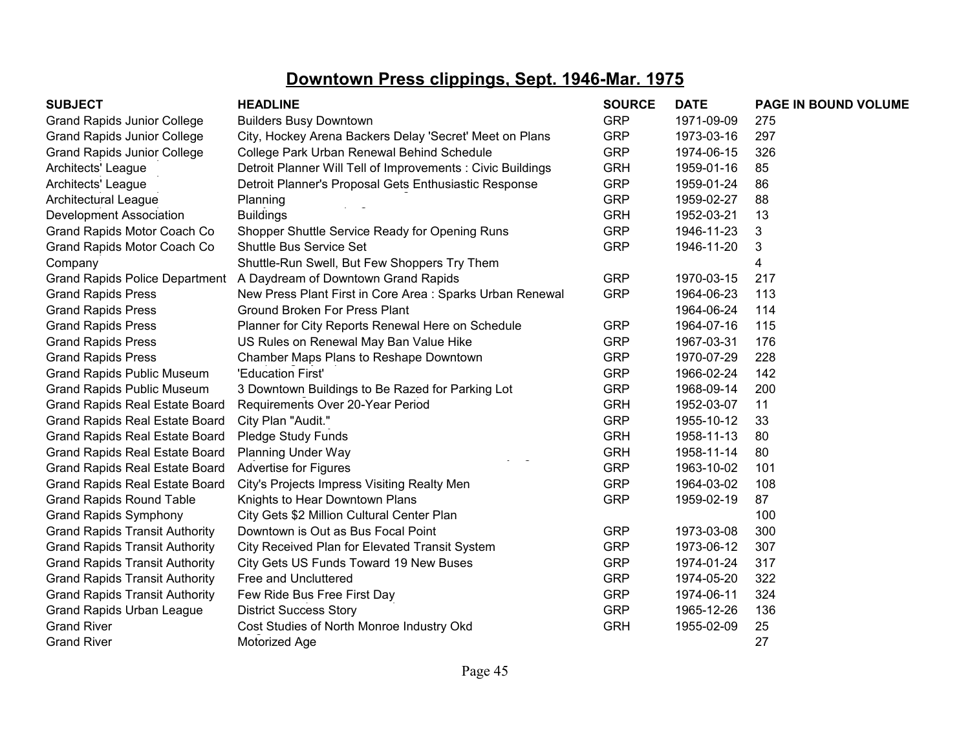| <b>SUBJECT</b>                        | <b>HEADLINE</b>                                             | <b>SOURCE</b> | <b>DATE</b> | PAGE IN BOUND VOLUME |
|---------------------------------------|-------------------------------------------------------------|---------------|-------------|----------------------|
| <b>Grand Rapids Junior College</b>    | <b>Builders Busy Downtown</b>                               | <b>GRP</b>    | 1971-09-09  | 275                  |
| <b>Grand Rapids Junior College</b>    | City, Hockey Arena Backers Delay 'Secret' Meet on Plans     | <b>GRP</b>    | 1973-03-16  | 297                  |
| <b>Grand Rapids Junior College</b>    | College Park Urban Renewal Behind Schedule                  | <b>GRP</b>    | 1974-06-15  | 326                  |
| Architects' League                    | Detroit Planner Will Tell of Improvements : Civic Buildings | <b>GRH</b>    | 1959-01-16  | 85                   |
| Architects' League                    | Detroit Planner's Proposal Gets Enthusiastic Response       | <b>GRP</b>    | 1959-01-24  | 86                   |
| Architectural League                  | Planning                                                    | <b>GRP</b>    | 1959-02-27  | 88                   |
| Development Association               | <b>Buildings</b>                                            | <b>GRH</b>    | 1952-03-21  | 13                   |
| Grand Rapids Motor Coach Co           | Shopper Shuttle Service Ready for Opening Runs              | <b>GRP</b>    | 1946-11-23  | 3                    |
| Grand Rapids Motor Coach Co           | <b>Shuttle Bus Service Set</b>                              | <b>GRP</b>    | 1946-11-20  | 3                    |
| Company                               | Shuttle-Run Swell, But Few Shoppers Try Them                |               |             | 4                    |
| <b>Grand Rapids Police Department</b> | A Daydream of Downtown Grand Rapids                         | <b>GRP</b>    | 1970-03-15  | 217                  |
| <b>Grand Rapids Press</b>             | New Press Plant First in Core Area : Sparks Urban Renewal   | <b>GRP</b>    | 1964-06-23  | 113                  |
| <b>Grand Rapids Press</b>             | <b>Ground Broken For Press Plant</b>                        |               | 1964-06-24  | 114                  |
| <b>Grand Rapids Press</b>             | Planner for City Reports Renewal Here on Schedule           | <b>GRP</b>    | 1964-07-16  | 115                  |
| <b>Grand Rapids Press</b>             | US Rules on Renewal May Ban Value Hike                      | <b>GRP</b>    | 1967-03-31  | 176                  |
| <b>Grand Rapids Press</b>             | Chamber Maps Plans to Reshape Downtown                      | <b>GRP</b>    | 1970-07-29  | 228                  |
| <b>Grand Rapids Public Museum</b>     | 'Education First'                                           | <b>GRP</b>    | 1966-02-24  | 142                  |
| <b>Grand Rapids Public Museum</b>     | 3 Downtown Buildings to Be Razed for Parking Lot            | <b>GRP</b>    | 1968-09-14  | 200                  |
| <b>Grand Rapids Real Estate Board</b> | Requirements Over 20-Year Period                            | <b>GRH</b>    | 1952-03-07  | 11                   |
| <b>Grand Rapids Real Estate Board</b> | City Plan "Audit."                                          | <b>GRP</b>    | 1955-10-12  | 33                   |
| <b>Grand Rapids Real Estate Board</b> | Pledge Study Funds                                          | <b>GRH</b>    | 1958-11-13  | 80                   |
| <b>Grand Rapids Real Estate Board</b> | <b>Planning Under Way</b>                                   | <b>GRH</b>    | 1958-11-14  | 80                   |
| <b>Grand Rapids Real Estate Board</b> | <b>Advertise for Figures</b>                                | <b>GRP</b>    | 1963-10-02  | 101                  |
| <b>Grand Rapids Real Estate Board</b> | City's Projects Impress Visiting Realty Men                 | <b>GRP</b>    | 1964-03-02  | 108                  |
| <b>Grand Rapids Round Table</b>       | Knights to Hear Downtown Plans                              | <b>GRP</b>    | 1959-02-19  | 87                   |
| <b>Grand Rapids Symphony</b>          | City Gets \$2 Million Cultural Center Plan                  |               |             | 100                  |
| <b>Grand Rapids Transit Authority</b> | Downtown is Out as Bus Focal Point                          | <b>GRP</b>    | 1973-03-08  | 300                  |
| <b>Grand Rapids Transit Authority</b> | City Received Plan for Elevated Transit System              | <b>GRP</b>    | 1973-06-12  | 307                  |
| <b>Grand Rapids Transit Authority</b> | City Gets US Funds Toward 19 New Buses                      | <b>GRP</b>    | 1974-01-24  | 317                  |
| <b>Grand Rapids Transit Authority</b> | Free and Uncluttered                                        | <b>GRP</b>    | 1974-05-20  | 322                  |
| <b>Grand Rapids Transit Authority</b> | Few Ride Bus Free First Day                                 | <b>GRP</b>    | 1974-06-11  | 324                  |
| <b>Grand Rapids Urban League</b>      | <b>District Success Story</b>                               | <b>GRP</b>    | 1965-12-26  | 136                  |
| <b>Grand River</b>                    | Cost Studies of North Monroe Industry Okd                   | <b>GRH</b>    | 1955-02-09  | 25                   |
| <b>Grand River</b>                    | Motorized Age                                               |               |             | 27                   |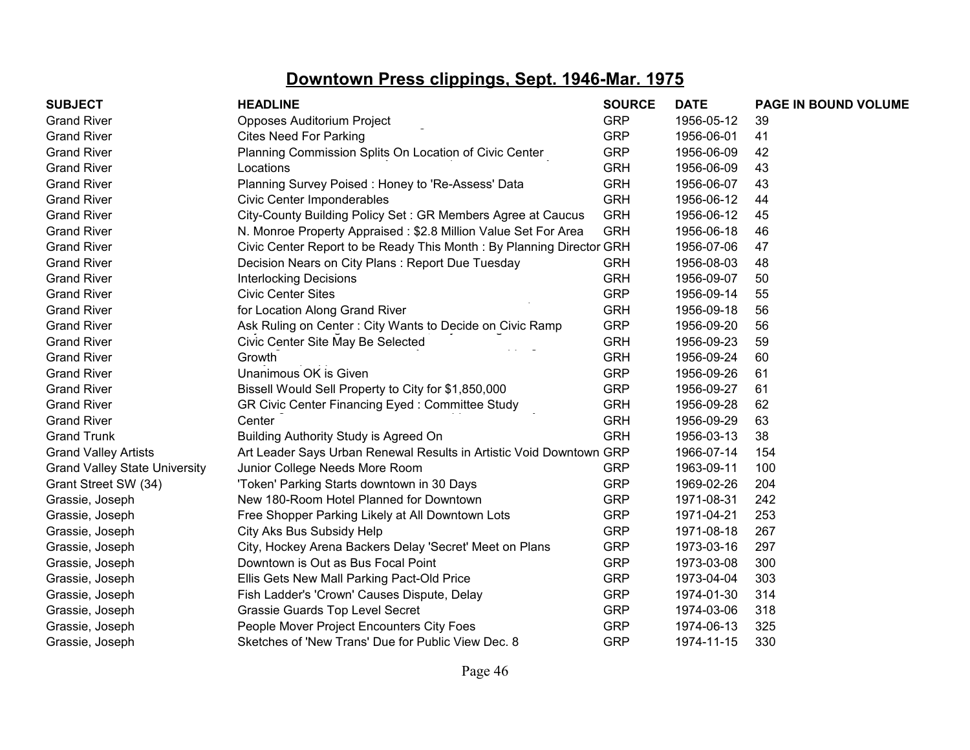| <b>SUBJECT</b>                       | <b>HEADLINE</b>                                                      | <b>SOURCE</b> | <b>DATE</b> | PAGE IN BOUND VOLUME |
|--------------------------------------|----------------------------------------------------------------------|---------------|-------------|----------------------|
| <b>Grand River</b>                   | Opposes Auditorium Project                                           | <b>GRP</b>    | 1956-05-12  | 39                   |
| <b>Grand River</b>                   | <b>Cites Need For Parking</b>                                        | <b>GRP</b>    | 1956-06-01  | 41                   |
| <b>Grand River</b>                   | Planning Commission Splits On Location of Civic Center               | <b>GRP</b>    | 1956-06-09  | 42                   |
| <b>Grand River</b>                   | Locations                                                            | <b>GRH</b>    | 1956-06-09  | 43                   |
| <b>Grand River</b>                   | Planning Survey Poised: Honey to 'Re-Assess' Data                    | <b>GRH</b>    | 1956-06-07  | 43                   |
| <b>Grand River</b>                   | Civic Center Imponderables                                           | <b>GRH</b>    | 1956-06-12  | 44                   |
| <b>Grand River</b>                   | City-County Building Policy Set: GR Members Agree at Caucus          | <b>GRH</b>    | 1956-06-12  | 45                   |
| <b>Grand River</b>                   | N. Monroe Property Appraised: \$2.8 Million Value Set For Area       | <b>GRH</b>    | 1956-06-18  | 46                   |
| <b>Grand River</b>                   | Civic Center Report to be Ready This Month: By Planning Director GRH |               | 1956-07-06  | 47                   |
| <b>Grand River</b>                   | Decision Nears on City Plans: Report Due Tuesday                     | <b>GRH</b>    | 1956-08-03  | 48                   |
| <b>Grand River</b>                   | <b>Interlocking Decisions</b>                                        | <b>GRH</b>    | 1956-09-07  | 50                   |
| <b>Grand River</b>                   | <b>Civic Center Sites</b>                                            | <b>GRP</b>    | 1956-09-14  | 55                   |
| <b>Grand River</b>                   | for Location Along Grand River                                       | <b>GRH</b>    | 1956-09-18  | 56                   |
| <b>Grand River</b>                   | Ask Ruling on Center: City Wants to Decide on Civic Ramp             | <b>GRP</b>    | 1956-09-20  | 56                   |
| <b>Grand River</b>                   | Civic Center Site May Be Selected                                    | <b>GRH</b>    | 1956-09-23  | 59                   |
| <b>Grand River</b>                   | Growth                                                               | <b>GRH</b>    | 1956-09-24  | 60                   |
| <b>Grand River</b>                   | Unanimous OK is Given                                                | <b>GRP</b>    | 1956-09-26  | 61                   |
| <b>Grand River</b>                   | Bissell Would Sell Property to City for \$1,850,000                  | <b>GRP</b>    | 1956-09-27  | 61                   |
| <b>Grand River</b>                   | GR Civic Center Financing Eyed: Committee Study                      | <b>GRH</b>    | 1956-09-28  | 62                   |
| <b>Grand River</b>                   | Center                                                               | <b>GRH</b>    | 1956-09-29  | 63                   |
| <b>Grand Trunk</b>                   | Building Authority Study is Agreed On                                | <b>GRH</b>    | 1956-03-13  | 38                   |
| <b>Grand Valley Artists</b>          | Art Leader Says Urban Renewal Results in Artistic Void Downtown GRP  |               | 1966-07-14  | 154                  |
| <b>Grand Valley State University</b> | Junior College Needs More Room                                       | <b>GRP</b>    | 1963-09-11  | 100                  |
| Grant Street SW (34)                 | 'Token' Parking Starts downtown in 30 Days                           | <b>GRP</b>    | 1969-02-26  | 204                  |
| Grassie, Joseph                      | New 180-Room Hotel Planned for Downtown                              | <b>GRP</b>    | 1971-08-31  | 242                  |
| Grassie, Joseph                      | Free Shopper Parking Likely at All Downtown Lots                     | <b>GRP</b>    | 1971-04-21  | 253                  |
| Grassie, Joseph                      | City Aks Bus Subsidy Help                                            | <b>GRP</b>    | 1971-08-18  | 267                  |
| Grassie, Joseph                      | City, Hockey Arena Backers Delay 'Secret' Meet on Plans              | <b>GRP</b>    | 1973-03-16  | 297                  |
| Grassie, Joseph                      | Downtown is Out as Bus Focal Point                                   | <b>GRP</b>    | 1973-03-08  | 300                  |
| Grassie, Joseph                      | Ellis Gets New Mall Parking Pact-Old Price                           | <b>GRP</b>    | 1973-04-04  | 303                  |
| Grassie, Joseph                      | Fish Ladder's 'Crown' Causes Dispute, Delay                          | <b>GRP</b>    | 1974-01-30  | 314                  |
| Grassie, Joseph                      | Grassie Guards Top Level Secret                                      | <b>GRP</b>    | 1974-03-06  | 318                  |
| Grassie, Joseph                      | People Mover Project Encounters City Foes                            | <b>GRP</b>    | 1974-06-13  | 325                  |
| Grassie, Joseph                      | Sketches of 'New Trans' Due for Public View Dec. 8                   | <b>GRP</b>    | 1974-11-15  | 330                  |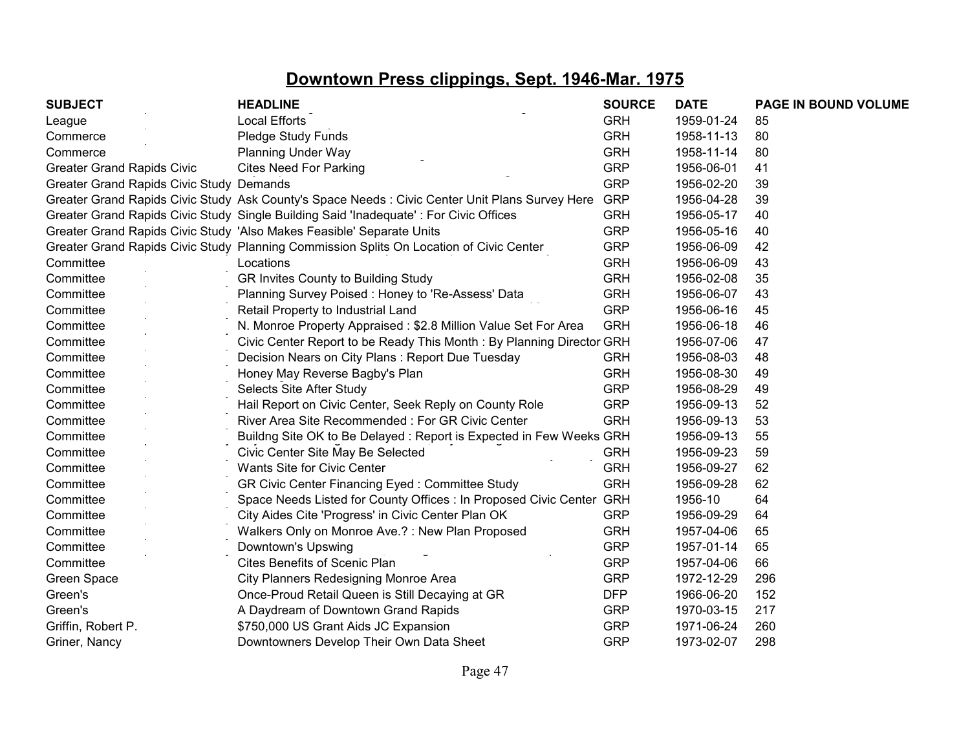| <b>SUBJECT</b>                           | <b>HEADLINE</b>                                                                                 | <b>SOURCE</b> | <b>DATE</b> | PAGE IN BOUND VOLUME |
|------------------------------------------|-------------------------------------------------------------------------------------------------|---------------|-------------|----------------------|
| League                                   | <b>Local Efforts</b>                                                                            | <b>GRH</b>    | 1959-01-24  | 85                   |
| Commerce                                 | Pledge Study Funds                                                                              | <b>GRH</b>    | 1958-11-13  | 80                   |
| Commerce                                 | <b>Planning Under Way</b>                                                                       | <b>GRH</b>    | 1958-11-14  | 80                   |
| <b>Greater Grand Rapids Civic</b>        | <b>Cites Need For Parking</b>                                                                   | <b>GRP</b>    | 1956-06-01  | 41                   |
| Greater Grand Rapids Civic Study Demands |                                                                                                 | <b>GRP</b>    | 1956-02-20  | 39                   |
|                                          | Greater Grand Rapids Civic Study Ask County's Space Needs : Civic Center Unit Plans Survey Here | <b>GRP</b>    | 1956-04-28  | 39                   |
|                                          | Greater Grand Rapids Civic Study Single Building Said 'Inadequate' : For Civic Offices          | <b>GRH</b>    | 1956-05-17  | 40                   |
|                                          | Greater Grand Rapids Civic Study 'Also Makes Feasible' Separate Units                           | <b>GRP</b>    | 1956-05-16  | 40                   |
|                                          | Greater Grand Rapids Civic Study Planning Commission Splits On Location of Civic Center         | <b>GRP</b>    | 1956-06-09  | 42                   |
| Committee                                | Locations                                                                                       | <b>GRH</b>    | 1956-06-09  | 43                   |
| Committee                                | GR Invites County to Building Study                                                             | <b>GRH</b>    | 1956-02-08  | 35                   |
| Committee                                | Planning Survey Poised: Honey to 'Re-Assess' Data                                               | <b>GRH</b>    | 1956-06-07  | 43                   |
| Committee                                | Retail Property to Industrial Land                                                              | <b>GRP</b>    | 1956-06-16  | 45                   |
| Committee                                | N. Monroe Property Appraised: \$2.8 Million Value Set For Area                                  | <b>GRH</b>    | 1956-06-18  | 46                   |
| Committee                                | Civic Center Report to be Ready This Month: By Planning Director GRH                            |               | 1956-07-06  | 47                   |
| Committee                                | Decision Nears on City Plans: Report Due Tuesday                                                | <b>GRH</b>    | 1956-08-03  | 48                   |
| Committee                                | Honey May Reverse Bagby's Plan                                                                  | <b>GRH</b>    | 1956-08-30  | 49                   |
| Committee                                | Selects Site After Study                                                                        | <b>GRP</b>    | 1956-08-29  | 49                   |
| Committee                                | Hail Report on Civic Center, Seek Reply on County Role                                          | <b>GRP</b>    | 1956-09-13  | 52                   |
| Committee                                | River Area Site Recommended: For GR Civic Center                                                | <b>GRH</b>    | 1956-09-13  | 53                   |
| Committee                                | Buildng Site OK to Be Delayed: Report is Expected in Few Weeks GRH                              |               | 1956-09-13  | 55                   |
| Committee                                | Civic Center Site May Be Selected                                                               | <b>GRH</b>    | 1956-09-23  | 59                   |
| Committee                                | <b>Wants Site for Civic Center</b>                                                              | <b>GRH</b>    | 1956-09-27  | 62                   |
| Committee                                | GR Civic Center Financing Eyed: Committee Study                                                 | <b>GRH</b>    | 1956-09-28  | 62                   |
| Committee                                | Space Needs Listed for County Offices : In Proposed Civic Center GRH                            |               | 1956-10     | 64                   |
| Committee                                | City Aides Cite 'Progress' in Civic Center Plan OK                                              | <b>GRP</b>    | 1956-09-29  | 64                   |
| Committee                                | Walkers Only on Monroe Ave.?: New Plan Proposed                                                 | <b>GRH</b>    | 1957-04-06  | 65                   |
| Committee                                | Downtown's Upswing                                                                              | <b>GRP</b>    | 1957-01-14  | 65                   |
| Committee                                | Cites Benefits of Scenic Plan                                                                   | <b>GRP</b>    | 1957-04-06  | 66                   |
| Green Space                              | City Planners Redesigning Monroe Area                                                           | <b>GRP</b>    | 1972-12-29  | 296                  |
| Green's                                  | Once-Proud Retail Queen is Still Decaying at GR                                                 | <b>DFP</b>    | 1966-06-20  | 152                  |
| Green's                                  | A Daydream of Downtown Grand Rapids                                                             | <b>GRP</b>    | 1970-03-15  | 217                  |
| Griffin, Robert P.                       | \$750,000 US Grant Aids JC Expansion                                                            | <b>GRP</b>    | 1971-06-24  | 260                  |
| Griner, Nancy                            | Downtowners Develop Their Own Data Sheet                                                        | <b>GRP</b>    | 1973-02-07  | 298                  |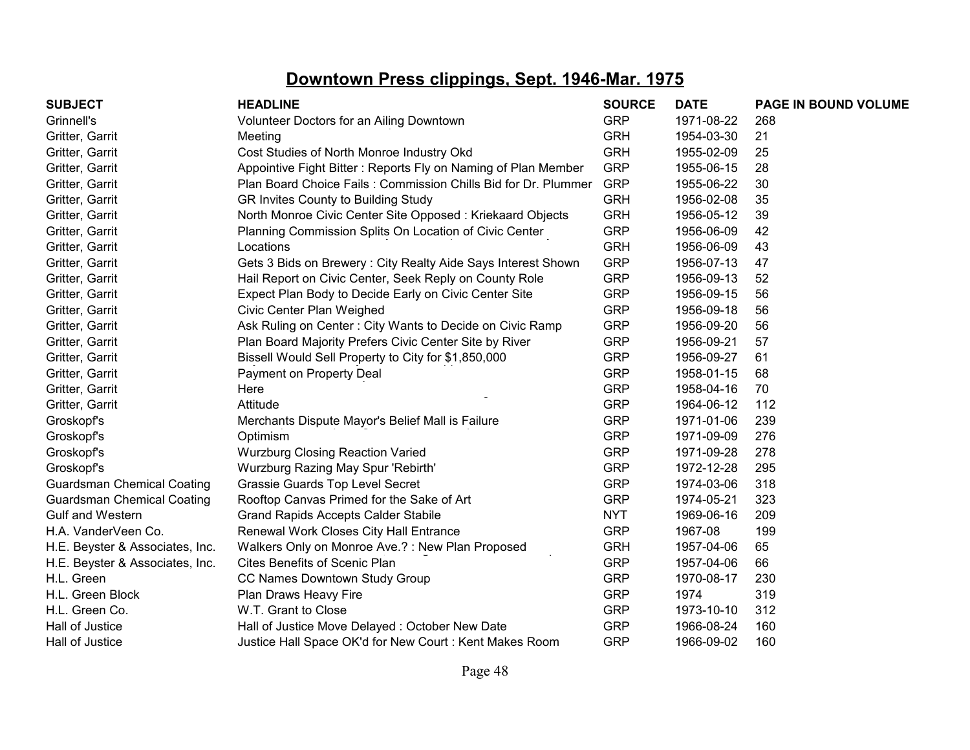| <b>SUBJECT</b>                    | <b>HEADLINE</b>                                                | <b>SOURCE</b> | <b>DATE</b> | PAGE IN BOUND VOLUME |
|-----------------------------------|----------------------------------------------------------------|---------------|-------------|----------------------|
| Grinnell's                        | Volunteer Doctors for an Ailing Downtown                       | <b>GRP</b>    | 1971-08-22  | 268                  |
| Gritter, Garrit                   | Meeting                                                        | <b>GRH</b>    | 1954-03-30  | 21                   |
| Gritter, Garrit                   | Cost Studies of North Monroe Industry Okd                      | <b>GRH</b>    | 1955-02-09  | 25                   |
| Gritter, Garrit                   | Appointive Fight Bitter: Reports Fly on Naming of Plan Member  | <b>GRP</b>    | 1955-06-15  | 28                   |
| Gritter, Garrit                   | Plan Board Choice Fails: Commission Chills Bid for Dr. Plummer | <b>GRP</b>    | 1955-06-22  | 30                   |
| Gritter, Garrit                   | GR Invites County to Building Study                            | <b>GRH</b>    | 1956-02-08  | 35                   |
| Gritter, Garrit                   | North Monroe Civic Center Site Opposed: Kriekaard Objects      | <b>GRH</b>    | 1956-05-12  | 39                   |
| Gritter, Garrit                   | Planning Commission Splits On Location of Civic Center         | <b>GRP</b>    | 1956-06-09  | 42                   |
| Gritter, Garrit                   | Locations                                                      | <b>GRH</b>    | 1956-06-09  | 43                   |
| Gritter, Garrit                   | Gets 3 Bids on Brewery: City Realty Aide Says Interest Shown   | <b>GRP</b>    | 1956-07-13  | 47                   |
| Gritter, Garrit                   | Hail Report on Civic Center, Seek Reply on County Role         | <b>GRP</b>    | 1956-09-13  | 52                   |
| Gritter, Garrit                   | Expect Plan Body to Decide Early on Civic Center Site          | <b>GRP</b>    | 1956-09-15  | 56                   |
| Gritter, Garrit                   | Civic Center Plan Weighed                                      | <b>GRP</b>    | 1956-09-18  | 56                   |
| Gritter, Garrit                   | Ask Ruling on Center: City Wants to Decide on Civic Ramp       | <b>GRP</b>    | 1956-09-20  | 56                   |
| Gritter, Garrit                   | Plan Board Majority Prefers Civic Center Site by River         | <b>GRP</b>    | 1956-09-21  | 57                   |
| Gritter, Garrit                   | Bissell Would Sell Property to City for \$1,850,000            | <b>GRP</b>    | 1956-09-27  | 61                   |
| Gritter, Garrit                   | Payment on Property Deal                                       | <b>GRP</b>    | 1958-01-15  | 68                   |
| Gritter, Garrit                   | Here                                                           | <b>GRP</b>    | 1958-04-16  | 70                   |
| Gritter, Garrit                   | Attitude                                                       | <b>GRP</b>    | 1964-06-12  | 112                  |
| Groskopf's                        | Merchants Dispute Mayor's Belief Mall is Failure               | <b>GRP</b>    | 1971-01-06  | 239                  |
| Groskopf's                        | Optimism                                                       | <b>GRP</b>    | 1971-09-09  | 276                  |
| Groskopf's                        | <b>Wurzburg Closing Reaction Varied</b>                        | <b>GRP</b>    | 1971-09-28  | 278                  |
| Groskopf's                        | Wurzburg Razing May Spur 'Rebirth'                             | <b>GRP</b>    | 1972-12-28  | 295                  |
| <b>Guardsman Chemical Coating</b> | Grassie Guards Top Level Secret                                | <b>GRP</b>    | 1974-03-06  | 318                  |
| <b>Guardsman Chemical Coating</b> | Rooftop Canvas Primed for the Sake of Art                      | <b>GRP</b>    | 1974-05-21  | 323                  |
| <b>Gulf and Western</b>           | <b>Grand Rapids Accepts Calder Stabile</b>                     | <b>NYT</b>    | 1969-06-16  | 209                  |
| H.A. VanderVeen Co.               | Renewal Work Closes City Hall Entrance                         | <b>GRP</b>    | 1967-08     | 199                  |
| H.E. Beyster & Associates, Inc.   | Walkers Only on Monroe Ave.?: New Plan Proposed                | <b>GRH</b>    | 1957-04-06  | 65                   |
| H.E. Beyster & Associates, Inc.   | <b>Cites Benefits of Scenic Plan</b>                           | <b>GRP</b>    | 1957-04-06  | 66                   |
| H.L. Green                        | CC Names Downtown Study Group                                  | <b>GRP</b>    | 1970-08-17  | 230                  |
| H.L. Green Block                  | Plan Draws Heavy Fire                                          | <b>GRP</b>    | 1974        | 319                  |
| H.L. Green Co.                    | W.T. Grant to Close                                            | <b>GRP</b>    | 1973-10-10  | 312                  |
| Hall of Justice                   | Hall of Justice Move Delayed: October New Date                 | <b>GRP</b>    | 1966-08-24  | 160                  |
| Hall of Justice                   | Justice Hall Space OK'd for New Court: Kent Makes Room         | <b>GRP</b>    | 1966-09-02  | 160                  |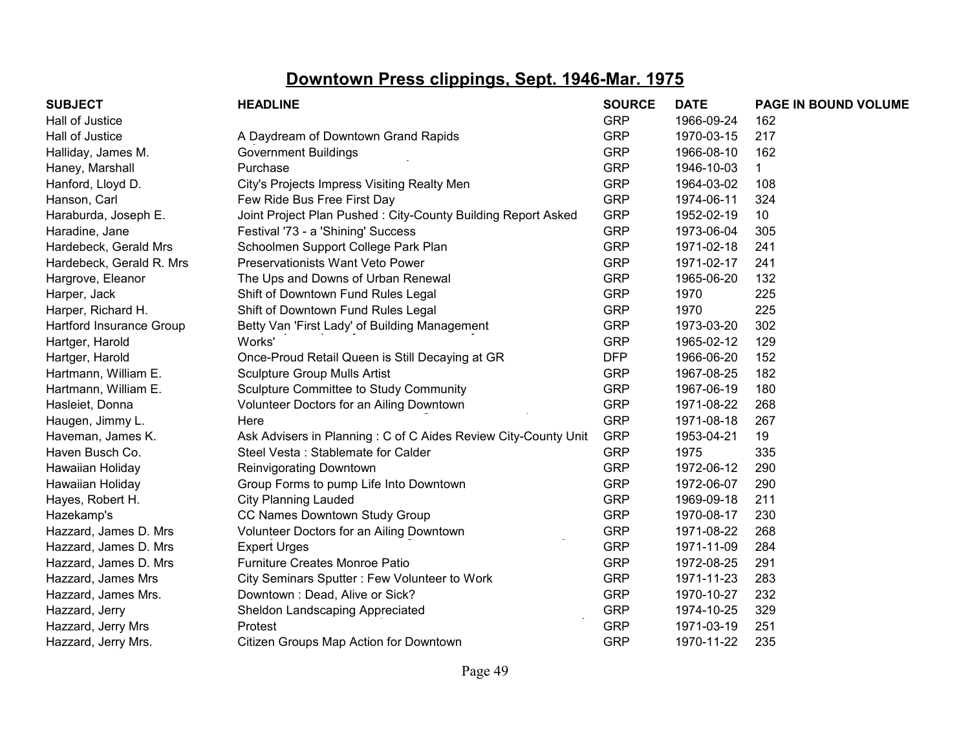| <b>SUBJECT</b>           | <b>HEADLINE</b>                                                | <b>SOURCE</b> | <b>DATE</b> | PAGE IN BOUND VOLUME |
|--------------------------|----------------------------------------------------------------|---------------|-------------|----------------------|
| Hall of Justice          |                                                                | <b>GRP</b>    | 1966-09-24  | 162                  |
| Hall of Justice          | A Daydream of Downtown Grand Rapids                            | <b>GRP</b>    | 1970-03-15  | 217                  |
| Halliday, James M.       | <b>Government Buildings</b>                                    | <b>GRP</b>    | 1966-08-10  | 162                  |
| Haney, Marshall          | Purchase                                                       | <b>GRP</b>    | 1946-10-03  | 1                    |
| Hanford, Lloyd D.        | City's Projects Impress Visiting Realty Men                    | <b>GRP</b>    | 1964-03-02  | 108                  |
| Hanson, Carl             | Few Ride Bus Free First Day                                    | <b>GRP</b>    | 1974-06-11  | 324                  |
| Haraburda, Joseph E.     | Joint Project Plan Pushed: City-County Building Report Asked   | <b>GRP</b>    | 1952-02-19  | 10                   |
| Haradine, Jane           | Festival '73 - a 'Shining' Success                             | <b>GRP</b>    | 1973-06-04  | 305                  |
| Hardebeck, Gerald Mrs    | Schoolmen Support College Park Plan                            | <b>GRP</b>    | 1971-02-18  | 241                  |
| Hardebeck, Gerald R. Mrs | Preservationists Want Veto Power                               | <b>GRP</b>    | 1971-02-17  | 241                  |
| Hargrove, Eleanor        | The Ups and Downs of Urban Renewal                             | <b>GRP</b>    | 1965-06-20  | 132                  |
| Harper, Jack             | Shift of Downtown Fund Rules Legal                             | <b>GRP</b>    | 1970        | 225                  |
| Harper, Richard H.       | Shift of Downtown Fund Rules Legal                             | <b>GRP</b>    | 1970        | 225                  |
| Hartford Insurance Group | Betty Van 'First Lady' of Building Management                  | <b>GRP</b>    | 1973-03-20  | 302                  |
| Hartger, Harold          | Works'                                                         | <b>GRP</b>    | 1965-02-12  | 129                  |
| Hartger, Harold          | Once-Proud Retail Queen is Still Decaying at GR                | <b>DFP</b>    | 1966-06-20  | 152                  |
| Hartmann, William E.     | <b>Sculpture Group Mulls Artist</b>                            | <b>GRP</b>    | 1967-08-25  | 182                  |
| Hartmann, William E.     | Sculpture Committee to Study Community                         | <b>GRP</b>    | 1967-06-19  | 180                  |
| Hasleiet, Donna          | Volunteer Doctors for an Ailing Downtown                       | <b>GRP</b>    | 1971-08-22  | 268                  |
| Haugen, Jimmy L.         | Here                                                           | <b>GRP</b>    | 1971-08-18  | 267                  |
| Haveman, James K.        | Ask Advisers in Planning: C of C Aides Review City-County Unit | <b>GRP</b>    | 1953-04-21  | 19                   |
| Haven Busch Co.          | Steel Vesta: Stablemate for Calder                             | <b>GRP</b>    | 1975        | 335                  |
| Hawaiian Holiday         | <b>Reinvigorating Downtown</b>                                 | <b>GRP</b>    | 1972-06-12  | 290                  |
| Hawaiian Holiday         | Group Forms to pump Life Into Downtown                         | <b>GRP</b>    | 1972-06-07  | 290                  |
| Hayes, Robert H.         | <b>City Planning Lauded</b>                                    | <b>GRP</b>    | 1969-09-18  | 211                  |
| Hazekamp's               | CC Names Downtown Study Group                                  | <b>GRP</b>    | 1970-08-17  | 230                  |
| Hazzard, James D. Mrs    | Volunteer Doctors for an Ailing Downtown                       | <b>GRP</b>    | 1971-08-22  | 268                  |
| Hazzard, James D. Mrs    | <b>Expert Urges</b>                                            | <b>GRP</b>    | 1971-11-09  | 284                  |
| Hazzard, James D. Mrs    | Furniture Creates Monroe Patio                                 | <b>GRP</b>    | 1972-08-25  | 291                  |
| Hazzard, James Mrs       | City Seminars Sputter: Few Volunteer to Work                   | <b>GRP</b>    | 1971-11-23  | 283                  |
| Hazzard, James Mrs.      | Downtown: Dead, Alive or Sick?                                 | <b>GRP</b>    | 1970-10-27  | 232                  |
| Hazzard, Jerry           | Sheldon Landscaping Appreciated                                | <b>GRP</b>    | 1974-10-25  | 329                  |
| Hazzard, Jerry Mrs       | Protest                                                        | <b>GRP</b>    | 1971-03-19  | 251                  |
| Hazzard, Jerry Mrs.      | Citizen Groups Map Action for Downtown                         | <b>GRP</b>    | 1970-11-22  | 235                  |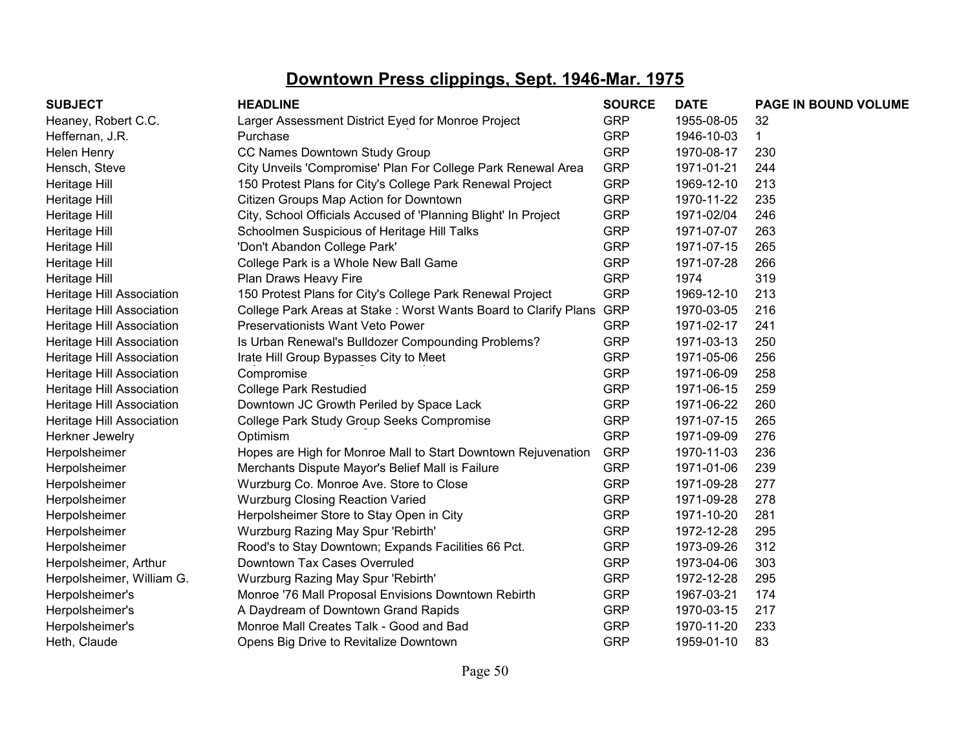| <b>SUBJECT</b>            | <b>HEADLINE</b>                                                     | <b>SOURCE</b> | <b>DATE</b> | PAGE IN BOUND VOLUME |
|---------------------------|---------------------------------------------------------------------|---------------|-------------|----------------------|
| Heaney, Robert C.C.       | Larger Assessment District Eyed for Monroe Project                  | <b>GRP</b>    | 1955-08-05  | 32                   |
| Heffernan, J.R.           | Purchase                                                            | <b>GRP</b>    | 1946-10-03  | $\mathbf 1$          |
| Helen Henry               | CC Names Downtown Study Group                                       | <b>GRP</b>    | 1970-08-17  | 230                  |
| Hensch, Steve             | City Unveils 'Compromise' Plan For College Park Renewal Area        | <b>GRP</b>    | 1971-01-21  | 244                  |
| Heritage Hill             | 150 Protest Plans for City's College Park Renewal Project           | <b>GRP</b>    | 1969-12-10  | 213                  |
| Heritage Hill             | Citizen Groups Map Action for Downtown                              | <b>GRP</b>    | 1970-11-22  | 235                  |
| Heritage Hill             | City, School Officials Accused of 'Planning Blight' In Project      | <b>GRP</b>    | 1971-02/04  | 246                  |
| Heritage Hill             | Schoolmen Suspicious of Heritage Hill Talks                         | <b>GRP</b>    | 1971-07-07  | 263                  |
| Heritage Hill             | 'Don't Abandon College Park'                                        | <b>GRP</b>    | 1971-07-15  | 265                  |
| Heritage Hill             | College Park is a Whole New Ball Game                               | <b>GRP</b>    | 1971-07-28  | 266                  |
| Heritage Hill             | Plan Draws Heavy Fire                                               | <b>GRP</b>    | 1974        | 319                  |
| Heritage Hill Association | 150 Protest Plans for City's College Park Renewal Project           | <b>GRP</b>    | 1969-12-10  | 213                  |
| Heritage Hill Association | College Park Areas at Stake: Worst Wants Board to Clarify Plans GRP |               | 1970-03-05  | 216                  |
| Heritage Hill Association | Preservationists Want Veto Power                                    | <b>GRP</b>    | 1971-02-17  | 241                  |
| Heritage Hill Association | Is Urban Renewal's Bulldozer Compounding Problems?                  | <b>GRP</b>    | 1971-03-13  | 250                  |
| Heritage Hill Association | Irate Hill Group Bypasses City to Meet                              | <b>GRP</b>    | 1971-05-06  | 256                  |
| Heritage Hill Association | Compromise                                                          | <b>GRP</b>    | 1971-06-09  | 258                  |
| Heritage Hill Association | <b>College Park Restudied</b>                                       | <b>GRP</b>    | 1971-06-15  | 259                  |
| Heritage Hill Association | Downtown JC Growth Periled by Space Lack                            | <b>GRP</b>    | 1971-06-22  | 260                  |
| Heritage Hill Association | College Park Study Group Seeks Compromise                           | <b>GRP</b>    | 1971-07-15  | 265                  |
| Herkner Jewelry           | Optimism                                                            | <b>GRP</b>    | 1971-09-09  | 276                  |
| Herpolsheimer             | Hopes are High for Monroe Mall to Start Downtown Rejuvenation       | <b>GRP</b>    | 1970-11-03  | 236                  |
| Herpolsheimer             | Merchants Dispute Mayor's Belief Mall is Failure                    | <b>GRP</b>    | 1971-01-06  | 239                  |
| Herpolsheimer             | Wurzburg Co. Monroe Ave. Store to Close                             | <b>GRP</b>    | 1971-09-28  | 277                  |
| Herpolsheimer             | <b>Wurzburg Closing Reaction Varied</b>                             | <b>GRP</b>    | 1971-09-28  | 278                  |
| Herpolsheimer             | Herpolsheimer Store to Stay Open in City                            | <b>GRP</b>    | 1971-10-20  | 281                  |
| Herpolsheimer             | Wurzburg Razing May Spur 'Rebirth'                                  | <b>GRP</b>    | 1972-12-28  | 295                  |
| Herpolsheimer             | Rood's to Stay Downtown; Expands Facilities 66 Pct.                 | <b>GRP</b>    | 1973-09-26  | 312                  |
| Herpolsheimer, Arthur     | Downtown Tax Cases Overruled                                        | <b>GRP</b>    | 1973-04-06  | 303                  |
| Herpolsheimer, William G. | Wurzburg Razing May Spur 'Rebirth'                                  | <b>GRP</b>    | 1972-12-28  | 295                  |
| Herpolsheimer's           | Monroe '76 Mall Proposal Envisions Downtown Rebirth                 | <b>GRP</b>    | 1967-03-21  | 174                  |
| Herpolsheimer's           | A Daydream of Downtown Grand Rapids                                 | <b>GRP</b>    | 1970-03-15  | 217                  |
| Herpolsheimer's           | Monroe Mall Creates Talk - Good and Bad                             | <b>GRP</b>    | 1970-11-20  | 233                  |
| Heth, Claude              | Opens Big Drive to Revitalize Downtown                              | <b>GRP</b>    | 1959-01-10  | 83                   |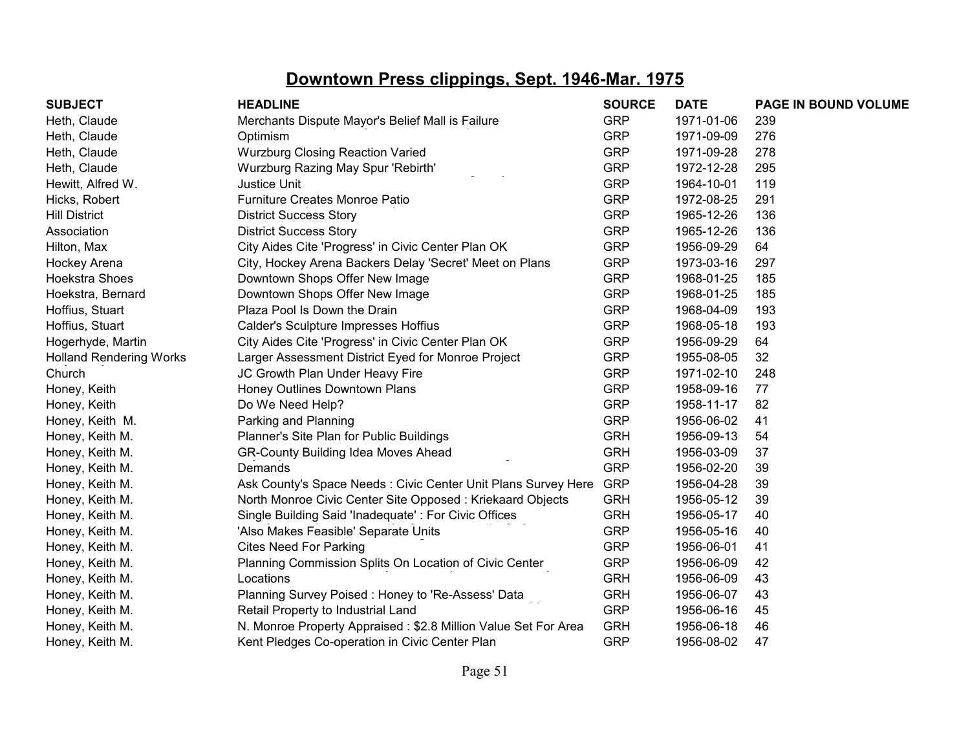| <b>SUBJECT</b>                 | <b>HEADLINE</b>                                                | <b>SOURCE</b> | <b>DATE</b> | PAGE IN BOUND VOLUME |
|--------------------------------|----------------------------------------------------------------|---------------|-------------|----------------------|
| Heth, Claude                   | Merchants Dispute Mayor's Belief Mall is Failure               | <b>GRP</b>    | 1971-01-06  | 239                  |
| Heth, Claude                   | Optimism                                                       | <b>GRP</b>    | 1971-09-09  | 276                  |
| Heth, Claude                   | <b>Wurzburg Closing Reaction Varied</b>                        | <b>GRP</b>    | 1971-09-28  | 278                  |
| Heth, Claude                   | Wurzburg Razing May Spur 'Rebirth'                             | <b>GRP</b>    | 1972-12-28  | 295                  |
| Hewitt, Alfred W.              | Justice Unit                                                   | <b>GRP</b>    | 1964-10-01  | 119                  |
| Hicks, Robert                  | Furniture Creates Monroe Patio                                 | <b>GRP</b>    | 1972-08-25  | 291                  |
| <b>Hill District</b>           | <b>District Success Story</b>                                  | <b>GRP</b>    | 1965-12-26  | 136                  |
| Association                    | <b>District Success Story</b>                                  | <b>GRP</b>    | 1965-12-26  | 136                  |
| Hilton, Max                    | City Aides Cite 'Progress' in Civic Center Plan OK             | <b>GRP</b>    | 1956-09-29  | 64                   |
| Hockey Arena                   | City, Hockey Arena Backers Delay 'Secret' Meet on Plans        | <b>GRP</b>    | 1973-03-16  | 297                  |
| Hoekstra Shoes                 | Downtown Shops Offer New Image                                 | <b>GRP</b>    | 1968-01-25  | 185                  |
| Hoekstra, Bernard              | Downtown Shops Offer New Image                                 | <b>GRP</b>    | 1968-01-25  | 185                  |
| Hoffius, Stuart                | Plaza Pool Is Down the Drain                                   | <b>GRP</b>    | 1968-04-09  | 193                  |
| Hoffius, Stuart                | Calder's Sculpture Impresses Hoffius                           | <b>GRP</b>    | 1968-05-18  | 193                  |
| Hogerhyde, Martin              | City Aides Cite 'Progress' in Civic Center Plan OK             | <b>GRP</b>    | 1956-09-29  | 64                   |
| <b>Holland Rendering Works</b> | Larger Assessment District Eyed for Monroe Project             | <b>GRP</b>    | 1955-08-05  | 32                   |
| Church                         | JC Growth Plan Under Heavy Fire                                | <b>GRP</b>    | 1971-02-10  | 248                  |
| Honey, Keith                   | Honey Outlines Downtown Plans                                  | <b>GRP</b>    | 1958-09-16  | 77                   |
| Honey, Keith                   | Do We Need Help?                                               | <b>GRP</b>    | 1958-11-17  | 82                   |
| Honey, Keith M.                | Parking and Planning                                           | <b>GRP</b>    | 1956-06-02  | 41                   |
| Honey, Keith M.                | Planner's Site Plan for Public Buildings                       | <b>GRH</b>    | 1956-09-13  | 54                   |
| Honey, Keith M.                | <b>GR-County Building Idea Moves Ahead</b>                     | <b>GRH</b>    | 1956-03-09  | 37                   |
| Honey, Keith M.                | Demands                                                        | <b>GRP</b>    | 1956-02-20  | 39                   |
| Honey, Keith M.                | Ask County's Space Needs: Civic Center Unit Plans Survey Here  | <b>GRP</b>    | 1956-04-28  | 39                   |
| Honey, Keith M.                | North Monroe Civic Center Site Opposed: Kriekaard Objects      | <b>GRH</b>    | 1956-05-12  | 39                   |
| Honey, Keith M.                | Single Building Said 'Inadequate': For Civic Offices           | <b>GRH</b>    | 1956-05-17  | 40                   |
| Honey, Keith M.                | 'Also Makes Feasible' Separate Units                           | <b>GRP</b>    | 1956-05-16  | 40                   |
| Honey, Keith M.                | <b>Cites Need For Parking</b>                                  | <b>GRP</b>    | 1956-06-01  | 41                   |
| Honey, Keith M.                | Planning Commission Splits On Location of Civic Center         | <b>GRP</b>    | 1956-06-09  | 42                   |
| Honey, Keith M.                | Locations                                                      | <b>GRH</b>    | 1956-06-09  | 43                   |
| Honey, Keith M.                | Planning Survey Poised: Honey to 'Re-Assess' Data              | <b>GRH</b>    | 1956-06-07  | 43                   |
| Honey, Keith M.                | Retail Property to Industrial Land                             | <b>GRP</b>    | 1956-06-16  | 45                   |
| Honey, Keith M.                | N. Monroe Property Appraised: \$2.8 Million Value Set For Area | <b>GRH</b>    | 1956-06-18  | 46                   |
| Honey, Keith M.                | Kent Pledges Co-operation in Civic Center Plan                 | <b>GRP</b>    | 1956-08-02  | 47                   |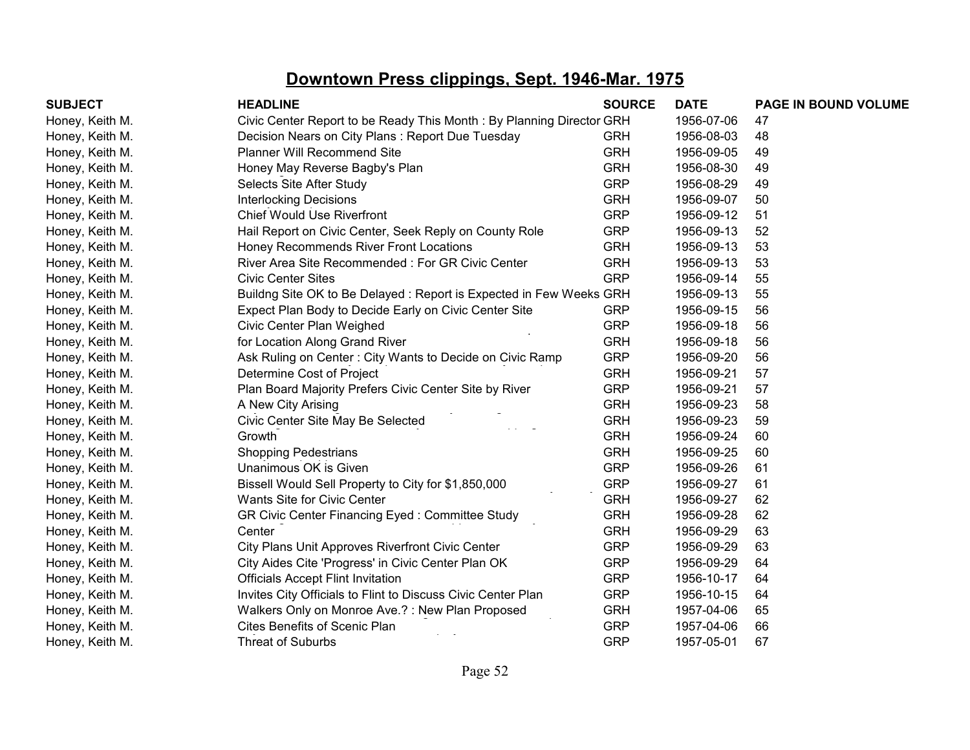| <b>SUBJECT</b>  | <b>HEADLINE</b>                                                      | <b>SOURCE</b> | <b>DATE</b> | PAGE IN BOUND VOLUME |
|-----------------|----------------------------------------------------------------------|---------------|-------------|----------------------|
| Honey, Keith M. | Civic Center Report to be Ready This Month: By Planning Director GRH |               | 1956-07-06  | 47                   |
| Honey, Keith M. | Decision Nears on City Plans: Report Due Tuesday                     | <b>GRH</b>    | 1956-08-03  | 48                   |
| Honey, Keith M. | <b>Planner Will Recommend Site</b>                                   | <b>GRH</b>    | 1956-09-05  | 49                   |
| Honey, Keith M. | Honey May Reverse Bagby's Plan                                       | <b>GRH</b>    | 1956-08-30  | 49                   |
| Honey, Keith M. | Selects Site After Study                                             | <b>GRP</b>    | 1956-08-29  | 49                   |
| Honey, Keith M. | <b>Interlocking Decisions</b>                                        | <b>GRH</b>    | 1956-09-07  | 50                   |
| Honey, Keith M. | <b>Chief Would Use Riverfront</b>                                    | <b>GRP</b>    | 1956-09-12  | 51                   |
| Honey, Keith M. | Hail Report on Civic Center, Seek Reply on County Role               | <b>GRP</b>    | 1956-09-13  | 52                   |
| Honey, Keith M. | Honey Recommends River Front Locations                               | <b>GRH</b>    | 1956-09-13  | 53                   |
| Honey, Keith M. | River Area Site Recommended: For GR Civic Center                     | <b>GRH</b>    | 1956-09-13  | 53                   |
| Honey, Keith M. | <b>Civic Center Sites</b>                                            | <b>GRP</b>    | 1956-09-14  | 55                   |
| Honey, Keith M. | Buildng Site OK to Be Delayed: Report is Expected in Few Weeks GRH   |               | 1956-09-13  | 55                   |
| Honey, Keith M. | Expect Plan Body to Decide Early on Civic Center Site                | <b>GRP</b>    | 1956-09-15  | 56                   |
| Honey, Keith M. | Civic Center Plan Weighed                                            | <b>GRP</b>    | 1956-09-18  | 56                   |
| Honey, Keith M. | for Location Along Grand River                                       | <b>GRH</b>    | 1956-09-18  | 56                   |
| Honey, Keith M. | Ask Ruling on Center: City Wants to Decide on Civic Ramp             | <b>GRP</b>    | 1956-09-20  | 56                   |
| Honey, Keith M. | Determine Cost of Project                                            | <b>GRH</b>    | 1956-09-21  | 57                   |
| Honey, Keith M. | Plan Board Majority Prefers Civic Center Site by River               | <b>GRP</b>    | 1956-09-21  | 57                   |
| Honey, Keith M. | A New City Arising                                                   | <b>GRH</b>    | 1956-09-23  | 58                   |
| Honey, Keith M. | Civic Center Site May Be Selected                                    | <b>GRH</b>    | 1956-09-23  | 59                   |
| Honey, Keith M. | Growth                                                               | <b>GRH</b>    | 1956-09-24  | 60                   |
| Honey, Keith M. | <b>Shopping Pedestrians</b>                                          | <b>GRH</b>    | 1956-09-25  | 60                   |
| Honey, Keith M. | Unanimous OK is Given                                                | <b>GRP</b>    | 1956-09-26  | 61                   |
| Honey, Keith M. | Bissell Would Sell Property to City for \$1,850,000                  | <b>GRP</b>    | 1956-09-27  | 61                   |
| Honey, Keith M. | Wants Site for Civic Center                                          | <b>GRH</b>    | 1956-09-27  | 62                   |
| Honey, Keith M. | GR Civic Center Financing Eyed: Committee Study                      | <b>GRH</b>    | 1956-09-28  | 62                   |
| Honey, Keith M. | Center                                                               | <b>GRH</b>    | 1956-09-29  | 63                   |
| Honey, Keith M. | City Plans Unit Approves Riverfront Civic Center                     | <b>GRP</b>    | 1956-09-29  | 63                   |
| Honey, Keith M. | City Aides Cite 'Progress' in Civic Center Plan OK                   | <b>GRP</b>    | 1956-09-29  | 64                   |
| Honey, Keith M. | <b>Officials Accept Flint Invitation</b>                             | <b>GRP</b>    | 1956-10-17  | 64                   |
| Honey, Keith M. | Invites City Officials to Flint to Discuss Civic Center Plan         | <b>GRP</b>    | 1956-10-15  | 64                   |
| Honey, Keith M. | Walkers Only on Monroe Ave.?: New Plan Proposed                      | <b>GRH</b>    | 1957-04-06  | 65                   |
| Honey, Keith M. | Cites Benefits of Scenic Plan                                        | <b>GRP</b>    | 1957-04-06  | 66                   |
| Honey, Keith M. | <b>Threat of Suburbs</b>                                             | <b>GRP</b>    | 1957-05-01  | 67                   |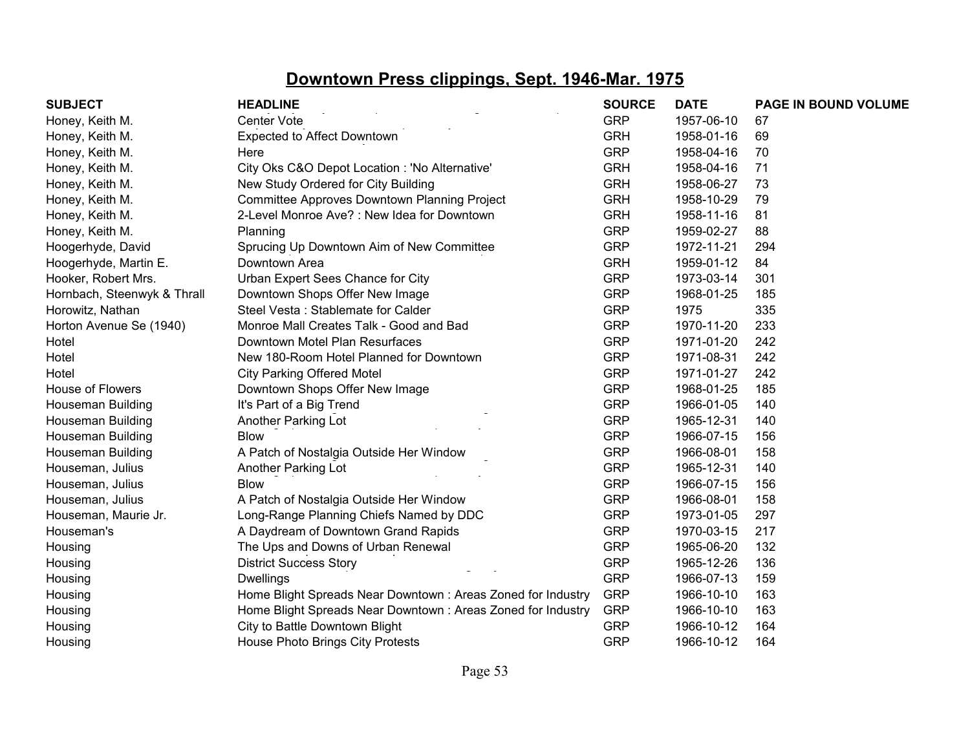| <b>SUBJECT</b>              | <b>HEADLINE</b>                                             | <b>SOURCE</b> | <b>DATE</b> | PAGE IN BOUND VOLUME |
|-----------------------------|-------------------------------------------------------------|---------------|-------------|----------------------|
| Honey, Keith M.             | Center Vote                                                 | <b>GRP</b>    | 1957-06-10  | 67                   |
| Honey, Keith M.             | <b>Expected to Affect Downtown</b>                          | <b>GRH</b>    | 1958-01-16  | 69                   |
| Honey, Keith M.             | Here                                                        | <b>GRP</b>    | 1958-04-16  | 70                   |
| Honey, Keith M.             | City Oks C&O Depot Location : 'No Alternative'              | <b>GRH</b>    | 1958-04-16  | 71                   |
| Honey, Keith M.             | New Study Ordered for City Building                         | <b>GRH</b>    | 1958-06-27  | 73                   |
| Honey, Keith M.             | Committee Approves Downtown Planning Project                | <b>GRH</b>    | 1958-10-29  | 79                   |
| Honey, Keith M.             | 2-Level Monroe Ave? : New Idea for Downtown                 | <b>GRH</b>    | 1958-11-16  | 81                   |
| Honey, Keith M.             | Planning                                                    | <b>GRP</b>    | 1959-02-27  | 88                   |
| Hoogerhyde, David           | Sprucing Up Downtown Aim of New Committee                   | <b>GRP</b>    | 1972-11-21  | 294                  |
| Hoogerhyde, Martin E.       | Downtown Area                                               | <b>GRH</b>    | 1959-01-12  | 84                   |
| Hooker, Robert Mrs.         | Urban Expert Sees Chance for City                           | <b>GRP</b>    | 1973-03-14  | 301                  |
| Hornbach, Steenwyk & Thrall | Downtown Shops Offer New Image                              | <b>GRP</b>    | 1968-01-25  | 185                  |
| Horowitz, Nathan            | Steel Vesta: Stablemate for Calder                          | <b>GRP</b>    | 1975        | 335                  |
| Horton Avenue Se (1940)     | Monroe Mall Creates Talk - Good and Bad                     | <b>GRP</b>    | 1970-11-20  | 233                  |
| Hotel                       | Downtown Motel Plan Resurfaces                              | <b>GRP</b>    | 1971-01-20  | 242                  |
| Hotel                       | New 180-Room Hotel Planned for Downtown                     | <b>GRP</b>    | 1971-08-31  | 242                  |
| Hotel                       | <b>City Parking Offered Motel</b>                           | <b>GRP</b>    | 1971-01-27  | 242                  |
| House of Flowers            | Downtown Shops Offer New Image                              | <b>GRP</b>    | 1968-01-25  | 185                  |
| Houseman Building           | It's Part of a Big Trend                                    | <b>GRP</b>    | 1966-01-05  | 140                  |
| Houseman Building           | Another Parking Lot                                         | <b>GRP</b>    | 1965-12-31  | 140                  |
| Houseman Building           | <b>Blow</b>                                                 | <b>GRP</b>    | 1966-07-15  | 156                  |
| Houseman Building           | A Patch of Nostalgia Outside Her Window                     | <b>GRP</b>    | 1966-08-01  | 158                  |
| Houseman, Julius            | Another Parking Lot                                         | <b>GRP</b>    | 1965-12-31  | 140                  |
| Houseman, Julius            | <b>Blow</b>                                                 | <b>GRP</b>    | 1966-07-15  | 156                  |
| Houseman, Julius            | A Patch of Nostalgia Outside Her Window                     | <b>GRP</b>    | 1966-08-01  | 158                  |
| Houseman, Maurie Jr.        | Long-Range Planning Chiefs Named by DDC                     | <b>GRP</b>    | 1973-01-05  | 297                  |
| Houseman's                  | A Daydream of Downtown Grand Rapids                         | <b>GRP</b>    | 1970-03-15  | 217                  |
| Housing                     | The Ups and Downs of Urban Renewal                          | <b>GRP</b>    | 1965-06-20  | 132                  |
| Housing                     | <b>District Success Story</b>                               | <b>GRP</b>    | 1965-12-26  | 136                  |
| Housing                     | <b>Dwellings</b>                                            | <b>GRP</b>    | 1966-07-13  | 159                  |
| Housing                     | Home Blight Spreads Near Downtown: Areas Zoned for Industry | <b>GRP</b>    | 1966-10-10  | 163                  |
| Housing                     | Home Blight Spreads Near Downtown: Areas Zoned for Industry | <b>GRP</b>    | 1966-10-10  | 163                  |
| Housing                     | City to Battle Downtown Blight                              | <b>GRP</b>    | 1966-10-12  | 164                  |
| Housing                     | House Photo Brings City Protests                            | <b>GRP</b>    | 1966-10-12  | 164                  |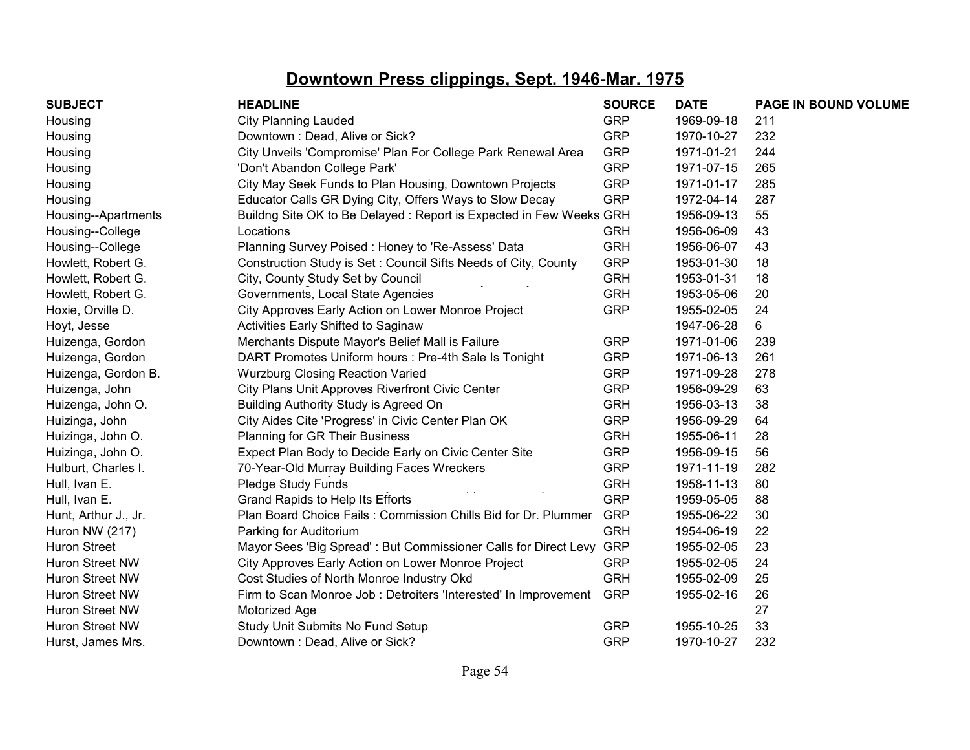| <b>SUBJECT</b>       | <b>HEADLINE</b>                                                     | <b>SOURCE</b> | <b>DATE</b> | PAGE IN BOUND VOLUME |
|----------------------|---------------------------------------------------------------------|---------------|-------------|----------------------|
| Housing              | City Planning Lauded                                                | <b>GRP</b>    | 1969-09-18  | 211                  |
| Housing              | Downtown: Dead, Alive or Sick?                                      | <b>GRP</b>    | 1970-10-27  | 232                  |
| Housing              | City Unveils 'Compromise' Plan For College Park Renewal Area        | <b>GRP</b>    | 1971-01-21  | 244                  |
| Housing              | 'Don't Abandon College Park'                                        | <b>GRP</b>    | 1971-07-15  | 265                  |
| Housing              | City May Seek Funds to Plan Housing, Downtown Projects              | <b>GRP</b>    | 1971-01-17  | 285                  |
| Housing              | Educator Calls GR Dying City, Offers Ways to Slow Decay             | <b>GRP</b>    | 1972-04-14  | 287                  |
| Housing--Apartments  | Buildng Site OK to Be Delayed: Report is Expected in Few Weeks GRH  |               | 1956-09-13  | 55                   |
| Housing--College     | Locations                                                           | <b>GRH</b>    | 1956-06-09  | 43                   |
| Housing--College     | Planning Survey Poised: Honey to 'Re-Assess' Data                   | <b>GRH</b>    | 1956-06-07  | 43                   |
| Howlett, Robert G.   | Construction Study is Set: Council Sifts Needs of City, County      | <b>GRP</b>    | 1953-01-30  | 18                   |
| Howlett, Robert G.   | City, County Study Set by Council                                   | <b>GRH</b>    | 1953-01-31  | 18                   |
| Howlett, Robert G.   | Governments, Local State Agencies                                   | <b>GRH</b>    | 1953-05-06  | 20                   |
| Hoxie, Orville D.    | City Approves Early Action on Lower Monroe Project                  | <b>GRP</b>    | 1955-02-05  | 24                   |
| Hoyt, Jesse          | Activities Early Shifted to Saginaw                                 |               | 1947-06-28  | 6                    |
| Huizenga, Gordon     | Merchants Dispute Mayor's Belief Mall is Failure                    | <b>GRP</b>    | 1971-01-06  | 239                  |
| Huizenga, Gordon     | DART Promotes Uniform hours : Pre-4th Sale Is Tonight               | <b>GRP</b>    | 1971-06-13  | 261                  |
| Huizenga, Gordon B.  | <b>Wurzburg Closing Reaction Varied</b>                             | <b>GRP</b>    | 1971-09-28  | 278                  |
| Huizenga, John       | City Plans Unit Approves Riverfront Civic Center                    | <b>GRP</b>    | 1956-09-29  | 63                   |
| Huizenga, John O.    | Building Authority Study is Agreed On                               | <b>GRH</b>    | 1956-03-13  | 38                   |
| Huizinga, John       | City Aides Cite 'Progress' in Civic Center Plan OK                  | <b>GRP</b>    | 1956-09-29  | 64                   |
| Huizinga, John O.    | Planning for GR Their Business                                      | <b>GRH</b>    | 1955-06-11  | 28                   |
| Huizinga, John O.    | Expect Plan Body to Decide Early on Civic Center Site               | <b>GRP</b>    | 1956-09-15  | 56                   |
| Hulburt, Charles I.  | 70-Year-Old Murray Building Faces Wreckers                          | <b>GRP</b>    | 1971-11-19  | 282                  |
| Hull, Ivan E.        | Pledge Study Funds                                                  | <b>GRH</b>    | 1958-11-13  | 80                   |
| Hull, Ivan E.        | Grand Rapids to Help Its Efforts                                    | <b>GRP</b>    | 1959-05-05  | 88                   |
| Hunt, Arthur J., Jr. | Plan Board Choice Fails: Commission Chills Bid for Dr. Plummer      | <b>GRP</b>    | 1955-06-22  | 30                   |
| Huron NW (217)       | Parking for Auditorium                                              | <b>GRH</b>    | 1954-06-19  | 22                   |
| <b>Huron Street</b>  | Mayor Sees 'Big Spread': But Commissioner Calls for Direct Levy GRP |               | 1955-02-05  | 23                   |
| Huron Street NW      | City Approves Early Action on Lower Monroe Project                  | <b>GRP</b>    | 1955-02-05  | 24                   |
| Huron Street NW      | Cost Studies of North Monroe Industry Okd                           | <b>GRH</b>    | 1955-02-09  | 25                   |
| Huron Street NW      | Firm to Scan Monroe Job: Detroiters 'Interested' In Improvement     | <b>GRP</b>    | 1955-02-16  | 26                   |
| Huron Street NW      | Motorized Age                                                       |               |             | 27                   |
| Huron Street NW      | Study Unit Submits No Fund Setup                                    | <b>GRP</b>    | 1955-10-25  | 33                   |
| Hurst, James Mrs.    | Downtown: Dead, Alive or Sick?                                      | <b>GRP</b>    | 1970-10-27  | 232                  |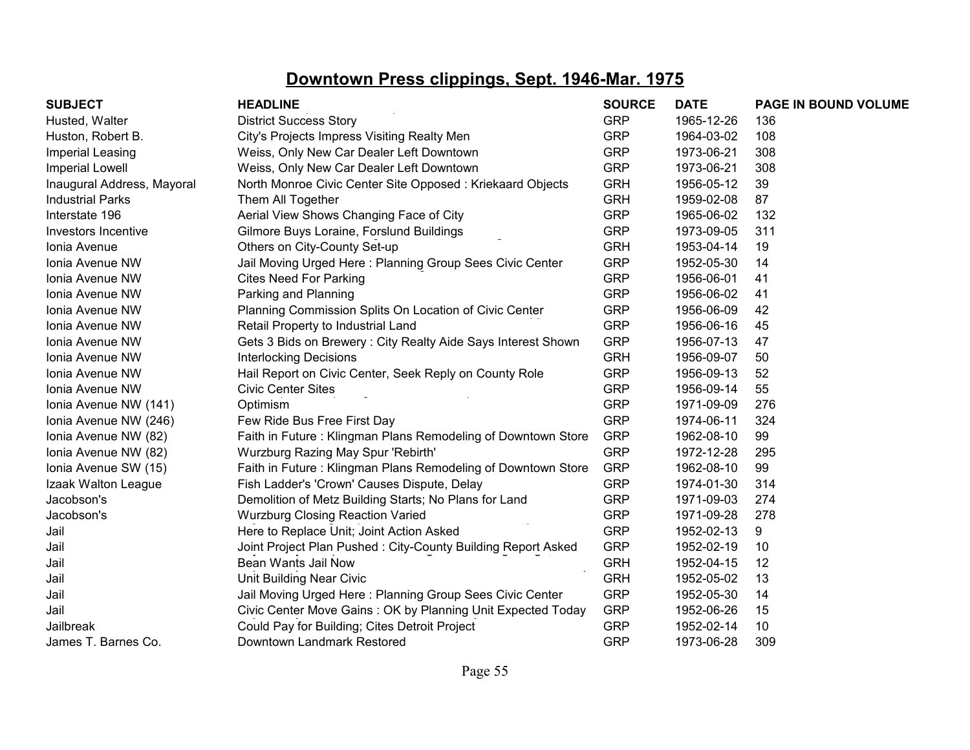| <b>SUBJECT</b>             | <b>HEADLINE</b>                                              | <b>SOURCE</b> | <b>DATE</b> | PAGE IN BOUND VOLUME |
|----------------------------|--------------------------------------------------------------|---------------|-------------|----------------------|
| Husted, Walter             | <b>District Success Story</b>                                | <b>GRP</b>    | 1965-12-26  | 136                  |
| Huston, Robert B.          | City's Projects Impress Visiting Realty Men                  | <b>GRP</b>    | 1964-03-02  | 108                  |
| Imperial Leasing           | Weiss, Only New Car Dealer Left Downtown                     | <b>GRP</b>    | 1973-06-21  | 308                  |
| <b>Imperial Lowell</b>     | Weiss, Only New Car Dealer Left Downtown                     | <b>GRP</b>    | 1973-06-21  | 308                  |
| Inaugural Address, Mayoral | North Monroe Civic Center Site Opposed: Kriekaard Objects    | <b>GRH</b>    | 1956-05-12  | 39                   |
| <b>Industrial Parks</b>    | Them All Together                                            | <b>GRH</b>    | 1959-02-08  | 87                   |
| Interstate 196             | Aerial View Shows Changing Face of City                      | <b>GRP</b>    | 1965-06-02  | 132                  |
| Investors Incentive        | Gilmore Buys Loraine, Forslund Buildings                     | <b>GRP</b>    | 1973-09-05  | 311                  |
| Ionia Avenue               | Others on City-County Set-up                                 | <b>GRH</b>    | 1953-04-14  | 19                   |
| Ionia Avenue NW            | Jail Moving Urged Here: Planning Group Sees Civic Center     | <b>GRP</b>    | 1952-05-30  | 14                   |
| Ionia Avenue NW            | <b>Cites Need For Parking</b>                                | <b>GRP</b>    | 1956-06-01  | 41                   |
| Ionia Avenue NW            | Parking and Planning                                         | <b>GRP</b>    | 1956-06-02  | 41                   |
| Ionia Avenue NW            | Planning Commission Splits On Location of Civic Center       | <b>GRP</b>    | 1956-06-09  | 42                   |
| Ionia Avenue NW            | Retail Property to Industrial Land                           | <b>GRP</b>    | 1956-06-16  | 45                   |
| Ionia Avenue NW            | Gets 3 Bids on Brewery: City Realty Aide Says Interest Shown | <b>GRP</b>    | 1956-07-13  | 47                   |
| Ionia Avenue NW            | <b>Interlocking Decisions</b>                                | <b>GRH</b>    | 1956-09-07  | 50                   |
| Ionia Avenue NW            | Hail Report on Civic Center, Seek Reply on County Role       | <b>GRP</b>    | 1956-09-13  | 52                   |
| Ionia Avenue NW            | <b>Civic Center Sites</b>                                    | <b>GRP</b>    | 1956-09-14  | 55                   |
| Ionia Avenue NW (141)      | Optimism                                                     | <b>GRP</b>    | 1971-09-09  | 276                  |
| Ionia Avenue NW (246)      | Few Ride Bus Free First Day                                  | <b>GRP</b>    | 1974-06-11  | 324                  |
| Ionia Avenue NW (82)       | Faith in Future: Klingman Plans Remodeling of Downtown Store | <b>GRP</b>    | 1962-08-10  | 99                   |
| Ionia Avenue NW (82)       | Wurzburg Razing May Spur 'Rebirth'                           | <b>GRP</b>    | 1972-12-28  | 295                  |
| Ionia Avenue SW (15)       | Faith in Future: Klingman Plans Remodeling of Downtown Store | <b>GRP</b>    | 1962-08-10  | 99                   |
| Izaak Walton League        | Fish Ladder's 'Crown' Causes Dispute, Delay                  | <b>GRP</b>    | 1974-01-30  | 314                  |
| Jacobson's                 | Demolition of Metz Building Starts; No Plans for Land        | <b>GRP</b>    | 1971-09-03  | 274                  |
| Jacobson's                 | <b>Wurzburg Closing Reaction Varied</b>                      | <b>GRP</b>    | 1971-09-28  | 278                  |
| Jail                       | Here to Replace Unit; Joint Action Asked                     | <b>GRP</b>    | 1952-02-13  | 9                    |
| Jail                       | Joint Project Plan Pushed: City-County Building Report Asked | <b>GRP</b>    | 1952-02-19  | 10                   |
| Jail                       | Bean Wants Jail Now                                          | <b>GRH</b>    | 1952-04-15  | 12                   |
| Jail                       | Unit Building Near Civic                                     | <b>GRH</b>    | 1952-05-02  | 13                   |
| Jail                       | Jail Moving Urged Here: Planning Group Sees Civic Center     | <b>GRP</b>    | 1952-05-30  | 14                   |
| Jail                       | Civic Center Move Gains: OK by Planning Unit Expected Today  | <b>GRP</b>    | 1952-06-26  | 15                   |
| Jailbreak                  | Could Pay for Building; Cites Detroit Project                | <b>GRP</b>    | 1952-02-14  | 10                   |
| James T. Barnes Co.        | Downtown Landmark Restored                                   | <b>GRP</b>    | 1973-06-28  | 309                  |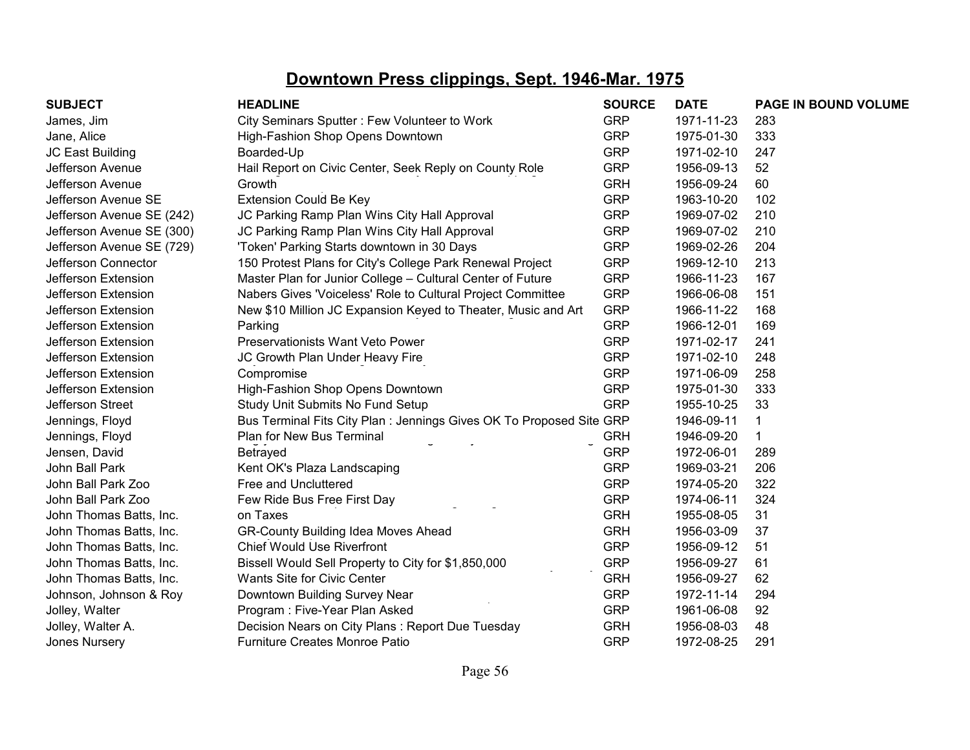| <b>SUBJECT</b>            | <b>HEADLINE</b>                                                      | <b>SOURCE</b> | <b>DATE</b> | PAGE IN BOUND VOLUME |
|---------------------------|----------------------------------------------------------------------|---------------|-------------|----------------------|
| James, Jim                | City Seminars Sputter: Few Volunteer to Work                         | <b>GRP</b>    | 1971-11-23  | 283                  |
| Jane, Alice               | High-Fashion Shop Opens Downtown                                     | <b>GRP</b>    | 1975-01-30  | 333                  |
| JC East Building          | Boarded-Up                                                           | <b>GRP</b>    | 1971-02-10  | 247                  |
| Jefferson Avenue          | Hail Report on Civic Center, Seek Reply on County Role               | <b>GRP</b>    | 1956-09-13  | 52                   |
| Jefferson Avenue          | Growth                                                               | <b>GRH</b>    | 1956-09-24  | 60                   |
| Jefferson Avenue SE       | <b>Extension Could Be Key</b>                                        | <b>GRP</b>    | 1963-10-20  | 102                  |
| Jefferson Avenue SE (242) | JC Parking Ramp Plan Wins City Hall Approval                         | <b>GRP</b>    | 1969-07-02  | 210                  |
| Jefferson Avenue SE (300) | JC Parking Ramp Plan Wins City Hall Approval                         | <b>GRP</b>    | 1969-07-02  | 210                  |
| Jefferson Avenue SE (729) | 'Token' Parking Starts downtown in 30 Days                           | <b>GRP</b>    | 1969-02-26  | 204                  |
| Jefferson Connector       | 150 Protest Plans for City's College Park Renewal Project            | <b>GRP</b>    | 1969-12-10  | 213                  |
| Jefferson Extension       | Master Plan for Junior College - Cultural Center of Future           | <b>GRP</b>    | 1966-11-23  | 167                  |
| Jefferson Extension       | Nabers Gives 'Voiceless' Role to Cultural Project Committee          | <b>GRP</b>    | 1966-06-08  | 151                  |
| Jefferson Extension       | New \$10 Million JC Expansion Keyed to Theater, Music and Art        | <b>GRP</b>    | 1966-11-22  | 168                  |
| Jefferson Extension       | Parking                                                              | <b>GRP</b>    | 1966-12-01  | 169                  |
| Jefferson Extension       | Preservationists Want Veto Power                                     | <b>GRP</b>    | 1971-02-17  | 241                  |
| Jefferson Extension       | JC Growth Plan Under Heavy Fire                                      | <b>GRP</b>    | 1971-02-10  | 248                  |
| Jefferson Extension       | Compromise                                                           | <b>GRP</b>    | 1971-06-09  | 258                  |
| Jefferson Extension       | High-Fashion Shop Opens Downtown                                     | <b>GRP</b>    | 1975-01-30  | 333                  |
| Jefferson Street          | Study Unit Submits No Fund Setup                                     | <b>GRP</b>    | 1955-10-25  | 33                   |
| Jennings, Floyd           | Bus Terminal Fits City Plan : Jennings Gives OK To Proposed Site GRP |               | 1946-09-11  | 1                    |
| Jennings, Floyd           | Plan for New Bus Terminal                                            | <b>GRH</b>    | 1946-09-20  |                      |
| Jensen, David             | Betrayed                                                             | <b>GRP</b>    | 1972-06-01  | 289                  |
| John Ball Park            | Kent OK's Plaza Landscaping                                          | <b>GRP</b>    | 1969-03-21  | 206                  |
| John Ball Park Zoo        | Free and Uncluttered                                                 | <b>GRP</b>    | 1974-05-20  | 322                  |
| John Ball Park Zoo        | Few Ride Bus Free First Day                                          | <b>GRP</b>    | 1974-06-11  | 324                  |
| John Thomas Batts, Inc.   | on Taxes                                                             | <b>GRH</b>    | 1955-08-05  | 31                   |
| John Thomas Batts, Inc.   | <b>GR-County Building Idea Moves Ahead</b>                           | <b>GRH</b>    | 1956-03-09  | 37                   |
| John Thomas Batts, Inc.   | <b>Chief Would Use Riverfront</b>                                    | <b>GRP</b>    | 1956-09-12  | 51                   |
| John Thomas Batts, Inc.   | Bissell Would Sell Property to City for \$1,850,000                  | <b>GRP</b>    | 1956-09-27  | 61                   |
| John Thomas Batts, Inc.   | Wants Site for Civic Center                                          | <b>GRH</b>    | 1956-09-27  | 62                   |
| Johnson, Johnson & Roy    | Downtown Building Survey Near                                        | <b>GRP</b>    | 1972-11-14  | 294                  |
| Jolley, Walter            | Program: Five-Year Plan Asked                                        | <b>GRP</b>    | 1961-06-08  | 92                   |
| Jolley, Walter A.         | Decision Nears on City Plans: Report Due Tuesday                     | <b>GRH</b>    | 1956-08-03  | 48                   |
| <b>Jones Nursery</b>      | <b>Furniture Creates Monroe Patio</b>                                | <b>GRP</b>    | 1972-08-25  | 291                  |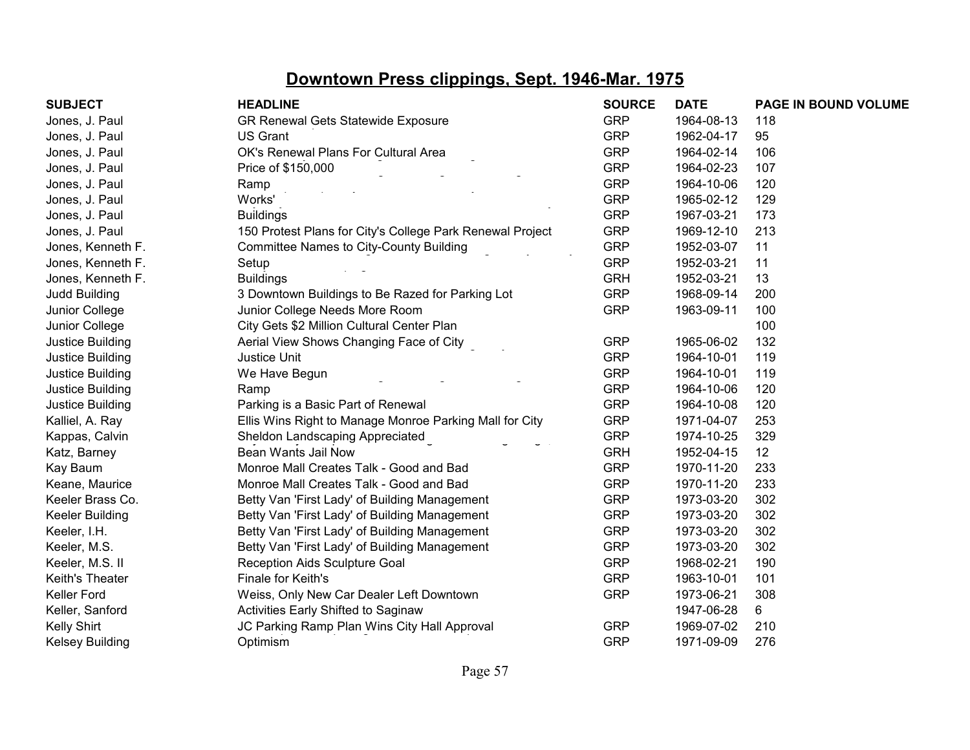| <b>SUBJECT</b>         | <b>HEADLINE</b>                                           | <b>SOURCE</b> | <b>DATE</b> | PAGE IN BOUND VOLUME |
|------------------------|-----------------------------------------------------------|---------------|-------------|----------------------|
| Jones, J. Paul         | <b>GR Renewal Gets Statewide Exposure</b>                 | <b>GRP</b>    | 1964-08-13  | 118                  |
| Jones, J. Paul         | <b>US Grant</b>                                           | <b>GRP</b>    | 1962-04-17  | 95                   |
| Jones, J. Paul         | OK's Renewal Plans For Cultural Area                      | <b>GRP</b>    | 1964-02-14  | 106                  |
| Jones, J. Paul         | Price of \$150,000                                        | <b>GRP</b>    | 1964-02-23  | 107                  |
| Jones, J. Paul         | Ramp                                                      | <b>GRP</b>    | 1964-10-06  | 120                  |
| Jones, J. Paul         | Works'                                                    | <b>GRP</b>    | 1965-02-12  | 129                  |
| Jones, J. Paul         | <b>Buildings</b>                                          | <b>GRP</b>    | 1967-03-21  | 173                  |
| Jones, J. Paul         | 150 Protest Plans for City's College Park Renewal Project | <b>GRP</b>    | 1969-12-10  | 213                  |
| Jones, Kenneth F.      | <b>Committee Names to City-County Building</b>            | <b>GRP</b>    | 1952-03-07  | 11                   |
| Jones, Kenneth F.      | Setup                                                     | <b>GRP</b>    | 1952-03-21  | 11                   |
| Jones, Kenneth F.      | <b>Buildings</b>                                          | <b>GRH</b>    | 1952-03-21  | 13                   |
| Judd Building          | 3 Downtown Buildings to Be Razed for Parking Lot          | <b>GRP</b>    | 1968-09-14  | 200                  |
| Junior College         | Junior College Needs More Room                            | <b>GRP</b>    | 1963-09-11  | 100                  |
| Junior College         | City Gets \$2 Million Cultural Center Plan                |               |             | 100                  |
| Justice Building       | Aerial View Shows Changing Face of City                   | <b>GRP</b>    | 1965-06-02  | 132                  |
| Justice Building       | <b>Justice Unit</b>                                       | <b>GRP</b>    | 1964-10-01  | 119                  |
| Justice Building       | We Have Begun                                             | <b>GRP</b>    | 1964-10-01  | 119                  |
| Justice Building       | Ramp                                                      | <b>GRP</b>    | 1964-10-06  | 120                  |
| Justice Building       | Parking is a Basic Part of Renewal                        | <b>GRP</b>    | 1964-10-08  | 120                  |
| Kalliel, A. Ray        | Ellis Wins Right to Manage Monroe Parking Mall for City   | <b>GRP</b>    | 1971-04-07  | 253                  |
| Kappas, Calvin         | Sheldon Landscaping Appreciated                           | <b>GRP</b>    | 1974-10-25  | 329                  |
| Katz, Barney           | Bean Wants Jail Now                                       | <b>GRH</b>    | 1952-04-15  | 12                   |
| Kay Baum               | Monroe Mall Creates Talk - Good and Bad                   | <b>GRP</b>    | 1970-11-20  | 233                  |
| Keane, Maurice         | Monroe Mall Creates Talk - Good and Bad                   | <b>GRP</b>    | 1970-11-20  | 233                  |
| Keeler Brass Co.       | Betty Van 'First Lady' of Building Management             | <b>GRP</b>    | 1973-03-20  | 302                  |
| <b>Keeler Building</b> | Betty Van 'First Lady' of Building Management             | <b>GRP</b>    | 1973-03-20  | 302                  |
| Keeler, I.H.           | Betty Van 'First Lady' of Building Management             | <b>GRP</b>    | 1973-03-20  | 302                  |
| Keeler, M.S.           | Betty Van 'First Lady' of Building Management             | <b>GRP</b>    | 1973-03-20  | 302                  |
| Keeler, M.S. II        | Reception Aids Sculpture Goal                             | <b>GRP</b>    | 1968-02-21  | 190                  |
| Keith's Theater        | Finale for Keith's                                        | <b>GRP</b>    | 1963-10-01  | 101                  |
| <b>Keller Ford</b>     | Weiss, Only New Car Dealer Left Downtown                  | <b>GRP</b>    | 1973-06-21  | 308                  |
| Keller, Sanford        | Activities Early Shifted to Saginaw                       |               | 1947-06-28  | 6                    |
| Kelly Shirt            | JC Parking Ramp Plan Wins City Hall Approval              | <b>GRP</b>    | 1969-07-02  | 210                  |
| Kelsey Building        | Optimism                                                  | <b>GRP</b>    | 1971-09-09  | 276                  |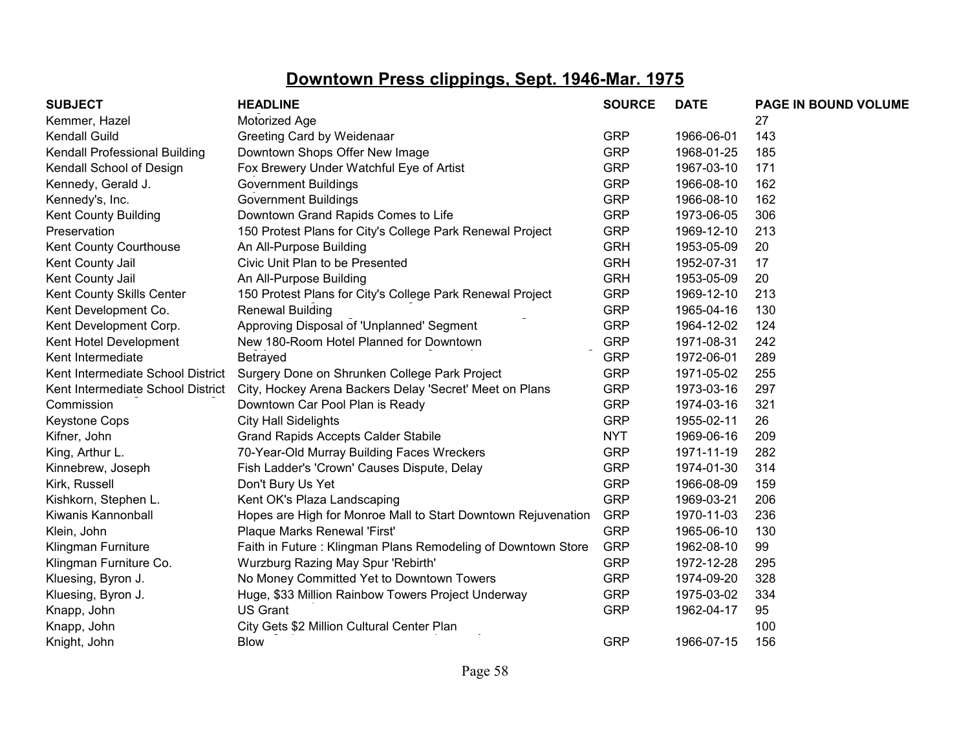| <b>SUBJECT</b>                    | <b>HEADLINE</b>                                               | <b>SOURCE</b> | <b>DATE</b> | PAGE IN BOUND VOLUME |
|-----------------------------------|---------------------------------------------------------------|---------------|-------------|----------------------|
| Kemmer, Hazel                     | Motorized Age                                                 |               |             | 27                   |
| <b>Kendall Guild</b>              | Greeting Card by Weidenaar                                    | <b>GRP</b>    | 1966-06-01  | 143                  |
| Kendall Professional Building     | Downtown Shops Offer New Image                                | <b>GRP</b>    | 1968-01-25  | 185                  |
| Kendall School of Design          | Fox Brewery Under Watchful Eye of Artist                      | <b>GRP</b>    | 1967-03-10  | 171                  |
| Kennedy, Gerald J.                | <b>Government Buildings</b>                                   | <b>GRP</b>    | 1966-08-10  | 162                  |
| Kennedy's, Inc.                   | <b>Government Buildings</b>                                   | <b>GRP</b>    | 1966-08-10  | 162                  |
| Kent County Building              | Downtown Grand Rapids Comes to Life                           | <b>GRP</b>    | 1973-06-05  | 306                  |
| Preservation                      | 150 Protest Plans for City's College Park Renewal Project     | <b>GRP</b>    | 1969-12-10  | 213                  |
| Kent County Courthouse            | An All-Purpose Building                                       | <b>GRH</b>    | 1953-05-09  | 20                   |
| Kent County Jail                  | Civic Unit Plan to be Presented                               | <b>GRH</b>    | 1952-07-31  | 17                   |
| Kent County Jail                  | An All-Purpose Building                                       | <b>GRH</b>    | 1953-05-09  | 20                   |
| Kent County Skills Center         | 150 Protest Plans for City's College Park Renewal Project     | <b>GRP</b>    | 1969-12-10  | 213                  |
| Kent Development Co.              | <b>Renewal Building</b>                                       | <b>GRP</b>    | 1965-04-16  | 130                  |
| Kent Development Corp.            | Approving Disposal of 'Unplanned' Segment                     | <b>GRP</b>    | 1964-12-02  | 124                  |
| Kent Hotel Development            | New 180-Room Hotel Planned for Downtown                       | <b>GRP</b>    | 1971-08-31  | 242                  |
| Kent Intermediate                 | Betrayed                                                      | <b>GRP</b>    | 1972-06-01  | 289                  |
| Kent Intermediate School District | Surgery Done on Shrunken College Park Project                 | <b>GRP</b>    | 1971-05-02  | 255                  |
| Kent Intermediate School District | City, Hockey Arena Backers Delay 'Secret' Meet on Plans       | <b>GRP</b>    | 1973-03-16  | 297                  |
| Commission                        | Downtown Car Pool Plan is Ready                               | <b>GRP</b>    | 1974-03-16  | 321                  |
| <b>Keystone Cops</b>              | <b>City Hall Sidelights</b>                                   | <b>GRP</b>    | 1955-02-11  | 26                   |
| Kifner, John                      | <b>Grand Rapids Accepts Calder Stabile</b>                    | <b>NYT</b>    | 1969-06-16  | 209                  |
| King, Arthur L.                   | 70-Year-Old Murray Building Faces Wreckers                    | <b>GRP</b>    | 1971-11-19  | 282                  |
| Kinnebrew, Joseph                 | Fish Ladder's 'Crown' Causes Dispute, Delay                   | <b>GRP</b>    | 1974-01-30  | 314                  |
| Kirk, Russell                     | Don't Bury Us Yet                                             | <b>GRP</b>    | 1966-08-09  | 159                  |
| Kishkorn, Stephen L.              | Kent OK's Plaza Landscaping                                   | <b>GRP</b>    | 1969-03-21  | 206                  |
| Kiwanis Kannonball                | Hopes are High for Monroe Mall to Start Downtown Rejuvenation | <b>GRP</b>    | 1970-11-03  | 236                  |
| Klein, John                       | Plaque Marks Renewal 'First'                                  | <b>GRP</b>    | 1965-06-10  | 130                  |
| Klingman Furniture                | Faith in Future: Klingman Plans Remodeling of Downtown Store  | <b>GRP</b>    | 1962-08-10  | 99                   |
| Klingman Furniture Co.            | Wurzburg Razing May Spur 'Rebirth'                            | <b>GRP</b>    | 1972-12-28  | 295                  |
| Kluesing, Byron J.                | No Money Committed Yet to Downtown Towers                     | <b>GRP</b>    | 1974-09-20  | 328                  |
| Kluesing, Byron J.                | Huge, \$33 Million Rainbow Towers Project Underway            | <b>GRP</b>    | 1975-03-02  | 334                  |
| Knapp, John                       | <b>US Grant</b>                                               | <b>GRP</b>    | 1962-04-17  | 95                   |
| Knapp, John                       | City Gets \$2 Million Cultural Center Plan                    |               |             | 100                  |
| Knight, John                      | <b>Blow</b>                                                   | <b>GRP</b>    | 1966-07-15  | 156                  |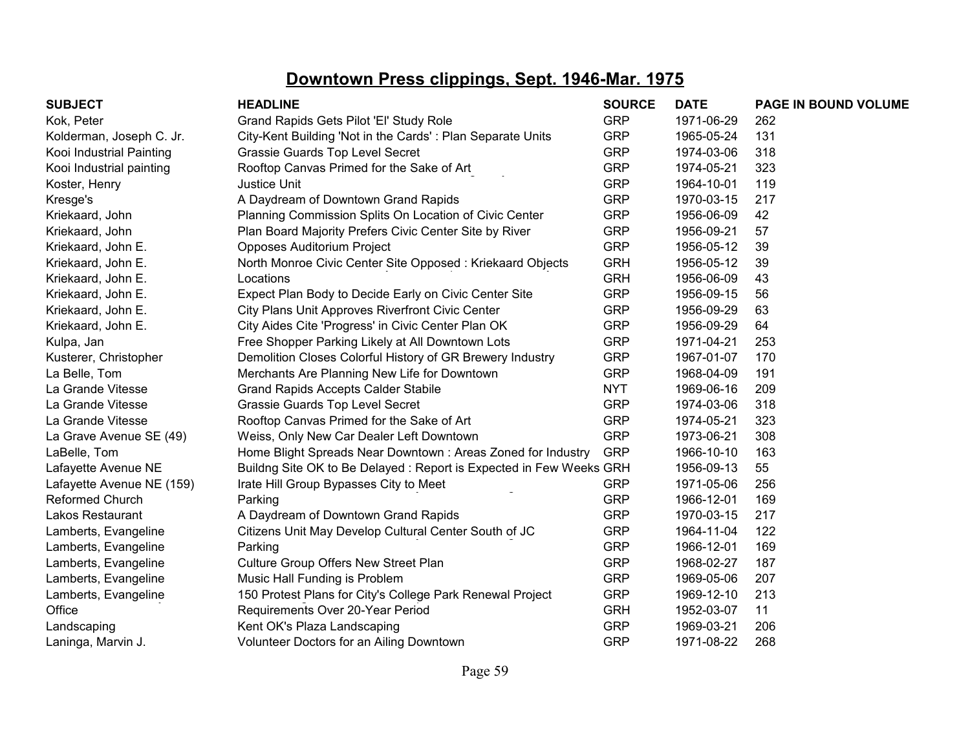| <b>SUBJECT</b>            | <b>HEADLINE</b>                                                    | <b>SOURCE</b> | <b>DATE</b> | PAGE IN BOUND VOLUME |
|---------------------------|--------------------------------------------------------------------|---------------|-------------|----------------------|
| Kok, Peter                | Grand Rapids Gets Pilot 'El' Study Role                            | <b>GRP</b>    | 1971-06-29  | 262                  |
| Kolderman, Joseph C. Jr.  | City-Kent Building 'Not in the Cards': Plan Separate Units         | <b>GRP</b>    | 1965-05-24  | 131                  |
| Kooi Industrial Painting  | Grassie Guards Top Level Secret                                    | <b>GRP</b>    | 1974-03-06  | 318                  |
| Kooi Industrial painting  | Rooftop Canvas Primed for the Sake of Art                          | <b>GRP</b>    | 1974-05-21  | 323                  |
| Koster, Henry             | Justice Unit                                                       | <b>GRP</b>    | 1964-10-01  | 119                  |
| Kresge's                  | A Daydream of Downtown Grand Rapids                                | <b>GRP</b>    | 1970-03-15  | 217                  |
| Kriekaard, John           | Planning Commission Splits On Location of Civic Center             | <b>GRP</b>    | 1956-06-09  | 42                   |
| Kriekaard, John           | Plan Board Majority Prefers Civic Center Site by River             | <b>GRP</b>    | 1956-09-21  | 57                   |
| Kriekaard, John E.        | Opposes Auditorium Project                                         | <b>GRP</b>    | 1956-05-12  | 39                   |
| Kriekaard, John E.        | North Monroe Civic Center Site Opposed: Kriekaard Objects          | <b>GRH</b>    | 1956-05-12  | 39                   |
| Kriekaard, John E.        | Locations                                                          | <b>GRH</b>    | 1956-06-09  | 43                   |
| Kriekaard, John E.        | Expect Plan Body to Decide Early on Civic Center Site              | <b>GRP</b>    | 1956-09-15  | 56                   |
| Kriekaard, John E.        | City Plans Unit Approves Riverfront Civic Center                   | <b>GRP</b>    | 1956-09-29  | 63                   |
| Kriekaard, John E.        | City Aides Cite 'Progress' in Civic Center Plan OK                 | <b>GRP</b>    | 1956-09-29  | 64                   |
| Kulpa, Jan                | Free Shopper Parking Likely at All Downtown Lots                   | <b>GRP</b>    | 1971-04-21  | 253                  |
| Kusterer, Christopher     | Demolition Closes Colorful History of GR Brewery Industry          | <b>GRP</b>    | 1967-01-07  | 170                  |
| La Belle, Tom             | Merchants Are Planning New Life for Downtown                       | <b>GRP</b>    | 1968-04-09  | 191                  |
| La Grande Vitesse         | <b>Grand Rapids Accepts Calder Stabile</b>                         | <b>NYT</b>    | 1969-06-16  | 209                  |
| La Grande Vitesse         | Grassie Guards Top Level Secret                                    | <b>GRP</b>    | 1974-03-06  | 318                  |
| La Grande Vitesse         | Rooftop Canvas Primed for the Sake of Art                          | <b>GRP</b>    | 1974-05-21  | 323                  |
| La Grave Avenue SE (49)   | Weiss, Only New Car Dealer Left Downtown                           | <b>GRP</b>    | 1973-06-21  | 308                  |
| LaBelle, Tom              | Home Blight Spreads Near Downtown: Areas Zoned for Industry        | <b>GRP</b>    | 1966-10-10  | 163                  |
| Lafayette Avenue NE       | Buildng Site OK to Be Delayed: Report is Expected in Few Weeks GRH |               | 1956-09-13  | 55                   |
| Lafayette Avenue NE (159) | Irate Hill Group Bypasses City to Meet                             | <b>GRP</b>    | 1971-05-06  | 256                  |
| Reformed Church           | Parking                                                            | <b>GRP</b>    | 1966-12-01  | 169                  |
| <b>Lakos Restaurant</b>   | A Daydream of Downtown Grand Rapids                                | <b>GRP</b>    | 1970-03-15  | 217                  |
| Lamberts, Evangeline      | Citizens Unit May Develop Cultural Center South of JC              | <b>GRP</b>    | 1964-11-04  | 122                  |
| Lamberts, Evangeline      | Parking                                                            | <b>GRP</b>    | 1966-12-01  | 169                  |
| Lamberts, Evangeline      | Culture Group Offers New Street Plan                               | <b>GRP</b>    | 1968-02-27  | 187                  |
| Lamberts, Evangeline      | Music Hall Funding is Problem                                      | <b>GRP</b>    | 1969-05-06  | 207                  |
| Lamberts, Evangeline      | 150 Protest Plans for City's College Park Renewal Project          | <b>GRP</b>    | 1969-12-10  | 213                  |
| Office                    | Requirements Over 20-Year Period                                   | <b>GRH</b>    | 1952-03-07  | 11                   |
| Landscaping               | Kent OK's Plaza Landscaping                                        | <b>GRP</b>    | 1969-03-21  | 206                  |
| Laninga, Marvin J.        | Volunteer Doctors for an Ailing Downtown                           | <b>GRP</b>    | 1971-08-22  | 268                  |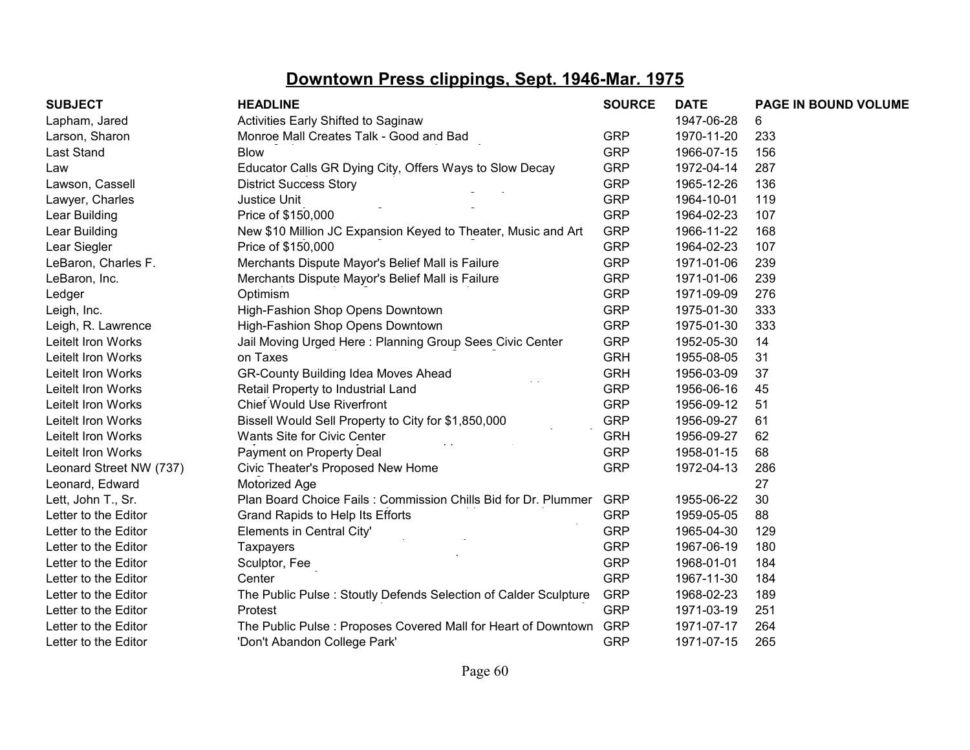| <b>SUBJECT</b>          | <b>HEADLINE</b>                                                 | <b>SOURCE</b> | <b>DATE</b> | PAGE IN BOUND VOLUME |
|-------------------------|-----------------------------------------------------------------|---------------|-------------|----------------------|
| Lapham, Jared           | Activities Early Shifted to Saginaw                             |               | 1947-06-28  | 6                    |
| Larson, Sharon          | Monroe Mall Creates Talk - Good and Bad                         | <b>GRP</b>    | 1970-11-20  | 233                  |
| Last Stand              | <b>Blow</b>                                                     | <b>GRP</b>    | 1966-07-15  | 156                  |
| Law                     | Educator Calls GR Dying City, Offers Ways to Slow Decay         | <b>GRP</b>    | 1972-04-14  | 287                  |
| Lawson, Cassell         | <b>District Success Story</b>                                   | <b>GRP</b>    | 1965-12-26  | 136                  |
| Lawyer, Charles         | Justice Unit                                                    | <b>GRP</b>    | 1964-10-01  | 119                  |
| Lear Building           | Price of \$150,000                                              | <b>GRP</b>    | 1964-02-23  | 107                  |
| Lear Building           | New \$10 Million JC Expansion Keyed to Theater, Music and Art   | <b>GRP</b>    | 1966-11-22  | 168                  |
| Lear Siegler            | Price of \$150,000                                              | <b>GRP</b>    | 1964-02-23  | 107                  |
| LeBaron, Charles F.     | Merchants Dispute Mayor's Belief Mall is Failure                | <b>GRP</b>    | 1971-01-06  | 239                  |
| LeBaron, Inc.           | Merchants Dispute Mayor's Belief Mall is Failure                | <b>GRP</b>    | 1971-01-06  | 239                  |
| Ledger                  | Optimism                                                        | <b>GRP</b>    | 1971-09-09  | 276                  |
| Leigh, Inc.             | High-Fashion Shop Opens Downtown                                | <b>GRP</b>    | 1975-01-30  | 333                  |
| Leigh, R. Lawrence      | High-Fashion Shop Opens Downtown                                | <b>GRP</b>    | 1975-01-30  | 333                  |
| Leitelt Iron Works      | Jail Moving Urged Here: Planning Group Sees Civic Center        | <b>GRP</b>    | 1952-05-30  | 14                   |
| Leitelt Iron Works      | on Taxes                                                        | <b>GRH</b>    | 1955-08-05  | 31                   |
| Leitelt Iron Works      | GR-County Building Idea Moves Ahead                             | <b>GRH</b>    | 1956-03-09  | 37                   |
| Leitelt Iron Works      | Retail Property to Industrial Land                              | <b>GRP</b>    | 1956-06-16  | 45                   |
| Leitelt Iron Works      | <b>Chief Would Use Riverfront</b>                               | <b>GRP</b>    | 1956-09-12  | 51                   |
| Leitelt Iron Works      | Bissell Would Sell Property to City for \$1,850,000             | <b>GRP</b>    | 1956-09-27  | 61                   |
| Leitelt Iron Works      | Wants Site for Civic Center                                     | <b>GRH</b>    | 1956-09-27  | 62                   |
| Leitelt Iron Works      | Payment on Property Deal                                        | <b>GRP</b>    | 1958-01-15  | 68                   |
| Leonard Street NW (737) | Civic Theater's Proposed New Home                               | <b>GRP</b>    | 1972-04-13  | 286                  |
| Leonard, Edward         | Motorized Age                                                   |               |             | 27                   |
| Lett, John T., Sr.      | Plan Board Choice Fails: Commission Chills Bid for Dr. Plummer  | <b>GRP</b>    | 1955-06-22  | 30                   |
| Letter to the Editor    | Grand Rapids to Help Its Efforts                                | <b>GRP</b>    | 1959-05-05  | 88                   |
| Letter to the Editor    | Elements in Central City'                                       | <b>GRP</b>    | 1965-04-30  | 129                  |
| Letter to the Editor    | <b>Taxpayers</b>                                                | <b>GRP</b>    | 1967-06-19  | 180                  |
| Letter to the Editor    | Sculptor, Fee                                                   | <b>GRP</b>    | 1968-01-01  | 184                  |
| Letter to the Editor    | Center                                                          | <b>GRP</b>    | 1967-11-30  | 184                  |
| Letter to the Editor    | The Public Pulse: Stoutly Defends Selection of Calder Sculpture | <b>GRP</b>    | 1968-02-23  | 189                  |
| Letter to the Editor    | Protest                                                         | <b>GRP</b>    | 1971-03-19  | 251                  |
| Letter to the Editor    | The Public Pulse: Proposes Covered Mall for Heart of Downtown   | <b>GRP</b>    | 1971-07-17  | 264                  |
| Letter to the Editor    | 'Don't Abandon College Park'                                    | <b>GRP</b>    | 1971-07-15  | 265                  |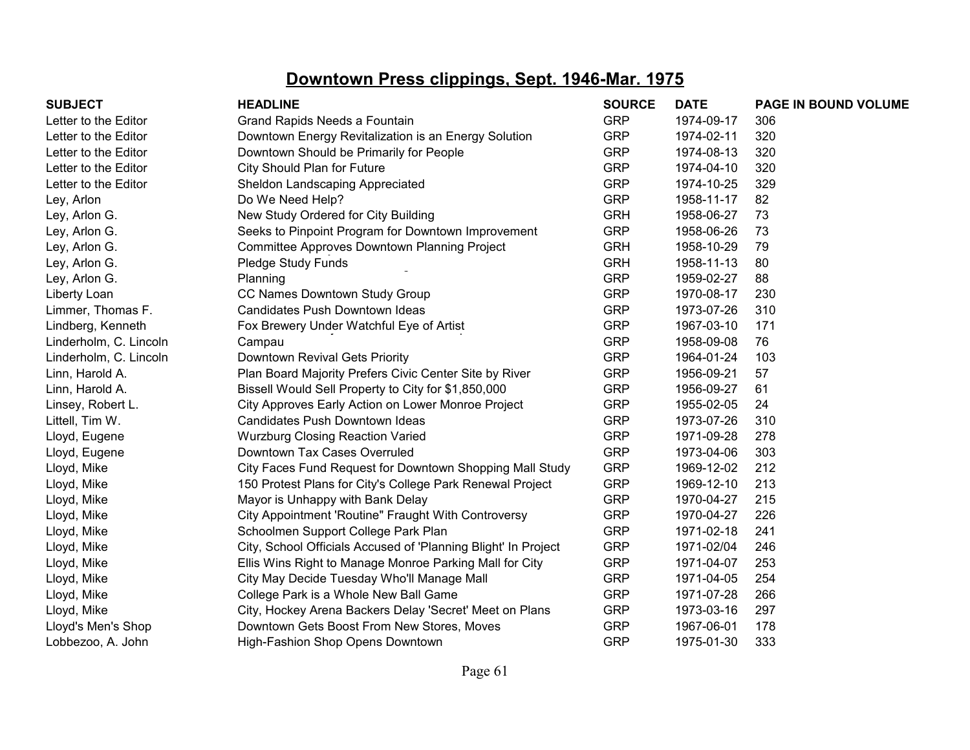| <b>SUBJECT</b>         | <b>HEADLINE</b>                                                | <b>SOURCE</b> | <b>DATE</b> | PAGE IN BOUND VOLUME |
|------------------------|----------------------------------------------------------------|---------------|-------------|----------------------|
| Letter to the Editor   | Grand Rapids Needs a Fountain                                  | <b>GRP</b>    | 1974-09-17  | 306                  |
| Letter to the Editor   | Downtown Energy Revitalization is an Energy Solution           | <b>GRP</b>    | 1974-02-11  | 320                  |
| Letter to the Editor   | Downtown Should be Primarily for People                        | <b>GRP</b>    | 1974-08-13  | 320                  |
| Letter to the Editor   | City Should Plan for Future                                    | <b>GRP</b>    | 1974-04-10  | 320                  |
| Letter to the Editor   | Sheldon Landscaping Appreciated                                | <b>GRP</b>    | 1974-10-25  | 329                  |
| Ley, Arlon             | Do We Need Help?                                               | <b>GRP</b>    | 1958-11-17  | 82                   |
| Ley, Arlon G.          | New Study Ordered for City Building                            | <b>GRH</b>    | 1958-06-27  | 73                   |
| Ley, Arlon G.          | Seeks to Pinpoint Program for Downtown Improvement             | <b>GRP</b>    | 1958-06-26  | 73                   |
| Ley, Arlon G.          | Committee Approves Downtown Planning Project                   | <b>GRH</b>    | 1958-10-29  | 79                   |
| Ley, Arlon G.          | Pledge Study Funds                                             | <b>GRH</b>    | 1958-11-13  | 80                   |
| Ley, Arlon G.          | Planning                                                       | <b>GRP</b>    | 1959-02-27  | 88                   |
| Liberty Loan           | CC Names Downtown Study Group                                  | <b>GRP</b>    | 1970-08-17  | 230                  |
| Limmer, Thomas F.      | Candidates Push Downtown Ideas                                 | <b>GRP</b>    | 1973-07-26  | 310                  |
| Lindberg, Kenneth      | Fox Brewery Under Watchful Eye of Artist                       | <b>GRP</b>    | 1967-03-10  | 171                  |
| Linderholm, C. Lincoln | Campau                                                         | <b>GRP</b>    | 1958-09-08  | 76                   |
| Linderholm, C. Lincoln | Downtown Revival Gets Priority                                 | <b>GRP</b>    | 1964-01-24  | 103                  |
| Linn, Harold A.        | Plan Board Majority Prefers Civic Center Site by River         | <b>GRP</b>    | 1956-09-21  | 57                   |
| Linn, Harold A.        | Bissell Would Sell Property to City for \$1,850,000            | <b>GRP</b>    | 1956-09-27  | 61                   |
| Linsey, Robert L.      | City Approves Early Action on Lower Monroe Project             | <b>GRP</b>    | 1955-02-05  | 24                   |
| Littell, Tim W.        | Candidates Push Downtown Ideas                                 | <b>GRP</b>    | 1973-07-26  | 310                  |
| Lloyd, Eugene          | <b>Wurzburg Closing Reaction Varied</b>                        | <b>GRP</b>    | 1971-09-28  | 278                  |
| Lloyd, Eugene          | Downtown Tax Cases Overruled                                   | <b>GRP</b>    | 1973-04-06  | 303                  |
| Lloyd, Mike            | City Faces Fund Request for Downtown Shopping Mall Study       | <b>GRP</b>    | 1969-12-02  | 212                  |
| Lloyd, Mike            | 150 Protest Plans for City's College Park Renewal Project      | <b>GRP</b>    | 1969-12-10  | 213                  |
| Lloyd, Mike            | Mayor is Unhappy with Bank Delay                               | <b>GRP</b>    | 1970-04-27  | 215                  |
| Lloyd, Mike            | City Appointment 'Routine" Fraught With Controversy            | <b>GRP</b>    | 1970-04-27  | 226                  |
| Lloyd, Mike            | Schoolmen Support College Park Plan                            | <b>GRP</b>    | 1971-02-18  | 241                  |
| Lloyd, Mike            | City, School Officials Accused of 'Planning Blight' In Project | <b>GRP</b>    | 1971-02/04  | 246                  |
| Lloyd, Mike            | Ellis Wins Right to Manage Monroe Parking Mall for City        | <b>GRP</b>    | 1971-04-07  | 253                  |
| Lloyd, Mike            | City May Decide Tuesday Who'll Manage Mall                     | <b>GRP</b>    | 1971-04-05  | 254                  |
| Lloyd, Mike            | College Park is a Whole New Ball Game                          | <b>GRP</b>    | 1971-07-28  | 266                  |
| Lloyd, Mike            | City, Hockey Arena Backers Delay 'Secret' Meet on Plans        | <b>GRP</b>    | 1973-03-16  | 297                  |
| Lloyd's Men's Shop     | Downtown Gets Boost From New Stores, Moves                     | <b>GRP</b>    | 1967-06-01  | 178                  |
| Lobbezoo, A. John      | High-Fashion Shop Opens Downtown                               | <b>GRP</b>    | 1975-01-30  | 333                  |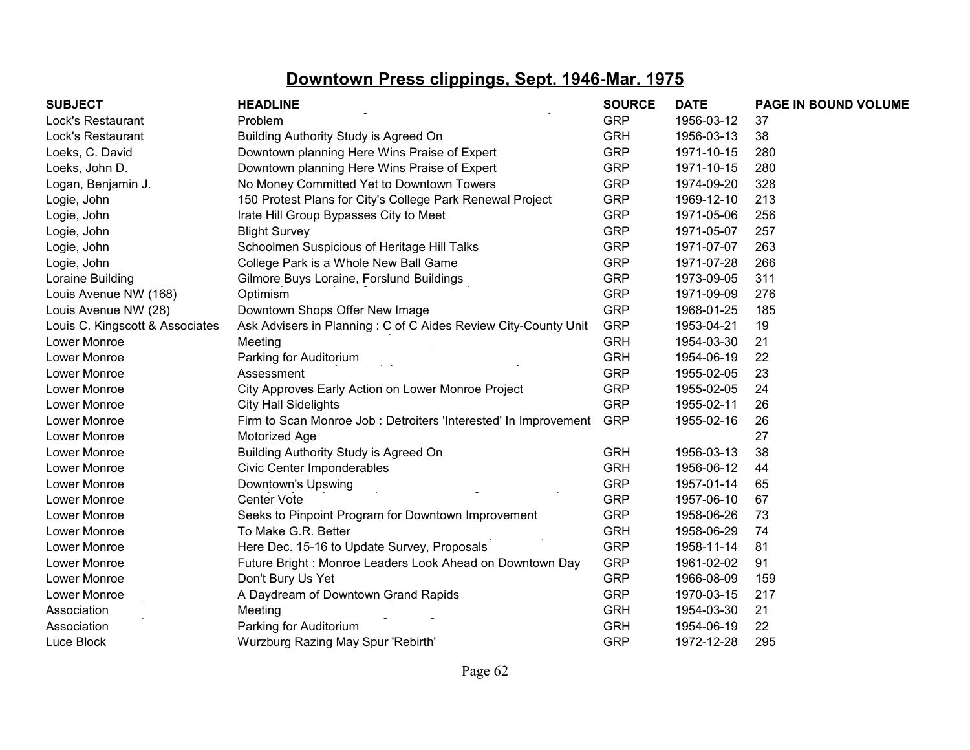| <b>SUBJECT</b>                  | <b>HEADLINE</b>                                                 | <b>SOURCE</b> | <b>DATE</b> | PAGE IN BOUND VOLUME |
|---------------------------------|-----------------------------------------------------------------|---------------|-------------|----------------------|
| Lock's Restaurant               | Problem                                                         | <b>GRP</b>    | 1956-03-12  | 37                   |
| Lock's Restaurant               | Building Authority Study is Agreed On                           | <b>GRH</b>    | 1956-03-13  | 38                   |
| Loeks, C. David                 | Downtown planning Here Wins Praise of Expert                    | <b>GRP</b>    | 1971-10-15  | 280                  |
| Loeks, John D.                  | Downtown planning Here Wins Praise of Expert                    | <b>GRP</b>    | 1971-10-15  | 280                  |
| Logan, Benjamin J.              | No Money Committed Yet to Downtown Towers                       | <b>GRP</b>    | 1974-09-20  | 328                  |
| Logie, John                     | 150 Protest Plans for City's College Park Renewal Project       | <b>GRP</b>    | 1969-12-10  | 213                  |
| Logie, John                     | Irate Hill Group Bypasses City to Meet                          | <b>GRP</b>    | 1971-05-06  | 256                  |
| Logie, John                     | <b>Blight Survey</b>                                            | <b>GRP</b>    | 1971-05-07  | 257                  |
| Logie, John                     | Schoolmen Suspicious of Heritage Hill Talks                     | <b>GRP</b>    | 1971-07-07  | 263                  |
| Logie, John                     | College Park is a Whole New Ball Game                           | <b>GRP</b>    | 1971-07-28  | 266                  |
| Loraine Building                | Gilmore Buys Loraine, Forslund Buildings                        | <b>GRP</b>    | 1973-09-05  | 311                  |
| Louis Avenue NW (168)           | Optimism                                                        | <b>GRP</b>    | 1971-09-09  | 276                  |
| Louis Avenue NW (28)            | Downtown Shops Offer New Image                                  | <b>GRP</b>    | 1968-01-25  | 185                  |
| Louis C. Kingscott & Associates | Ask Advisers in Planning: C of C Aides Review City-County Unit  | <b>GRP</b>    | 1953-04-21  | 19                   |
| Lower Monroe                    | Meeting                                                         | <b>GRH</b>    | 1954-03-30  | 21                   |
| Lower Monroe                    | Parking for Auditorium                                          | <b>GRH</b>    | 1954-06-19  | 22                   |
| Lower Monroe                    | Assessment                                                      | <b>GRP</b>    | 1955-02-05  | 23                   |
| Lower Monroe                    | City Approves Early Action on Lower Monroe Project              | <b>GRP</b>    | 1955-02-05  | 24                   |
| Lower Monroe                    | <b>City Hall Sidelights</b>                                     | <b>GRP</b>    | 1955-02-11  | 26                   |
| Lower Monroe                    | Firm to Scan Monroe Job: Detroiters 'Interested' In Improvement | <b>GRP</b>    | 1955-02-16  | 26                   |
| Lower Monroe                    | Motorized Age                                                   |               |             | 27                   |
| Lower Monroe                    | Building Authority Study is Agreed On                           | <b>GRH</b>    | 1956-03-13  | 38                   |
| Lower Monroe                    | <b>Civic Center Imponderables</b>                               | <b>GRH</b>    | 1956-06-12  | 44                   |
| Lower Monroe                    | Downtown's Upswing                                              | <b>GRP</b>    | 1957-01-14  | 65                   |
| Lower Monroe                    | Center Vote                                                     | <b>GRP</b>    | 1957-06-10  | 67                   |
| Lower Monroe                    | Seeks to Pinpoint Program for Downtown Improvement              | <b>GRP</b>    | 1958-06-26  | 73                   |
| Lower Monroe                    | To Make G.R. Better                                             | <b>GRH</b>    | 1958-06-29  | 74                   |
| Lower Monroe                    | Here Dec. 15-16 to Update Survey, Proposals                     | <b>GRP</b>    | 1958-11-14  | 81                   |
| Lower Monroe                    | Future Bright: Monroe Leaders Look Ahead on Downtown Day        | <b>GRP</b>    | 1961-02-02  | 91                   |
| Lower Monroe                    | Don't Bury Us Yet                                               | <b>GRP</b>    | 1966-08-09  | 159                  |
| Lower Monroe                    | A Daydream of Downtown Grand Rapids                             | <b>GRP</b>    | 1970-03-15  | 217                  |
| Association                     | Meeting                                                         | <b>GRH</b>    | 1954-03-30  | 21                   |
| Association                     | Parking for Auditorium                                          | <b>GRH</b>    | 1954-06-19  | 22                   |
| Luce Block                      | Wurzburg Razing May Spur 'Rebirth'                              | <b>GRP</b>    | 1972-12-28  | 295                  |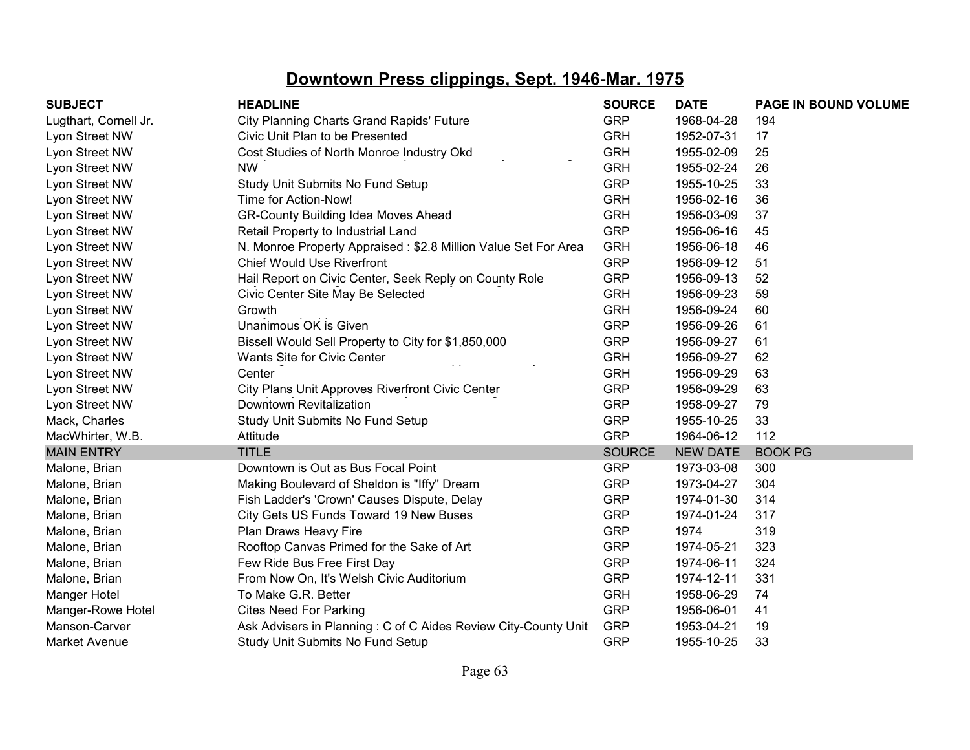| <b>SUBJECT</b>        | <b>HEADLINE</b>                                                | <b>SOURCE</b> | <b>DATE</b>     | <b>PAGE IN BOUND VOLUME</b> |
|-----------------------|----------------------------------------------------------------|---------------|-----------------|-----------------------------|
| Lugthart, Cornell Jr. | <b>City Planning Charts Grand Rapids' Future</b>               | <b>GRP</b>    | 1968-04-28      | 194                         |
| Lyon Street NW        | Civic Unit Plan to be Presented                                | <b>GRH</b>    | 1952-07-31      | 17                          |
| Lyon Street NW        | Cost Studies of North Monroe Industry Okd                      | <b>GRH</b>    | 1955-02-09      | 25                          |
| Lyon Street NW        | <b>NW</b>                                                      | <b>GRH</b>    | 1955-02-24      | 26                          |
| Lyon Street NW        | Study Unit Submits No Fund Setup                               | <b>GRP</b>    | 1955-10-25      | 33                          |
| Lyon Street NW        | Time for Action-Now!                                           | <b>GRH</b>    | 1956-02-16      | 36                          |
| Lyon Street NW        | GR-County Building Idea Moves Ahead                            | <b>GRH</b>    | 1956-03-09      | 37                          |
| Lyon Street NW        | Retail Property to Industrial Land                             | <b>GRP</b>    | 1956-06-16      | 45                          |
| Lyon Street NW        | N. Monroe Property Appraised: \$2.8 Million Value Set For Area | <b>GRH</b>    | 1956-06-18      | 46                          |
| Lyon Street NW        | <b>Chief Would Use Riverfront</b>                              | <b>GRP</b>    | 1956-09-12      | 51                          |
| Lyon Street NW        | Hail Report on Civic Center, Seek Reply on County Role         | <b>GRP</b>    | 1956-09-13      | 52                          |
| Lyon Street NW        | Civic Center Site May Be Selected                              | <b>GRH</b>    | 1956-09-23      | 59                          |
| Lyon Street NW        | Growth                                                         | <b>GRH</b>    | 1956-09-24      | 60                          |
| Lyon Street NW        | Unanimous OK is Given                                          | <b>GRP</b>    | 1956-09-26      | 61                          |
| Lyon Street NW        | Bissell Would Sell Property to City for \$1,850,000            | <b>GRP</b>    | 1956-09-27      | 61                          |
| Lyon Street NW        | Wants Site for Civic Center                                    | <b>GRH</b>    | 1956-09-27      | 62                          |
| Lyon Street NW        | Center                                                         | <b>GRH</b>    | 1956-09-29      | 63                          |
| Lyon Street NW        | City Plans Unit Approves Riverfront Civic Center               | <b>GRP</b>    | 1956-09-29      | 63                          |
| Lyon Street NW        | Downtown Revitalization                                        | <b>GRP</b>    | 1958-09-27      | 79                          |
| Mack, Charles         | Study Unit Submits No Fund Setup                               | <b>GRP</b>    | 1955-10-25      | 33                          |
| MacWhirter, W.B.      | Attitude                                                       | <b>GRP</b>    | 1964-06-12      | 112                         |
| <b>MAIN ENTRY</b>     | <b>TITLE</b>                                                   | <b>SOURCE</b> | <b>NEW DATE</b> | <b>BOOK PG</b>              |
| Malone, Brian         | Downtown is Out as Bus Focal Point                             | <b>GRP</b>    | 1973-03-08      | 300                         |
| Malone, Brian         | Making Boulevard of Sheldon is "Iffy" Dream                    | <b>GRP</b>    | 1973-04-27      | 304                         |
| Malone, Brian         | Fish Ladder's 'Crown' Causes Dispute, Delay                    | <b>GRP</b>    | 1974-01-30      | 314                         |
| Malone, Brian         | City Gets US Funds Toward 19 New Buses                         | <b>GRP</b>    | 1974-01-24      | 317                         |
| Malone, Brian         | Plan Draws Heavy Fire                                          | <b>GRP</b>    | 1974            | 319                         |
| Malone, Brian         | Rooftop Canvas Primed for the Sake of Art                      | <b>GRP</b>    | 1974-05-21      | 323                         |
| Malone, Brian         | Few Ride Bus Free First Day                                    | <b>GRP</b>    | 1974-06-11      | 324                         |
| Malone, Brian         | From Now On, It's Welsh Civic Auditorium                       | <b>GRP</b>    | 1974-12-11      | 331                         |
| Manger Hotel          | To Make G.R. Better                                            | <b>GRH</b>    | 1958-06-29      | 74                          |
| Manger-Rowe Hotel     | <b>Cites Need For Parking</b>                                  | <b>GRP</b>    | 1956-06-01      | 41                          |
| Manson-Carver         | Ask Advisers in Planning: C of C Aides Review City-County Unit | <b>GRP</b>    | 1953-04-21      | 19                          |
| <b>Market Avenue</b>  | Study Unit Submits No Fund Setup                               | <b>GRP</b>    | 1955-10-25      | 33                          |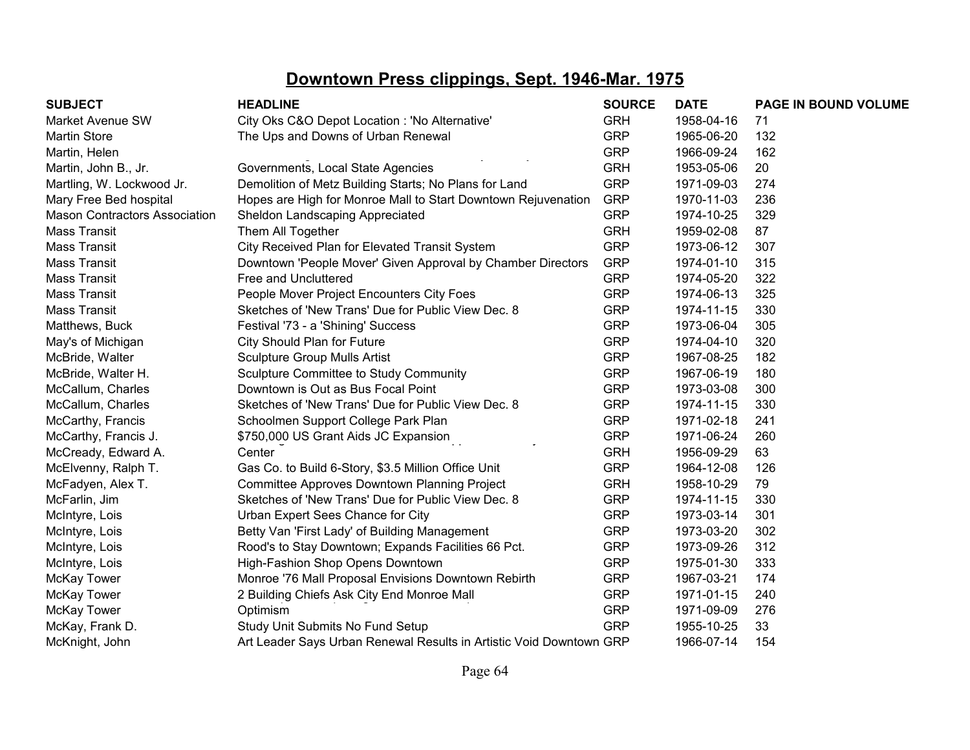| <b>SUBJECT</b>                       | <b>HEADLINE</b>                                                     | <b>SOURCE</b> | <b>DATE</b> | PAGE IN BOUND VOLUME |
|--------------------------------------|---------------------------------------------------------------------|---------------|-------------|----------------------|
| Market Avenue SW                     | City Oks C&O Depot Location : 'No Alternative'                      | <b>GRH</b>    | 1958-04-16  | 71                   |
| <b>Martin Store</b>                  | The Ups and Downs of Urban Renewal                                  | <b>GRP</b>    | 1965-06-20  | 132                  |
| Martin, Helen                        |                                                                     | <b>GRP</b>    | 1966-09-24  | 162                  |
| Martin, John B., Jr.                 | Governments, Local State Agencies                                   | <b>GRH</b>    | 1953-05-06  | 20                   |
| Martling, W. Lockwood Jr.            | Demolition of Metz Building Starts; No Plans for Land               | <b>GRP</b>    | 1971-09-03  | 274                  |
| Mary Free Bed hospital               | Hopes are High for Monroe Mall to Start Downtown Rejuvenation       | <b>GRP</b>    | 1970-11-03  | 236                  |
| <b>Mason Contractors Association</b> | Sheldon Landscaping Appreciated                                     | <b>GRP</b>    | 1974-10-25  | 329                  |
| <b>Mass Transit</b>                  | Them All Together                                                   | <b>GRH</b>    | 1959-02-08  | 87                   |
| <b>Mass Transit</b>                  | City Received Plan for Elevated Transit System                      | <b>GRP</b>    | 1973-06-12  | 307                  |
| <b>Mass Transit</b>                  | Downtown 'People Mover' Given Approval by Chamber Directors         | <b>GRP</b>    | 1974-01-10  | 315                  |
| <b>Mass Transit</b>                  | Free and Uncluttered                                                | <b>GRP</b>    | 1974-05-20  | 322                  |
| <b>Mass Transit</b>                  | People Mover Project Encounters City Foes                           | <b>GRP</b>    | 1974-06-13  | 325                  |
| <b>Mass Transit</b>                  | Sketches of 'New Trans' Due for Public View Dec. 8                  | <b>GRP</b>    | 1974-11-15  | 330                  |
| Matthews, Buck                       | Festival '73 - a 'Shining' Success                                  | <b>GRP</b>    | 1973-06-04  | 305                  |
| May's of Michigan                    | City Should Plan for Future                                         | <b>GRP</b>    | 1974-04-10  | 320                  |
| McBride, Walter                      | <b>Sculpture Group Mulls Artist</b>                                 | <b>GRP</b>    | 1967-08-25  | 182                  |
| McBride, Walter H.                   | Sculpture Committee to Study Community                              | <b>GRP</b>    | 1967-06-19  | 180                  |
| McCallum, Charles                    | Downtown is Out as Bus Focal Point                                  | <b>GRP</b>    | 1973-03-08  | 300                  |
| McCallum, Charles                    | Sketches of 'New Trans' Due for Public View Dec. 8                  | <b>GRP</b>    | 1974-11-15  | 330                  |
| McCarthy, Francis                    | Schoolmen Support College Park Plan                                 | <b>GRP</b>    | 1971-02-18  | 241                  |
| McCarthy, Francis J.                 | \$750,000 US Grant Aids JC Expansion                                | <b>GRP</b>    | 1971-06-24  | 260                  |
| McCready, Edward A.                  | Center                                                              | <b>GRH</b>    | 1956-09-29  | 63                   |
| McElvenny, Ralph T.                  | Gas Co. to Build 6-Story, \$3.5 Million Office Unit                 | <b>GRP</b>    | 1964-12-08  | 126                  |
| McFadyen, Alex T.                    | Committee Approves Downtown Planning Project                        | <b>GRH</b>    | 1958-10-29  | 79                   |
| McFarlin, Jim                        | Sketches of 'New Trans' Due for Public View Dec. 8                  | <b>GRP</b>    | 1974-11-15  | 330                  |
| McIntyre, Lois                       | Urban Expert Sees Chance for City                                   | <b>GRP</b>    | 1973-03-14  | 301                  |
| McIntyre, Lois                       | Betty Van 'First Lady' of Building Management                       | <b>GRP</b>    | 1973-03-20  | 302                  |
| McIntyre, Lois                       | Rood's to Stay Downtown; Expands Facilities 66 Pct.                 | <b>GRP</b>    | 1973-09-26  | 312                  |
| McIntyre, Lois                       | High-Fashion Shop Opens Downtown                                    | <b>GRP</b>    | 1975-01-30  | 333                  |
| <b>McKay Tower</b>                   | Monroe '76 Mall Proposal Envisions Downtown Rebirth                 | <b>GRP</b>    | 1967-03-21  | 174                  |
| McKay Tower                          | 2 Building Chiefs Ask City End Monroe Mall                          | <b>GRP</b>    | 1971-01-15  | 240                  |
| McKay Tower                          | Optimism                                                            | <b>GRP</b>    | 1971-09-09  | 276                  |
| McKay, Frank D.                      | Study Unit Submits No Fund Setup                                    | <b>GRP</b>    | 1955-10-25  | 33                   |
| McKnight, John                       | Art Leader Says Urban Renewal Results in Artistic Void Downtown GRP |               | 1966-07-14  | 154                  |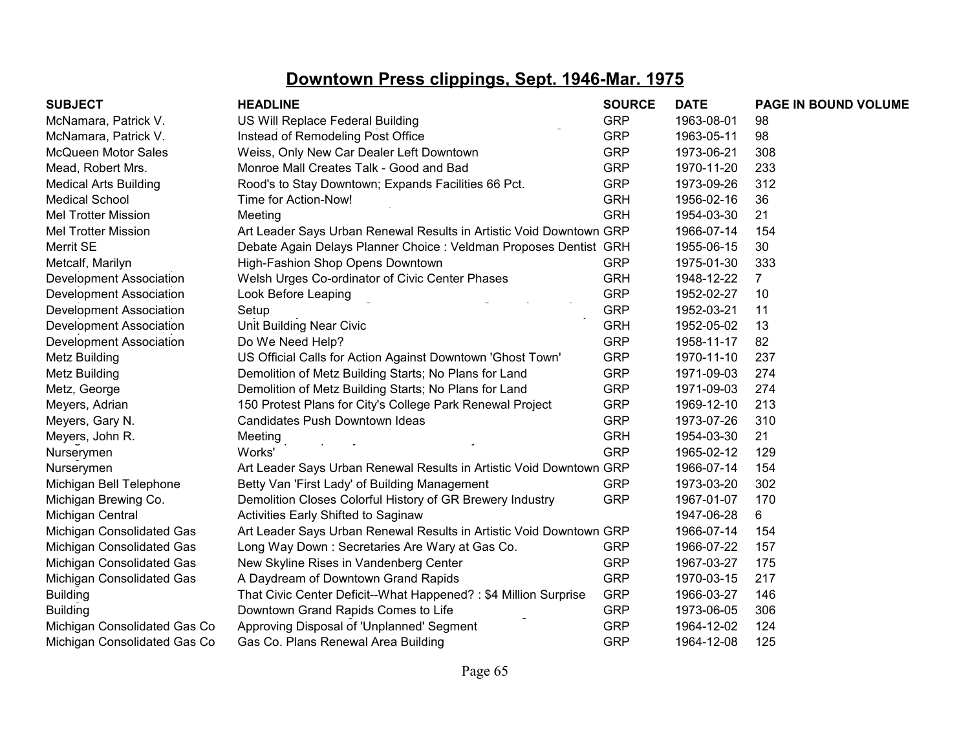| <b>SUBJECT</b>                 | <b>HEADLINE</b>                                                     | <b>SOURCE</b> | <b>DATE</b> | PAGE IN BOUND VOLUME |
|--------------------------------|---------------------------------------------------------------------|---------------|-------------|----------------------|
| McNamara, Patrick V.           | US Will Replace Federal Building                                    | <b>GRP</b>    | 1963-08-01  | 98                   |
| McNamara, Patrick V.           | Instead of Remodeling Post Office                                   | <b>GRP</b>    | 1963-05-11  | 98                   |
| <b>McQueen Motor Sales</b>     | Weiss, Only New Car Dealer Left Downtown                            | <b>GRP</b>    | 1973-06-21  | 308                  |
| Mead, Robert Mrs.              | Monroe Mall Creates Talk - Good and Bad                             | <b>GRP</b>    | 1970-11-20  | 233                  |
| <b>Medical Arts Building</b>   | Rood's to Stay Downtown; Expands Facilities 66 Pct.                 | <b>GRP</b>    | 1973-09-26  | 312                  |
| <b>Medical School</b>          | Time for Action-Now!                                                | <b>GRH</b>    | 1956-02-16  | 36                   |
| <b>Mel Trotter Mission</b>     | Meeting                                                             | <b>GRH</b>    | 1954-03-30  | 21                   |
| <b>Mel Trotter Mission</b>     | Art Leader Says Urban Renewal Results in Artistic Void Downtown GRP |               | 1966-07-14  | 154                  |
| Merrit SE                      | Debate Again Delays Planner Choice : Veldman Proposes Dentist GRH   |               | 1955-06-15  | 30                   |
| Metcalf, Marilyn               | High-Fashion Shop Opens Downtown                                    | <b>GRP</b>    | 1975-01-30  | 333                  |
| Development Association        | Welsh Urges Co-ordinator of Civic Center Phases                     | <b>GRH</b>    | 1948-12-22  | $\overline{7}$       |
| Development Association        | Look Before Leaping                                                 | <b>GRP</b>    | 1952-02-27  | 10                   |
| <b>Development Association</b> | Setup                                                               | <b>GRP</b>    | 1952-03-21  | 11                   |
| Development Association        | Unit Building Near Civic                                            | <b>GRH</b>    | 1952-05-02  | 13                   |
| Development Association        | Do We Need Help?                                                    | <b>GRP</b>    | 1958-11-17  | 82                   |
| Metz Building                  | US Official Calls for Action Against Downtown 'Ghost Town'          | <b>GRP</b>    | 1970-11-10  | 237                  |
| Metz Building                  | Demolition of Metz Building Starts; No Plans for Land               | <b>GRP</b>    | 1971-09-03  | 274                  |
| Metz, George                   | Demolition of Metz Building Starts; No Plans for Land               | <b>GRP</b>    | 1971-09-03  | 274                  |
| Meyers, Adrian                 | 150 Protest Plans for City's College Park Renewal Project           | <b>GRP</b>    | 1969-12-10  | 213                  |
| Meyers, Gary N.                | Candidates Push Downtown Ideas                                      | <b>GRP</b>    | 1973-07-26  | 310                  |
| Meyers, John R.                | Meeting                                                             | <b>GRH</b>    | 1954-03-30  | 21                   |
| Nurserymen                     | Works'                                                              | <b>GRP</b>    | 1965-02-12  | 129                  |
| Nurserymen                     | Art Leader Says Urban Renewal Results in Artistic Void Downtown GRP |               | 1966-07-14  | 154                  |
| Michigan Bell Telephone        | Betty Van 'First Lady' of Building Management                       | <b>GRP</b>    | 1973-03-20  | 302                  |
| Michigan Brewing Co.           | Demolition Closes Colorful History of GR Brewery Industry           | <b>GRP</b>    | 1967-01-07  | 170                  |
| Michigan Central               | Activities Early Shifted to Saginaw                                 |               | 1947-06-28  | 6                    |
| Michigan Consolidated Gas      | Art Leader Says Urban Renewal Results in Artistic Void Downtown GRP |               | 1966-07-14  | 154                  |
| Michigan Consolidated Gas      | Long Way Down: Secretaries Are Wary at Gas Co.                      | <b>GRP</b>    | 1966-07-22  | 157                  |
| Michigan Consolidated Gas      | New Skyline Rises in Vandenberg Center                              | <b>GRP</b>    | 1967-03-27  | 175                  |
| Michigan Consolidated Gas      | A Daydream of Downtown Grand Rapids                                 | <b>GRP</b>    | 1970-03-15  | 217                  |
| <b>Building</b>                | That Civic Center Deficit--What Happened? : \$4 Million Surprise    | <b>GRP</b>    | 1966-03-27  | 146                  |
| <b>Building</b>                | Downtown Grand Rapids Comes to Life                                 | <b>GRP</b>    | 1973-06-05  | 306                  |
| Michigan Consolidated Gas Co   | Approving Disposal of 'Unplanned' Segment                           | <b>GRP</b>    | 1964-12-02  | 124                  |
| Michigan Consolidated Gas Co   | Gas Co. Plans Renewal Area Building                                 | <b>GRP</b>    | 1964-12-08  | 125                  |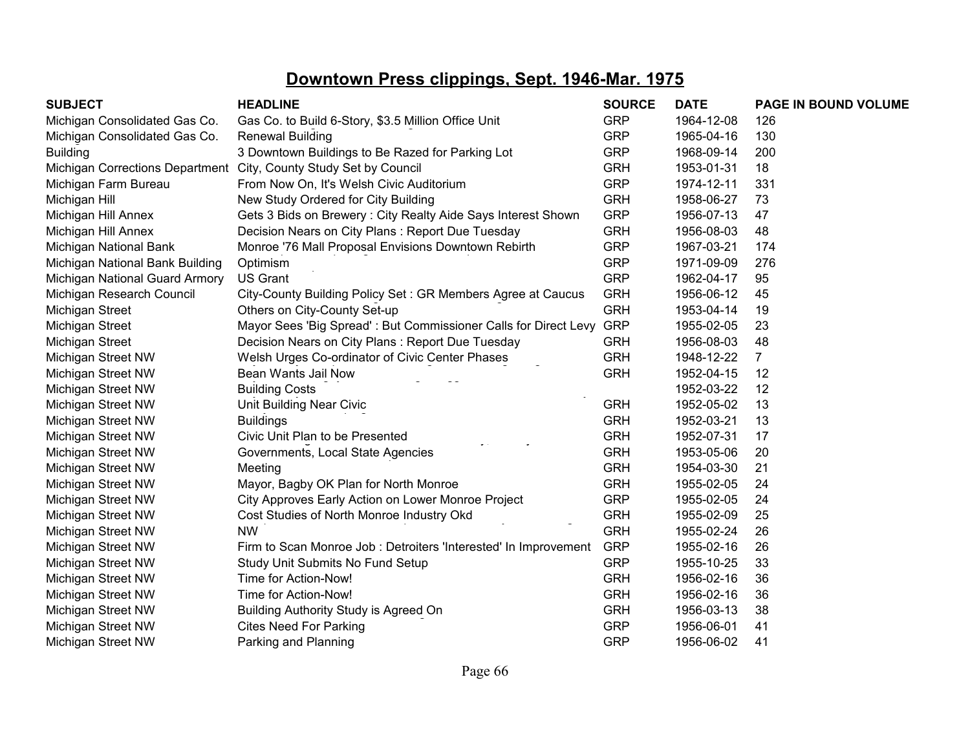| <b>SUBJECT</b>                  | <b>HEADLINE</b>                                                   | <b>SOURCE</b> | <b>DATE</b> | PAGE IN BOUND VOLUME |
|---------------------------------|-------------------------------------------------------------------|---------------|-------------|----------------------|
| Michigan Consolidated Gas Co.   | Gas Co. to Build 6-Story, \$3.5 Million Office Unit               | <b>GRP</b>    | 1964-12-08  | 126                  |
| Michigan Consolidated Gas Co.   | <b>Renewal Building</b>                                           | <b>GRP</b>    | 1965-04-16  | 130                  |
| <b>Building</b>                 | 3 Downtown Buildings to Be Razed for Parking Lot                  | <b>GRP</b>    | 1968-09-14  | 200                  |
|                                 | Michigan Corrections Department City, County Study Set by Council | <b>GRH</b>    | 1953-01-31  | 18                   |
| Michigan Farm Bureau            | From Now On, It's Welsh Civic Auditorium                          | <b>GRP</b>    | 1974-12-11  | 331                  |
| Michigan Hill                   | New Study Ordered for City Building                               | <b>GRH</b>    | 1958-06-27  | 73                   |
| Michigan Hill Annex             | Gets 3 Bids on Brewery: City Realty Aide Says Interest Shown      | <b>GRP</b>    | 1956-07-13  | 47                   |
| Michigan Hill Annex             | Decision Nears on City Plans: Report Due Tuesday                  | <b>GRH</b>    | 1956-08-03  | 48                   |
| Michigan National Bank          | Monroe '76 Mall Proposal Envisions Downtown Rebirth               | <b>GRP</b>    | 1967-03-21  | 174                  |
| Michigan National Bank Building | Optimism                                                          | <b>GRP</b>    | 1971-09-09  | 276                  |
| Michigan National Guard Armory  | <b>US Grant</b>                                                   | <b>GRP</b>    | 1962-04-17  | 95                   |
| Michigan Research Council       | City-County Building Policy Set: GR Members Agree at Caucus       | <b>GRH</b>    | 1956-06-12  | 45                   |
| Michigan Street                 | Others on City-County Set-up                                      | <b>GRH</b>    | 1953-04-14  | 19                   |
| Michigan Street                 | Mayor Sees 'Big Spread': But Commissioner Calls for Direct Levy   | <b>GRP</b>    | 1955-02-05  | 23                   |
| Michigan Street                 | Decision Nears on City Plans : Report Due Tuesday                 | <b>GRH</b>    | 1956-08-03  | 48                   |
| Michigan Street NW              | Welsh Urges Co-ordinator of Civic Center Phases                   | <b>GRH</b>    | 1948-12-22  | $\overline{7}$       |
| Michigan Street NW              | Bean Wants Jail Now                                               | <b>GRH</b>    | 1952-04-15  | 12                   |
| Michigan Street NW              | <b>Building Costs</b>                                             |               | 1952-03-22  | 12                   |
| Michigan Street NW              | Unit Building Near Civic                                          | <b>GRH</b>    | 1952-05-02  | 13                   |
| Michigan Street NW              | <b>Buildings</b>                                                  | <b>GRH</b>    | 1952-03-21  | 13                   |
| Michigan Street NW              | Civic Unit Plan to be Presented                                   | <b>GRH</b>    | 1952-07-31  | 17                   |
| Michigan Street NW              | Governments, Local State Agencies                                 | <b>GRH</b>    | 1953-05-06  | 20                   |
| Michigan Street NW              | Meeting                                                           | <b>GRH</b>    | 1954-03-30  | 21                   |
| Michigan Street NW              | Mayor, Bagby OK Plan for North Monroe                             | <b>GRH</b>    | 1955-02-05  | 24                   |
| Michigan Street NW              | City Approves Early Action on Lower Monroe Project                | <b>GRP</b>    | 1955-02-05  | 24                   |
| Michigan Street NW              | Cost Studies of North Monroe Industry Okd                         | <b>GRH</b>    | 1955-02-09  | 25                   |
| Michigan Street NW              | <b>NW</b>                                                         | <b>GRH</b>    | 1955-02-24  | 26                   |
| Michigan Street NW              | Firm to Scan Monroe Job: Detroiters 'Interested' In Improvement   | <b>GRP</b>    | 1955-02-16  | 26                   |
| Michigan Street NW              | Study Unit Submits No Fund Setup                                  | <b>GRP</b>    | 1955-10-25  | 33                   |
| Michigan Street NW              | Time for Action-Now!                                              | <b>GRH</b>    | 1956-02-16  | 36                   |
| Michigan Street NW              | Time for Action-Now!                                              | <b>GRH</b>    | 1956-02-16  | 36                   |
| Michigan Street NW              | Building Authority Study is Agreed On                             | <b>GRH</b>    | 1956-03-13  | 38                   |
| Michigan Street NW              | <b>Cites Need For Parking</b>                                     | <b>GRP</b>    | 1956-06-01  | 41                   |
| Michigan Street NW              | Parking and Planning                                              | <b>GRP</b>    | 1956-06-02  | 41                   |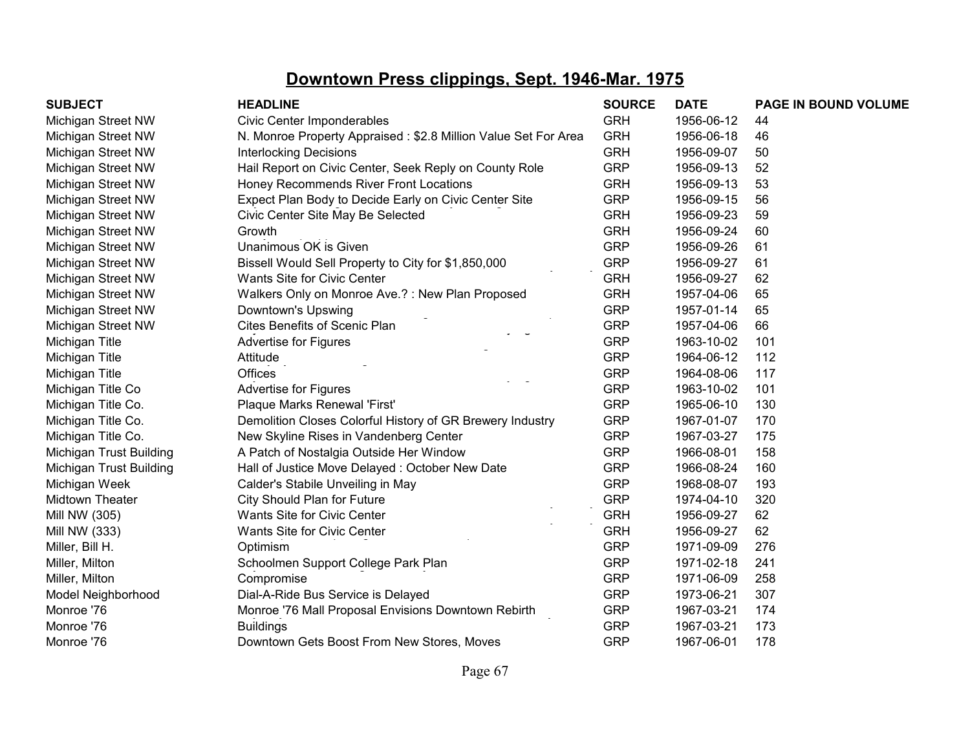| <b>SUBJECT</b>          | <b>HEADLINE</b>                                                | <b>SOURCE</b> | <b>DATE</b> | PAGE IN BOUND VOLUME |
|-------------------------|----------------------------------------------------------------|---------------|-------------|----------------------|
| Michigan Street NW      | Civic Center Imponderables                                     | <b>GRH</b>    | 1956-06-12  | 44                   |
| Michigan Street NW      | N. Monroe Property Appraised: \$2.8 Million Value Set For Area | <b>GRH</b>    | 1956-06-18  | 46                   |
| Michigan Street NW      | <b>Interlocking Decisions</b>                                  | <b>GRH</b>    | 1956-09-07  | 50                   |
| Michigan Street NW      | Hail Report on Civic Center, Seek Reply on County Role         | <b>GRP</b>    | 1956-09-13  | 52                   |
| Michigan Street NW      | Honey Recommends River Front Locations                         | <b>GRH</b>    | 1956-09-13  | 53                   |
| Michigan Street NW      | Expect Plan Body to Decide Early on Civic Center Site          | <b>GRP</b>    | 1956-09-15  | 56                   |
| Michigan Street NW      | Civic Center Site May Be Selected                              | <b>GRH</b>    | 1956-09-23  | 59                   |
| Michigan Street NW      | Growth                                                         | <b>GRH</b>    | 1956-09-24  | 60                   |
| Michigan Street NW      | Unanimous OK is Given                                          | <b>GRP</b>    | 1956-09-26  | 61                   |
| Michigan Street NW      | Bissell Would Sell Property to City for \$1,850,000            | <b>GRP</b>    | 1956-09-27  | 61                   |
| Michigan Street NW      | Wants Site for Civic Center                                    | <b>GRH</b>    | 1956-09-27  | 62                   |
| Michigan Street NW      | Walkers Only on Monroe Ave.?: New Plan Proposed                | <b>GRH</b>    | 1957-04-06  | 65                   |
| Michigan Street NW      | Downtown's Upswing                                             | <b>GRP</b>    | 1957-01-14  | 65                   |
| Michigan Street NW      | Cites Benefits of Scenic Plan                                  | <b>GRP</b>    | 1957-04-06  | 66                   |
| Michigan Title          | <b>Advertise for Figures</b>                                   | <b>GRP</b>    | 1963-10-02  | 101                  |
| Michigan Title          | Attitude                                                       | <b>GRP</b>    | 1964-06-12  | 112                  |
| Michigan Title          | <b>Offices</b>                                                 | <b>GRP</b>    | 1964-08-06  | 117                  |
| Michigan Title Co       | Advertise for Figures                                          | <b>GRP</b>    | 1963-10-02  | 101                  |
| Michigan Title Co.      | Plaque Marks Renewal 'First'                                   | <b>GRP</b>    | 1965-06-10  | 130                  |
| Michigan Title Co.      | Demolition Closes Colorful History of GR Brewery Industry      | <b>GRP</b>    | 1967-01-07  | 170                  |
| Michigan Title Co.      | New Skyline Rises in Vandenberg Center                         | <b>GRP</b>    | 1967-03-27  | 175                  |
| Michigan Trust Building | A Patch of Nostalgia Outside Her Window                        | <b>GRP</b>    | 1966-08-01  | 158                  |
| Michigan Trust Building | Hall of Justice Move Delayed: October New Date                 | <b>GRP</b>    | 1966-08-24  | 160                  |
| Michigan Week           | Calder's Stabile Unveiling in May                              | <b>GRP</b>    | 1968-08-07  | 193                  |
| Midtown Theater         | City Should Plan for Future                                    | <b>GRP</b>    | 1974-04-10  | 320                  |
| Mill NW (305)           | Wants Site for Civic Center                                    | <b>GRH</b>    | 1956-09-27  | 62                   |
| Mill NW (333)           | Wants Site for Civic Center                                    | <b>GRH</b>    | 1956-09-27  | 62                   |
| Miller, Bill H.         | Optimism                                                       | <b>GRP</b>    | 1971-09-09  | 276                  |
| Miller, Milton          | Schoolmen Support College Park Plan                            | <b>GRP</b>    | 1971-02-18  | 241                  |
| Miller, Milton          | Compromise                                                     | <b>GRP</b>    | 1971-06-09  | 258                  |
| Model Neighborhood      | Dial-A-Ride Bus Service is Delayed                             | <b>GRP</b>    | 1973-06-21  | 307                  |
| Monroe '76              | Monroe '76 Mall Proposal Envisions Downtown Rebirth            | <b>GRP</b>    | 1967-03-21  | 174                  |
| Monroe '76              | <b>Buildings</b>                                               | <b>GRP</b>    | 1967-03-21  | 173                  |
| Monroe '76              | Downtown Gets Boost From New Stores, Moves                     | <b>GRP</b>    | 1967-06-01  | 178                  |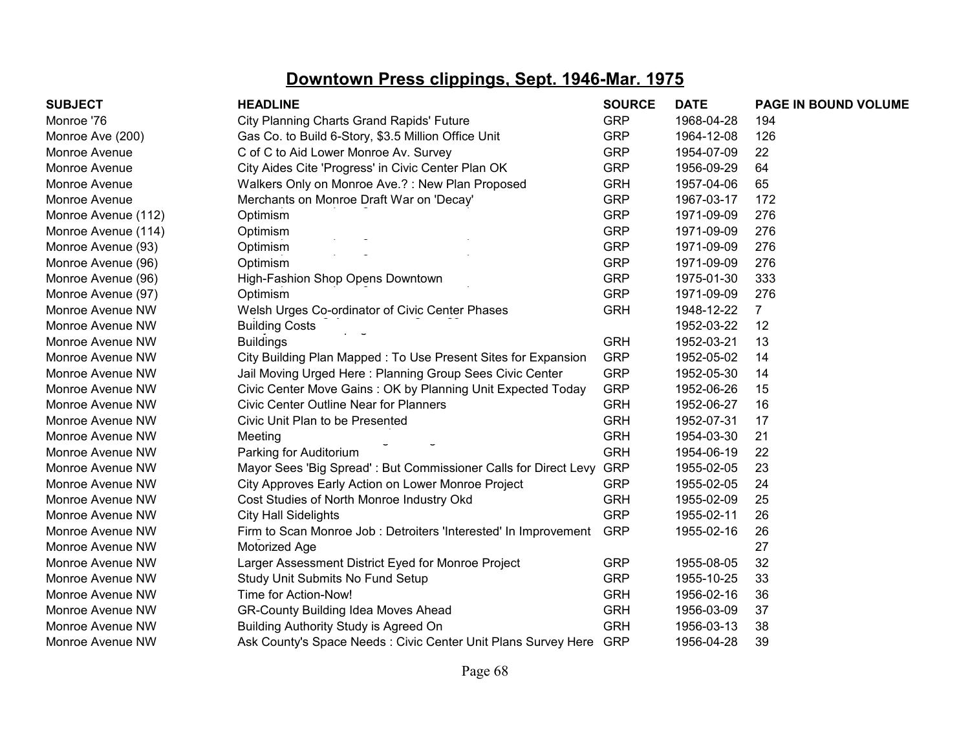| <b>SUBJECT</b>      | <b>HEADLINE</b>                                                 | <b>SOURCE</b> | <b>DATE</b> | PAGE IN BOUND VOLUME |
|---------------------|-----------------------------------------------------------------|---------------|-------------|----------------------|
| Monroe '76          | <b>City Planning Charts Grand Rapids' Future</b>                | <b>GRP</b>    | 1968-04-28  | 194                  |
| Monroe Ave (200)    | Gas Co. to Build 6-Story, \$3.5 Million Office Unit             | <b>GRP</b>    | 1964-12-08  | 126                  |
| Monroe Avenue       | C of C to Aid Lower Monroe Av. Survey                           | <b>GRP</b>    | 1954-07-09  | 22                   |
| Monroe Avenue       | City Aides Cite 'Progress' in Civic Center Plan OK              | <b>GRP</b>    | 1956-09-29  | 64                   |
| Monroe Avenue       | Walkers Only on Monroe Ave.?: New Plan Proposed                 | <b>GRH</b>    | 1957-04-06  | 65                   |
| Monroe Avenue       | Merchants on Monroe Draft War on 'Decay'                        | <b>GRP</b>    | 1967-03-17  | 172                  |
| Monroe Avenue (112) | Optimism                                                        | <b>GRP</b>    | 1971-09-09  | 276                  |
| Monroe Avenue (114) | Optimism                                                        | <b>GRP</b>    | 1971-09-09  | 276                  |
| Monroe Avenue (93)  | Optimism                                                        | <b>GRP</b>    | 1971-09-09  | 276                  |
| Monroe Avenue (96)  | Optimism                                                        | <b>GRP</b>    | 1971-09-09  | 276                  |
| Monroe Avenue (96)  | High-Fashion Shop Opens Downtown                                | <b>GRP</b>    | 1975-01-30  | 333                  |
| Monroe Avenue (97)  | Optimism                                                        | <b>GRP</b>    | 1971-09-09  | 276                  |
| Monroe Avenue NW    | Welsh Urges Co-ordinator of Civic Center Phases                 | <b>GRH</b>    | 1948-12-22  | $\overline{7}$       |
| Monroe Avenue NW    | <b>Building Costs</b>                                           |               | 1952-03-22  | 12                   |
| Monroe Avenue NW    | <b>Buildings</b>                                                | <b>GRH</b>    | 1952-03-21  | 13                   |
| Monroe Avenue NW    | City Building Plan Mapped: To Use Present Sites for Expansion   | <b>GRP</b>    | 1952-05-02  | 14                   |
| Monroe Avenue NW    | Jail Moving Urged Here: Planning Group Sees Civic Center        | <b>GRP</b>    | 1952-05-30  | 14                   |
| Monroe Avenue NW    | Civic Center Move Gains: OK by Planning Unit Expected Today     | <b>GRP</b>    | 1952-06-26  | 15                   |
| Monroe Avenue NW    | <b>Civic Center Outline Near for Planners</b>                   | <b>GRH</b>    | 1952-06-27  | 16                   |
| Monroe Avenue NW    | Civic Unit Plan to be Presented                                 | <b>GRH</b>    | 1952-07-31  | 17                   |
| Monroe Avenue NW    | Meeting                                                         | <b>GRH</b>    | 1954-03-30  | 21                   |
| Monroe Avenue NW    | Parking for Auditorium                                          | <b>GRH</b>    | 1954-06-19  | 22                   |
| Monroe Avenue NW    | Mayor Sees 'Big Spread': But Commissioner Calls for Direct Levy | <b>GRP</b>    | 1955-02-05  | 23                   |
| Monroe Avenue NW    | City Approves Early Action on Lower Monroe Project              | <b>GRP</b>    | 1955-02-05  | 24                   |
| Monroe Avenue NW    | Cost Studies of North Monroe Industry Okd                       | <b>GRH</b>    | 1955-02-09  | 25                   |
| Monroe Avenue NW    | <b>City Hall Sidelights</b>                                     | <b>GRP</b>    | 1955-02-11  | 26                   |
| Monroe Avenue NW    | Firm to Scan Monroe Job: Detroiters 'Interested' In Improvement | <b>GRP</b>    | 1955-02-16  | 26                   |
| Monroe Avenue NW    | Motorized Age                                                   |               |             | 27                   |
| Monroe Avenue NW    | Larger Assessment District Eyed for Monroe Project              | <b>GRP</b>    | 1955-08-05  | 32                   |
| Monroe Avenue NW    | Study Unit Submits No Fund Setup                                | <b>GRP</b>    | 1955-10-25  | 33                   |
| Monroe Avenue NW    | Time for Action-Now!                                            | <b>GRH</b>    | 1956-02-16  | 36                   |
| Monroe Avenue NW    | <b>GR-County Building Idea Moves Ahead</b>                      | <b>GRH</b>    | 1956-03-09  | 37                   |
| Monroe Avenue NW    | Building Authority Study is Agreed On                           | <b>GRH</b>    | 1956-03-13  | 38                   |
| Monroe Avenue NW    | Ask County's Space Needs: Civic Center Unit Plans Survey Here   | <b>GRP</b>    | 1956-04-28  | 39                   |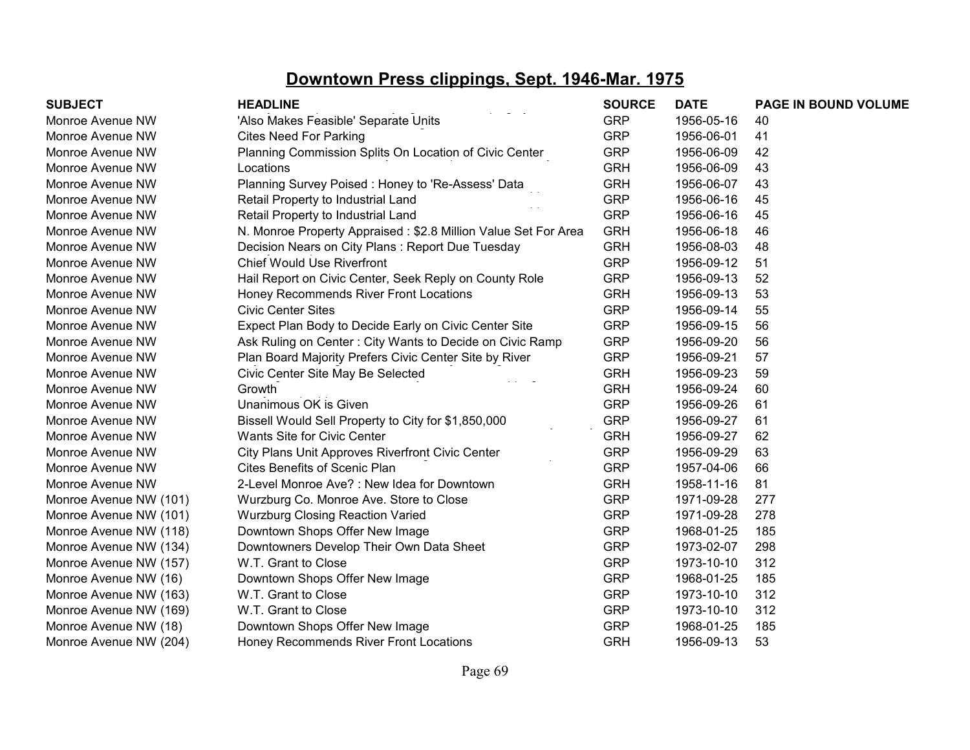| <b>SUBJECT</b>         | <b>HEADLINE</b>                                                | <b>SOURCE</b> | <b>DATE</b> | PAGE IN BOUND VOLUME |
|------------------------|----------------------------------------------------------------|---------------|-------------|----------------------|
| Monroe Avenue NW       | 'Also Makes Feasible' Separate Units                           | <b>GRP</b>    | 1956-05-16  | 40                   |
| Monroe Avenue NW       | <b>Cites Need For Parking</b>                                  | <b>GRP</b>    | 1956-06-01  | 41                   |
| Monroe Avenue NW       | Planning Commission Splits On Location of Civic Center         | <b>GRP</b>    | 1956-06-09  | 42                   |
| Monroe Avenue NW       | Locations                                                      | <b>GRH</b>    | 1956-06-09  | 43                   |
| Monroe Avenue NW       | Planning Survey Poised: Honey to 'Re-Assess' Data              | <b>GRH</b>    | 1956-06-07  | 43                   |
| Monroe Avenue NW       | Retail Property to Industrial Land                             | <b>GRP</b>    | 1956-06-16  | 45                   |
| Monroe Avenue NW       | Retail Property to Industrial Land                             | <b>GRP</b>    | 1956-06-16  | 45                   |
| Monroe Avenue NW       | N. Monroe Property Appraised: \$2.8 Million Value Set For Area | <b>GRH</b>    | 1956-06-18  | 46                   |
| Monroe Avenue NW       | Decision Nears on City Plans: Report Due Tuesday               | <b>GRH</b>    | 1956-08-03  | 48                   |
| Monroe Avenue NW       | <b>Chief Would Use Riverfront</b>                              | <b>GRP</b>    | 1956-09-12  | 51                   |
| Monroe Avenue NW       | Hail Report on Civic Center, Seek Reply on County Role         | <b>GRP</b>    | 1956-09-13  | 52                   |
| Monroe Avenue NW       | Honey Recommends River Front Locations                         | <b>GRH</b>    | 1956-09-13  | 53                   |
| Monroe Avenue NW       | <b>Civic Center Sites</b>                                      | <b>GRP</b>    | 1956-09-14  | 55                   |
| Monroe Avenue NW       | Expect Plan Body to Decide Early on Civic Center Site          | <b>GRP</b>    | 1956-09-15  | 56                   |
| Monroe Avenue NW       | Ask Ruling on Center: City Wants to Decide on Civic Ramp       | <b>GRP</b>    | 1956-09-20  | 56                   |
| Monroe Avenue NW       | Plan Board Majority Prefers Civic Center Site by River         | <b>GRP</b>    | 1956-09-21  | 57                   |
| Monroe Avenue NW       | Civic Center Site May Be Selected                              | <b>GRH</b>    | 1956-09-23  | 59                   |
| Monroe Avenue NW       | Growth                                                         | <b>GRH</b>    | 1956-09-24  | 60                   |
| Monroe Avenue NW       | Unanimous OK is Given                                          | <b>GRP</b>    | 1956-09-26  | 61                   |
| Monroe Avenue NW       | Bissell Would Sell Property to City for \$1,850,000            | <b>GRP</b>    | 1956-09-27  | 61                   |
| Monroe Avenue NW       | <b>Wants Site for Civic Center</b>                             | <b>GRH</b>    | 1956-09-27  | 62                   |
| Monroe Avenue NW       | City Plans Unit Approves Riverfront Civic Center               | <b>GRP</b>    | 1956-09-29  | 63                   |
| Monroe Avenue NW       | <b>Cites Benefits of Scenic Plan</b>                           | <b>GRP</b>    | 1957-04-06  | 66                   |
| Monroe Avenue NW       | 2-Level Monroe Ave? : New Idea for Downtown                    | <b>GRH</b>    | 1958-11-16  | 81                   |
| Monroe Avenue NW (101) | Wurzburg Co. Monroe Ave. Store to Close                        | <b>GRP</b>    | 1971-09-28  | 277                  |
| Monroe Avenue NW (101) | <b>Wurzburg Closing Reaction Varied</b>                        | <b>GRP</b>    | 1971-09-28  | 278                  |
| Monroe Avenue NW (118) | Downtown Shops Offer New Image                                 | <b>GRP</b>    | 1968-01-25  | 185                  |
| Monroe Avenue NW (134) | Downtowners Develop Their Own Data Sheet                       | <b>GRP</b>    | 1973-02-07  | 298                  |
| Monroe Avenue NW (157) | W.T. Grant to Close                                            | <b>GRP</b>    | 1973-10-10  | 312                  |
| Monroe Avenue NW (16)  | Downtown Shops Offer New Image                                 | <b>GRP</b>    | 1968-01-25  | 185                  |
| Monroe Avenue NW (163) | W.T. Grant to Close                                            | <b>GRP</b>    | 1973-10-10  | 312                  |
| Monroe Avenue NW (169) | W.T. Grant to Close                                            | <b>GRP</b>    | 1973-10-10  | 312                  |
| Monroe Avenue NW (18)  | Downtown Shops Offer New Image                                 | <b>GRP</b>    | 1968-01-25  | 185                  |
| Monroe Avenue NW (204) | Honey Recommends River Front Locations                         | <b>GRH</b>    | 1956-09-13  | 53                   |
|                        |                                                                |               |             |                      |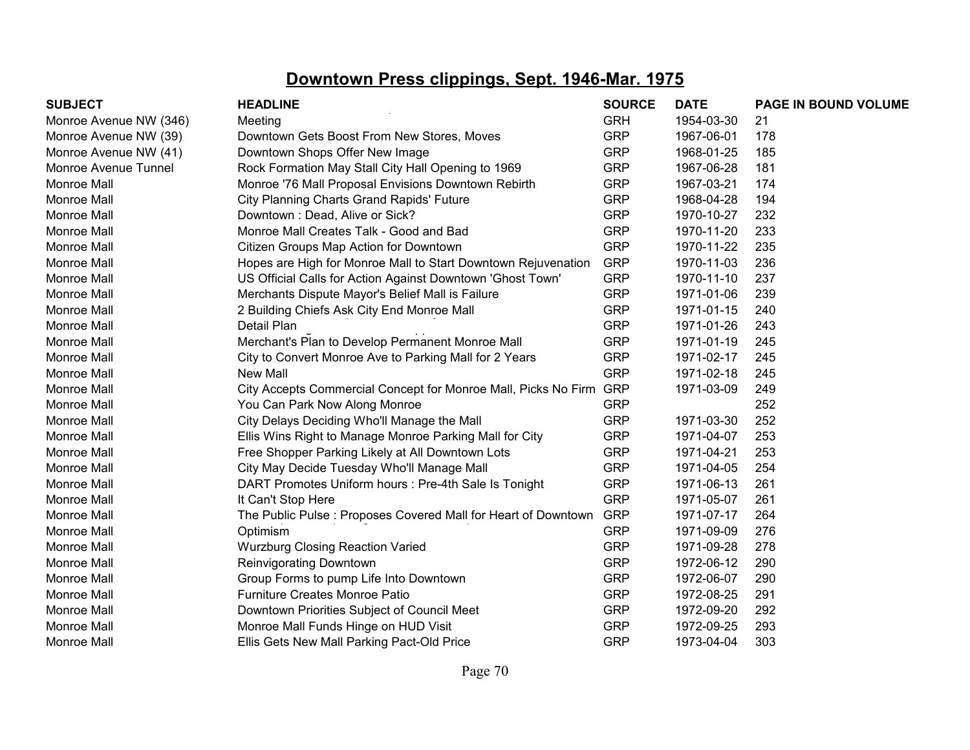| <b>SUBJECT</b>         | <b>HEADLINE</b>                                                    | <b>SOURCE</b> | <b>DATE</b> | PAGE IN BOUND VOLUME |
|------------------------|--------------------------------------------------------------------|---------------|-------------|----------------------|
| Monroe Avenue NW (346) | Meeting                                                            | <b>GRH</b>    | 1954-03-30  | 21                   |
| Monroe Avenue NW (39)  | Downtown Gets Boost From New Stores, Moves                         | <b>GRP</b>    | 1967-06-01  | 178                  |
| Monroe Avenue NW (41)  | Downtown Shops Offer New Image                                     | <b>GRP</b>    | 1968-01-25  | 185                  |
| Monroe Avenue Tunnel   | Rock Formation May Stall City Hall Opening to 1969                 | <b>GRP</b>    | 1967-06-28  | 181                  |
| <b>Monroe Mall</b>     | Monroe '76 Mall Proposal Envisions Downtown Rebirth                | <b>GRP</b>    | 1967-03-21  | 174                  |
| <b>Monroe Mall</b>     | City Planning Charts Grand Rapids' Future                          | <b>GRP</b>    | 1968-04-28  | 194                  |
| <b>Monroe Mall</b>     | Downtown: Dead, Alive or Sick?                                     | <b>GRP</b>    | 1970-10-27  | 232                  |
| <b>Monroe Mall</b>     | Monroe Mall Creates Talk - Good and Bad                            | <b>GRP</b>    | 1970-11-20  | 233                  |
| <b>Monroe Mall</b>     | Citizen Groups Map Action for Downtown                             | <b>GRP</b>    | 1970-11-22  | 235                  |
| <b>Monroe Mall</b>     | Hopes are High for Monroe Mall to Start Downtown Rejuvenation      | <b>GRP</b>    | 1970-11-03  | 236                  |
| Monroe Mall            | US Official Calls for Action Against Downtown 'Ghost Town'         | <b>GRP</b>    | 1970-11-10  | 237                  |
| Monroe Mall            | Merchants Dispute Mayor's Belief Mall is Failure                   | <b>GRP</b>    | 1971-01-06  | 239                  |
| <b>Monroe Mall</b>     | 2 Building Chiefs Ask City End Monroe Mall                         | <b>GRP</b>    | 1971-01-15  | 240                  |
| <b>Monroe Mall</b>     | Detail Plan                                                        | <b>GRP</b>    | 1971-01-26  | 243                  |
| <b>Monroe Mall</b>     | Merchant's Plan to Develop Permanent Monroe Mall                   | <b>GRP</b>    | 1971-01-19  | 245                  |
| <b>Monroe Mall</b>     | City to Convert Monroe Ave to Parking Mall for 2 Years             | <b>GRP</b>    | 1971-02-17  | 245                  |
| <b>Monroe Mall</b>     | New Mall                                                           | <b>GRP</b>    | 1971-02-18  | 245                  |
| <b>Monroe Mall</b>     | City Accepts Commercial Concept for Monroe Mall, Picks No Firm GRP |               | 1971-03-09  | 249                  |
| <b>Monroe Mall</b>     | You Can Park Now Along Monroe                                      | <b>GRP</b>    |             | 252                  |
| <b>Monroe Mall</b>     | City Delays Deciding Who'll Manage the Mall                        | <b>GRP</b>    | 1971-03-30  | 252                  |
| <b>Monroe Mall</b>     | Ellis Wins Right to Manage Monroe Parking Mall for City            | <b>GRP</b>    | 1971-04-07  | 253                  |
| <b>Monroe Mall</b>     | Free Shopper Parking Likely at All Downtown Lots                   | <b>GRP</b>    | 1971-04-21  | 253                  |
| Monroe Mall            | City May Decide Tuesday Who'll Manage Mall                         | <b>GRP</b>    | 1971-04-05  | 254                  |
| Monroe Mall            | DART Promotes Uniform hours : Pre-4th Sale Is Tonight              | <b>GRP</b>    | 1971-06-13  | 261                  |
| <b>Monroe Mall</b>     | It Can't Stop Here                                                 | <b>GRP</b>    | 1971-05-07  | 261                  |
| Monroe Mall            | The Public Pulse: Proposes Covered Mall for Heart of Downtown      | <b>GRP</b>    | 1971-07-17  | 264                  |
| Monroe Mall            | Optimism                                                           | <b>GRP</b>    | 1971-09-09  | 276                  |
| Monroe Mall            | <b>Wurzburg Closing Reaction Varied</b>                            | <b>GRP</b>    | 1971-09-28  | 278                  |
| <b>Monroe Mall</b>     | Reinvigorating Downtown                                            | <b>GRP</b>    | 1972-06-12  | 290                  |
| <b>Monroe Mall</b>     | Group Forms to pump Life Into Downtown                             | <b>GRP</b>    | 1972-06-07  | 290                  |
| <b>Monroe Mall</b>     | <b>Furniture Creates Monroe Patio</b>                              | <b>GRP</b>    | 1972-08-25  | 291                  |
| <b>Monroe Mall</b>     | Downtown Priorities Subject of Council Meet                        | <b>GRP</b>    | 1972-09-20  | 292                  |
| <b>Monroe Mall</b>     | Monroe Mall Funds Hinge on HUD Visit                               | <b>GRP</b>    | 1972-09-25  | 293                  |
| Monroe Mall            | Ellis Gets New Mall Parking Pact-Old Price                         | <b>GRP</b>    | 1973-04-04  | 303                  |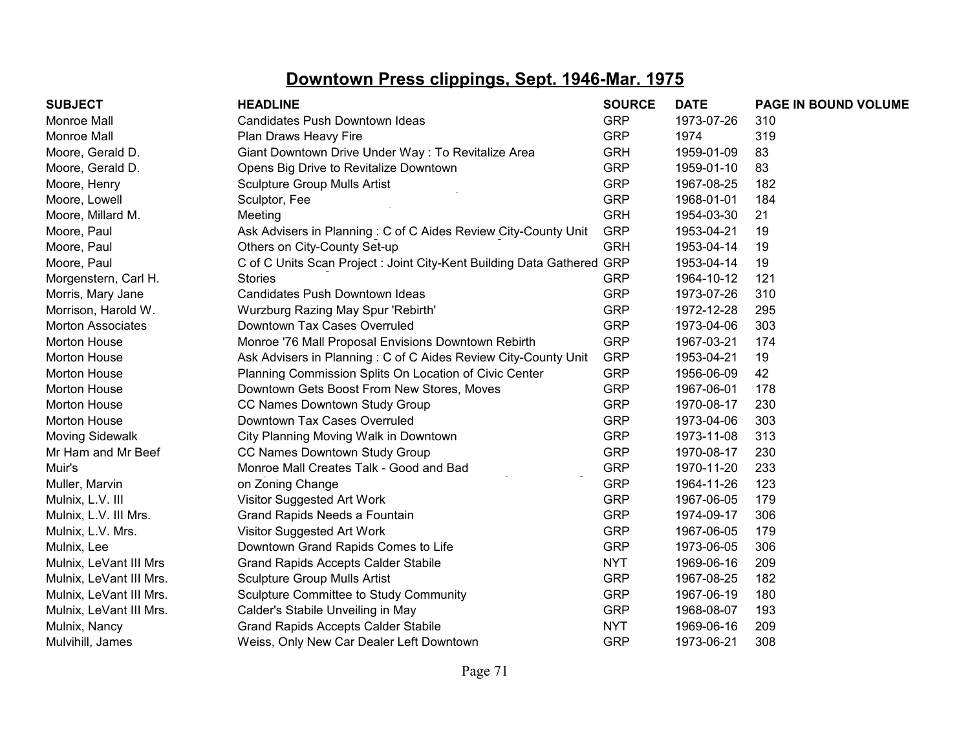| <b>SUBJECT</b>           | <b>HEADLINE</b>                                                        | <b>SOURCE</b> | <b>DATE</b> | PAGE IN BOUND VOLUME |
|--------------------------|------------------------------------------------------------------------|---------------|-------------|----------------------|
| <b>Monroe Mall</b>       | Candidates Push Downtown Ideas                                         | <b>GRP</b>    | 1973-07-26  | 310                  |
| <b>Monroe Mall</b>       | Plan Draws Heavy Fire                                                  | <b>GRP</b>    | 1974        | 319                  |
| Moore, Gerald D.         | Giant Downtown Drive Under Way : To Revitalize Area                    | <b>GRH</b>    | 1959-01-09  | 83                   |
| Moore, Gerald D.         | Opens Big Drive to Revitalize Downtown                                 | <b>GRP</b>    | 1959-01-10  | 83                   |
| Moore, Henry             | <b>Sculpture Group Mulls Artist</b>                                    | <b>GRP</b>    | 1967-08-25  | 182                  |
| Moore, Lowell            | Sculptor, Fee                                                          | <b>GRP</b>    | 1968-01-01  | 184                  |
| Moore, Millard M.        | Meeting                                                                | <b>GRH</b>    | 1954-03-30  | 21                   |
| Moore, Paul              | Ask Advisers in Planning: C of C Aides Review City-County Unit         | <b>GRP</b>    | 1953-04-21  | 19                   |
| Moore, Paul              | Others on City-County Set-up                                           | <b>GRH</b>    | 1953-04-14  | 19                   |
| Moore, Paul              | C of C Units Scan Project : Joint City-Kent Building Data Gathered GRP |               | 1953-04-14  | 19                   |
| Morgenstern, Carl H.     | <b>Stories</b>                                                         | <b>GRP</b>    | 1964-10-12  | 121                  |
| Morris, Mary Jane        | Candidates Push Downtown Ideas                                         | <b>GRP</b>    | 1973-07-26  | 310                  |
| Morrison, Harold W.      | Wurzburg Razing May Spur 'Rebirth'                                     | <b>GRP</b>    | 1972-12-28  | 295                  |
| <b>Morton Associates</b> | Downtown Tax Cases Overruled                                           | <b>GRP</b>    | 1973-04-06  | 303                  |
| Morton House             | Monroe '76 Mall Proposal Envisions Downtown Rebirth                    | <b>GRP</b>    | 1967-03-21  | 174                  |
| <b>Morton House</b>      | Ask Advisers in Planning: C of C Aides Review City-County Unit         | <b>GRP</b>    | 1953-04-21  | 19                   |
| Morton House             | Planning Commission Splits On Location of Civic Center                 | <b>GRP</b>    | 1956-06-09  | 42                   |
| <b>Morton House</b>      | Downtown Gets Boost From New Stores, Moves                             | <b>GRP</b>    | 1967-06-01  | 178                  |
| <b>Morton House</b>      | CC Names Downtown Study Group                                          | <b>GRP</b>    | 1970-08-17  | 230                  |
| <b>Morton House</b>      | Downtown Tax Cases Overruled                                           | <b>GRP</b>    | 1973-04-06  | 303                  |
| <b>Moving Sidewalk</b>   | City Planning Moving Walk in Downtown                                  | <b>GRP</b>    | 1973-11-08  | 313                  |
| Mr Ham and Mr Beef       | CC Names Downtown Study Group                                          | <b>GRP</b>    | 1970-08-17  | 230                  |
| Muir's                   | Monroe Mall Creates Talk - Good and Bad                                | <b>GRP</b>    | 1970-11-20  | 233                  |
| Muller, Marvin           | on Zoning Change                                                       | <b>GRP</b>    | 1964-11-26  | 123                  |
| Mulnix, L.V. III         | Visitor Suggested Art Work                                             | <b>GRP</b>    | 1967-06-05  | 179                  |
| Mulnix, L.V. III Mrs.    | Grand Rapids Needs a Fountain                                          | <b>GRP</b>    | 1974-09-17  | 306                  |
| Mulnix, L.V. Mrs.        | Visitor Suggested Art Work                                             | <b>GRP</b>    | 1967-06-05  | 179                  |
| Mulnix, Lee              | Downtown Grand Rapids Comes to Life                                    | <b>GRP</b>    | 1973-06-05  | 306                  |
| Mulnix, LeVant III Mrs   | <b>Grand Rapids Accepts Calder Stabile</b>                             | <b>NYT</b>    | 1969-06-16  | 209                  |
| Mulnix, LeVant III Mrs.  | <b>Sculpture Group Mulls Artist</b>                                    | <b>GRP</b>    | 1967-08-25  | 182                  |
| Mulnix, LeVant III Mrs.  | Sculpture Committee to Study Community                                 | <b>GRP</b>    | 1967-06-19  | 180                  |
| Mulnix, LeVant III Mrs.  | Calder's Stabile Unveiling in May                                      | <b>GRP</b>    | 1968-08-07  | 193                  |
| Mulnix, Nancy            | <b>Grand Rapids Accepts Calder Stabile</b>                             | <b>NYT</b>    | 1969-06-16  | 209                  |
| Mulvihill, James         | Weiss, Only New Car Dealer Left Downtown                               | <b>GRP</b>    | 1973-06-21  | 308                  |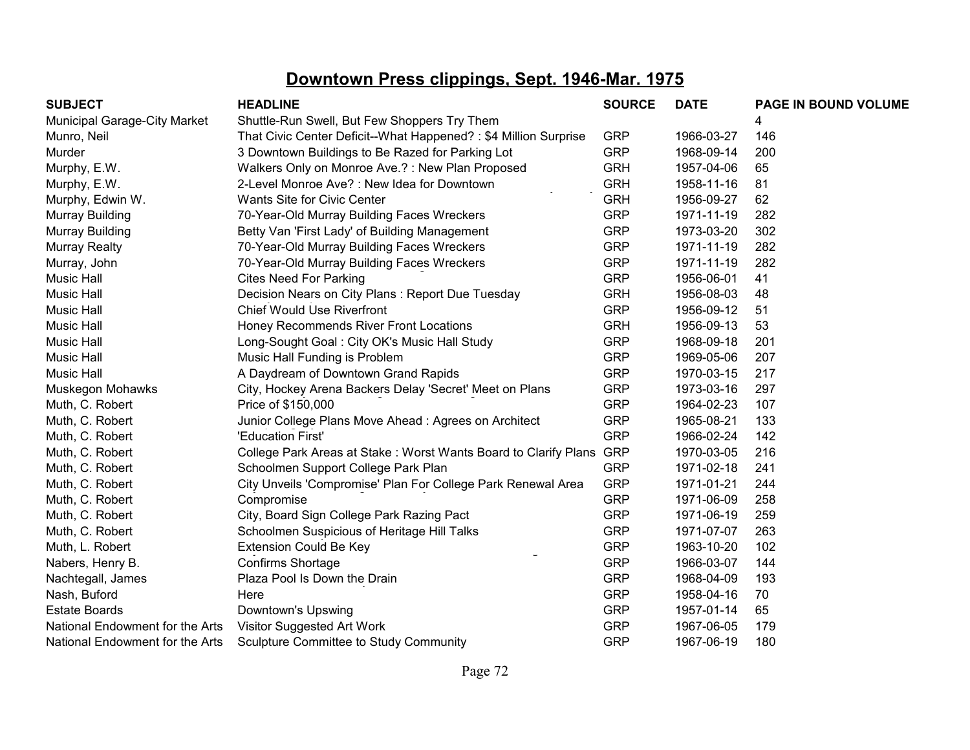| <b>SUBJECT</b>                      | <b>HEADLINE</b>                                                 | <b>SOURCE</b> | <b>DATE</b> | PAGE IN BOUND VOLUME |
|-------------------------------------|-----------------------------------------------------------------|---------------|-------------|----------------------|
| <b>Municipal Garage-City Market</b> | Shuttle-Run Swell, But Few Shoppers Try Them                    |               |             |                      |
| Munro, Neil                         | That Civic Center Deficit--What Happened?: \$4 Million Surprise | <b>GRP</b>    | 1966-03-27  | 146                  |
| Murder                              | 3 Downtown Buildings to Be Razed for Parking Lot                | <b>GRP</b>    | 1968-09-14  | 200                  |
| Murphy, E.W.                        | Walkers Only on Monroe Ave.?: New Plan Proposed                 | <b>GRH</b>    | 1957-04-06  | 65                   |
| Murphy, E.W.                        | 2-Level Monroe Ave? : New Idea for Downtown                     | <b>GRH</b>    | 1958-11-16  | 81                   |
| Murphy, Edwin W.                    | Wants Site for Civic Center                                     | <b>GRH</b>    | 1956-09-27  | 62                   |
| Murray Building                     | 70-Year-Old Murray Building Faces Wreckers                      | <b>GRP</b>    | 1971-11-19  | 282                  |
| Murray Building                     | Betty Van 'First Lady' of Building Management                   | <b>GRP</b>    | 1973-03-20  | 302                  |
| <b>Murray Realty</b>                | 70-Year-Old Murray Building Faces Wreckers                      | <b>GRP</b>    | 1971-11-19  | 282                  |
| Murray, John                        | 70-Year-Old Murray Building Faces Wreckers                      | <b>GRP</b>    | 1971-11-19  | 282                  |
| Music Hall                          | <b>Cites Need For Parking</b>                                   | <b>GRP</b>    | 1956-06-01  | 41                   |
| Music Hall                          | Decision Nears on City Plans: Report Due Tuesday                | <b>GRH</b>    | 1956-08-03  | 48                   |
| Music Hall                          | <b>Chief Would Use Riverfront</b>                               | <b>GRP</b>    | 1956-09-12  | 51                   |
| <b>Music Hall</b>                   | Honey Recommends River Front Locations                          | <b>GRH</b>    | 1956-09-13  | 53                   |
| Music Hall                          | Long-Sought Goal: City OK's Music Hall Study                    | <b>GRP</b>    | 1968-09-18  | 201                  |
| <b>Music Hall</b>                   | Music Hall Funding is Problem                                   | <b>GRP</b>    | 1969-05-06  | 207                  |
| Music Hall                          | A Daydream of Downtown Grand Rapids                             | <b>GRP</b>    | 1970-03-15  | 217                  |
| Muskegon Mohawks                    | City, Hockey Arena Backers Delay 'Secret' Meet on Plans         | <b>GRP</b>    | 1973-03-16  | 297                  |
| Muth, C. Robert                     | Price of \$150,000                                              | <b>GRP</b>    | 1964-02-23  | 107                  |
| Muth, C. Robert                     | Junior College Plans Move Ahead: Agrees on Architect            | <b>GRP</b>    | 1965-08-21  | 133                  |
| Muth, C. Robert                     | 'Education First'                                               | <b>GRP</b>    | 1966-02-24  | 142                  |
| Muth, C. Robert                     | College Park Areas at Stake: Worst Wants Board to Clarify Plans | <b>GRP</b>    | 1970-03-05  | 216                  |
| Muth, C. Robert                     | Schoolmen Support College Park Plan                             | <b>GRP</b>    | 1971-02-18  | 241                  |
| Muth, C. Robert                     | City Unveils 'Compromise' Plan For College Park Renewal Area    | <b>GRP</b>    | 1971-01-21  | 244                  |
| Muth, C. Robert                     | Compromise                                                      | <b>GRP</b>    | 1971-06-09  | 258                  |
| Muth, C. Robert                     | City, Board Sign College Park Razing Pact                       | <b>GRP</b>    | 1971-06-19  | 259                  |
| Muth, C. Robert                     | Schoolmen Suspicious of Heritage Hill Talks                     | <b>GRP</b>    | 1971-07-07  | 263                  |
| Muth, L. Robert                     | <b>Extension Could Be Key</b>                                   | <b>GRP</b>    | 1963-10-20  | 102                  |
| Nabers, Henry B.                    | Confirms Shortage                                               | <b>GRP</b>    | 1966-03-07  | 144                  |
| Nachtegall, James                   | Plaza Pool Is Down the Drain                                    | <b>GRP</b>    | 1968-04-09  | 193                  |
| Nash, Buford                        | Here                                                            | <b>GRP</b>    | 1958-04-16  | 70                   |
| <b>Estate Boards</b>                | Downtown's Upswing                                              | <b>GRP</b>    | 1957-01-14  | 65                   |
| National Endowment for the Arts     | Visitor Suggested Art Work                                      | <b>GRP</b>    | 1967-06-05  | 179                  |
| National Endowment for the Arts     | Sculpture Committee to Study Community                          | <b>GRP</b>    | 1967-06-19  | 180                  |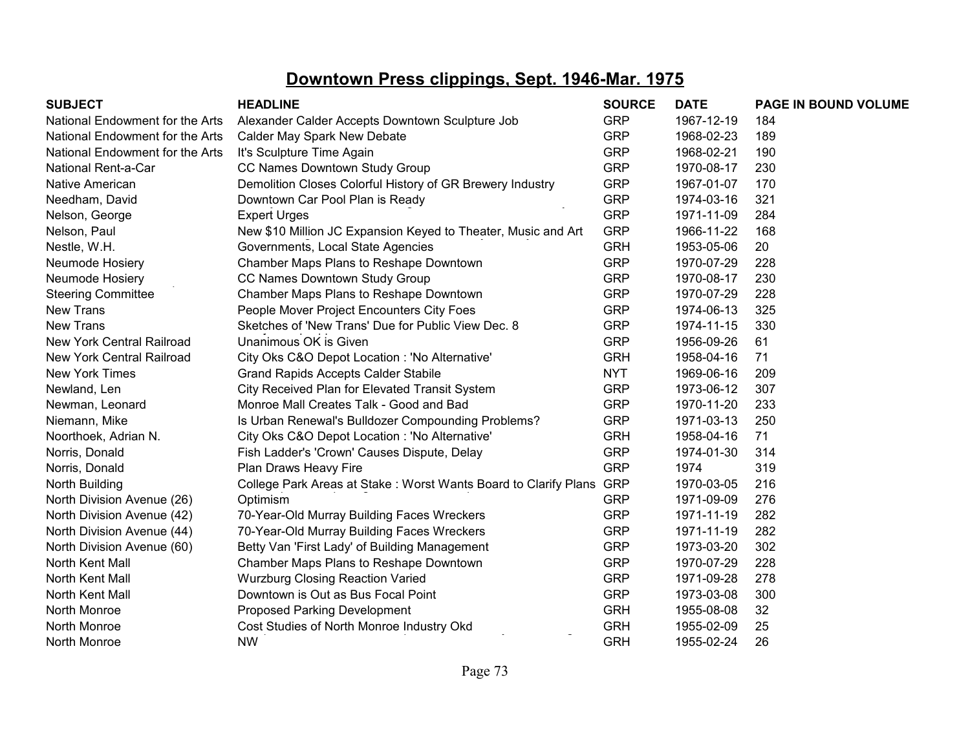| <b>SUBJECT</b>                  | <b>HEADLINE</b>                                                 | <b>SOURCE</b> | <b>DATE</b> | PAGE IN BOUND VOLUME |
|---------------------------------|-----------------------------------------------------------------|---------------|-------------|----------------------|
| National Endowment for the Arts | Alexander Calder Accepts Downtown Sculpture Job                 | <b>GRP</b>    | 1967-12-19  | 184                  |
| National Endowment for the Arts | Calder May Spark New Debate                                     | <b>GRP</b>    | 1968-02-23  | 189                  |
| National Endowment for the Arts | It's Sculpture Time Again                                       | <b>GRP</b>    | 1968-02-21  | 190                  |
| National Rent-a-Car             | CC Names Downtown Study Group                                   | <b>GRP</b>    | 1970-08-17  | 230                  |
| <b>Native American</b>          | Demolition Closes Colorful History of GR Brewery Industry       | <b>GRP</b>    | 1967-01-07  | 170                  |
| Needham, David                  | Downtown Car Pool Plan is Ready                                 | <b>GRP</b>    | 1974-03-16  | 321                  |
| Nelson, George                  | <b>Expert Urges</b>                                             | <b>GRP</b>    | 1971-11-09  | 284                  |
| Nelson, Paul                    | New \$10 Million JC Expansion Keyed to Theater, Music and Art   | <b>GRP</b>    | 1966-11-22  | 168                  |
| Nestle, W.H.                    | Governments, Local State Agencies                               | <b>GRH</b>    | 1953-05-06  | 20                   |
| Neumode Hosiery                 | Chamber Maps Plans to Reshape Downtown                          | <b>GRP</b>    | 1970-07-29  | 228                  |
| Neumode Hosiery                 | CC Names Downtown Study Group                                   | <b>GRP</b>    | 1970-08-17  | 230                  |
| <b>Steering Committee</b>       | Chamber Maps Plans to Reshape Downtown                          | <b>GRP</b>    | 1970-07-29  | 228                  |
| <b>New Trans</b>                | People Mover Project Encounters City Foes                       | <b>GRP</b>    | 1974-06-13  | 325                  |
| <b>New Trans</b>                | Sketches of 'New Trans' Due for Public View Dec. 8              | <b>GRP</b>    | 1974-11-15  | 330                  |
| New York Central Railroad       | Unanimous OK is Given                                           | <b>GRP</b>    | 1956-09-26  | 61                   |
| New York Central Railroad       | City Oks C&O Depot Location : 'No Alternative'                  | <b>GRH</b>    | 1958-04-16  | 71                   |
| New York Times                  | <b>Grand Rapids Accepts Calder Stabile</b>                      | <b>NYT</b>    | 1969-06-16  | 209                  |
| Newland, Len                    | City Received Plan for Elevated Transit System                  | <b>GRP</b>    | 1973-06-12  | 307                  |
| Newman, Leonard                 | Monroe Mall Creates Talk - Good and Bad                         | <b>GRP</b>    | 1970-11-20  | 233                  |
| Niemann, Mike                   | Is Urban Renewal's Bulldozer Compounding Problems?              | <b>GRP</b>    | 1971-03-13  | 250                  |
| Noorthoek, Adrian N.            | City Oks C&O Depot Location : 'No Alternative'                  | <b>GRH</b>    | 1958-04-16  | 71                   |
| Norris, Donald                  | Fish Ladder's 'Crown' Causes Dispute, Delay                     | <b>GRP</b>    | 1974-01-30  | 314                  |
| Norris, Donald                  | Plan Draws Heavy Fire                                           | <b>GRP</b>    | 1974        | 319                  |
| North Building                  | College Park Areas at Stake: Worst Wants Board to Clarify Plans | <b>GRP</b>    | 1970-03-05  | 216                  |
| North Division Avenue (26)      | Optimism                                                        | <b>GRP</b>    | 1971-09-09  | 276                  |
| North Division Avenue (42)      | 70-Year-Old Murray Building Faces Wreckers                      | <b>GRP</b>    | 1971-11-19  | 282                  |
| North Division Avenue (44)      | 70-Year-Old Murray Building Faces Wreckers                      | <b>GRP</b>    | 1971-11-19  | 282                  |
| North Division Avenue (60)      | Betty Van 'First Lady' of Building Management                   | <b>GRP</b>    | 1973-03-20  | 302                  |
| North Kent Mall                 | Chamber Maps Plans to Reshape Downtown                          | <b>GRP</b>    | 1970-07-29  | 228                  |
| North Kent Mall                 | <b>Wurzburg Closing Reaction Varied</b>                         | <b>GRP</b>    | 1971-09-28  | 278                  |
| North Kent Mall                 | Downtown is Out as Bus Focal Point                              | <b>GRP</b>    | 1973-03-08  | 300                  |
| North Monroe                    | <b>Proposed Parking Development</b>                             | <b>GRH</b>    | 1955-08-08  | 32                   |
| North Monroe                    | Cost Studies of North Monroe Industry Okd                       | <b>GRH</b>    | 1955-02-09  | 25                   |
| North Monroe                    | <b>NW</b>                                                       | <b>GRH</b>    | 1955-02-24  | 26                   |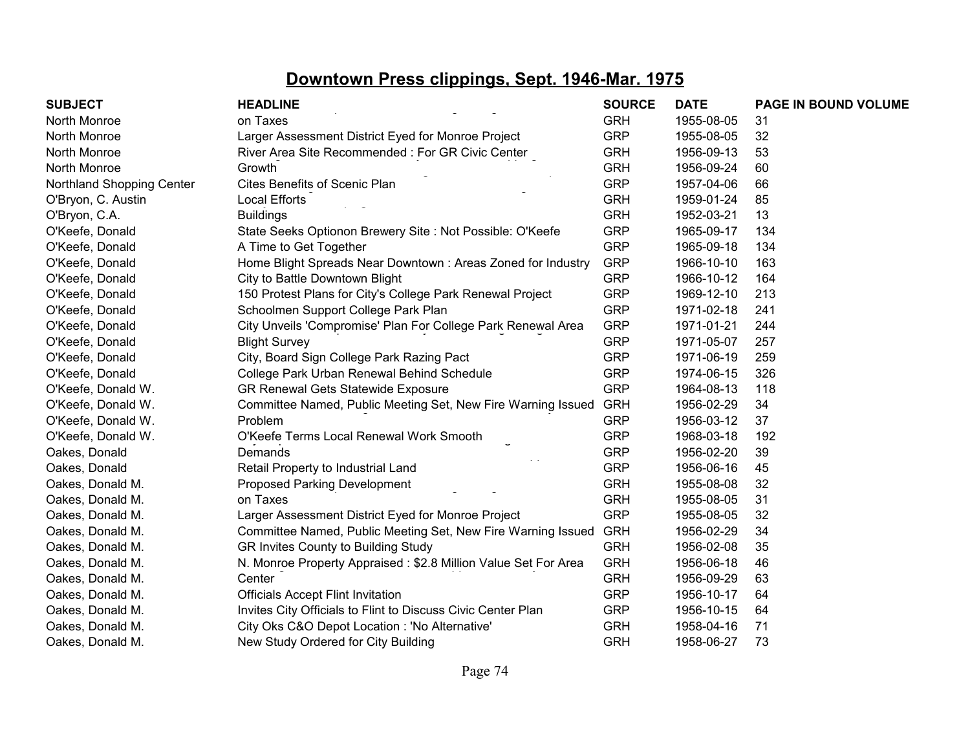| <b>SUBJECT</b>            | <b>HEADLINE</b>                                                | <b>SOURCE</b> | <b>DATE</b> | PAGE IN BOUND VOLUME |
|---------------------------|----------------------------------------------------------------|---------------|-------------|----------------------|
| North Monroe              | on Taxes                                                       | <b>GRH</b>    | 1955-08-05  | 31                   |
| North Monroe              | Larger Assessment District Eyed for Monroe Project             | <b>GRP</b>    | 1955-08-05  | 32                   |
| North Monroe              | River Area Site Recommended: For GR Civic Center               | <b>GRH</b>    | 1956-09-13  | 53                   |
| North Monroe              | Growth                                                         | <b>GRH</b>    | 1956-09-24  | 60                   |
| Northland Shopping Center | Cites Benefits of Scenic Plan                                  | <b>GRP</b>    | 1957-04-06  | 66                   |
| O'Bryon, C. Austin        | <b>Local Efforts</b>                                           | <b>GRH</b>    | 1959-01-24  | 85                   |
| O'Bryon, C.A.             | <b>Buildings</b>                                               | <b>GRH</b>    | 1952-03-21  | 13                   |
| O'Keefe, Donald           | State Seeks Optionon Brewery Site : Not Possible: O'Keefe      | <b>GRP</b>    | 1965-09-17  | 134                  |
| O'Keefe, Donald           | A Time to Get Together                                         | <b>GRP</b>    | 1965-09-18  | 134                  |
| O'Keefe, Donald           | Home Blight Spreads Near Downtown: Areas Zoned for Industry    | <b>GRP</b>    | 1966-10-10  | 163                  |
| O'Keefe, Donald           | City to Battle Downtown Blight                                 | <b>GRP</b>    | 1966-10-12  | 164                  |
| O'Keefe, Donald           | 150 Protest Plans for City's College Park Renewal Project      | <b>GRP</b>    | 1969-12-10  | 213                  |
| O'Keefe, Donald           | Schoolmen Support College Park Plan                            | <b>GRP</b>    | 1971-02-18  | 241                  |
| O'Keefe, Donald           | City Unveils 'Compromise' Plan For College Park Renewal Area   | <b>GRP</b>    | 1971-01-21  | 244                  |
| O'Keefe, Donald           | <b>Blight Survey</b>                                           | <b>GRP</b>    | 1971-05-07  | 257                  |
| O'Keefe, Donald           | City, Board Sign College Park Razing Pact                      | <b>GRP</b>    | 1971-06-19  | 259                  |
| O'Keefe, Donald           | College Park Urban Renewal Behind Schedule                     | <b>GRP</b>    | 1974-06-15  | 326                  |
| O'Keefe, Donald W.        | <b>GR Renewal Gets Statewide Exposure</b>                      | <b>GRP</b>    | 1964-08-13  | 118                  |
| O'Keefe, Donald W.        | Committee Named, Public Meeting Set, New Fire Warning Issued   | <b>GRH</b>    | 1956-02-29  | 34                   |
| O'Keefe, Donald W.        | Problem                                                        | <b>GRP</b>    | 1956-03-12  | 37                   |
| O'Keefe, Donald W.        | O'Keefe Terms Local Renewal Work Smooth                        | <b>GRP</b>    | 1968-03-18  | 192                  |
| Oakes, Donald             | Demands                                                        | <b>GRP</b>    | 1956-02-20  | 39                   |
| Oakes, Donald             | Retail Property to Industrial Land                             | <b>GRP</b>    | 1956-06-16  | 45                   |
| Oakes, Donald M.          | Proposed Parking Development                                   | <b>GRH</b>    | 1955-08-08  | 32                   |
| Oakes, Donald M.          | on Taxes                                                       | <b>GRH</b>    | 1955-08-05  | 31                   |
| Oakes, Donald M.          | Larger Assessment District Eyed for Monroe Project             | <b>GRP</b>    | 1955-08-05  | 32                   |
| Oakes, Donald M.          | Committee Named, Public Meeting Set, New Fire Warning Issued   | <b>GRH</b>    | 1956-02-29  | 34                   |
| Oakes, Donald M.          | GR Invites County to Building Study                            | <b>GRH</b>    | 1956-02-08  | 35                   |
| Oakes, Donald M.          | N. Monroe Property Appraised: \$2.8 Million Value Set For Area | <b>GRH</b>    | 1956-06-18  | 46                   |
| Oakes, Donald M.          | Center                                                         | <b>GRH</b>    | 1956-09-29  | 63                   |
| Oakes, Donald M.          | <b>Officials Accept Flint Invitation</b>                       | <b>GRP</b>    | 1956-10-17  | 64                   |
| Oakes, Donald M.          | Invites City Officials to Flint to Discuss Civic Center Plan   | <b>GRP</b>    | 1956-10-15  | 64                   |
| Oakes, Donald M.          | City Oks C&O Depot Location : 'No Alternative'                 | <b>GRH</b>    | 1958-04-16  | 71                   |
| Oakes, Donald M.          | New Study Ordered for City Building                            | <b>GRH</b>    | 1958-06-27  | 73                   |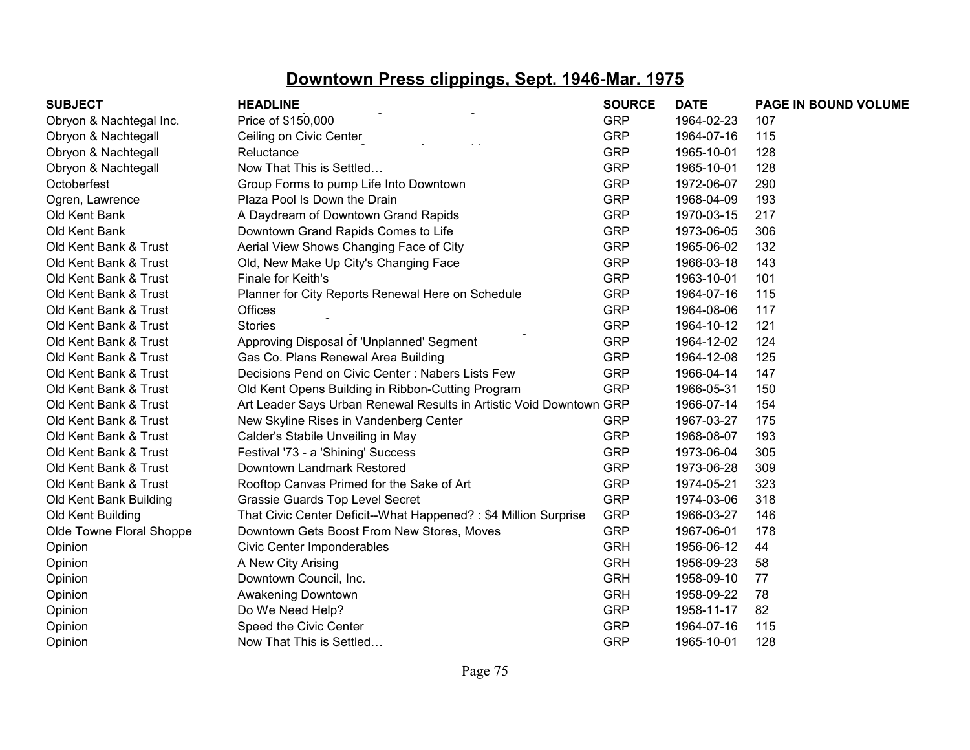| <b>SUBJECT</b>           | <b>HEADLINE</b>                                                     | <b>SOURCE</b> | <b>DATE</b> | PAGE IN BOUND VOLUME |
|--------------------------|---------------------------------------------------------------------|---------------|-------------|----------------------|
| Obryon & Nachtegal Inc.  | Price of \$150,000                                                  | <b>GRP</b>    | 1964-02-23  | 107                  |
| Obryon & Nachtegall      | Ceiling on Civic Center                                             | <b>GRP</b>    | 1964-07-16  | 115                  |
| Obryon & Nachtegall      | Reluctance                                                          | <b>GRP</b>    | 1965-10-01  | 128                  |
| Obryon & Nachtegall      | Now That This is Settled                                            | <b>GRP</b>    | 1965-10-01  | 128                  |
| Octoberfest              | Group Forms to pump Life Into Downtown                              | <b>GRP</b>    | 1972-06-07  | 290                  |
| Ogren, Lawrence          | Plaza Pool Is Down the Drain                                        | <b>GRP</b>    | 1968-04-09  | 193                  |
| Old Kent Bank            | A Daydream of Downtown Grand Rapids                                 | <b>GRP</b>    | 1970-03-15  | 217                  |
| Old Kent Bank            | Downtown Grand Rapids Comes to Life                                 | <b>GRP</b>    | 1973-06-05  | 306                  |
| Old Kent Bank & Trust    | Aerial View Shows Changing Face of City                             | <b>GRP</b>    | 1965-06-02  | 132                  |
| Old Kent Bank & Trust    | Old, New Make Up City's Changing Face                               | <b>GRP</b>    | 1966-03-18  | 143                  |
| Old Kent Bank & Trust    | Finale for Keith's                                                  | <b>GRP</b>    | 1963-10-01  | 101                  |
| Old Kent Bank & Trust    | Planner for City Reports Renewal Here on Schedule                   | <b>GRP</b>    | 1964-07-16  | 115                  |
| Old Kent Bank & Trust    | <b>Offices</b>                                                      | <b>GRP</b>    | 1964-08-06  | 117                  |
| Old Kent Bank & Trust    | <b>Stories</b>                                                      | <b>GRP</b>    | 1964-10-12  | 121                  |
| Old Kent Bank & Trust    | Approving Disposal of 'Unplanned' Segment                           | <b>GRP</b>    | 1964-12-02  | 124                  |
| Old Kent Bank & Trust    | Gas Co. Plans Renewal Area Building                                 | <b>GRP</b>    | 1964-12-08  | 125                  |
| Old Kent Bank & Trust    | Decisions Pend on Civic Center: Nabers Lists Few                    | <b>GRP</b>    | 1966-04-14  | 147                  |
| Old Kent Bank & Trust    | Old Kent Opens Building in Ribbon-Cutting Program                   | <b>GRP</b>    | 1966-05-31  | 150                  |
| Old Kent Bank & Trust    | Art Leader Says Urban Renewal Results in Artistic Void Downtown GRP |               | 1966-07-14  | 154                  |
| Old Kent Bank & Trust    | New Skyline Rises in Vandenberg Center                              | <b>GRP</b>    | 1967-03-27  | 175                  |
| Old Kent Bank & Trust    | Calder's Stabile Unveiling in May                                   | <b>GRP</b>    | 1968-08-07  | 193                  |
| Old Kent Bank & Trust    | Festival '73 - a 'Shining' Success                                  | <b>GRP</b>    | 1973-06-04  | 305                  |
| Old Kent Bank & Trust    | Downtown Landmark Restored                                          | <b>GRP</b>    | 1973-06-28  | 309                  |
| Old Kent Bank & Trust    | Rooftop Canvas Primed for the Sake of Art                           | <b>GRP</b>    | 1974-05-21  | 323                  |
| Old Kent Bank Building   | Grassie Guards Top Level Secret                                     | <b>GRP</b>    | 1974-03-06  | 318                  |
| Old Kent Building        | That Civic Center Deficit--What Happened?: \$4 Million Surprise     | <b>GRP</b>    | 1966-03-27  | 146                  |
| Olde Towne Floral Shoppe | Downtown Gets Boost From New Stores, Moves                          | <b>GRP</b>    | 1967-06-01  | 178                  |
| Opinion                  | Civic Center Imponderables                                          | <b>GRH</b>    | 1956-06-12  | 44                   |
| Opinion                  | A New City Arising                                                  | <b>GRH</b>    | 1956-09-23  | 58                   |
| Opinion                  | Downtown Council, Inc.                                              | <b>GRH</b>    | 1958-09-10  | 77                   |
| Opinion                  | Awakening Downtown                                                  | <b>GRH</b>    | 1958-09-22  | 78                   |
| Opinion                  | Do We Need Help?                                                    | <b>GRP</b>    | 1958-11-17  | 82                   |
| Opinion                  | Speed the Civic Center                                              | <b>GRP</b>    | 1964-07-16  | 115                  |
| Opinion                  | Now That This is Settled                                            | <b>GRP</b>    | 1965-10-01  | 128                  |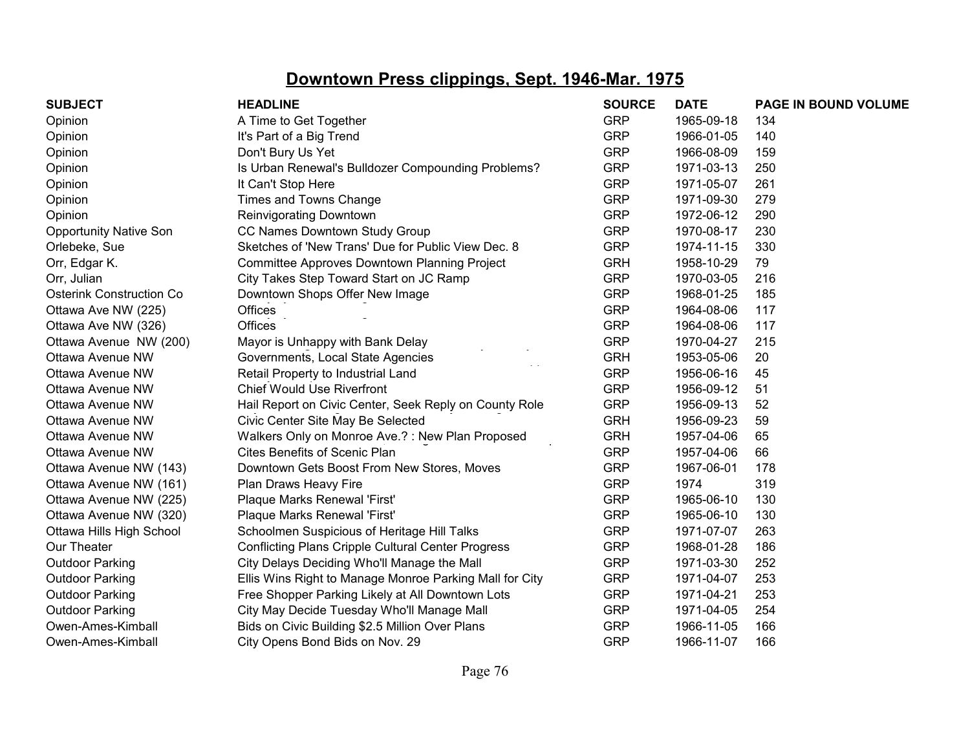| <b>SUBJECT</b>                  | <b>HEADLINE</b>                                           | <b>SOURCE</b> | <b>DATE</b> | PAGE IN BOUND VOLUME |
|---------------------------------|-----------------------------------------------------------|---------------|-------------|----------------------|
| Opinion                         | A Time to Get Together                                    | <b>GRP</b>    | 1965-09-18  | 134                  |
| Opinion                         | It's Part of a Big Trend                                  | <b>GRP</b>    | 1966-01-05  | 140                  |
| Opinion                         | Don't Bury Us Yet                                         | <b>GRP</b>    | 1966-08-09  | 159                  |
| Opinion                         | Is Urban Renewal's Bulldozer Compounding Problems?        | <b>GRP</b>    | 1971-03-13  | 250                  |
| Opinion                         | It Can't Stop Here                                        | <b>GRP</b>    | 1971-05-07  | 261                  |
| Opinion                         | Times and Towns Change                                    | <b>GRP</b>    | 1971-09-30  | 279                  |
| Opinion                         | Reinvigorating Downtown                                   | <b>GRP</b>    | 1972-06-12  | 290                  |
| <b>Opportunity Native Son</b>   | CC Names Downtown Study Group                             | <b>GRP</b>    | 1970-08-17  | 230                  |
| Orlebeke, Sue                   | Sketches of 'New Trans' Due for Public View Dec. 8        | <b>GRP</b>    | 1974-11-15  | 330                  |
| Orr, Edgar K.                   | Committee Approves Downtown Planning Project              | <b>GRH</b>    | 1958-10-29  | 79                   |
| Orr, Julian                     | City Takes Step Toward Start on JC Ramp                   | <b>GRP</b>    | 1970-03-05  | 216                  |
| <b>Osterink Construction Co</b> | Downtown Shops Offer New Image                            | <b>GRP</b>    | 1968-01-25  | 185                  |
| Ottawa Ave NW (225)             | Offices                                                   | <b>GRP</b>    | 1964-08-06  | 117                  |
| Ottawa Ave NW (326)             | <b>Offices</b>                                            | <b>GRP</b>    | 1964-08-06  | 117                  |
| Ottawa Avenue NW (200)          | Mayor is Unhappy with Bank Delay                          | <b>GRP</b>    | 1970-04-27  | 215                  |
| Ottawa Avenue NW                | Governments, Local State Agencies                         | <b>GRH</b>    | 1953-05-06  | 20                   |
| Ottawa Avenue NW                | Retail Property to Industrial Land                        | <b>GRP</b>    | 1956-06-16  | 45                   |
| Ottawa Avenue NW                | <b>Chief Would Use Riverfront</b>                         | <b>GRP</b>    | 1956-09-12  | 51                   |
| Ottawa Avenue NW                | Hail Report on Civic Center, Seek Reply on County Role    | <b>GRP</b>    | 1956-09-13  | 52                   |
| Ottawa Avenue NW                | Civic Center Site May Be Selected                         | <b>GRH</b>    | 1956-09-23  | 59                   |
| Ottawa Avenue NW                | Walkers Only on Monroe Ave.?: New Plan Proposed           | <b>GRH</b>    | 1957-04-06  | 65                   |
| Ottawa Avenue NW                | <b>Cites Benefits of Scenic Plan</b>                      | <b>GRP</b>    | 1957-04-06  | 66                   |
| Ottawa Avenue NW (143)          | Downtown Gets Boost From New Stores, Moves                | <b>GRP</b>    | 1967-06-01  | 178                  |
| Ottawa Avenue NW (161)          | Plan Draws Heavy Fire                                     | <b>GRP</b>    | 1974        | 319                  |
| Ottawa Avenue NW (225)          | Plaque Marks Renewal 'First'                              | <b>GRP</b>    | 1965-06-10  | 130                  |
| Ottawa Avenue NW (320)          | Plaque Marks Renewal 'First'                              | <b>GRP</b>    | 1965-06-10  | 130                  |
| Ottawa Hills High School        | Schoolmen Suspicious of Heritage Hill Talks               | <b>GRP</b>    | 1971-07-07  | 263                  |
| Our Theater                     | <b>Conflicting Plans Cripple Cultural Center Progress</b> | <b>GRP</b>    | 1968-01-28  | 186                  |
| <b>Outdoor Parking</b>          | City Delays Deciding Who'll Manage the Mall               | <b>GRP</b>    | 1971-03-30  | 252                  |
| <b>Outdoor Parking</b>          | Ellis Wins Right to Manage Monroe Parking Mall for City   | <b>GRP</b>    | 1971-04-07  | 253                  |
| <b>Outdoor Parking</b>          | Free Shopper Parking Likely at All Downtown Lots          | <b>GRP</b>    | 1971-04-21  | 253                  |
| <b>Outdoor Parking</b>          | City May Decide Tuesday Who'll Manage Mall                | <b>GRP</b>    | 1971-04-05  | 254                  |
| Owen-Ames-Kimball               | Bids on Civic Building \$2.5 Million Over Plans           | <b>GRP</b>    | 1966-11-05  | 166                  |
| Owen-Ames-Kimball               | City Opens Bond Bids on Nov. 29                           | <b>GRP</b>    | 1966-11-07  | 166                  |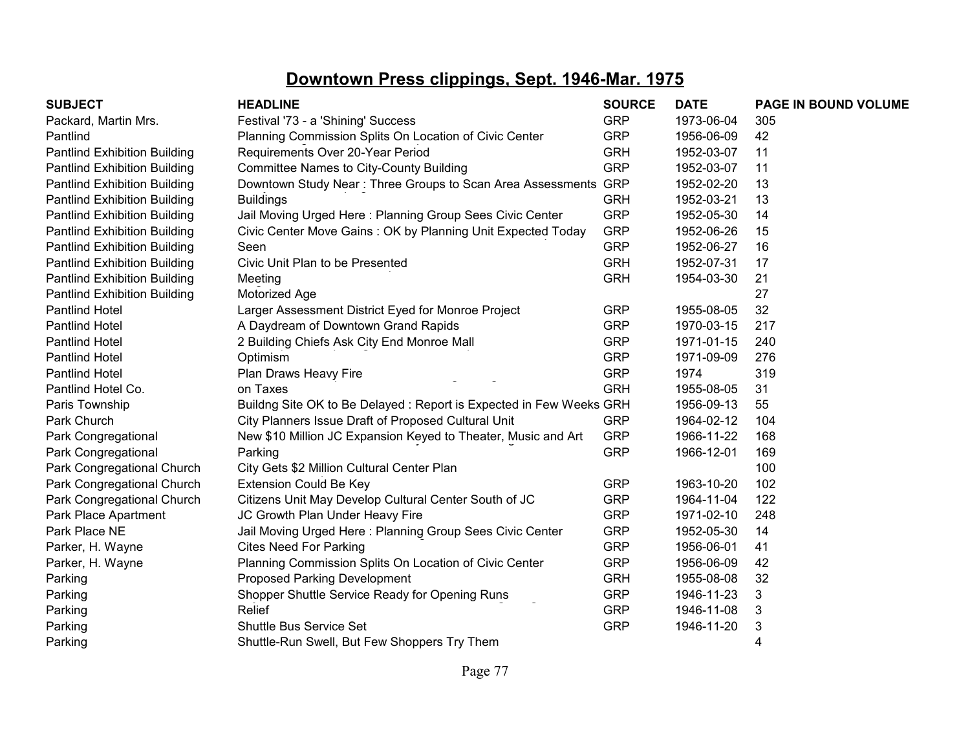| <b>SUBJECT</b>                      | <b>HEADLINE</b>                                                    | <b>SOURCE</b> | <b>DATE</b> | PAGE IN BOUND VOLUME |
|-------------------------------------|--------------------------------------------------------------------|---------------|-------------|----------------------|
| Packard, Martin Mrs.                | Festival '73 - a 'Shining' Success                                 | <b>GRP</b>    | 1973-06-04  | 305                  |
| Pantlind                            | Planning Commission Splits On Location of Civic Center             | <b>GRP</b>    | 1956-06-09  | 42                   |
| <b>Pantlind Exhibition Building</b> | Requirements Over 20-Year Period                                   | <b>GRH</b>    | 1952-03-07  | 11                   |
| <b>Pantlind Exhibition Building</b> | <b>Committee Names to City-County Building</b>                     | <b>GRP</b>    | 1952-03-07  | 11                   |
| <b>Pantlind Exhibition Building</b> | Downtown Study Near: Three Groups to Scan Area Assessments GRP     |               | 1952-02-20  | 13                   |
| <b>Pantlind Exhibition Building</b> | <b>Buildings</b>                                                   | <b>GRH</b>    | 1952-03-21  | 13                   |
| <b>Pantlind Exhibition Building</b> | Jail Moving Urged Here: Planning Group Sees Civic Center           | <b>GRP</b>    | 1952-05-30  | 14                   |
| <b>Pantlind Exhibition Building</b> | Civic Center Move Gains: OK by Planning Unit Expected Today        | <b>GRP</b>    | 1952-06-26  | 15                   |
| <b>Pantlind Exhibition Building</b> | Seen                                                               | <b>GRP</b>    | 1952-06-27  | 16                   |
| <b>Pantlind Exhibition Building</b> | Civic Unit Plan to be Presented                                    | <b>GRH</b>    | 1952-07-31  | 17                   |
| <b>Pantlind Exhibition Building</b> | Meeting                                                            | <b>GRH</b>    | 1954-03-30  | 21                   |
| <b>Pantlind Exhibition Building</b> | Motorized Age                                                      |               |             | 27                   |
| <b>Pantlind Hotel</b>               | Larger Assessment District Eyed for Monroe Project                 | <b>GRP</b>    | 1955-08-05  | 32                   |
| <b>Pantlind Hotel</b>               | A Daydream of Downtown Grand Rapids                                | <b>GRP</b>    | 1970-03-15  | 217                  |
| <b>Pantlind Hotel</b>               | 2 Building Chiefs Ask City End Monroe Mall                         | <b>GRP</b>    | 1971-01-15  | 240                  |
| <b>Pantlind Hotel</b>               | Optimism                                                           | <b>GRP</b>    | 1971-09-09  | 276                  |
| <b>Pantlind Hotel</b>               | Plan Draws Heavy Fire                                              | <b>GRP</b>    | 1974        | 319                  |
| Pantlind Hotel Co.                  | on Taxes                                                           | <b>GRH</b>    | 1955-08-05  | 31                   |
| Paris Township                      | Buildng Site OK to Be Delayed: Report is Expected in Few Weeks GRH |               | 1956-09-13  | 55                   |
| Park Church                         | City Planners Issue Draft of Proposed Cultural Unit                | <b>GRP</b>    | 1964-02-12  | 104                  |
| Park Congregational                 | New \$10 Million JC Expansion Keyed to Theater, Music and Art      | <b>GRP</b>    | 1966-11-22  | 168                  |
| Park Congregational                 | Parking                                                            | <b>GRP</b>    | 1966-12-01  | 169                  |
| Park Congregational Church          | City Gets \$2 Million Cultural Center Plan                         |               |             | 100                  |
| Park Congregational Church          | <b>Extension Could Be Key</b>                                      | <b>GRP</b>    | 1963-10-20  | 102                  |
| Park Congregational Church          | Citizens Unit May Develop Cultural Center South of JC              | <b>GRP</b>    | 1964-11-04  | 122                  |
| Park Place Apartment                | JC Growth Plan Under Heavy Fire                                    | <b>GRP</b>    | 1971-02-10  | 248                  |
| Park Place NE                       | Jail Moving Urged Here: Planning Group Sees Civic Center           | <b>GRP</b>    | 1952-05-30  | 14                   |
| Parker, H. Wayne                    | <b>Cites Need For Parking</b>                                      | <b>GRP</b>    | 1956-06-01  | 41                   |
| Parker, H. Wayne                    | Planning Commission Splits On Location of Civic Center             | <b>GRP</b>    | 1956-06-09  | 42                   |
| Parking                             | <b>Proposed Parking Development</b>                                | <b>GRH</b>    | 1955-08-08  | 32                   |
| Parking                             | Shopper Shuttle Service Ready for Opening Runs                     | <b>GRP</b>    | 1946-11-23  | 3                    |
| Parking                             | Relief                                                             | <b>GRP</b>    | 1946-11-08  | 3                    |
| Parking                             | <b>Shuttle Bus Service Set</b>                                     | <b>GRP</b>    | 1946-11-20  | 3                    |
| Parking                             | Shuttle-Run Swell, But Few Shoppers Try Them                       |               |             | 4                    |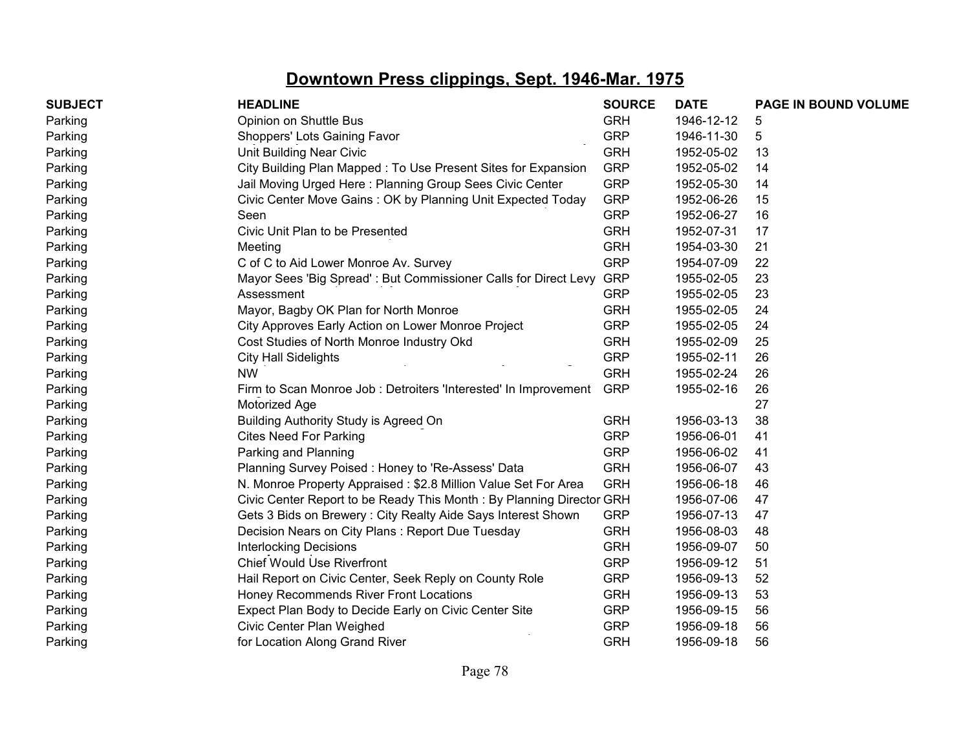| <b>SUBJECT</b> | <b>HEADLINE</b>                                                      | <b>SOURCE</b> | <b>DATE</b> | PAGE IN BOUND VOLUME |
|----------------|----------------------------------------------------------------------|---------------|-------------|----------------------|
| Parking        | Opinion on Shuttle Bus                                               | <b>GRH</b>    | 1946-12-12  | 5                    |
| Parking        | Shoppers' Lots Gaining Favor                                         | <b>GRP</b>    | 1946-11-30  | 5                    |
| Parking        | <b>Unit Building Near Civic</b>                                      | <b>GRH</b>    | 1952-05-02  | 13                   |
| Parking        | City Building Plan Mapped: To Use Present Sites for Expansion        | <b>GRP</b>    | 1952-05-02  | 14                   |
| Parking        | Jail Moving Urged Here: Planning Group Sees Civic Center             | <b>GRP</b>    | 1952-05-30  | 14                   |
| Parking        | Civic Center Move Gains: OK by Planning Unit Expected Today          | <b>GRP</b>    | 1952-06-26  | 15                   |
| Parking        | Seen                                                                 | <b>GRP</b>    | 1952-06-27  | 16                   |
| Parking        | Civic Unit Plan to be Presented                                      | <b>GRH</b>    | 1952-07-31  | 17                   |
| Parking        | Meeting                                                              | <b>GRH</b>    | 1954-03-30  | 21                   |
| Parking        | C of C to Aid Lower Monroe Av. Survey                                | <b>GRP</b>    | 1954-07-09  | 22                   |
| Parking        | Mayor Sees 'Big Spread': But Commissioner Calls for Direct Levy      | <b>GRP</b>    | 1955-02-05  | 23                   |
| Parking        | Assessment                                                           | <b>GRP</b>    | 1955-02-05  | 23                   |
| Parking        | Mayor, Bagby OK Plan for North Monroe                                | <b>GRH</b>    | 1955-02-05  | 24                   |
| Parking        | City Approves Early Action on Lower Monroe Project                   | <b>GRP</b>    | 1955-02-05  | 24                   |
| Parking        | Cost Studies of North Monroe Industry Okd                            | <b>GRH</b>    | 1955-02-09  | 25                   |
| Parking        | <b>City Hall Sidelights</b>                                          | <b>GRP</b>    | 1955-02-11  | 26                   |
| Parking        | <b>NW</b>                                                            | <b>GRH</b>    | 1955-02-24  | 26                   |
| Parking        | Firm to Scan Monroe Job: Detroiters 'Interested' In Improvement      | <b>GRP</b>    | 1955-02-16  | 26                   |
| Parking        | Motorized Age                                                        |               |             | 27                   |
| Parking        | Building Authority Study is Agreed On                                | <b>GRH</b>    | 1956-03-13  | 38                   |
| Parking        | <b>Cites Need For Parking</b>                                        | <b>GRP</b>    | 1956-06-01  | 41                   |
| Parking        | Parking and Planning                                                 | <b>GRP</b>    | 1956-06-02  | 41                   |
| Parking        | Planning Survey Poised: Honey to 'Re-Assess' Data                    | <b>GRH</b>    | 1956-06-07  | 43                   |
| Parking        | N. Monroe Property Appraised: \$2.8 Million Value Set For Area       | <b>GRH</b>    | 1956-06-18  | 46                   |
| Parking        | Civic Center Report to be Ready This Month: By Planning Director GRH |               | 1956-07-06  | 47                   |
| Parking        | Gets 3 Bids on Brewery: City Realty Aide Says Interest Shown         | <b>GRP</b>    | 1956-07-13  | 47                   |
| Parking        | Decision Nears on City Plans: Report Due Tuesday                     | <b>GRH</b>    | 1956-08-03  | 48                   |
| Parking        | <b>Interlocking Decisions</b>                                        | <b>GRH</b>    | 1956-09-07  | 50                   |
| Parking        | <b>Chief Would Use Riverfront</b>                                    | <b>GRP</b>    | 1956-09-12  | 51                   |
| Parking        | Hail Report on Civic Center, Seek Reply on County Role               | <b>GRP</b>    | 1956-09-13  | 52                   |
| Parking        | Honey Recommends River Front Locations                               | <b>GRH</b>    | 1956-09-13  | 53                   |
| Parking        | Expect Plan Body to Decide Early on Civic Center Site                | <b>GRP</b>    | 1956-09-15  | 56                   |
| Parking        | Civic Center Plan Weighed                                            | <b>GRP</b>    | 1956-09-18  | 56                   |
| Parking        | for Location Along Grand River                                       | <b>GRH</b>    | 1956-09-18  | 56                   |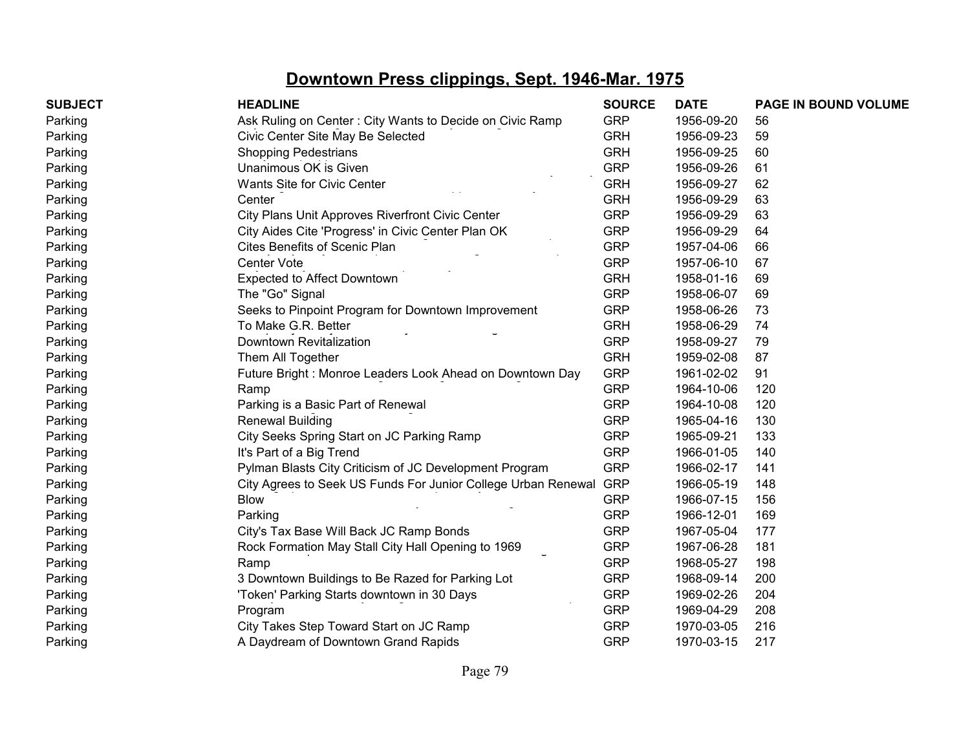| <b>SUBJECT</b> | <b>HEADLINE</b>                                               | <b>SOURCE</b> | <b>DATE</b> | PAGE IN BOUND VOLUME |
|----------------|---------------------------------------------------------------|---------------|-------------|----------------------|
| Parking        | Ask Ruling on Center: City Wants to Decide on Civic Ramp      | <b>GRP</b>    | 1956-09-20  | 56                   |
| Parking        | Civic Center Site May Be Selected                             | <b>GRH</b>    | 1956-09-23  | 59                   |
| Parking        | <b>Shopping Pedestrians</b>                                   | <b>GRH</b>    | 1956-09-25  | 60                   |
| Parking        | Unanimous OK is Given                                         | <b>GRP</b>    | 1956-09-26  | 61                   |
| Parking        | Wants Site for Civic Center                                   | <b>GRH</b>    | 1956-09-27  | 62                   |
| Parking        | Center                                                        | <b>GRH</b>    | 1956-09-29  | 63                   |
| Parking        | City Plans Unit Approves Riverfront Civic Center              | <b>GRP</b>    | 1956-09-29  | 63                   |
| Parking        | City Aides Cite 'Progress' in Civic Center Plan OK            | <b>GRP</b>    | 1956-09-29  | 64                   |
| Parking        | Cites Benefits of Scenic Plan                                 | <b>GRP</b>    | 1957-04-06  | 66                   |
| Parking        | Center Vote                                                   | <b>GRP</b>    | 1957-06-10  | 67                   |
| Parking        | Expected to Affect Downtown                                   | <b>GRH</b>    | 1958-01-16  | 69                   |
| Parking        | The "Go" Signal                                               | <b>GRP</b>    | 1958-06-07  | 69                   |
| Parking        | Seeks to Pinpoint Program for Downtown Improvement            | <b>GRP</b>    | 1958-06-26  | 73                   |
| Parking        | To Make G.R. Better                                           | <b>GRH</b>    | 1958-06-29  | 74                   |
| Parking        | Downtown Revitalization                                       | <b>GRP</b>    | 1958-09-27  | 79                   |
| Parking        | Them All Together                                             | <b>GRH</b>    | 1959-02-08  | 87                   |
| Parking        | Future Bright: Monroe Leaders Look Ahead on Downtown Day      | <b>GRP</b>    | 1961-02-02  | 91                   |
| Parking        | Ramp                                                          | <b>GRP</b>    | 1964-10-06  | 120                  |
| Parking        | Parking is a Basic Part of Renewal                            | <b>GRP</b>    | 1964-10-08  | 120                  |
| Parking        | <b>Renewal Building</b>                                       | <b>GRP</b>    | 1965-04-16  | 130                  |
| Parking        | City Seeks Spring Start on JC Parking Ramp                    | <b>GRP</b>    | 1965-09-21  | 133                  |
| Parking        | It's Part of a Big Trend                                      | <b>GRP</b>    | 1966-01-05  | 140                  |
| Parking        | Pylman Blasts City Criticism of JC Development Program        | <b>GRP</b>    | 1966-02-17  | 141                  |
| Parking        | City Agrees to Seek US Funds For Junior College Urban Renewal | <b>GRP</b>    | 1966-05-19  | 148                  |
| Parking        | <b>Blow</b>                                                   | <b>GRP</b>    | 1966-07-15  | 156                  |
| Parking        | Parking                                                       | <b>GRP</b>    | 1966-12-01  | 169                  |
| Parking        | City's Tax Base Will Back JC Ramp Bonds                       | <b>GRP</b>    | 1967-05-04  | 177                  |
| Parking        | Rock Formation May Stall City Hall Opening to 1969            | <b>GRP</b>    | 1967-06-28  | 181                  |
| Parking        | Ramp                                                          | <b>GRP</b>    | 1968-05-27  | 198                  |
| Parking        | 3 Downtown Buildings to Be Razed for Parking Lot              | <b>GRP</b>    | 1968-09-14  | 200                  |
| Parking        | 'Token' Parking Starts downtown in 30 Days                    | <b>GRP</b>    | 1969-02-26  | 204                  |
| Parking        | Program                                                       | <b>GRP</b>    | 1969-04-29  | 208                  |
| Parking        | City Takes Step Toward Start on JC Ramp                       | <b>GRP</b>    | 1970-03-05  | 216                  |
| Parking        | A Daydream of Downtown Grand Rapids                           | <b>GRP</b>    | 1970-03-15  | 217                  |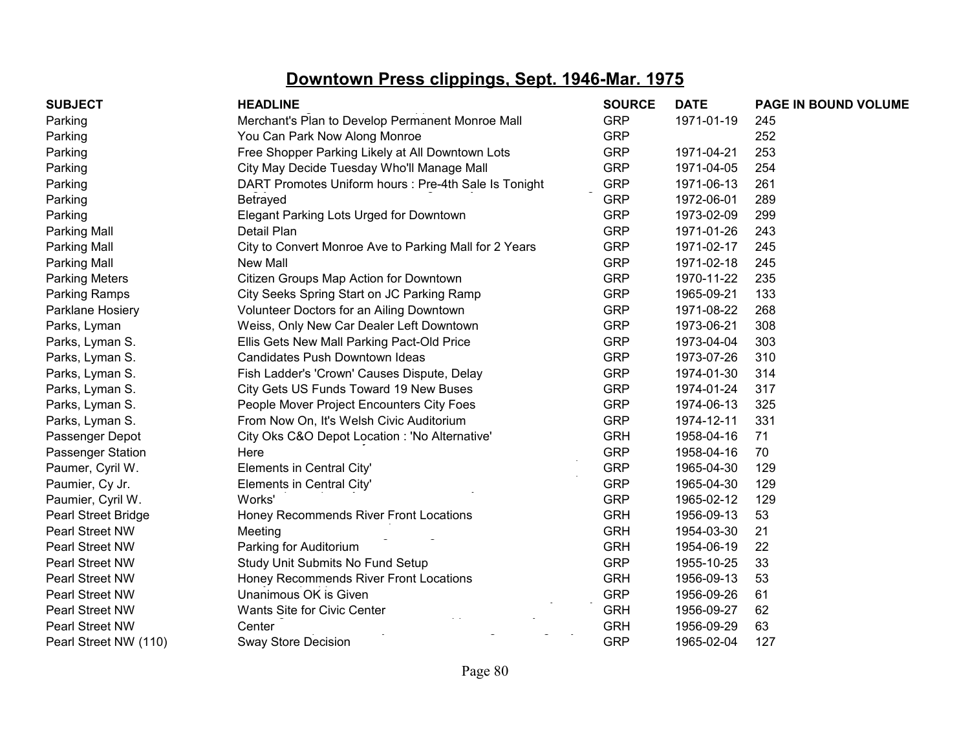| <b>SUBJECT</b>             | <b>HEADLINE</b>                                        | <b>SOURCE</b> | <b>DATE</b> | PAGE IN BOUND VOLUME |
|----------------------------|--------------------------------------------------------|---------------|-------------|----------------------|
| Parking                    | Merchant's Plan to Develop Permanent Monroe Mall       | <b>GRP</b>    | 1971-01-19  | 245                  |
| Parking                    | You Can Park Now Along Monroe                          | <b>GRP</b>    |             | 252                  |
| Parking                    | Free Shopper Parking Likely at All Downtown Lots       | <b>GRP</b>    | 1971-04-21  | 253                  |
| Parking                    | City May Decide Tuesday Who'll Manage Mall             | <b>GRP</b>    | 1971-04-05  | 254                  |
| Parking                    | DART Promotes Uniform hours : Pre-4th Sale Is Tonight  | <b>GRP</b>    | 1971-06-13  | 261                  |
| Parking                    | Betrayed                                               | <b>GRP</b>    | 1972-06-01  | 289                  |
| Parking                    | Elegant Parking Lots Urged for Downtown                | <b>GRP</b>    | 1973-02-09  | 299                  |
| <b>Parking Mall</b>        | Detail Plan                                            | <b>GRP</b>    | 1971-01-26  | 243                  |
| Parking Mall               | City to Convert Monroe Ave to Parking Mall for 2 Years | <b>GRP</b>    | 1971-02-17  | 245                  |
| <b>Parking Mall</b>        | New Mall                                               | <b>GRP</b>    | 1971-02-18  | 245                  |
| <b>Parking Meters</b>      | Citizen Groups Map Action for Downtown                 | <b>GRP</b>    | 1970-11-22  | 235                  |
| Parking Ramps              | City Seeks Spring Start on JC Parking Ramp             | <b>GRP</b>    | 1965-09-21  | 133                  |
| Parklane Hosiery           | Volunteer Doctors for an Ailing Downtown               | <b>GRP</b>    | 1971-08-22  | 268                  |
| Parks, Lyman               | Weiss, Only New Car Dealer Left Downtown               | <b>GRP</b>    | 1973-06-21  | 308                  |
| Parks, Lyman S.            | Ellis Gets New Mall Parking Pact-Old Price             | <b>GRP</b>    | 1973-04-04  | 303                  |
| Parks, Lyman S.            | Candidates Push Downtown Ideas                         | <b>GRP</b>    | 1973-07-26  | 310                  |
| Parks, Lyman S.            | Fish Ladder's 'Crown' Causes Dispute, Delay            | <b>GRP</b>    | 1974-01-30  | 314                  |
| Parks, Lyman S.            | City Gets US Funds Toward 19 New Buses                 | <b>GRP</b>    | 1974-01-24  | 317                  |
| Parks, Lyman S.            | People Mover Project Encounters City Foes              | <b>GRP</b>    | 1974-06-13  | 325                  |
| Parks, Lyman S.            | From Now On, It's Welsh Civic Auditorium               | <b>GRP</b>    | 1974-12-11  | 331                  |
| Passenger Depot            | City Oks C&O Depot Location : 'No Alternative'         | <b>GRH</b>    | 1958-04-16  | 71                   |
| Passenger Station          | Here                                                   | <b>GRP</b>    | 1958-04-16  | 70                   |
| Paumer, Cyril W.           | Elements in Central City'                              | <b>GRP</b>    | 1965-04-30  | 129                  |
| Paumier, Cy Jr.            | Elements in Central City'                              | <b>GRP</b>    | 1965-04-30  | 129                  |
| Paumier, Cyril W.          | Works'                                                 | <b>GRP</b>    | 1965-02-12  | 129                  |
| <b>Pearl Street Bridge</b> | Honey Recommends River Front Locations                 | <b>GRH</b>    | 1956-09-13  | 53                   |
| Pearl Street NW            | Meeting                                                | <b>GRH</b>    | 1954-03-30  | 21                   |
| Pearl Street NW            | Parking for Auditorium                                 | <b>GRH</b>    | 1954-06-19  | 22                   |
| Pearl Street NW            | Study Unit Submits No Fund Setup                       | <b>GRP</b>    | 1955-10-25  | 33                   |
| Pearl Street NW            | Honey Recommends River Front Locations                 | <b>GRH</b>    | 1956-09-13  | 53                   |
| Pearl Street NW            | Unanimous OK is Given                                  | <b>GRP</b>    | 1956-09-26  | 61                   |
| Pearl Street NW            | Wants Site for Civic Center                            | <b>GRH</b>    | 1956-09-27  | 62                   |
| Pearl Street NW            | Center                                                 | <b>GRH</b>    | 1956-09-29  | 63                   |
| Pearl Street NW (110)      | <b>Sway Store Decision</b>                             | <b>GRP</b>    | 1965-02-04  | 127                  |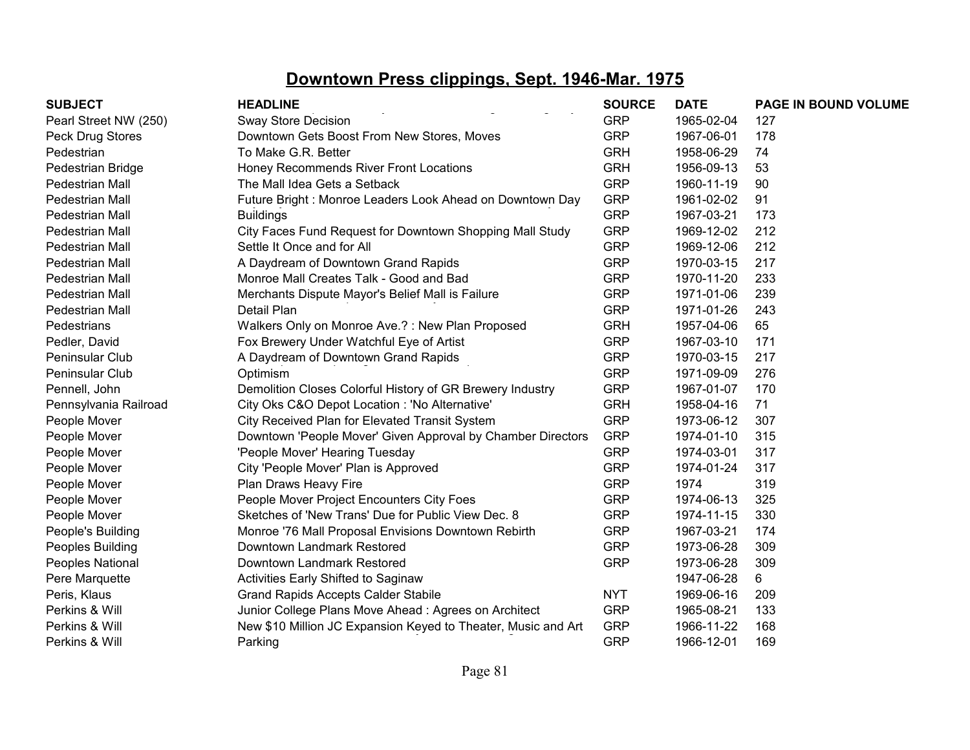| <b>SUBJECT</b>        | <b>HEADLINE</b>                                               | <b>SOURCE</b> | <b>DATE</b> | PAGE IN BOUND VOLUME |
|-----------------------|---------------------------------------------------------------|---------------|-------------|----------------------|
| Pearl Street NW (250) | <b>Sway Store Decision</b>                                    | <b>GRP</b>    | 1965-02-04  | 127                  |
| Peck Drug Stores      | Downtown Gets Boost From New Stores, Moves                    | <b>GRP</b>    | 1967-06-01  | 178                  |
| Pedestrian            | To Make G.R. Better                                           | <b>GRH</b>    | 1958-06-29  | 74                   |
| Pedestrian Bridge     | Honey Recommends River Front Locations                        | <b>GRH</b>    | 1956-09-13  | 53                   |
| Pedestrian Mall       | The Mall Idea Gets a Setback                                  | <b>GRP</b>    | 1960-11-19  | 90                   |
| Pedestrian Mall       | Future Bright: Monroe Leaders Look Ahead on Downtown Day      | <b>GRP</b>    | 1961-02-02  | 91                   |
| Pedestrian Mall       | <b>Buildings</b>                                              | <b>GRP</b>    | 1967-03-21  | 173                  |
| Pedestrian Mall       | City Faces Fund Request for Downtown Shopping Mall Study      | <b>GRP</b>    | 1969-12-02  | 212                  |
| Pedestrian Mall       | Settle It Once and for All                                    | <b>GRP</b>    | 1969-12-06  | 212                  |
| Pedestrian Mall       | A Daydream of Downtown Grand Rapids                           | <b>GRP</b>    | 1970-03-15  | 217                  |
| Pedestrian Mall       | Monroe Mall Creates Talk - Good and Bad                       | <b>GRP</b>    | 1970-11-20  | 233                  |
| Pedestrian Mall       | Merchants Dispute Mayor's Belief Mall is Failure              | <b>GRP</b>    | 1971-01-06  | 239                  |
| Pedestrian Mall       | Detail Plan                                                   | <b>GRP</b>    | 1971-01-26  | 243                  |
| Pedestrians           | Walkers Only on Monroe Ave.?: New Plan Proposed               | <b>GRH</b>    | 1957-04-06  | 65                   |
| Pedler, David         | Fox Brewery Under Watchful Eye of Artist                      | <b>GRP</b>    | 1967-03-10  | 171                  |
| Peninsular Club       | A Daydream of Downtown Grand Rapids                           | <b>GRP</b>    | 1970-03-15  | 217                  |
| Peninsular Club       | Optimism                                                      | <b>GRP</b>    | 1971-09-09  | 276                  |
| Pennell, John         | Demolition Closes Colorful History of GR Brewery Industry     | <b>GRP</b>    | 1967-01-07  | 170                  |
| Pennsylvania Railroad | City Oks C&O Depot Location : 'No Alternative'                | <b>GRH</b>    | 1958-04-16  | 71                   |
| People Mover          | City Received Plan for Elevated Transit System                | <b>GRP</b>    | 1973-06-12  | 307                  |
| People Mover          | Downtown 'People Mover' Given Approval by Chamber Directors   | <b>GRP</b>    | 1974-01-10  | 315                  |
| People Mover          | 'People Mover' Hearing Tuesday                                | <b>GRP</b>    | 1974-03-01  | 317                  |
| People Mover          | City 'People Mover' Plan is Approved                          | <b>GRP</b>    | 1974-01-24  | 317                  |
| People Mover          | Plan Draws Heavy Fire                                         | <b>GRP</b>    | 1974        | 319                  |
| People Mover          | People Mover Project Encounters City Foes                     | <b>GRP</b>    | 1974-06-13  | 325                  |
| People Mover          | Sketches of 'New Trans' Due for Public View Dec. 8            | <b>GRP</b>    | 1974-11-15  | 330                  |
| People's Building     | Monroe '76 Mall Proposal Envisions Downtown Rebirth           | <b>GRP</b>    | 1967-03-21  | 174                  |
| Peoples Building      | Downtown Landmark Restored                                    | <b>GRP</b>    | 1973-06-28  | 309                  |
| Peoples National      | Downtown Landmark Restored                                    | <b>GRP</b>    | 1973-06-28  | 309                  |
| Pere Marquette        | Activities Early Shifted to Saginaw                           |               | 1947-06-28  | 6                    |
| Peris, Klaus          | <b>Grand Rapids Accepts Calder Stabile</b>                    | <b>NYT</b>    | 1969-06-16  | 209                  |
| Perkins & Will        | Junior College Plans Move Ahead: Agrees on Architect          | <b>GRP</b>    | 1965-08-21  | 133                  |
| Perkins & Will        | New \$10 Million JC Expansion Keyed to Theater, Music and Art | <b>GRP</b>    | 1966-11-22  | 168                  |
| Perkins & Will        | Parking                                                       | <b>GRP</b>    | 1966-12-01  | 169                  |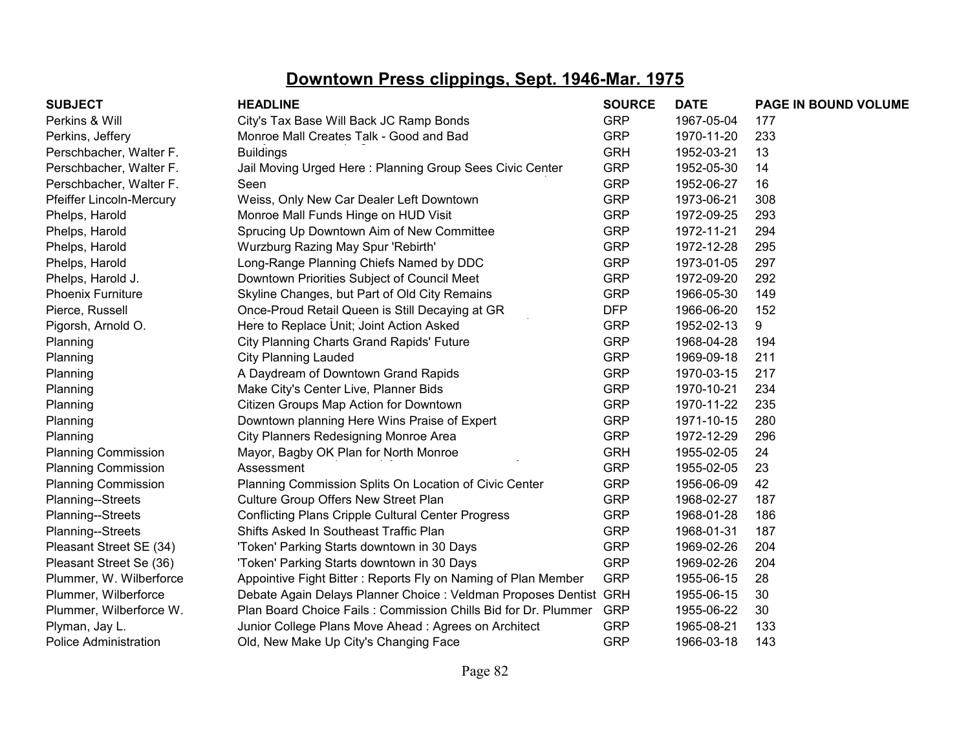| <b>SUBJECT</b>               | <b>HEADLINE</b>                                                   | <b>SOURCE</b> | <b>DATE</b> | PAGE IN BOUND VOLUME |
|------------------------------|-------------------------------------------------------------------|---------------|-------------|----------------------|
| Perkins & Will               | City's Tax Base Will Back JC Ramp Bonds                           | <b>GRP</b>    | 1967-05-04  | 177                  |
| Perkins, Jeffery             | Monroe Mall Creates Talk - Good and Bad                           | <b>GRP</b>    | 1970-11-20  | 233                  |
| Perschbacher, Walter F.      | <b>Buildings</b>                                                  | <b>GRH</b>    | 1952-03-21  | 13                   |
| Perschbacher, Walter F.      | Jail Moving Urged Here: Planning Group Sees Civic Center          | <b>GRP</b>    | 1952-05-30  | 14                   |
| Perschbacher, Walter F.      | Seen                                                              | <b>GRP</b>    | 1952-06-27  | 16                   |
| Pfeiffer Lincoln-Mercury     | Weiss, Only New Car Dealer Left Downtown                          | <b>GRP</b>    | 1973-06-21  | 308                  |
| Phelps, Harold               | Monroe Mall Funds Hinge on HUD Visit                              | <b>GRP</b>    | 1972-09-25  | 293                  |
| Phelps, Harold               | Sprucing Up Downtown Aim of New Committee                         | <b>GRP</b>    | 1972-11-21  | 294                  |
| Phelps, Harold               | Wurzburg Razing May Spur 'Rebirth'                                | <b>GRP</b>    | 1972-12-28  | 295                  |
| Phelps, Harold               | Long-Range Planning Chiefs Named by DDC                           | <b>GRP</b>    | 1973-01-05  | 297                  |
| Phelps, Harold J.            | Downtown Priorities Subject of Council Meet                       | <b>GRP</b>    | 1972-09-20  | 292                  |
| <b>Phoenix Furniture</b>     | Skyline Changes, but Part of Old City Remains                     | <b>GRP</b>    | 1966-05-30  | 149                  |
| Pierce, Russell              | Once-Proud Retail Queen is Still Decaying at GR                   | <b>DFP</b>    | 1966-06-20  | 152                  |
| Pigorsh, Arnold O.           | Here to Replace Unit; Joint Action Asked                          | <b>GRP</b>    | 1952-02-13  | 9                    |
| Planning                     | <b>City Planning Charts Grand Rapids' Future</b>                  | <b>GRP</b>    | 1968-04-28  | 194                  |
| Planning                     | <b>City Planning Lauded</b>                                       | <b>GRP</b>    | 1969-09-18  | 211                  |
| Planning                     | A Daydream of Downtown Grand Rapids                               | <b>GRP</b>    | 1970-03-15  | 217                  |
| Planning                     | Make City's Center Live, Planner Bids                             | <b>GRP</b>    | 1970-10-21  | 234                  |
| Planning                     | Citizen Groups Map Action for Downtown                            | <b>GRP</b>    | 1970-11-22  | 235                  |
| Planning                     | Downtown planning Here Wins Praise of Expert                      | <b>GRP</b>    | 1971-10-15  | 280                  |
| Planning                     | City Planners Redesigning Monroe Area                             | <b>GRP</b>    | 1972-12-29  | 296                  |
| <b>Planning Commission</b>   | Mayor, Bagby OK Plan for North Monroe                             | <b>GRH</b>    | 1955-02-05  | 24                   |
| <b>Planning Commission</b>   | Assessment                                                        | <b>GRP</b>    | 1955-02-05  | 23                   |
| <b>Planning Commission</b>   | Planning Commission Splits On Location of Civic Center            | <b>GRP</b>    | 1956-06-09  | 42                   |
| Planning--Streets            | Culture Group Offers New Street Plan                              | <b>GRP</b>    | 1968-02-27  | 187                  |
| Planning--Streets            | <b>Conflicting Plans Cripple Cultural Center Progress</b>         | <b>GRP</b>    | 1968-01-28  | 186                  |
| Planning--Streets            | Shifts Asked In Southeast Traffic Plan                            | <b>GRP</b>    | 1968-01-31  | 187                  |
| Pleasant Street SE (34)      | 'Token' Parking Starts downtown in 30 Days                        | <b>GRP</b>    | 1969-02-26  | 204                  |
| Pleasant Street Se (36)      | 'Token' Parking Starts downtown in 30 Days                        | <b>GRP</b>    | 1969-02-26  | 204                  |
| Plummer, W. Wilberforce      | Appointive Fight Bitter: Reports Fly on Naming of Plan Member     | <b>GRP</b>    | 1955-06-15  | 28                   |
| Plummer, Wilberforce         | Debate Again Delays Planner Choice : Veldman Proposes Dentist GRH |               | 1955-06-15  | 30                   |
| Plummer, Wilberforce W.      | Plan Board Choice Fails: Commission Chills Bid for Dr. Plummer    | <b>GRP</b>    | 1955-06-22  | 30                   |
| Plyman, Jay L.               | Junior College Plans Move Ahead: Agrees on Architect              | <b>GRP</b>    | 1965-08-21  | 133                  |
| <b>Police Administration</b> | Old, New Make Up City's Changing Face                             | <b>GRP</b>    | 1966-03-18  | 143                  |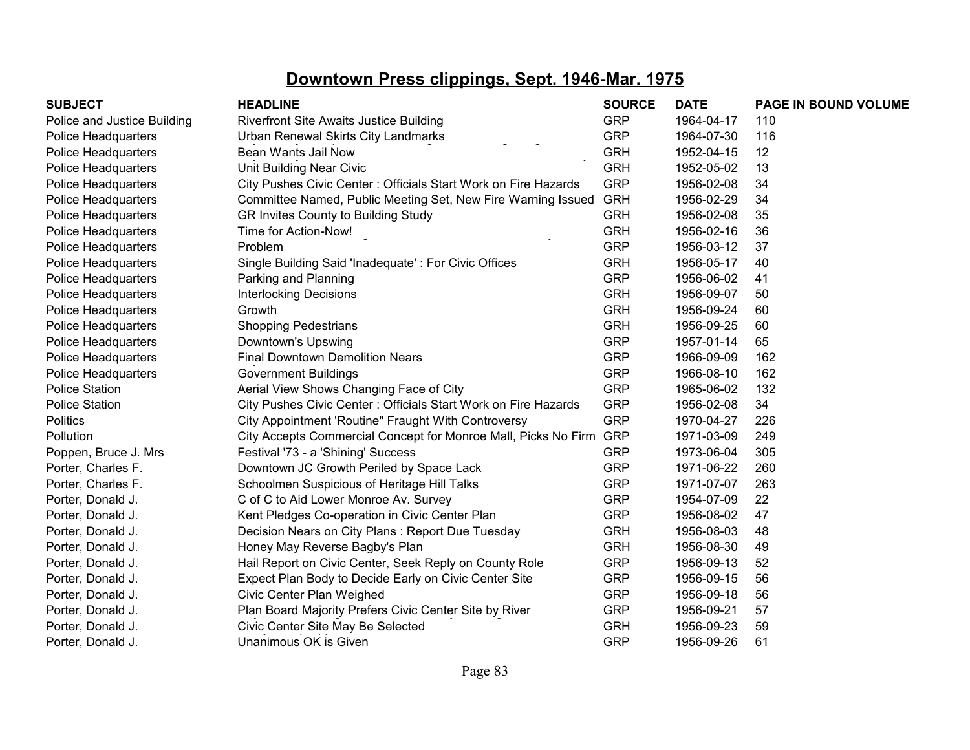| <b>SUBJECT</b>              | <b>HEADLINE</b>                                                    | <b>SOURCE</b> | <b>DATE</b> | PAGE IN BOUND VOLUME |
|-----------------------------|--------------------------------------------------------------------|---------------|-------------|----------------------|
| Police and Justice Building | Riverfront Site Awaits Justice Building                            | <b>GRP</b>    | 1964-04-17  | 110                  |
| Police Headquarters         | Urban Renewal Skirts City Landmarks                                | <b>GRP</b>    | 1964-07-30  | 116                  |
| Police Headquarters         | Bean Wants Jail Now                                                | <b>GRH</b>    | 1952-04-15  | 12                   |
| Police Headquarters         | Unit Building Near Civic                                           | <b>GRH</b>    | 1952-05-02  | 13                   |
| Police Headquarters         | City Pushes Civic Center: Officials Start Work on Fire Hazards     | <b>GRP</b>    | 1956-02-08  | 34                   |
| Police Headquarters         | Committee Named, Public Meeting Set, New Fire Warning Issued       | <b>GRH</b>    | 1956-02-29  | 34                   |
| Police Headquarters         | GR Invites County to Building Study                                | <b>GRH</b>    | 1956-02-08  | 35                   |
| Police Headquarters         | Time for Action-Now!                                               | <b>GRH</b>    | 1956-02-16  | 36                   |
| Police Headquarters         | Problem                                                            | <b>GRP</b>    | 1956-03-12  | 37                   |
| Police Headquarters         | Single Building Said 'Inadequate': For Civic Offices               | <b>GRH</b>    | 1956-05-17  | 40                   |
| Police Headquarters         | Parking and Planning                                               | <b>GRP</b>    | 1956-06-02  | 41                   |
| Police Headquarters         | <b>Interlocking Decisions</b>                                      | <b>GRH</b>    | 1956-09-07  | 50                   |
| Police Headquarters         | Growth                                                             | <b>GRH</b>    | 1956-09-24  | 60                   |
| Police Headquarters         | <b>Shopping Pedestrians</b>                                        | <b>GRH</b>    | 1956-09-25  | 60                   |
| Police Headquarters         | Downtown's Upswing                                                 | <b>GRP</b>    | 1957-01-14  | 65                   |
| Police Headquarters         | <b>Final Downtown Demolition Nears</b>                             | <b>GRP</b>    | 1966-09-09  | 162                  |
| Police Headquarters         | <b>Government Buildings</b>                                        | <b>GRP</b>    | 1966-08-10  | 162                  |
| <b>Police Station</b>       | Aerial View Shows Changing Face of City                            | <b>GRP</b>    | 1965-06-02  | 132                  |
| <b>Police Station</b>       | City Pushes Civic Center: Officials Start Work on Fire Hazards     | <b>GRP</b>    | 1956-02-08  | 34                   |
| <b>Politics</b>             | City Appointment 'Routine" Fraught With Controversy                | <b>GRP</b>    | 1970-04-27  | 226                  |
| Pollution                   | City Accepts Commercial Concept for Monroe Mall, Picks No Firm GRP |               | 1971-03-09  | 249                  |
| Poppen, Bruce J. Mrs        | Festival '73 - a 'Shining' Success                                 | <b>GRP</b>    | 1973-06-04  | 305                  |
| Porter, Charles F.          | Downtown JC Growth Periled by Space Lack                           | <b>GRP</b>    | 1971-06-22  | 260                  |
| Porter, Charles F.          | Schoolmen Suspicious of Heritage Hill Talks                        | <b>GRP</b>    | 1971-07-07  | 263                  |
| Porter, Donald J.           | C of C to Aid Lower Monroe Av. Survey                              | <b>GRP</b>    | 1954-07-09  | 22                   |
| Porter, Donald J.           | Kent Pledges Co-operation in Civic Center Plan                     | <b>GRP</b>    | 1956-08-02  | 47                   |
| Porter, Donald J.           | Decision Nears on City Plans: Report Due Tuesday                   | <b>GRH</b>    | 1956-08-03  | 48                   |
| Porter, Donald J.           | Honey May Reverse Bagby's Plan                                     | <b>GRH</b>    | 1956-08-30  | 49                   |
| Porter, Donald J.           | Hail Report on Civic Center, Seek Reply on County Role             | <b>GRP</b>    | 1956-09-13  | 52                   |
| Porter, Donald J.           | Expect Plan Body to Decide Early on Civic Center Site              | <b>GRP</b>    | 1956-09-15  | 56                   |
| Porter, Donald J.           | Civic Center Plan Weighed                                          | <b>GRP</b>    | 1956-09-18  | 56                   |
| Porter, Donald J.           | Plan Board Majority Prefers Civic Center Site by River             | <b>GRP</b>    | 1956-09-21  | 57                   |
| Porter, Donald J.           | Civic Center Site May Be Selected                                  | <b>GRH</b>    | 1956-09-23  | 59                   |
| Porter, Donald J.           | Unanimous OK is Given                                              | <b>GRP</b>    | 1956-09-26  | 61                   |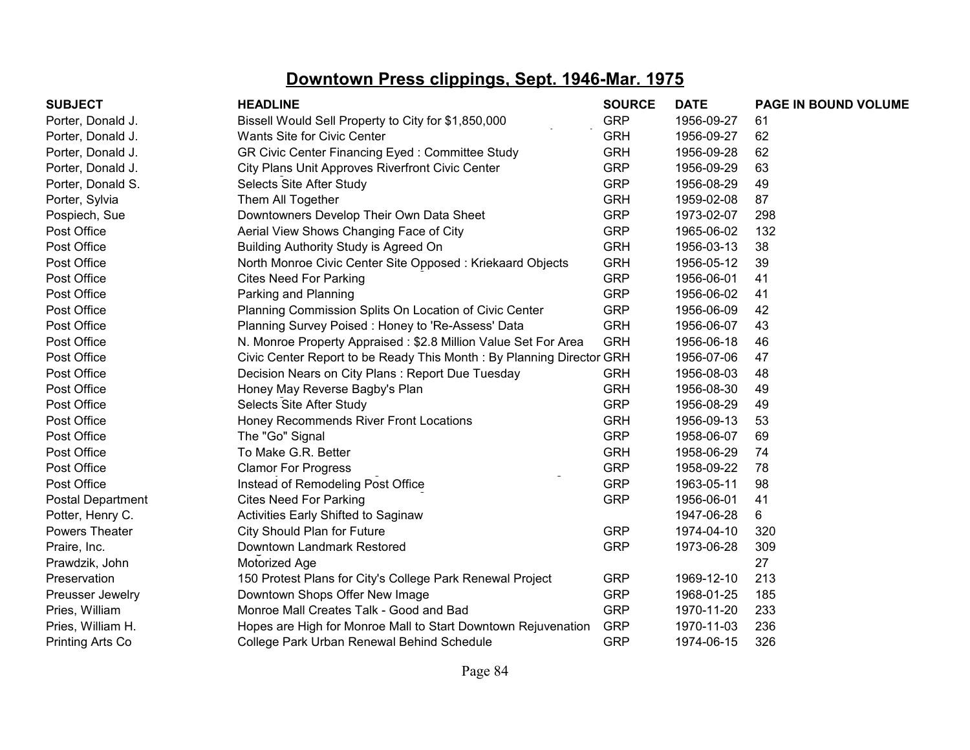|                                                               | <b>SOURCE</b>                                                                                                                                                                                                                                      | <b>DATE</b>                                                          | PAGE IN BOUND VOLUME |
|---------------------------------------------------------------|----------------------------------------------------------------------------------------------------------------------------------------------------------------------------------------------------------------------------------------------------|----------------------------------------------------------------------|----------------------|
| Bissell Would Sell Property to City for \$1,850,000           | <b>GRP</b>                                                                                                                                                                                                                                         | 1956-09-27                                                           | 61                   |
| Wants Site for Civic Center                                   | <b>GRH</b>                                                                                                                                                                                                                                         | 1956-09-27                                                           | 62                   |
| GR Civic Center Financing Eyed: Committee Study               | <b>GRH</b>                                                                                                                                                                                                                                         | 1956-09-28                                                           | 62                   |
| City Plans Unit Approves Riverfront Civic Center              | <b>GRP</b>                                                                                                                                                                                                                                         | 1956-09-29                                                           | 63                   |
| Selects Site After Study                                      | <b>GRP</b>                                                                                                                                                                                                                                         | 1956-08-29                                                           | 49                   |
| Them All Together                                             | <b>GRH</b>                                                                                                                                                                                                                                         | 1959-02-08                                                           | 87                   |
| Downtowners Develop Their Own Data Sheet                      | <b>GRP</b>                                                                                                                                                                                                                                         | 1973-02-07                                                           | 298                  |
| Aerial View Shows Changing Face of City                       | <b>GRP</b>                                                                                                                                                                                                                                         | 1965-06-02                                                           | 132                  |
| Building Authority Study is Agreed On                         | <b>GRH</b>                                                                                                                                                                                                                                         | 1956-03-13                                                           | 38                   |
|                                                               | <b>GRH</b>                                                                                                                                                                                                                                         | 1956-05-12                                                           | 39                   |
| <b>Cites Need For Parking</b>                                 | <b>GRP</b>                                                                                                                                                                                                                                         | 1956-06-01                                                           | 41                   |
| Parking and Planning                                          | <b>GRP</b>                                                                                                                                                                                                                                         | 1956-06-02                                                           | 41                   |
|                                                               | <b>GRP</b>                                                                                                                                                                                                                                         | 1956-06-09                                                           | 42                   |
| Planning Survey Poised: Honey to 'Re-Assess' Data             | <b>GRH</b>                                                                                                                                                                                                                                         | 1956-06-07                                                           | 43                   |
|                                                               | <b>GRH</b>                                                                                                                                                                                                                                         | 1956-06-18                                                           | 46                   |
|                                                               |                                                                                                                                                                                                                                                    | 1956-07-06                                                           | 47                   |
| Decision Nears on City Plans: Report Due Tuesday              | <b>GRH</b>                                                                                                                                                                                                                                         | 1956-08-03                                                           | 48                   |
| Honey May Reverse Bagby's Plan                                | <b>GRH</b>                                                                                                                                                                                                                                         | 1956-08-30                                                           | 49                   |
| Selects Site After Study                                      | <b>GRP</b>                                                                                                                                                                                                                                         | 1956-08-29                                                           | 49                   |
|                                                               | <b>GRH</b>                                                                                                                                                                                                                                         | 1956-09-13                                                           | 53                   |
| The "Go" Signal                                               | <b>GRP</b>                                                                                                                                                                                                                                         | 1958-06-07                                                           | 69                   |
| To Make G.R. Better                                           | <b>GRH</b>                                                                                                                                                                                                                                         | 1958-06-29                                                           | 74                   |
| <b>Clamor For Progress</b>                                    | <b>GRP</b>                                                                                                                                                                                                                                         | 1958-09-22                                                           | 78                   |
| Instead of Remodeling Post Office                             | <b>GRP</b>                                                                                                                                                                                                                                         | 1963-05-11                                                           | 98                   |
| <b>Cites Need For Parking</b>                                 | <b>GRP</b>                                                                                                                                                                                                                                         | 1956-06-01                                                           | 41                   |
| Activities Early Shifted to Saginaw                           |                                                                                                                                                                                                                                                    | 1947-06-28                                                           | 6                    |
| City Should Plan for Future                                   | <b>GRP</b>                                                                                                                                                                                                                                         | 1974-04-10                                                           | 320                  |
| Downtown Landmark Restored                                    | <b>GRP</b>                                                                                                                                                                                                                                         | 1973-06-28                                                           | 309                  |
| Motorized Age                                                 |                                                                                                                                                                                                                                                    |                                                                      | 27                   |
| 150 Protest Plans for City's College Park Renewal Project     | <b>GRP</b>                                                                                                                                                                                                                                         | 1969-12-10                                                           | 213                  |
| Downtown Shops Offer New Image                                | <b>GRP</b>                                                                                                                                                                                                                                         | 1968-01-25                                                           | 185                  |
| Monroe Mall Creates Talk - Good and Bad                       | <b>GRP</b>                                                                                                                                                                                                                                         | 1970-11-20                                                           | 233                  |
| Hopes are High for Monroe Mall to Start Downtown Rejuvenation | <b>GRP</b>                                                                                                                                                                                                                                         | 1970-11-03                                                           | 236                  |
| College Park Urban Renewal Behind Schedule                    | <b>GRP</b>                                                                                                                                                                                                                                         | 1974-06-15                                                           | 326                  |
|                                                               | <b>HEADLINE</b><br>North Monroe Civic Center Site Opposed: Kriekaard Objects<br>Planning Commission Splits On Location of Civic Center<br>N. Monroe Property Appraised: \$2.8 Million Value Set For Area<br>Honey Recommends River Front Locations | Civic Center Report to be Ready This Month: By Planning Director GRH |                      |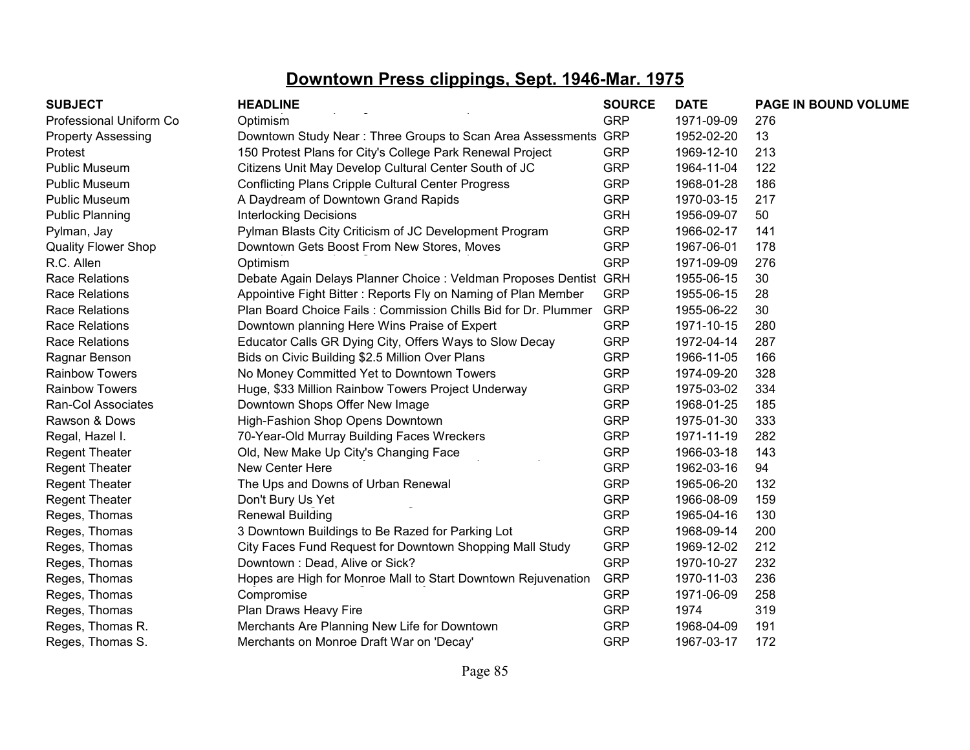| <b>SUBJECT</b>             | <b>HEADLINE</b>                                                   | <b>SOURCE</b> | <b>DATE</b> | PAGE IN BOUND VOLUME |
|----------------------------|-------------------------------------------------------------------|---------------|-------------|----------------------|
| Professional Uniform Co    | Optimism                                                          | <b>GRP</b>    | 1971-09-09  | 276                  |
| <b>Property Assessing</b>  | Downtown Study Near: Three Groups to Scan Area Assessments GRP    |               | 1952-02-20  | 13                   |
| Protest                    | 150 Protest Plans for City's College Park Renewal Project         | <b>GRP</b>    | 1969-12-10  | 213                  |
| <b>Public Museum</b>       | Citizens Unit May Develop Cultural Center South of JC             | <b>GRP</b>    | 1964-11-04  | 122                  |
| <b>Public Museum</b>       | <b>Conflicting Plans Cripple Cultural Center Progress</b>         | <b>GRP</b>    | 1968-01-28  | 186                  |
| <b>Public Museum</b>       | A Daydream of Downtown Grand Rapids                               | <b>GRP</b>    | 1970-03-15  | 217                  |
| <b>Public Planning</b>     | <b>Interlocking Decisions</b>                                     | <b>GRH</b>    | 1956-09-07  | 50                   |
| Pylman, Jay                | Pylman Blasts City Criticism of JC Development Program            | <b>GRP</b>    | 1966-02-17  | 141                  |
| <b>Quality Flower Shop</b> | Downtown Gets Boost From New Stores, Moves                        | <b>GRP</b>    | 1967-06-01  | 178                  |
| R.C. Allen                 | Optimism                                                          | <b>GRP</b>    | 1971-09-09  | 276                  |
| <b>Race Relations</b>      | Debate Again Delays Planner Choice : Veldman Proposes Dentist GRH |               | 1955-06-15  | 30                   |
| Race Relations             | Appointive Fight Bitter: Reports Fly on Naming of Plan Member     | <b>GRP</b>    | 1955-06-15  | 28                   |
| <b>Race Relations</b>      | Plan Board Choice Fails: Commission Chills Bid for Dr. Plummer    | <b>GRP</b>    | 1955-06-22  | 30                   |
| <b>Race Relations</b>      | Downtown planning Here Wins Praise of Expert                      | <b>GRP</b>    | 1971-10-15  | 280                  |
| <b>Race Relations</b>      | Educator Calls GR Dying City, Offers Ways to Slow Decay           | <b>GRP</b>    | 1972-04-14  | 287                  |
| Ragnar Benson              | Bids on Civic Building \$2.5 Million Over Plans                   | <b>GRP</b>    | 1966-11-05  | 166                  |
| <b>Rainbow Towers</b>      | No Money Committed Yet to Downtown Towers                         | <b>GRP</b>    | 1974-09-20  | 328                  |
| <b>Rainbow Towers</b>      | Huge, \$33 Million Rainbow Towers Project Underway                | <b>GRP</b>    | 1975-03-02  | 334                  |
| Ran-Col Associates         | Downtown Shops Offer New Image                                    | <b>GRP</b>    | 1968-01-25  | 185                  |
| Rawson & Dows              | High-Fashion Shop Opens Downtown                                  | <b>GRP</b>    | 1975-01-30  | 333                  |
| Regal, Hazel I.            | 70-Year-Old Murray Building Faces Wreckers                        | <b>GRP</b>    | 1971-11-19  | 282                  |
| <b>Regent Theater</b>      | Old, New Make Up City's Changing Face                             | <b>GRP</b>    | 1966-03-18  | 143                  |
| <b>Regent Theater</b>      | New Center Here                                                   | <b>GRP</b>    | 1962-03-16  | 94                   |
| <b>Regent Theater</b>      | The Ups and Downs of Urban Renewal                                | <b>GRP</b>    | 1965-06-20  | 132                  |
| <b>Regent Theater</b>      | Don't Bury Us Yet                                                 | <b>GRP</b>    | 1966-08-09  | 159                  |
| Reges, Thomas              | <b>Renewal Building</b>                                           | <b>GRP</b>    | 1965-04-16  | 130                  |
| Reges, Thomas              | 3 Downtown Buildings to Be Razed for Parking Lot                  | <b>GRP</b>    | 1968-09-14  | 200                  |
| Reges, Thomas              | City Faces Fund Request for Downtown Shopping Mall Study          | <b>GRP</b>    | 1969-12-02  | 212                  |
| Reges, Thomas              | Downtown: Dead, Alive or Sick?                                    | <b>GRP</b>    | 1970-10-27  | 232                  |
| Reges, Thomas              | Hopes are High for Monroe Mall to Start Downtown Rejuvenation     | <b>GRP</b>    | 1970-11-03  | 236                  |
| Reges, Thomas              | Compromise                                                        | <b>GRP</b>    | 1971-06-09  | 258                  |
| Reges, Thomas              | Plan Draws Heavy Fire                                             | <b>GRP</b>    | 1974        | 319                  |
| Reges, Thomas R.           | Merchants Are Planning New Life for Downtown                      | <b>GRP</b>    | 1968-04-09  | 191                  |
| Reges, Thomas S.           | Merchants on Monroe Draft War on 'Decay'                          | <b>GRP</b>    | 1967-03-17  | 172                  |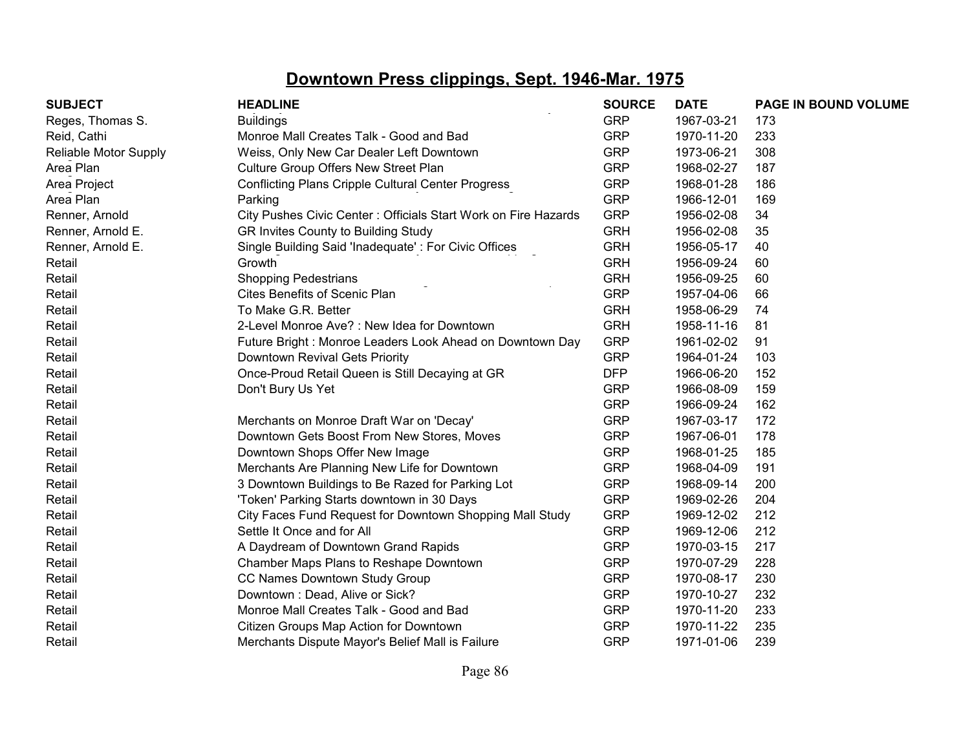| <b>SUBJECT</b>        | <b>HEADLINE</b>                                                 | <b>SOURCE</b> | <b>DATE</b> | PAGE IN BOUND VOLUME |
|-----------------------|-----------------------------------------------------------------|---------------|-------------|----------------------|
| Reges, Thomas S.      | <b>Buildings</b>                                                | <b>GRP</b>    | 1967-03-21  | 173                  |
| Reid, Cathi           | Monroe Mall Creates Talk - Good and Bad                         | <b>GRP</b>    | 1970-11-20  | 233                  |
| Reliable Motor Supply | Weiss, Only New Car Dealer Left Downtown                        | <b>GRP</b>    | 1973-06-21  | 308                  |
| Area Plan             | Culture Group Offers New Street Plan                            | <b>GRP</b>    | 1968-02-27  | 187                  |
| Area Project          | <b>Conflicting Plans Cripple Cultural Center Progress</b>       | <b>GRP</b>    | 1968-01-28  | 186                  |
| Area Plan             | Parking                                                         | <b>GRP</b>    | 1966-12-01  | 169                  |
| Renner, Arnold        | City Pushes Civic Center : Officials Start Work on Fire Hazards | <b>GRP</b>    | 1956-02-08  | 34                   |
| Renner, Arnold E.     | GR Invites County to Building Study                             | <b>GRH</b>    | 1956-02-08  | 35                   |
| Renner, Arnold E.     | Single Building Said 'Inadequate': For Civic Offices            | <b>GRH</b>    | 1956-05-17  | 40                   |
| Retail                | Growth                                                          | <b>GRH</b>    | 1956-09-24  | 60                   |
| Retail                | Shopping Pedestrians                                            | <b>GRH</b>    | 1956-09-25  | 60                   |
| Retail                | Cites Benefits of Scenic Plan                                   | <b>GRP</b>    | 1957-04-06  | 66                   |
| Retail                | To Make G.R. Better                                             | <b>GRH</b>    | 1958-06-29  | 74                   |
| Retail                | 2-Level Monroe Ave? : New Idea for Downtown                     | <b>GRH</b>    | 1958-11-16  | 81                   |
| Retail                | Future Bright: Monroe Leaders Look Ahead on Downtown Day        | <b>GRP</b>    | 1961-02-02  | 91                   |
| Retail                | Downtown Revival Gets Priority                                  | <b>GRP</b>    | 1964-01-24  | 103                  |
| Retail                | Once-Proud Retail Queen is Still Decaying at GR                 | <b>DFP</b>    | 1966-06-20  | 152                  |
| Retail                | Don't Bury Us Yet                                               | <b>GRP</b>    | 1966-08-09  | 159                  |
| Retail                |                                                                 | <b>GRP</b>    | 1966-09-24  | 162                  |
| Retail                | Merchants on Monroe Draft War on 'Decay'                        | <b>GRP</b>    | 1967-03-17  | 172                  |
| Retail                | Downtown Gets Boost From New Stores, Moves                      | <b>GRP</b>    | 1967-06-01  | 178                  |
| Retail                | Downtown Shops Offer New Image                                  | <b>GRP</b>    | 1968-01-25  | 185                  |
| Retail                | Merchants Are Planning New Life for Downtown                    | <b>GRP</b>    | 1968-04-09  | 191                  |
| Retail                | 3 Downtown Buildings to Be Razed for Parking Lot                | <b>GRP</b>    | 1968-09-14  | 200                  |
| Retail                | 'Token' Parking Starts downtown in 30 Days                      | <b>GRP</b>    | 1969-02-26  | 204                  |
| Retail                | City Faces Fund Request for Downtown Shopping Mall Study        | <b>GRP</b>    | 1969-12-02  | 212                  |
| Retail                | Settle It Once and for All                                      | <b>GRP</b>    | 1969-12-06  | 212                  |
| Retail                | A Daydream of Downtown Grand Rapids                             | <b>GRP</b>    | 1970-03-15  | 217                  |
| Retail                | Chamber Maps Plans to Reshape Downtown                          | <b>GRP</b>    | 1970-07-29  | 228                  |
| Retail                | CC Names Downtown Study Group                                   | <b>GRP</b>    | 1970-08-17  | 230                  |
| Retail                | Downtown: Dead, Alive or Sick?                                  | <b>GRP</b>    | 1970-10-27  | 232                  |
| Retail                | Monroe Mall Creates Talk - Good and Bad                         | <b>GRP</b>    | 1970-11-20  | 233                  |
| Retail                | Citizen Groups Map Action for Downtown                          | <b>GRP</b>    | 1970-11-22  | 235                  |
| Retail                | Merchants Dispute Mayor's Belief Mall is Failure                | <b>GRP</b>    | 1971-01-06  | 239                  |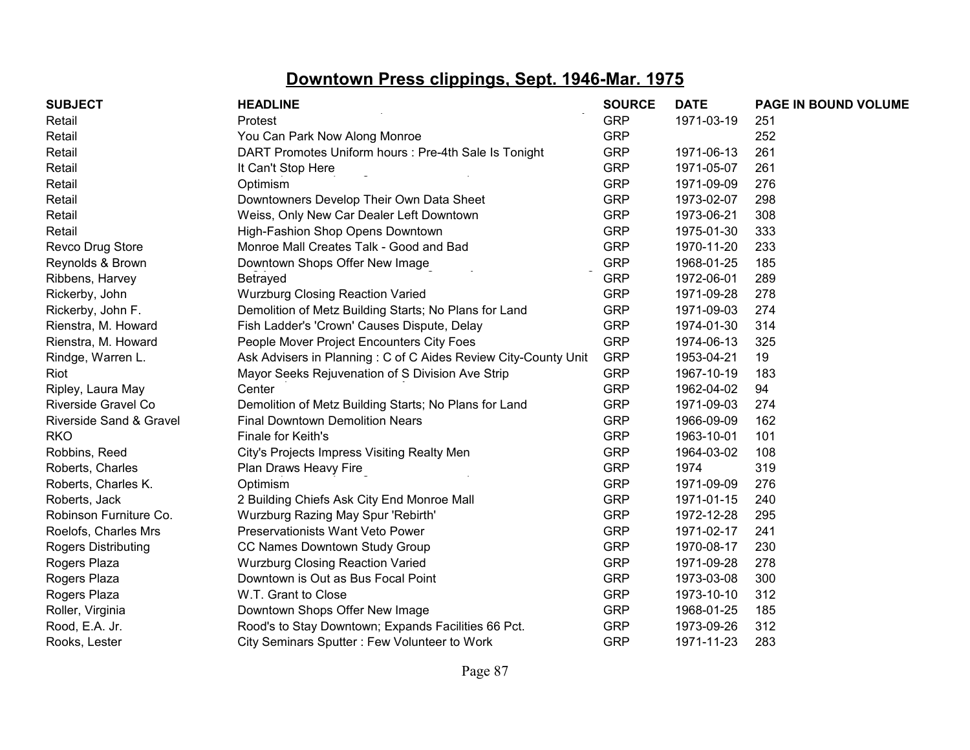| <b>SUBJECT</b>             | <b>HEADLINE</b>                                                | <b>SOURCE</b> | <b>DATE</b> | <b>PAGE IN BOUND VOLUME</b> |
|----------------------------|----------------------------------------------------------------|---------------|-------------|-----------------------------|
| Retail                     | Protest                                                        | <b>GRP</b>    | 1971-03-19  | 251                         |
| Retail                     | You Can Park Now Along Monroe                                  | <b>GRP</b>    |             | 252                         |
| Retail                     | DART Promotes Uniform hours : Pre-4th Sale Is Tonight          | <b>GRP</b>    | 1971-06-13  | 261                         |
| Retail                     | It Can't Stop Here                                             | <b>GRP</b>    | 1971-05-07  | 261                         |
| Retail                     | Optimism                                                       | <b>GRP</b>    | 1971-09-09  | 276                         |
| Retail                     | Downtowners Develop Their Own Data Sheet                       | <b>GRP</b>    | 1973-02-07  | 298                         |
| Retail                     | Weiss, Only New Car Dealer Left Downtown                       | <b>GRP</b>    | 1973-06-21  | 308                         |
| Retail                     | High-Fashion Shop Opens Downtown                               | <b>GRP</b>    | 1975-01-30  | 333                         |
| Revco Drug Store           | Monroe Mall Creates Talk - Good and Bad                        | <b>GRP</b>    | 1970-11-20  | 233                         |
| Reynolds & Brown           | Downtown Shops Offer New Image                                 | <b>GRP</b>    | 1968-01-25  | 185                         |
| Ribbens, Harvey            | Betrayed                                                       | <b>GRP</b>    | 1972-06-01  | 289                         |
| Rickerby, John             | <b>Wurzburg Closing Reaction Varied</b>                        | <b>GRP</b>    | 1971-09-28  | 278                         |
| Rickerby, John F.          | Demolition of Metz Building Starts; No Plans for Land          | <b>GRP</b>    | 1971-09-03  | 274                         |
| Rienstra, M. Howard        | Fish Ladder's 'Crown' Causes Dispute, Delay                    | <b>GRP</b>    | 1974-01-30  | 314                         |
| Rienstra, M. Howard        | People Mover Project Encounters City Foes                      | <b>GRP</b>    | 1974-06-13  | 325                         |
| Rindge, Warren L.          | Ask Advisers in Planning: C of C Aides Review City-County Unit | <b>GRP</b>    | 1953-04-21  | 19                          |
| Riot                       | Mayor Seeks Rejuvenation of S Division Ave Strip               | <b>GRP</b>    | 1967-10-19  | 183                         |
| Ripley, Laura May          | Center                                                         | <b>GRP</b>    | 1962-04-02  | 94                          |
| Riverside Gravel Co        | Demolition of Metz Building Starts; No Plans for Land          | <b>GRP</b>    | 1971-09-03  | 274                         |
| Riverside Sand & Gravel    | <b>Final Downtown Demolition Nears</b>                         | <b>GRP</b>    | 1966-09-09  | 162                         |
| <b>RKO</b>                 | Finale for Keith's                                             | <b>GRP</b>    | 1963-10-01  | 101                         |
| Robbins, Reed              | City's Projects Impress Visiting Realty Men                    | <b>GRP</b>    | 1964-03-02  | 108                         |
| Roberts, Charles           | Plan Draws Heavy Fire                                          | <b>GRP</b>    | 1974        | 319                         |
| Roberts, Charles K.        | Optimism                                                       | <b>GRP</b>    | 1971-09-09  | 276                         |
| Roberts, Jack              | 2 Building Chiefs Ask City End Monroe Mall                     | <b>GRP</b>    | 1971-01-15  | 240                         |
| Robinson Furniture Co.     | Wurzburg Razing May Spur 'Rebirth'                             | <b>GRP</b>    | 1972-12-28  | 295                         |
| Roelofs, Charles Mrs       | Preservationists Want Veto Power                               | <b>GRP</b>    | 1971-02-17  | 241                         |
| <b>Rogers Distributing</b> | CC Names Downtown Study Group                                  | <b>GRP</b>    | 1970-08-17  | 230                         |
| Rogers Plaza               | <b>Wurzburg Closing Reaction Varied</b>                        | <b>GRP</b>    | 1971-09-28  | 278                         |
| Rogers Plaza               | Downtown is Out as Bus Focal Point                             | <b>GRP</b>    | 1973-03-08  | 300                         |
| Rogers Plaza               | W.T. Grant to Close                                            | <b>GRP</b>    | 1973-10-10  | 312                         |
| Roller, Virginia           | Downtown Shops Offer New Image                                 | <b>GRP</b>    | 1968-01-25  | 185                         |
| Rood, E.A. Jr.             | Rood's to Stay Downtown; Expands Facilities 66 Pct.            | <b>GRP</b>    | 1973-09-26  | 312                         |
| Rooks, Lester              | City Seminars Sputter: Few Volunteer to Work                   | <b>GRP</b>    | 1971-11-23  | 283                         |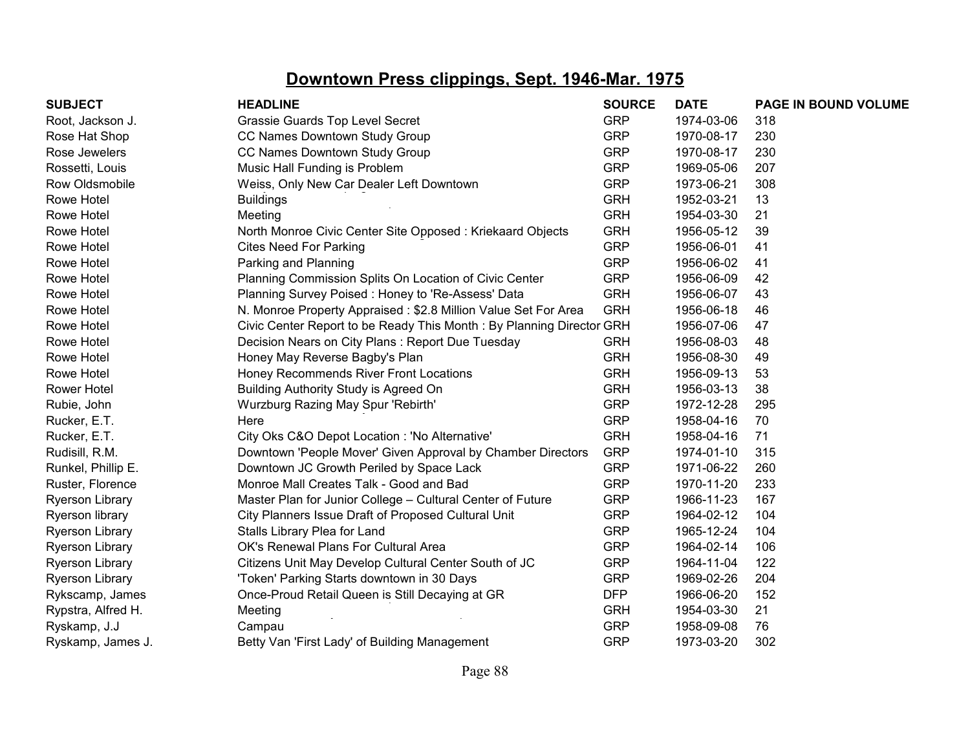| <b>SUBJECT</b>         | <b>HEADLINE</b>                                                      | <b>SOURCE</b> | <b>DATE</b> | PAGE IN BOUND VOLUME |
|------------------------|----------------------------------------------------------------------|---------------|-------------|----------------------|
| Root, Jackson J.       | Grassie Guards Top Level Secret                                      | <b>GRP</b>    | 1974-03-06  | 318                  |
| Rose Hat Shop          | CC Names Downtown Study Group                                        | <b>GRP</b>    | 1970-08-17  | 230                  |
| Rose Jewelers          | CC Names Downtown Study Group                                        | <b>GRP</b>    | 1970-08-17  | 230                  |
| Rossetti, Louis        | Music Hall Funding is Problem                                        | <b>GRP</b>    | 1969-05-06  | 207                  |
| Row Oldsmobile         | Weiss, Only New Car Dealer Left Downtown                             | <b>GRP</b>    | 1973-06-21  | 308                  |
| Rowe Hotel             | <b>Buildings</b>                                                     | <b>GRH</b>    | 1952-03-21  | 13                   |
| Rowe Hotel             | Meeting                                                              | <b>GRH</b>    | 1954-03-30  | 21                   |
| Rowe Hotel             | North Monroe Civic Center Site Opposed: Kriekaard Objects            | <b>GRH</b>    | 1956-05-12  | 39                   |
| Rowe Hotel             | <b>Cites Need For Parking</b>                                        | <b>GRP</b>    | 1956-06-01  | 41                   |
| Rowe Hotel             | Parking and Planning                                                 | <b>GRP</b>    | 1956-06-02  | 41                   |
| Rowe Hotel             | Planning Commission Splits On Location of Civic Center               | <b>GRP</b>    | 1956-06-09  | 42                   |
| Rowe Hotel             | Planning Survey Poised: Honey to 'Re-Assess' Data                    | <b>GRH</b>    | 1956-06-07  | 43                   |
| Rowe Hotel             | N. Monroe Property Appraised: \$2.8 Million Value Set For Area       | <b>GRH</b>    | 1956-06-18  | 46                   |
| Rowe Hotel             | Civic Center Report to be Ready This Month: By Planning Director GRH |               | 1956-07-06  | 47                   |
| Rowe Hotel             | Decision Nears on City Plans: Report Due Tuesday                     | <b>GRH</b>    | 1956-08-03  | 48                   |
| Rowe Hotel             | Honey May Reverse Bagby's Plan                                       | <b>GRH</b>    | 1956-08-30  | 49                   |
| Rowe Hotel             | Honey Recommends River Front Locations                               | <b>GRH</b>    | 1956-09-13  | 53                   |
| <b>Rower Hotel</b>     | Building Authority Study is Agreed On                                | <b>GRH</b>    | 1956-03-13  | 38                   |
| Rubie, John            | Wurzburg Razing May Spur 'Rebirth'                                   | <b>GRP</b>    | 1972-12-28  | 295                  |
| Rucker, E.T.           | Here                                                                 | <b>GRP</b>    | 1958-04-16  | 70                   |
| Rucker, E.T.           | City Oks C&O Depot Location : 'No Alternative'                       | <b>GRH</b>    | 1958-04-16  | 71                   |
| Rudisill, R.M.         | Downtown 'People Mover' Given Approval by Chamber Directors          | <b>GRP</b>    | 1974-01-10  | 315                  |
| Runkel, Phillip E.     | Downtown JC Growth Periled by Space Lack                             | <b>GRP</b>    | 1971-06-22  | 260                  |
| Ruster, Florence       | Monroe Mall Creates Talk - Good and Bad                              | <b>GRP</b>    | 1970-11-20  | 233                  |
| <b>Ryerson Library</b> | Master Plan for Junior College - Cultural Center of Future           | <b>GRP</b>    | 1966-11-23  | 167                  |
| Ryerson library        | City Planners Issue Draft of Proposed Cultural Unit                  | <b>GRP</b>    | 1964-02-12  | 104                  |
| <b>Ryerson Library</b> | Stalls Library Plea for Land                                         | <b>GRP</b>    | 1965-12-24  | 104                  |
| <b>Ryerson Library</b> | OK's Renewal Plans For Cultural Area                                 | <b>GRP</b>    | 1964-02-14  | 106                  |
| <b>Ryerson Library</b> | Citizens Unit May Develop Cultural Center South of JC                | <b>GRP</b>    | 1964-11-04  | 122                  |
| <b>Ryerson Library</b> | 'Token' Parking Starts downtown in 30 Days                           | <b>GRP</b>    | 1969-02-26  | 204                  |
| Rykscamp, James        | Once-Proud Retail Queen is Still Decaying at GR                      | <b>DFP</b>    | 1966-06-20  | 152                  |
| Rypstra, Alfred H.     | Meeting                                                              | <b>GRH</b>    | 1954-03-30  | 21                   |
| Ryskamp, J.J           | Campau                                                               | <b>GRP</b>    | 1958-09-08  | 76                   |
| Ryskamp, James J.      | Betty Van 'First Lady' of Building Management                        | <b>GRP</b>    | 1973-03-20  | 302                  |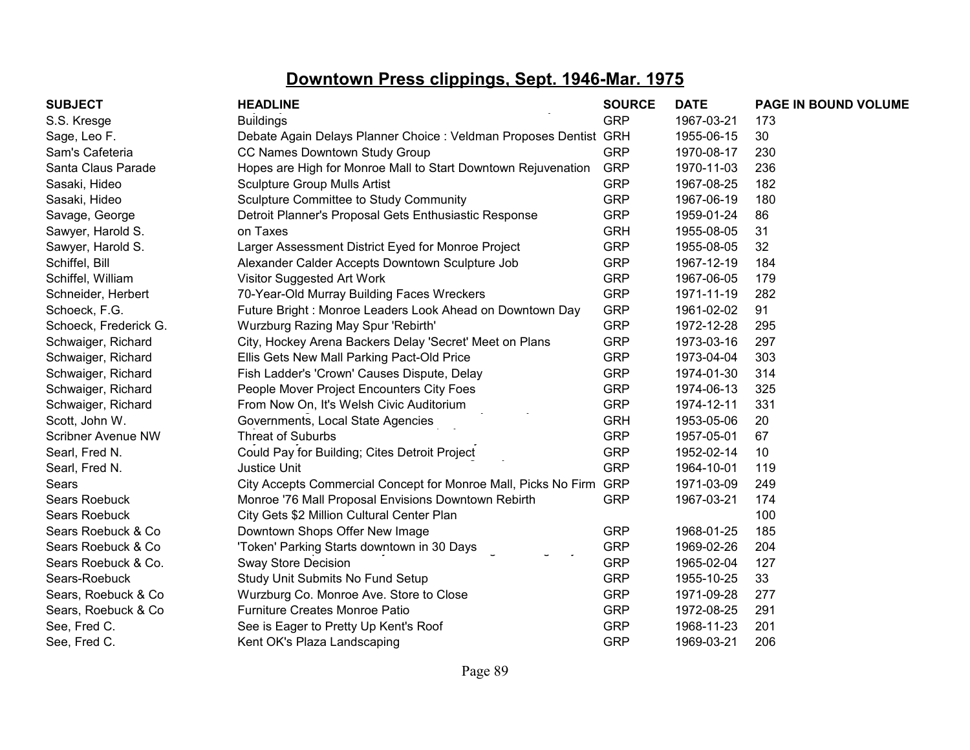| <b>SUBJECT</b>            | <b>HEADLINE</b>                                                    | <b>SOURCE</b> | <b>DATE</b> | PAGE IN BOUND VOLUME |
|---------------------------|--------------------------------------------------------------------|---------------|-------------|----------------------|
| S.S. Kresge               | <b>Buildings</b>                                                   | <b>GRP</b>    | 1967-03-21  | 173                  |
| Sage, Leo F.              | Debate Again Delays Planner Choice : Veldman Proposes Dentist GRH  |               | 1955-06-15  | 30                   |
| Sam's Cafeteria           | CC Names Downtown Study Group                                      | <b>GRP</b>    | 1970-08-17  | 230                  |
| Santa Claus Parade        | Hopes are High for Monroe Mall to Start Downtown Rejuvenation      | <b>GRP</b>    | 1970-11-03  | 236                  |
| Sasaki, Hideo             | <b>Sculpture Group Mulls Artist</b>                                | <b>GRP</b>    | 1967-08-25  | 182                  |
| Sasaki, Hideo             | Sculpture Committee to Study Community                             | <b>GRP</b>    | 1967-06-19  | 180                  |
| Savage, George            | Detroit Planner's Proposal Gets Enthusiastic Response              | <b>GRP</b>    | 1959-01-24  | 86                   |
| Sawyer, Harold S.         | on Taxes                                                           | <b>GRH</b>    | 1955-08-05  | 31                   |
| Sawyer, Harold S.         | Larger Assessment District Eyed for Monroe Project                 | <b>GRP</b>    | 1955-08-05  | 32                   |
| Schiffel, Bill            | Alexander Calder Accepts Downtown Sculpture Job                    | <b>GRP</b>    | 1967-12-19  | 184                  |
| Schiffel, William         | Visitor Suggested Art Work                                         | <b>GRP</b>    | 1967-06-05  | 179                  |
| Schneider, Herbert        | 70-Year-Old Murray Building Faces Wreckers                         | <b>GRP</b>    | 1971-11-19  | 282                  |
| Schoeck, F.G.             | Future Bright: Monroe Leaders Look Ahead on Downtown Day           | <b>GRP</b>    | 1961-02-02  | 91                   |
| Schoeck, Frederick G.     | Wurzburg Razing May Spur 'Rebirth'                                 | <b>GRP</b>    | 1972-12-28  | 295                  |
| Schwaiger, Richard        | City, Hockey Arena Backers Delay 'Secret' Meet on Plans            | <b>GRP</b>    | 1973-03-16  | 297                  |
| Schwaiger, Richard        | Ellis Gets New Mall Parking Pact-Old Price                         | <b>GRP</b>    | 1973-04-04  | 303                  |
| Schwaiger, Richard        | Fish Ladder's 'Crown' Causes Dispute, Delay                        | <b>GRP</b>    | 1974-01-30  | 314                  |
| Schwaiger, Richard        | People Mover Project Encounters City Foes                          | <b>GRP</b>    | 1974-06-13  | 325                  |
| Schwaiger, Richard        | From Now On, It's Welsh Civic Auditorium                           | <b>GRP</b>    | 1974-12-11  | 331                  |
| Scott, John W.            | Governments, Local State Agencies                                  | <b>GRH</b>    | 1953-05-06  | 20                   |
| <b>Scribner Avenue NW</b> | Threat of Suburbs                                                  | <b>GRP</b>    | 1957-05-01  | 67                   |
| Searl, Fred N.            | Could Pay for Building; Cites Detroit Project                      | <b>GRP</b>    | 1952-02-14  | 10                   |
| Searl, Fred N.            | <b>Justice Unit</b>                                                | <b>GRP</b>    | 1964-10-01  | 119                  |
| Sears                     | City Accepts Commercial Concept for Monroe Mall, Picks No Firm GRP |               | 1971-03-09  | 249                  |
| <b>Sears Roebuck</b>      | Monroe '76 Mall Proposal Envisions Downtown Rebirth                | <b>GRP</b>    | 1967-03-21  | 174                  |
| Sears Roebuck             | City Gets \$2 Million Cultural Center Plan                         |               |             | 100                  |
| Sears Roebuck & Co        | Downtown Shops Offer New Image                                     | <b>GRP</b>    | 1968-01-25  | 185                  |
| Sears Roebuck & Co        | 'Token' Parking Starts downtown in 30 Days                         | <b>GRP</b>    | 1969-02-26  | 204                  |
| Sears Roebuck & Co.       | Sway Store Decision                                                | <b>GRP</b>    | 1965-02-04  | 127                  |
| Sears-Roebuck             | Study Unit Submits No Fund Setup                                   | <b>GRP</b>    | 1955-10-25  | 33                   |
| Sears, Roebuck & Co       | Wurzburg Co. Monroe Ave. Store to Close                            | <b>GRP</b>    | 1971-09-28  | 277                  |
| Sears, Roebuck & Co       | <b>Furniture Creates Monroe Patio</b>                              | <b>GRP</b>    | 1972-08-25  | 291                  |
| See, Fred C.              | See is Eager to Pretty Up Kent's Roof                              | <b>GRP</b>    | 1968-11-23  | 201                  |
| See, Fred C.              | Kent OK's Plaza Landscaping                                        | <b>GRP</b>    | 1969-03-21  | 206                  |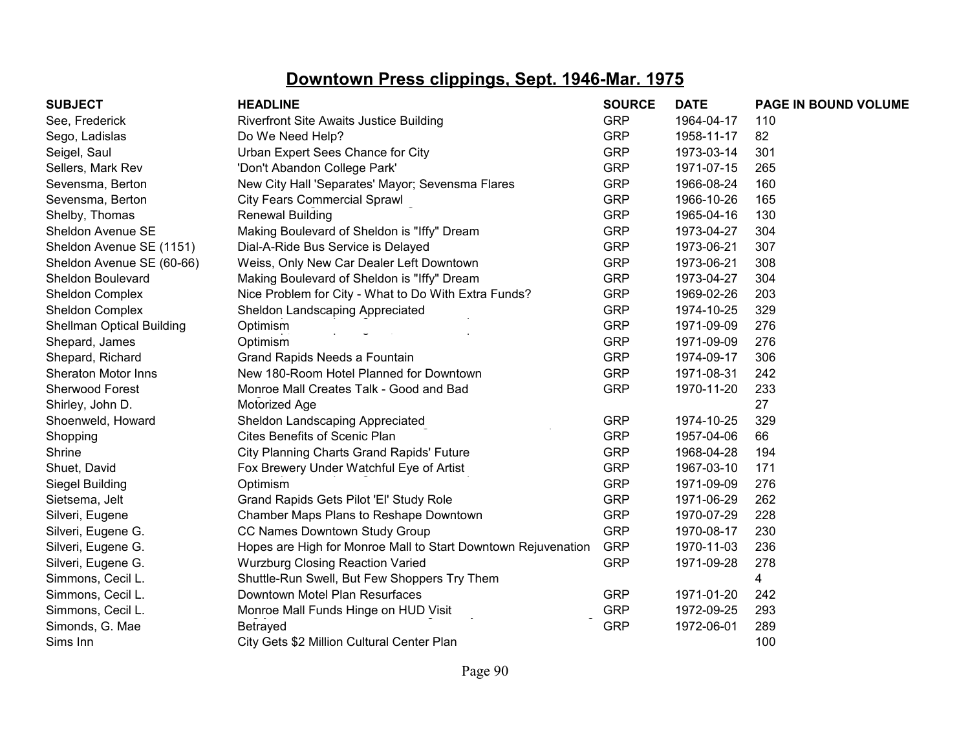| <b>SUBJECT</b>                   | <b>HEADLINE</b>                                               | <b>SOURCE</b> | <b>DATE</b> | PAGE IN BOUND VOLUME |
|----------------------------------|---------------------------------------------------------------|---------------|-------------|----------------------|
| See, Frederick                   | <b>Riverfront Site Awaits Justice Building</b>                | <b>GRP</b>    | 1964-04-17  | 110                  |
| Sego, Ladislas                   | Do We Need Help?                                              | <b>GRP</b>    | 1958-11-17  | 82                   |
| Seigel, Saul                     | Urban Expert Sees Chance for City                             | <b>GRP</b>    | 1973-03-14  | 301                  |
| Sellers, Mark Rev                | 'Don't Abandon College Park'                                  | <b>GRP</b>    | 1971-07-15  | 265                  |
| Sevensma, Berton                 | New City Hall 'Separates' Mayor; Sevensma Flares              | <b>GRP</b>    | 1966-08-24  | 160                  |
| Sevensma, Berton                 | <b>City Fears Commercial Sprawl</b>                           | <b>GRP</b>    | 1966-10-26  | 165                  |
| Shelby, Thomas                   | <b>Renewal Building</b>                                       | <b>GRP</b>    | 1965-04-16  | 130                  |
| Sheldon Avenue SE                | Making Boulevard of Sheldon is "Iffy" Dream                   | <b>GRP</b>    | 1973-04-27  | 304                  |
| Sheldon Avenue SE (1151)         | Dial-A-Ride Bus Service is Delayed                            | <b>GRP</b>    | 1973-06-21  | 307                  |
| Sheldon Avenue SE (60-66)        | Weiss, Only New Car Dealer Left Downtown                      | <b>GRP</b>    | 1973-06-21  | 308                  |
| Sheldon Boulevard                | Making Boulevard of Sheldon is "Iffy" Dream                   | <b>GRP</b>    | 1973-04-27  | 304                  |
| Sheldon Complex                  | Nice Problem for City - What to Do With Extra Funds?          | <b>GRP</b>    | 1969-02-26  | 203                  |
| Sheldon Complex                  | Sheldon Landscaping Appreciated                               | <b>GRP</b>    | 1974-10-25  | 329                  |
| <b>Shellman Optical Building</b> | Optimism                                                      | <b>GRP</b>    | 1971-09-09  | 276                  |
| Shepard, James                   | Optimism                                                      | <b>GRP</b>    | 1971-09-09  | 276                  |
| Shepard, Richard                 | Grand Rapids Needs a Fountain                                 | <b>GRP</b>    | 1974-09-17  | 306                  |
| <b>Sheraton Motor Inns</b>       | New 180-Room Hotel Planned for Downtown                       | <b>GRP</b>    | 1971-08-31  | 242                  |
| Sherwood Forest                  | Monroe Mall Creates Talk - Good and Bad                       | <b>GRP</b>    | 1970-11-20  | 233                  |
| Shirley, John D.                 | Motorized Age                                                 |               |             | 27                   |
| Shoenweld, Howard                | Sheldon Landscaping Appreciated                               | <b>GRP</b>    | 1974-10-25  | 329                  |
| Shopping                         | <b>Cites Benefits of Scenic Plan</b>                          | <b>GRP</b>    | 1957-04-06  | 66                   |
| Shrine                           | <b>City Planning Charts Grand Rapids' Future</b>              | <b>GRP</b>    | 1968-04-28  | 194                  |
| Shuet, David                     | Fox Brewery Under Watchful Eye of Artist                      | <b>GRP</b>    | 1967-03-10  | 171                  |
| Siegel Building                  | Optimism                                                      | <b>GRP</b>    | 1971-09-09  | 276                  |
| Sietsema, Jelt                   | Grand Rapids Gets Pilot 'El' Study Role                       | <b>GRP</b>    | 1971-06-29  | 262                  |
| Silveri, Eugene                  | Chamber Maps Plans to Reshape Downtown                        | <b>GRP</b>    | 1970-07-29  | 228                  |
| Silveri, Eugene G.               | CC Names Downtown Study Group                                 | <b>GRP</b>    | 1970-08-17  | 230                  |
| Silveri, Eugene G.               | Hopes are High for Monroe Mall to Start Downtown Rejuvenation | <b>GRP</b>    | 1970-11-03  | 236                  |
| Silveri, Eugene G.               | <b>Wurzburg Closing Reaction Varied</b>                       | <b>GRP</b>    | 1971-09-28  | 278                  |
| Simmons, Cecil L.                | Shuttle-Run Swell, But Few Shoppers Try Them                  |               |             | 4                    |
| Simmons, Cecil L.                | Downtown Motel Plan Resurfaces                                | <b>GRP</b>    | 1971-01-20  | 242                  |
| Simmons, Cecil L.                | Monroe Mall Funds Hinge on HUD Visit                          | <b>GRP</b>    | 1972-09-25  | 293                  |
| Simonds, G. Mae                  | Betrayed                                                      | <b>GRP</b>    | 1972-06-01  | 289                  |
| Sims Inn                         | City Gets \$2 Million Cultural Center Plan                    |               |             | 100                  |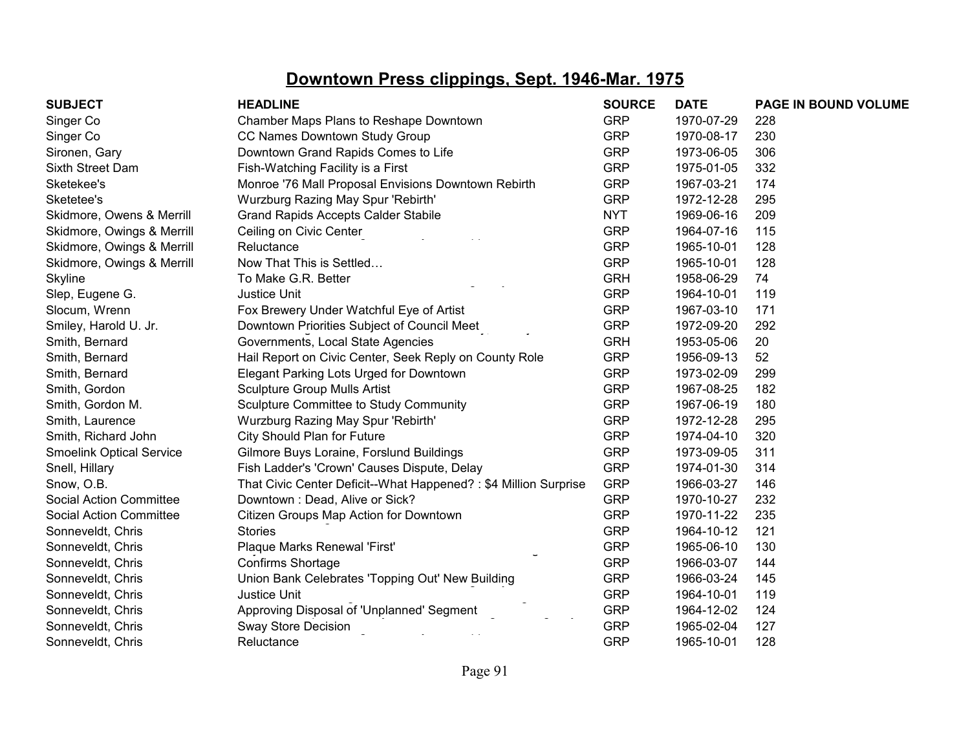| <b>SUBJECT</b>                  | <b>HEADLINE</b>                                                 | <b>SOURCE</b> | <b>DATE</b> | <b>PAGE IN BOUND VOLUME</b> |
|---------------------------------|-----------------------------------------------------------------|---------------|-------------|-----------------------------|
| Singer Co                       | Chamber Maps Plans to Reshape Downtown                          | <b>GRP</b>    | 1970-07-29  | 228                         |
| Singer Co                       | CC Names Downtown Study Group                                   | <b>GRP</b>    | 1970-08-17  | 230                         |
| Sironen, Gary                   | Downtown Grand Rapids Comes to Life                             | <b>GRP</b>    | 1973-06-05  | 306                         |
| Sixth Street Dam                | Fish-Watching Facility is a First                               | <b>GRP</b>    | 1975-01-05  | 332                         |
| Sketekee's                      | Monroe '76 Mall Proposal Envisions Downtown Rebirth             | <b>GRP</b>    | 1967-03-21  | 174                         |
| Sketetee's                      | Wurzburg Razing May Spur 'Rebirth'                              | <b>GRP</b>    | 1972-12-28  | 295                         |
| Skidmore, Owens & Merrill       | <b>Grand Rapids Accepts Calder Stabile</b>                      | <b>NYT</b>    | 1969-06-16  | 209                         |
| Skidmore, Owings & Merrill      | Ceiling on Civic Center                                         | <b>GRP</b>    | 1964-07-16  | 115                         |
| Skidmore, Owings & Merrill      | Reluctance                                                      | <b>GRP</b>    | 1965-10-01  | 128                         |
| Skidmore, Owings & Merrill      | Now That This is Settled                                        | <b>GRP</b>    | 1965-10-01  | 128                         |
| Skyline                         | To Make G.R. Better                                             | <b>GRH</b>    | 1958-06-29  | 74                          |
| Slep, Eugene G.                 | <b>Justice Unit</b>                                             | <b>GRP</b>    | 1964-10-01  | 119                         |
| Slocum, Wrenn                   | Fox Brewery Under Watchful Eye of Artist                        | <b>GRP</b>    | 1967-03-10  | 171                         |
| Smiley, Harold U. Jr.           | Downtown Priorities Subject of Council Meet                     | <b>GRP</b>    | 1972-09-20  | 292                         |
| Smith, Bernard                  | Governments, Local State Agencies                               | <b>GRH</b>    | 1953-05-06  | 20                          |
| Smith, Bernard                  | Hail Report on Civic Center, Seek Reply on County Role          | <b>GRP</b>    | 1956-09-13  | 52                          |
| Smith, Bernard                  | Elegant Parking Lots Urged for Downtown                         | <b>GRP</b>    | 1973-02-09  | 299                         |
| Smith, Gordon                   | <b>Sculpture Group Mulls Artist</b>                             | <b>GRP</b>    | 1967-08-25  | 182                         |
| Smith, Gordon M.                | Sculpture Committee to Study Community                          | <b>GRP</b>    | 1967-06-19  | 180                         |
| Smith, Laurence                 | Wurzburg Razing May Spur 'Rebirth'                              | <b>GRP</b>    | 1972-12-28  | 295                         |
| Smith, Richard John             | City Should Plan for Future                                     | <b>GRP</b>    | 1974-04-10  | 320                         |
| <b>Smoelink Optical Service</b> | Gilmore Buys Loraine, Forslund Buildings                        | <b>GRP</b>    | 1973-09-05  | 311                         |
| Snell, Hillary                  | Fish Ladder's 'Crown' Causes Dispute, Delay                     | <b>GRP</b>    | 1974-01-30  | 314                         |
| Snow, O.B.                      | That Civic Center Deficit--What Happened?: \$4 Million Surprise | <b>GRP</b>    | 1966-03-27  | 146                         |
| <b>Social Action Committee</b>  | Downtown: Dead, Alive or Sick?                                  | <b>GRP</b>    | 1970-10-27  | 232                         |
| <b>Social Action Committee</b>  | Citizen Groups Map Action for Downtown                          | <b>GRP</b>    | 1970-11-22  | 235                         |
| Sonneveldt, Chris               | <b>Stories</b>                                                  | <b>GRP</b>    | 1964-10-12  | 121                         |
| Sonneveldt, Chris               | Plaque Marks Renewal 'First'                                    | <b>GRP</b>    | 1965-06-10  | 130                         |
| Sonneveldt, Chris               | Confirms Shortage                                               | <b>GRP</b>    | 1966-03-07  | 144                         |
| Sonneveldt, Chris               | Union Bank Celebrates 'Topping Out' New Building                | <b>GRP</b>    | 1966-03-24  | 145                         |
| Sonneveldt, Chris               | Justice Unit                                                    | <b>GRP</b>    | 1964-10-01  | 119                         |
| Sonneveldt, Chris               | Approving Disposal of 'Unplanned' Segment                       | <b>GRP</b>    | 1964-12-02  | 124                         |
| Sonneveldt, Chris               | <b>Sway Store Decision</b>                                      | <b>GRP</b>    | 1965-02-04  | 127                         |
| Sonneveldt, Chris               | Reluctance                                                      | <b>GRP</b>    | 1965-10-01  | 128                         |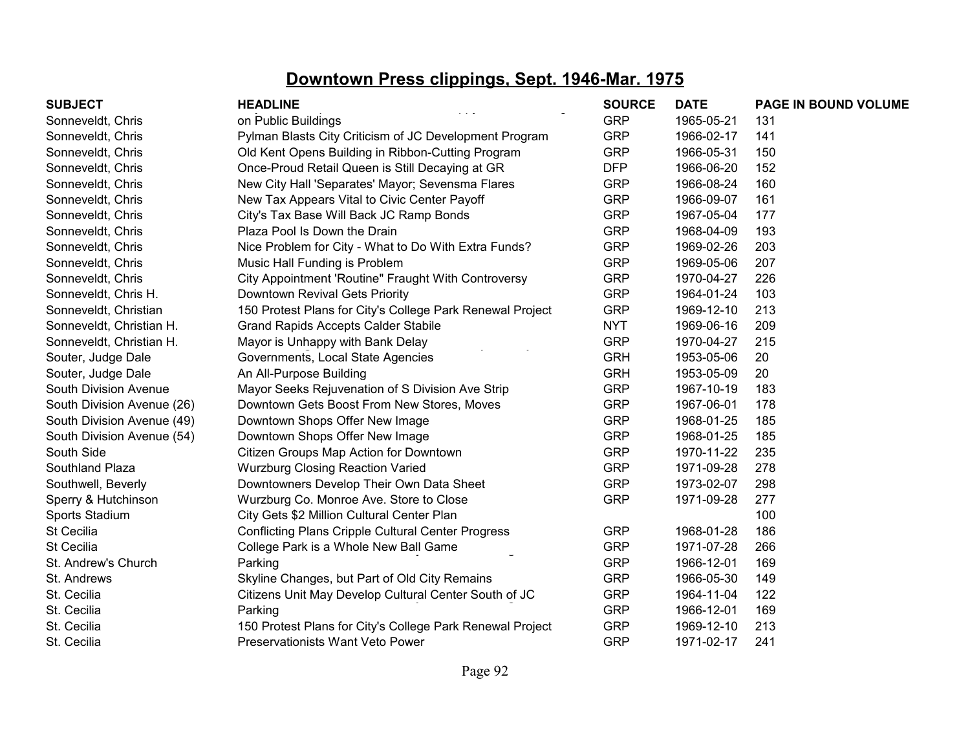| <b>SUBJECT</b>             | <b>HEADLINE</b>                                           | <b>SOURCE</b> | <b>DATE</b> | PAGE IN BOUND VOLUME |
|----------------------------|-----------------------------------------------------------|---------------|-------------|----------------------|
| Sonneveldt, Chris          | on Public Buildings                                       | <b>GRP</b>    | 1965-05-21  | 131                  |
| Sonneveldt, Chris          | Pylman Blasts City Criticism of JC Development Program    | <b>GRP</b>    | 1966-02-17  | 141                  |
| Sonneveldt, Chris          | Old Kent Opens Building in Ribbon-Cutting Program         | <b>GRP</b>    | 1966-05-31  | 150                  |
| Sonneveldt, Chris          | Once-Proud Retail Queen is Still Decaying at GR           | <b>DFP</b>    | 1966-06-20  | 152                  |
| Sonneveldt, Chris          | New City Hall 'Separates' Mayor; Sevensma Flares          | <b>GRP</b>    | 1966-08-24  | 160                  |
| Sonneveldt, Chris          | New Tax Appears Vital to Civic Center Payoff              | <b>GRP</b>    | 1966-09-07  | 161                  |
| Sonneveldt, Chris          | City's Tax Base Will Back JC Ramp Bonds                   | <b>GRP</b>    | 1967-05-04  | 177                  |
| Sonneveldt, Chris          | Plaza Pool Is Down the Drain                              | <b>GRP</b>    | 1968-04-09  | 193                  |
| Sonneveldt, Chris          | Nice Problem for City - What to Do With Extra Funds?      | <b>GRP</b>    | 1969-02-26  | 203                  |
| Sonneveldt, Chris          | Music Hall Funding is Problem                             | <b>GRP</b>    | 1969-05-06  | 207                  |
| Sonneveldt, Chris          | City Appointment 'Routine" Fraught With Controversy       | <b>GRP</b>    | 1970-04-27  | 226                  |
| Sonneveldt, Chris H.       | Downtown Revival Gets Priority                            | <b>GRP</b>    | 1964-01-24  | 103                  |
| Sonneveldt, Christian      | 150 Protest Plans for City's College Park Renewal Project | <b>GRP</b>    | 1969-12-10  | 213                  |
| Sonneveldt, Christian H.   | <b>Grand Rapids Accepts Calder Stabile</b>                | <b>NYT</b>    | 1969-06-16  | 209                  |
| Sonneveldt, Christian H.   | Mayor is Unhappy with Bank Delay                          | <b>GRP</b>    | 1970-04-27  | 215                  |
| Souter, Judge Dale         | Governments, Local State Agencies                         | <b>GRH</b>    | 1953-05-06  | 20                   |
| Souter, Judge Dale         | An All-Purpose Building                                   | <b>GRH</b>    | 1953-05-09  | 20                   |
| South Division Avenue      | Mayor Seeks Rejuvenation of S Division Ave Strip          | <b>GRP</b>    | 1967-10-19  | 183                  |
| South Division Avenue (26) | Downtown Gets Boost From New Stores, Moves                | <b>GRP</b>    | 1967-06-01  | 178                  |
| South Division Avenue (49) | Downtown Shops Offer New Image                            | <b>GRP</b>    | 1968-01-25  | 185                  |
| South Division Avenue (54) | Downtown Shops Offer New Image                            | <b>GRP</b>    | 1968-01-25  | 185                  |
| South Side                 | Citizen Groups Map Action for Downtown                    | <b>GRP</b>    | 1970-11-22  | 235                  |
| Southland Plaza            | <b>Wurzburg Closing Reaction Varied</b>                   | <b>GRP</b>    | 1971-09-28  | 278                  |
| Southwell, Beverly         | Downtowners Develop Their Own Data Sheet                  | <b>GRP</b>    | 1973-02-07  | 298                  |
| Sperry & Hutchinson        | Wurzburg Co. Monroe Ave. Store to Close                   | <b>GRP</b>    | 1971-09-28  | 277                  |
| Sports Stadium             | City Gets \$2 Million Cultural Center Plan                |               |             | 100                  |
| St Cecilia                 | <b>Conflicting Plans Cripple Cultural Center Progress</b> | <b>GRP</b>    | 1968-01-28  | 186                  |
| St Cecilia                 | College Park is a Whole New Ball Game                     | <b>GRP</b>    | 1971-07-28  | 266                  |
| St. Andrew's Church        | Parking                                                   | <b>GRP</b>    | 1966-12-01  | 169                  |
| St. Andrews                | Skyline Changes, but Part of Old City Remains             | <b>GRP</b>    | 1966-05-30  | 149                  |
| St. Cecilia                | Citizens Unit May Develop Cultural Center South of JC     | <b>GRP</b>    | 1964-11-04  | 122                  |
| St. Cecilia                | Parking                                                   | <b>GRP</b>    | 1966-12-01  | 169                  |
| St. Cecilia                | 150 Protest Plans for City's College Park Renewal Project | <b>GRP</b>    | 1969-12-10  | 213                  |
| St. Cecilia                | Preservationists Want Veto Power                          | <b>GRP</b>    | 1971-02-17  | 241                  |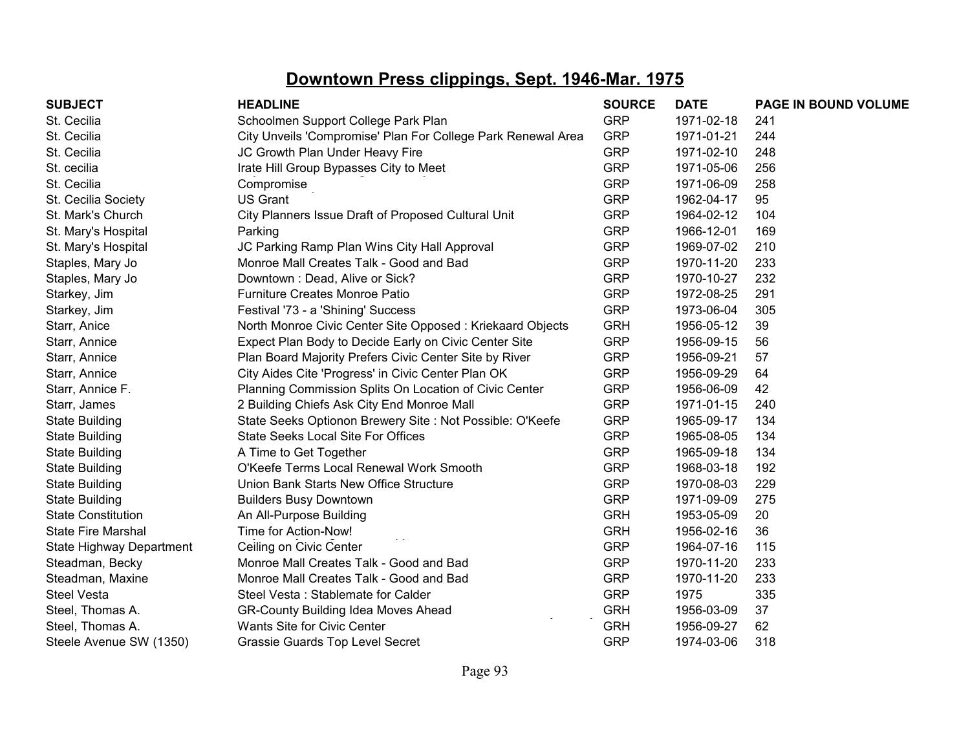| <b>SUBJECT</b>            | <b>HEADLINE</b>                                              | <b>SOURCE</b> | <b>DATE</b> | <b>PAGE IN BOUND VOLUME</b> |
|---------------------------|--------------------------------------------------------------|---------------|-------------|-----------------------------|
| St. Cecilia               | Schoolmen Support College Park Plan                          | <b>GRP</b>    | 1971-02-18  | 241                         |
| St. Cecilia               | City Unveils 'Compromise' Plan For College Park Renewal Area | <b>GRP</b>    | 1971-01-21  | 244                         |
| St. Cecilia               | JC Growth Plan Under Heavy Fire                              | <b>GRP</b>    | 1971-02-10  | 248                         |
| St. cecilia               | Irate Hill Group Bypasses City to Meet                       | <b>GRP</b>    | 1971-05-06  | 256                         |
| St. Cecilia               | Compromise                                                   | <b>GRP</b>    | 1971-06-09  | 258                         |
| St. Cecilia Society       | <b>US Grant</b>                                              | <b>GRP</b>    | 1962-04-17  | 95                          |
| St. Mark's Church         | City Planners Issue Draft of Proposed Cultural Unit          | <b>GRP</b>    | 1964-02-12  | 104                         |
| St. Mary's Hospital       | Parking                                                      | <b>GRP</b>    | 1966-12-01  | 169                         |
| St. Mary's Hospital       | JC Parking Ramp Plan Wins City Hall Approval                 | <b>GRP</b>    | 1969-07-02  | 210                         |
| Staples, Mary Jo          | Monroe Mall Creates Talk - Good and Bad                      | <b>GRP</b>    | 1970-11-20  | 233                         |
| Staples, Mary Jo          | Downtown: Dead, Alive or Sick?                               | <b>GRP</b>    | 1970-10-27  | 232                         |
| Starkey, Jim              | <b>Furniture Creates Monroe Patio</b>                        | <b>GRP</b>    | 1972-08-25  | 291                         |
| Starkey, Jim              | Festival '73 - a 'Shining' Success                           | <b>GRP</b>    | 1973-06-04  | 305                         |
| Starr, Anice              | North Monroe Civic Center Site Opposed: Kriekaard Objects    | <b>GRH</b>    | 1956-05-12  | 39                          |
| Starr, Annice             | Expect Plan Body to Decide Early on Civic Center Site        | <b>GRP</b>    | 1956-09-15  | 56                          |
| Starr, Annice             | Plan Board Majority Prefers Civic Center Site by River       | <b>GRP</b>    | 1956-09-21  | 57                          |
| Starr, Annice             | City Aides Cite 'Progress' in Civic Center Plan OK           | <b>GRP</b>    | 1956-09-29  | 64                          |
| Starr, Annice F.          | Planning Commission Splits On Location of Civic Center       | <b>GRP</b>    | 1956-06-09  | 42                          |
| Starr, James              | 2 Building Chiefs Ask City End Monroe Mall                   | <b>GRP</b>    | 1971-01-15  | 240                         |
| <b>State Building</b>     | State Seeks Optionon Brewery Site : Not Possible: O'Keefe    | <b>GRP</b>    | 1965-09-17  | 134                         |
| <b>State Building</b>     | <b>State Seeks Local Site For Offices</b>                    | <b>GRP</b>    | 1965-08-05  | 134                         |
| <b>State Building</b>     | A Time to Get Together                                       | <b>GRP</b>    | 1965-09-18  | 134                         |
| <b>State Building</b>     | O'Keefe Terms Local Renewal Work Smooth                      | <b>GRP</b>    | 1968-03-18  | 192                         |
| <b>State Building</b>     | Union Bank Starts New Office Structure                       | <b>GRP</b>    | 1970-08-03  | 229                         |
| <b>State Building</b>     | <b>Builders Busy Downtown</b>                                | <b>GRP</b>    | 1971-09-09  | 275                         |
| <b>State Constitution</b> | An All-Purpose Building                                      | <b>GRH</b>    | 1953-05-09  | 20                          |
| <b>State Fire Marshal</b> | Time for Action-Now!                                         | <b>GRH</b>    | 1956-02-16  | 36                          |
| State Highway Department  | Ceiling on Civic Center                                      | <b>GRP</b>    | 1964-07-16  | 115                         |
| Steadman, Becky           | Monroe Mall Creates Talk - Good and Bad                      | <b>GRP</b>    | 1970-11-20  | 233                         |
| Steadman, Maxine          | Monroe Mall Creates Talk - Good and Bad                      | <b>GRP</b>    | 1970-11-20  | 233                         |
| <b>Steel Vesta</b>        | Steel Vesta: Stablemate for Calder                           | <b>GRP</b>    | 1975        | 335                         |
| Steel, Thomas A.          | <b>GR-County Building Idea Moves Ahead</b>                   | <b>GRH</b>    | 1956-03-09  | 37                          |
| Steel, Thomas A.          | Wants Site for Civic Center                                  | <b>GRH</b>    | 1956-09-27  | 62                          |
| Steele Avenue SW (1350)   | <b>Grassie Guards Top Level Secret</b>                       | <b>GRP</b>    | 1974-03-06  | 318                         |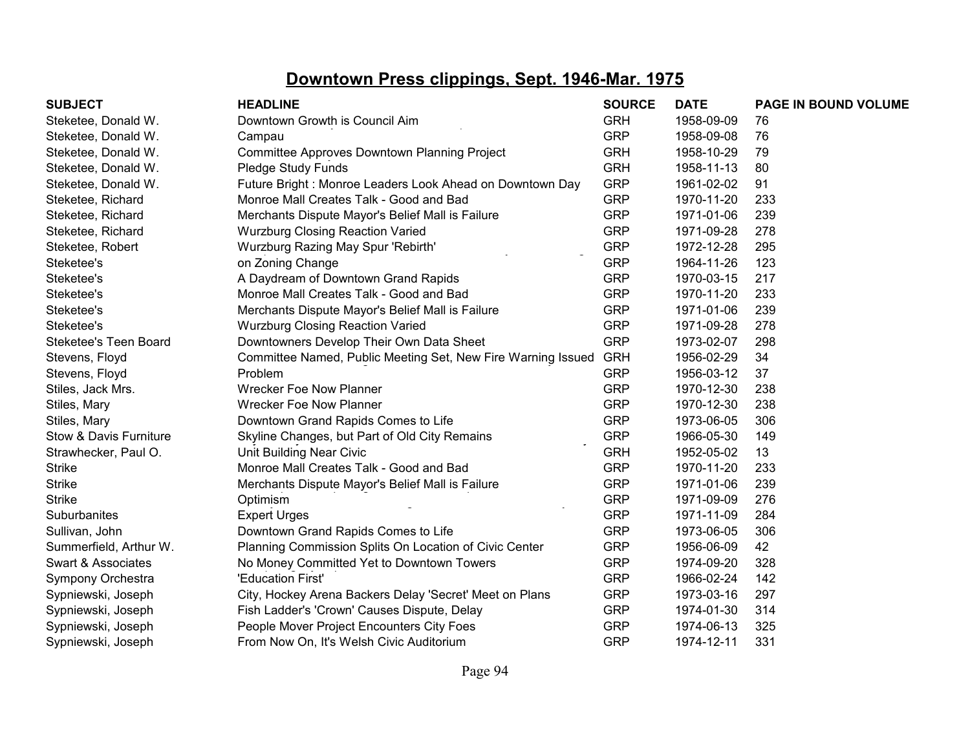| <b>SUBJECT</b>         | <b>HEADLINE</b>                                              | <b>SOURCE</b> | <b>DATE</b> | <b>PAGE IN BOUND VOLUME</b> |
|------------------------|--------------------------------------------------------------|---------------|-------------|-----------------------------|
| Steketee, Donald W.    | Downtown Growth is Council Aim                               | <b>GRH</b>    | 1958-09-09  | 76                          |
| Steketee, Donald W.    | Campau                                                       | <b>GRP</b>    | 1958-09-08  | 76                          |
| Steketee, Donald W.    | Committee Approves Downtown Planning Project                 | <b>GRH</b>    | 1958-10-29  | 79                          |
| Steketee, Donald W.    | Pledge Study Funds                                           | <b>GRH</b>    | 1958-11-13  | 80                          |
| Steketee, Donald W.    | Future Bright: Monroe Leaders Look Ahead on Downtown Day     | <b>GRP</b>    | 1961-02-02  | 91                          |
| Steketee, Richard      | Monroe Mall Creates Talk - Good and Bad                      | <b>GRP</b>    | 1970-11-20  | 233                         |
| Steketee, Richard      | Merchants Dispute Mayor's Belief Mall is Failure             | <b>GRP</b>    | 1971-01-06  | 239                         |
| Steketee, Richard      | <b>Wurzburg Closing Reaction Varied</b>                      | <b>GRP</b>    | 1971-09-28  | 278                         |
| Steketee, Robert       | Wurzburg Razing May Spur 'Rebirth'                           | <b>GRP</b>    | 1972-12-28  | 295                         |
| Steketee's             | on Zoning Change                                             | <b>GRP</b>    | 1964-11-26  | 123                         |
| Steketee's             | A Daydream of Downtown Grand Rapids                          | <b>GRP</b>    | 1970-03-15  | 217                         |
| Steketee's             | Monroe Mall Creates Talk - Good and Bad                      | <b>GRP</b>    | 1970-11-20  | 233                         |
| Steketee's             | Merchants Dispute Mayor's Belief Mall is Failure             | <b>GRP</b>    | 1971-01-06  | 239                         |
| Steketee's             | <b>Wurzburg Closing Reaction Varied</b>                      | <b>GRP</b>    | 1971-09-28  | 278                         |
| Steketee's Teen Board  | Downtowners Develop Their Own Data Sheet                     | <b>GRP</b>    | 1973-02-07  | 298                         |
| Stevens, Floyd         | Committee Named, Public Meeting Set, New Fire Warning Issued | <b>GRH</b>    | 1956-02-29  | 34                          |
| Stevens, Floyd         | Problem                                                      | <b>GRP</b>    | 1956-03-12  | 37                          |
| Stiles, Jack Mrs.      | <b>Wrecker Foe Now Planner</b>                               | <b>GRP</b>    | 1970-12-30  | 238                         |
| Stiles, Mary           | <b>Wrecker Foe Now Planner</b>                               | <b>GRP</b>    | 1970-12-30  | 238                         |
| Stiles, Mary           | Downtown Grand Rapids Comes to Life                          | <b>GRP</b>    | 1973-06-05  | 306                         |
| Stow & Davis Furniture | Skyline Changes, but Part of Old City Remains                | <b>GRP</b>    | 1966-05-30  | 149                         |
| Strawhecker, Paul O.   | Unit Building Near Civic                                     | <b>GRH</b>    | 1952-05-02  | 13                          |
| <b>Strike</b>          | Monroe Mall Creates Talk - Good and Bad                      | <b>GRP</b>    | 1970-11-20  | 233                         |
| <b>Strike</b>          | Merchants Dispute Mayor's Belief Mall is Failure             | <b>GRP</b>    | 1971-01-06  | 239                         |
| <b>Strike</b>          | Optimism                                                     | <b>GRP</b>    | 1971-09-09  | 276                         |
| Suburbanites           | <b>Expert Urges</b>                                          | <b>GRP</b>    | 1971-11-09  | 284                         |
| Sullivan, John         | Downtown Grand Rapids Comes to Life                          | <b>GRP</b>    | 1973-06-05  | 306                         |
| Summerfield, Arthur W. | Planning Commission Splits On Location of Civic Center       | <b>GRP</b>    | 1956-06-09  | 42                          |
| Swart & Associates     | No Money Committed Yet to Downtown Towers                    | <b>GRP</b>    | 1974-09-20  | 328                         |
| Sympony Orchestra      | 'Education First'                                            | <b>GRP</b>    | 1966-02-24  | 142                         |
| Sypniewski, Joseph     | City, Hockey Arena Backers Delay 'Secret' Meet on Plans      | <b>GRP</b>    | 1973-03-16  | 297                         |
| Sypniewski, Joseph     | Fish Ladder's 'Crown' Causes Dispute, Delay                  | <b>GRP</b>    | 1974-01-30  | 314                         |
| Sypniewski, Joseph     | People Mover Project Encounters City Foes                    | <b>GRP</b>    | 1974-06-13  | 325                         |
| Sypniewski, Joseph     | From Now On, It's Welsh Civic Auditorium                     | <b>GRP</b>    | 1974-12-11  | 331                         |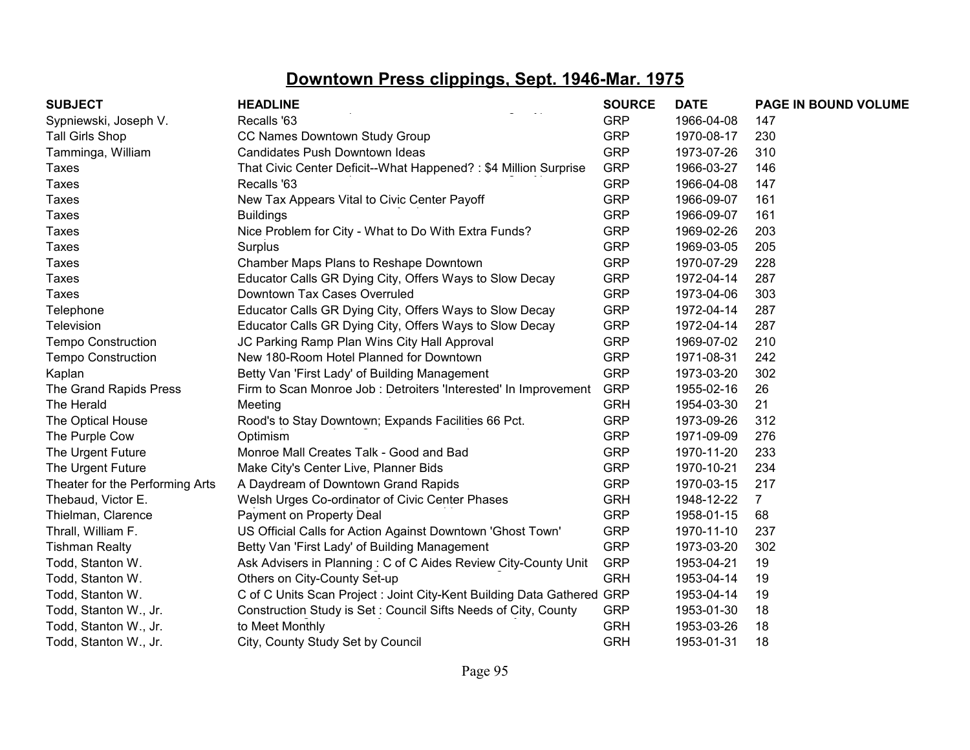| <b>SUBJECT</b>                  | <b>HEADLINE</b>                                                        | <b>SOURCE</b> | <b>DATE</b> | PAGE IN BOUND VOLUME |
|---------------------------------|------------------------------------------------------------------------|---------------|-------------|----------------------|
| Sypniewski, Joseph V.           | Recalls '63                                                            | <b>GRP</b>    | 1966-04-08  | 147                  |
| <b>Tall Girls Shop</b>          | CC Names Downtown Study Group                                          | <b>GRP</b>    | 1970-08-17  | 230                  |
| Tamminga, William               | Candidates Push Downtown Ideas                                         | <b>GRP</b>    | 1973-07-26  | 310                  |
| Taxes                           | That Civic Center Deficit--What Happened?: \$4 Million Surprise        | <b>GRP</b>    | 1966-03-27  | 146                  |
| <b>Taxes</b>                    | Recalls '63                                                            | <b>GRP</b>    | 1966-04-08  | 147                  |
| Taxes                           | New Tax Appears Vital to Civic Center Payoff                           | <b>GRP</b>    | 1966-09-07  | 161                  |
| Taxes                           | <b>Buildings</b>                                                       | <b>GRP</b>    | 1966-09-07  | 161                  |
| Taxes                           | Nice Problem for City - What to Do With Extra Funds?                   | <b>GRP</b>    | 1969-02-26  | 203                  |
| <b>Taxes</b>                    | Surplus                                                                | <b>GRP</b>    | 1969-03-05  | 205                  |
| <b>Taxes</b>                    | Chamber Maps Plans to Reshape Downtown                                 | <b>GRP</b>    | 1970-07-29  | 228                  |
| <b>Taxes</b>                    | Educator Calls GR Dying City, Offers Ways to Slow Decay                | <b>GRP</b>    | 1972-04-14  | 287                  |
| Taxes                           | Downtown Tax Cases Overruled                                           | <b>GRP</b>    | 1973-04-06  | 303                  |
| Telephone                       | Educator Calls GR Dying City, Offers Ways to Slow Decay                | <b>GRP</b>    | 1972-04-14  | 287                  |
| Television                      | Educator Calls GR Dying City, Offers Ways to Slow Decay                | <b>GRP</b>    | 1972-04-14  | 287                  |
| <b>Tempo Construction</b>       | JC Parking Ramp Plan Wins City Hall Approval                           | <b>GRP</b>    | 1969-07-02  | 210                  |
| <b>Tempo Construction</b>       | New 180-Room Hotel Planned for Downtown                                | <b>GRP</b>    | 1971-08-31  | 242                  |
| Kaplan                          | Betty Van 'First Lady' of Building Management                          | <b>GRP</b>    | 1973-03-20  | 302                  |
| The Grand Rapids Press          | Firm to Scan Monroe Job : Detroiters 'Interested' In Improvement       | <b>GRP</b>    | 1955-02-16  | 26                   |
| The Herald                      | Meeting                                                                | <b>GRH</b>    | 1954-03-30  | 21                   |
| The Optical House               | Rood's to Stay Downtown; Expands Facilities 66 Pct.                    | <b>GRP</b>    | 1973-09-26  | 312                  |
| The Purple Cow                  | Optimism                                                               | <b>GRP</b>    | 1971-09-09  | 276                  |
| The Urgent Future               | Monroe Mall Creates Talk - Good and Bad                                | <b>GRP</b>    | 1970-11-20  | 233                  |
| The Urgent Future               | Make City's Center Live, Planner Bids                                  | <b>GRP</b>    | 1970-10-21  | 234                  |
| Theater for the Performing Arts | A Daydream of Downtown Grand Rapids                                    | <b>GRP</b>    | 1970-03-15  | 217                  |
| Thebaud, Victor E.              | Welsh Urges Co-ordinator of Civic Center Phases                        | <b>GRH</b>    | 1948-12-22  | $\overline{7}$       |
| Thielman, Clarence              | Payment on Property Deal                                               | <b>GRP</b>    | 1958-01-15  | 68                   |
| Thrall, William F.              | US Official Calls for Action Against Downtown 'Ghost Town'             | <b>GRP</b>    | 1970-11-10  | 237                  |
| <b>Tishman Realty</b>           | Betty Van 'First Lady' of Building Management                          | <b>GRP</b>    | 1973-03-20  | 302                  |
| Todd, Stanton W.                | Ask Advisers in Planning: C of C Aides Review City-County Unit         | <b>GRP</b>    | 1953-04-21  | 19                   |
| Todd, Stanton W.                | Others on City-County Set-up                                           | <b>GRH</b>    | 1953-04-14  | 19                   |
| Todd, Stanton W.                | C of C Units Scan Project : Joint City-Kent Building Data Gathered GRP |               | 1953-04-14  | 19                   |
| Todd, Stanton W., Jr.           | Construction Study is Set: Council Sifts Needs of City, County         | <b>GRP</b>    | 1953-01-30  | 18                   |
| Todd, Stanton W., Jr.           | to Meet Monthly                                                        | <b>GRH</b>    | 1953-03-26  | 18                   |
| Todd, Stanton W., Jr.           | City, County Study Set by Council                                      | <b>GRH</b>    | 1953-01-31  | 18                   |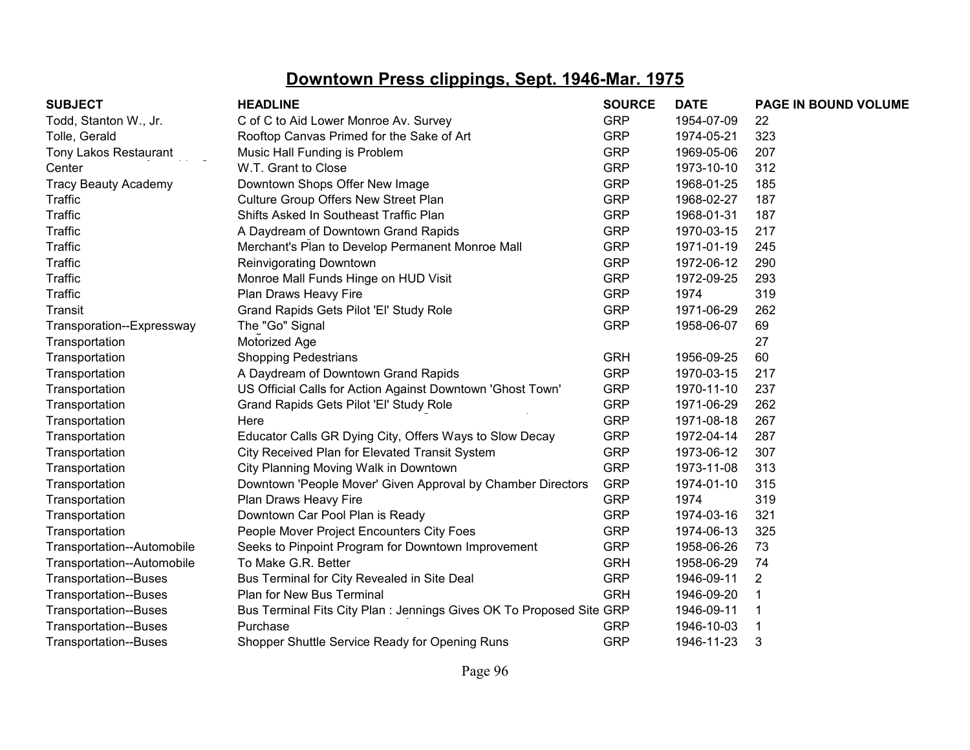| <b>SUBJECT</b>               | <b>HEADLINE</b>                                                      | <b>SOURCE</b> | <b>DATE</b> | PAGE IN BOUND VOLUME |
|------------------------------|----------------------------------------------------------------------|---------------|-------------|----------------------|
| Todd, Stanton W., Jr.        | C of C to Aid Lower Monroe Av. Survey                                | <b>GRP</b>    | 1954-07-09  | 22                   |
| Tolle, Gerald                | Rooftop Canvas Primed for the Sake of Art                            | <b>GRP</b>    | 1974-05-21  | 323                  |
| Tony Lakos Restaurant        | Music Hall Funding is Problem                                        | <b>GRP</b>    | 1969-05-06  | 207                  |
| Center                       | W.T. Grant to Close                                                  | <b>GRP</b>    | 1973-10-10  | 312                  |
| <b>Tracy Beauty Academy</b>  | Downtown Shops Offer New Image                                       | <b>GRP</b>    | 1968-01-25  | 185                  |
| <b>Traffic</b>               | Culture Group Offers New Street Plan                                 | <b>GRP</b>    | 1968-02-27  | 187                  |
| <b>Traffic</b>               | Shifts Asked In Southeast Traffic Plan                               | <b>GRP</b>    | 1968-01-31  | 187                  |
| <b>Traffic</b>               | A Daydream of Downtown Grand Rapids                                  | <b>GRP</b>    | 1970-03-15  | 217                  |
| <b>Traffic</b>               | Merchant's Plan to Develop Permanent Monroe Mall                     | <b>GRP</b>    | 1971-01-19  | 245                  |
| <b>Traffic</b>               | Reinvigorating Downtown                                              | <b>GRP</b>    | 1972-06-12  | 290                  |
| <b>Traffic</b>               | Monroe Mall Funds Hinge on HUD Visit                                 | <b>GRP</b>    | 1972-09-25  | 293                  |
| <b>Traffic</b>               | Plan Draws Heavy Fire                                                | <b>GRP</b>    | 1974        | 319                  |
| Transit                      | Grand Rapids Gets Pilot 'El' Study Role                              | <b>GRP</b>    | 1971-06-29  | 262                  |
| Transporation--Expressway    | The "Go" Signal                                                      | <b>GRP</b>    | 1958-06-07  | 69                   |
| Transportation               | Motorized Age                                                        |               |             | 27                   |
| Transportation               | <b>Shopping Pedestrians</b>                                          | <b>GRH</b>    | 1956-09-25  | 60                   |
| Transportation               | A Daydream of Downtown Grand Rapids                                  | <b>GRP</b>    | 1970-03-15  | 217                  |
| Transportation               | US Official Calls for Action Against Downtown 'Ghost Town'           | <b>GRP</b>    | 1970-11-10  | 237                  |
| Transportation               | Grand Rapids Gets Pilot 'El' Study Role                              | <b>GRP</b>    | 1971-06-29  | 262                  |
| Transportation               | Here                                                                 | <b>GRP</b>    | 1971-08-18  | 267                  |
| Transportation               | Educator Calls GR Dying City, Offers Ways to Slow Decay              | <b>GRP</b>    | 1972-04-14  | 287                  |
| Transportation               | City Received Plan for Elevated Transit System                       | <b>GRP</b>    | 1973-06-12  | 307                  |
| Transportation               | City Planning Moving Walk in Downtown                                | <b>GRP</b>    | 1973-11-08  | 313                  |
| Transportation               | Downtown 'People Mover' Given Approval by Chamber Directors          | <b>GRP</b>    | 1974-01-10  | 315                  |
| Transportation               | Plan Draws Heavy Fire                                                | <b>GRP</b>    | 1974        | 319                  |
| Transportation               | Downtown Car Pool Plan is Ready                                      | <b>GRP</b>    | 1974-03-16  | 321                  |
| Transportation               | People Mover Project Encounters City Foes                            | <b>GRP</b>    | 1974-06-13  | 325                  |
| Transportation--Automobile   | Seeks to Pinpoint Program for Downtown Improvement                   | <b>GRP</b>    | 1958-06-26  | 73                   |
| Transportation--Automobile   | To Make G.R. Better                                                  | <b>GRH</b>    | 1958-06-29  | 74                   |
| <b>Transportation--Buses</b> | Bus Terminal for City Revealed in Site Deal                          | <b>GRP</b>    | 1946-09-11  | $\overline{2}$       |
| <b>Transportation--Buses</b> | Plan for New Bus Terminal                                            | <b>GRH</b>    | 1946-09-20  |                      |
| <b>Transportation--Buses</b> | Bus Terminal Fits City Plan : Jennings Gives OK To Proposed Site GRP |               | 1946-09-11  |                      |
| <b>Transportation--Buses</b> | Purchase                                                             | <b>GRP</b>    | 1946-10-03  |                      |
| <b>Transportation--Buses</b> | Shopper Shuttle Service Ready for Opening Runs                       | <b>GRP</b>    | 1946-11-23  | 3                    |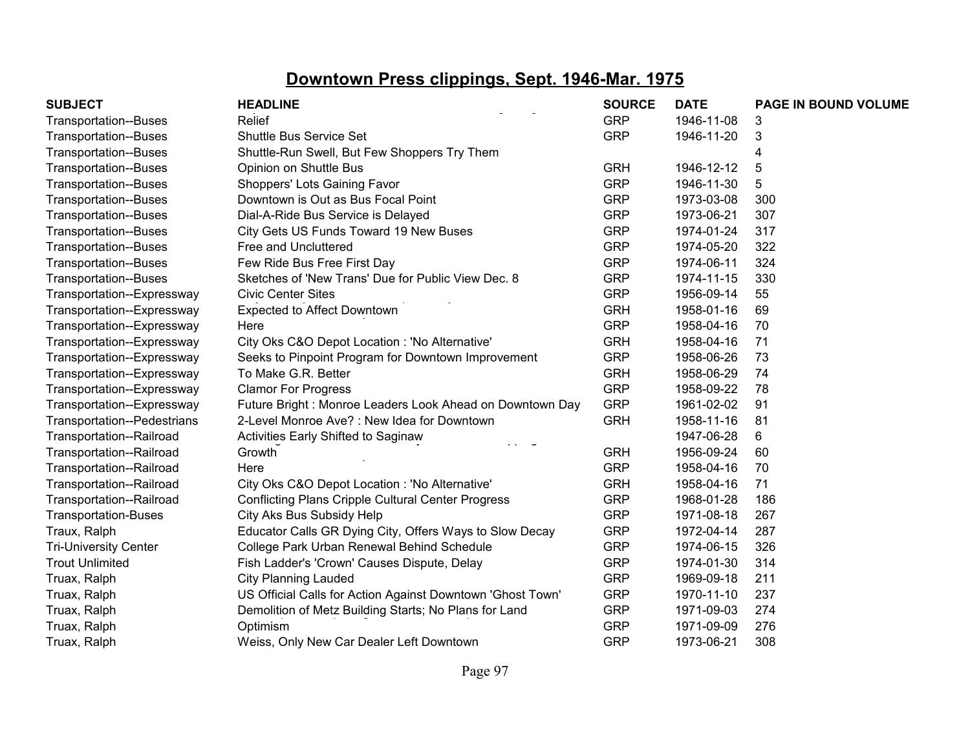| <b>SUBJECT</b>               | <b>HEADLINE</b>                                            | <b>SOURCE</b> | <b>DATE</b> | PAGE IN BOUND VOLUME |
|------------------------------|------------------------------------------------------------|---------------|-------------|----------------------|
| <b>Transportation--Buses</b> | Relief                                                     | <b>GRP</b>    | 1946-11-08  | 3                    |
| <b>Transportation--Buses</b> | Shuttle Bus Service Set                                    | <b>GRP</b>    | 1946-11-20  | 3                    |
| <b>Transportation--Buses</b> | Shuttle-Run Swell, But Few Shoppers Try Them               |               |             | 4                    |
| <b>Transportation--Buses</b> | Opinion on Shuttle Bus                                     | <b>GRH</b>    | 1946-12-12  | 5                    |
| <b>Transportation--Buses</b> | Shoppers' Lots Gaining Favor                               | <b>GRP</b>    | 1946-11-30  | 5                    |
| <b>Transportation--Buses</b> | Downtown is Out as Bus Focal Point                         | <b>GRP</b>    | 1973-03-08  | 300                  |
| <b>Transportation--Buses</b> | Dial-A-Ride Bus Service is Delayed                         | <b>GRP</b>    | 1973-06-21  | 307                  |
| <b>Transportation--Buses</b> | City Gets US Funds Toward 19 New Buses                     | <b>GRP</b>    | 1974-01-24  | 317                  |
| <b>Transportation--Buses</b> | Free and Uncluttered                                       | <b>GRP</b>    | 1974-05-20  | 322                  |
| <b>Transportation--Buses</b> | Few Ride Bus Free First Day                                | <b>GRP</b>    | 1974-06-11  | 324                  |
| <b>Transportation--Buses</b> | Sketches of 'New Trans' Due for Public View Dec. 8         | <b>GRP</b>    | 1974-11-15  | 330                  |
| Transportation--Expressway   | <b>Civic Center Sites</b>                                  | <b>GRP</b>    | 1956-09-14  | 55                   |
| Transportation--Expressway   | <b>Expected to Affect Downtown</b>                         | <b>GRH</b>    | 1958-01-16  | 69                   |
| Transportation--Expressway   | Here                                                       | <b>GRP</b>    | 1958-04-16  | 70                   |
| Transportation--Expressway   | City Oks C&O Depot Location : 'No Alternative'             | <b>GRH</b>    | 1958-04-16  | 71                   |
| Transportation--Expressway   | Seeks to Pinpoint Program for Downtown Improvement         | <b>GRP</b>    | 1958-06-26  | 73                   |
| Transportation--Expressway   | To Make G.R. Better                                        | <b>GRH</b>    | 1958-06-29  | 74                   |
| Transportation--Expressway   | <b>Clamor For Progress</b>                                 | <b>GRP</b>    | 1958-09-22  | 78                   |
| Transportation--Expressway   | Future Bright: Monroe Leaders Look Ahead on Downtown Day   | <b>GRP</b>    | 1961-02-02  | 91                   |
| Transportation--Pedestrians  | 2-Level Monroe Ave?: New Idea for Downtown                 | <b>GRH</b>    | 1958-11-16  | 81                   |
| Transportation--Railroad     | Activities Early Shifted to Saginaw<br>$\cdot$ $\cdot$     |               | 1947-06-28  | 6                    |
| Transportation--Railroad     | Growth                                                     | <b>GRH</b>    | 1956-09-24  | 60                   |
| Transportation--Railroad     | Here                                                       | <b>GRP</b>    | 1958-04-16  | 70                   |
| Transportation--Railroad     | City Oks C&O Depot Location : 'No Alternative'             | <b>GRH</b>    | 1958-04-16  | 71                   |
| Transportation--Railroad     | <b>Conflicting Plans Cripple Cultural Center Progress</b>  | <b>GRP</b>    | 1968-01-28  | 186                  |
| <b>Transportation-Buses</b>  | City Aks Bus Subsidy Help                                  | <b>GRP</b>    | 1971-08-18  | 267                  |
| Traux, Ralph                 | Educator Calls GR Dying City, Offers Ways to Slow Decay    | <b>GRP</b>    | 1972-04-14  | 287                  |
| <b>Tri-University Center</b> | College Park Urban Renewal Behind Schedule                 | <b>GRP</b>    | 1974-06-15  | 326                  |
| <b>Trout Unlimited</b>       | Fish Ladder's 'Crown' Causes Dispute, Delay                | <b>GRP</b>    | 1974-01-30  | 314                  |
| Truax, Ralph                 | <b>City Planning Lauded</b>                                | <b>GRP</b>    | 1969-09-18  | 211                  |
| Truax, Ralph                 | US Official Calls for Action Against Downtown 'Ghost Town' | <b>GRP</b>    | 1970-11-10  | 237                  |
| Truax, Ralph                 | Demolition of Metz Building Starts; No Plans for Land      | <b>GRP</b>    | 1971-09-03  | 274                  |
| Truax, Ralph                 | Optimism                                                   | <b>GRP</b>    | 1971-09-09  | 276                  |
| Truax, Ralph                 | Weiss, Only New Car Dealer Left Downtown                   | <b>GRP</b>    | 1973-06-21  | 308                  |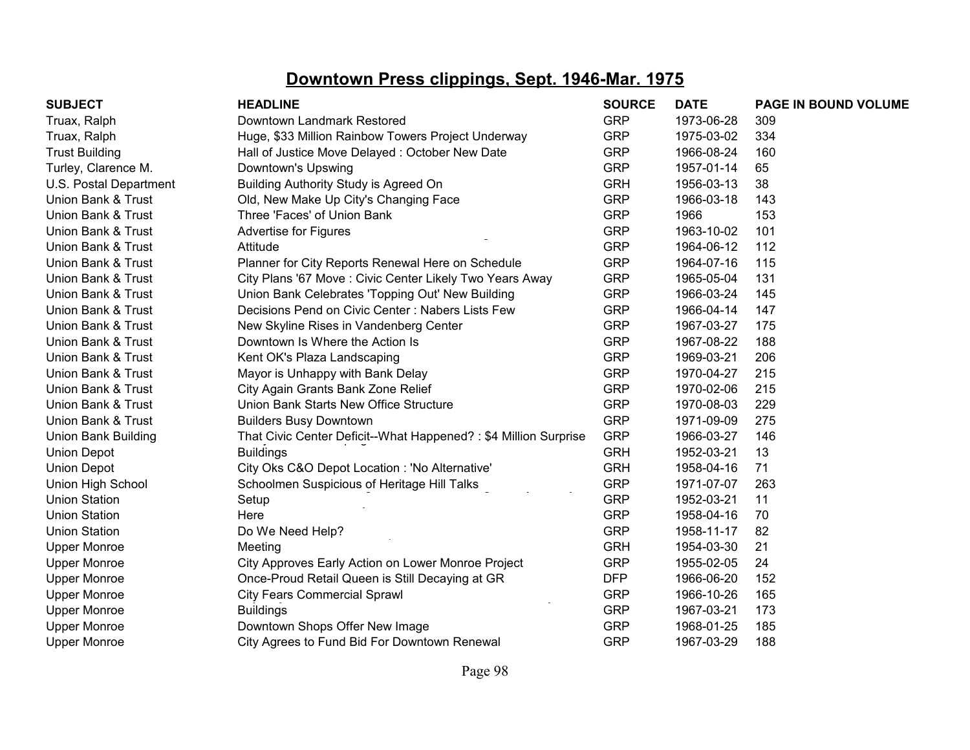| <b>SUBJECT</b>             | <b>HEADLINE</b>                                                 | <b>SOURCE</b> | <b>DATE</b> | PAGE IN BOUND VOLUME |
|----------------------------|-----------------------------------------------------------------|---------------|-------------|----------------------|
| Truax, Ralph               | Downtown Landmark Restored                                      | <b>GRP</b>    | 1973-06-28  | 309                  |
| Truax, Ralph               | Huge, \$33 Million Rainbow Towers Project Underway              | <b>GRP</b>    | 1975-03-02  | 334                  |
| <b>Trust Building</b>      | Hall of Justice Move Delayed: October New Date                  | <b>GRP</b>    | 1966-08-24  | 160                  |
| Turley, Clarence M.        | Downtown's Upswing                                              | <b>GRP</b>    | 1957-01-14  | 65                   |
| U.S. Postal Department     | Building Authority Study is Agreed On                           | <b>GRH</b>    | 1956-03-13  | 38                   |
| Union Bank & Trust         | Old, New Make Up City's Changing Face                           | <b>GRP</b>    | 1966-03-18  | 143                  |
| Union Bank & Trust         | Three 'Faces' of Union Bank                                     | <b>GRP</b>    | 1966        | 153                  |
| Union Bank & Trust         | Advertise for Figures                                           | <b>GRP</b>    | 1963-10-02  | 101                  |
| Union Bank & Trust         | Attitude                                                        | <b>GRP</b>    | 1964-06-12  | 112                  |
| Union Bank & Trust         | Planner for City Reports Renewal Here on Schedule               | <b>GRP</b>    | 1964-07-16  | 115                  |
| Union Bank & Trust         | City Plans '67 Move : Civic Center Likely Two Years Away        | <b>GRP</b>    | 1965-05-04  | 131                  |
| Union Bank & Trust         | Union Bank Celebrates 'Topping Out' New Building                | <b>GRP</b>    | 1966-03-24  | 145                  |
| Union Bank & Trust         | Decisions Pend on Civic Center: Nabers Lists Few                | <b>GRP</b>    | 1966-04-14  | 147                  |
| Union Bank & Trust         | New Skyline Rises in Vandenberg Center                          | <b>GRP</b>    | 1967-03-27  | 175                  |
| Union Bank & Trust         | Downtown Is Where the Action Is                                 | <b>GRP</b>    | 1967-08-22  | 188                  |
| Union Bank & Trust         | Kent OK's Plaza Landscaping                                     | <b>GRP</b>    | 1969-03-21  | 206                  |
| Union Bank & Trust         | Mayor is Unhappy with Bank Delay                                | <b>GRP</b>    | 1970-04-27  | 215                  |
| Union Bank & Trust         | City Again Grants Bank Zone Relief                              | <b>GRP</b>    | 1970-02-06  | 215                  |
| Union Bank & Trust         | Union Bank Starts New Office Structure                          | <b>GRP</b>    | 1970-08-03  | 229                  |
| Union Bank & Trust         | <b>Builders Busy Downtown</b>                                   | <b>GRP</b>    | 1971-09-09  | 275                  |
| <b>Union Bank Building</b> | That Civic Center Deficit--What Happened?: \$4 Million Surprise | <b>GRP</b>    | 1966-03-27  | 146                  |
| <b>Union Depot</b>         | <b>Buildings</b>                                                | <b>GRH</b>    | 1952-03-21  | 13                   |
| <b>Union Depot</b>         | City Oks C&O Depot Location : 'No Alternative'                  | <b>GRH</b>    | 1958-04-16  | 71                   |
| Union High School          | Schoolmen Suspicious of Heritage Hill Talks                     | <b>GRP</b>    | 1971-07-07  | 263                  |
| <b>Union Station</b>       | Setup                                                           | <b>GRP</b>    | 1952-03-21  | 11                   |
| <b>Union Station</b>       | Here                                                            | <b>GRP</b>    | 1958-04-16  | 70                   |
| <b>Union Station</b>       | Do We Need Help?                                                | <b>GRP</b>    | 1958-11-17  | 82                   |
| <b>Upper Monroe</b>        | Meeting                                                         | <b>GRH</b>    | 1954-03-30  | 21                   |
| <b>Upper Monroe</b>        | City Approves Early Action on Lower Monroe Project              | <b>GRP</b>    | 1955-02-05  | 24                   |
| <b>Upper Monroe</b>        | Once-Proud Retail Queen is Still Decaying at GR                 | <b>DFP</b>    | 1966-06-20  | 152                  |
| <b>Upper Monroe</b>        | <b>City Fears Commercial Sprawl</b>                             | <b>GRP</b>    | 1966-10-26  | 165                  |
| <b>Upper Monroe</b>        | <b>Buildings</b>                                                | <b>GRP</b>    | 1967-03-21  | 173                  |
| <b>Upper Monroe</b>        | Downtown Shops Offer New Image                                  | <b>GRP</b>    | 1968-01-25  | 185                  |
| <b>Upper Monroe</b>        | City Agrees to Fund Bid For Downtown Renewal                    | <b>GRP</b>    | 1967-03-29  | 188                  |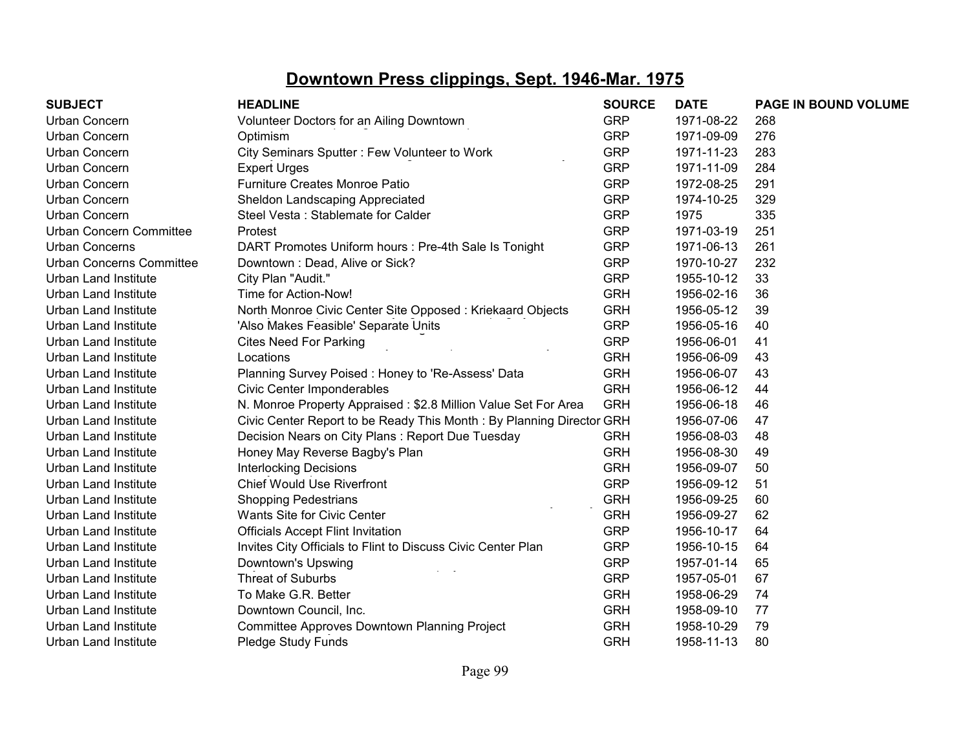| <b>SUBJECT</b>                  | <b>HEADLINE</b>                                                      | <b>SOURCE</b> | <b>DATE</b> | PAGE IN BOUND VOLUME |
|---------------------------------|----------------------------------------------------------------------|---------------|-------------|----------------------|
| Urban Concern                   | Volunteer Doctors for an Ailing Downtown                             | <b>GRP</b>    | 1971-08-22  | 268                  |
| Urban Concern                   | Optimism                                                             | <b>GRP</b>    | 1971-09-09  | 276                  |
| Urban Concern                   | City Seminars Sputter: Few Volunteer to Work                         | <b>GRP</b>    | 1971-11-23  | 283                  |
| Urban Concern                   | <b>Expert Urges</b>                                                  | <b>GRP</b>    | 1971-11-09  | 284                  |
| Urban Concern                   | <b>Furniture Creates Monroe Patio</b>                                | <b>GRP</b>    | 1972-08-25  | 291                  |
| Urban Concern                   | Sheldon Landscaping Appreciated                                      | <b>GRP</b>    | 1974-10-25  | 329                  |
| Urban Concern                   | Steel Vesta: Stablemate for Calder                                   | <b>GRP</b>    | 1975        | 335                  |
| <b>Urban Concern Committee</b>  | Protest                                                              | <b>GRP</b>    | 1971-03-19  | 251                  |
| <b>Urban Concerns</b>           | DART Promotes Uniform hours : Pre-4th Sale Is Tonight                | <b>GRP</b>    | 1971-06-13  | 261                  |
| <b>Urban Concerns Committee</b> | Downtown: Dead, Alive or Sick?                                       | <b>GRP</b>    | 1970-10-27  | 232                  |
| <b>Urban Land Institute</b>     | City Plan "Audit."                                                   | <b>GRP</b>    | 1955-10-12  | 33                   |
| <b>Urban Land Institute</b>     | Time for Action-Now!                                                 | <b>GRH</b>    | 1956-02-16  | 36                   |
| Urban Land Institute            | North Monroe Civic Center Site Opposed: Kriekaard Objects            | <b>GRH</b>    | 1956-05-12  | 39                   |
| <b>Urban Land Institute</b>     | 'Also Makes Feasible' Separate Units                                 | <b>GRP</b>    | 1956-05-16  | 40                   |
| <b>Urban Land Institute</b>     | <b>Cites Need For Parking</b>                                        | <b>GRP</b>    | 1956-06-01  | 41                   |
| <b>Urban Land Institute</b>     | Locations                                                            | <b>GRH</b>    | 1956-06-09  | 43                   |
| Urban Land Institute            | Planning Survey Poised: Honey to 'Re-Assess' Data                    | <b>GRH</b>    | 1956-06-07  | 43                   |
| Urban Land Institute            | Civic Center Imponderables                                           | <b>GRH</b>    | 1956-06-12  | 44                   |
| Urban Land Institute            | N. Monroe Property Appraised: \$2.8 Million Value Set For Area       | <b>GRH</b>    | 1956-06-18  | 46                   |
| Urban Land Institute            | Civic Center Report to be Ready This Month: By Planning Director GRH |               | 1956-07-06  | 47                   |
| Urban Land Institute            | Decision Nears on City Plans: Report Due Tuesday                     | <b>GRH</b>    | 1956-08-03  | 48                   |
| Urban Land Institute            | Honey May Reverse Bagby's Plan                                       | <b>GRH</b>    | 1956-08-30  | 49                   |
| <b>Urban Land Institute</b>     | <b>Interlocking Decisions</b>                                        | <b>GRH</b>    | 1956-09-07  | 50                   |
| Urban Land Institute            | <b>Chief Would Use Riverfront</b>                                    | <b>GRP</b>    | 1956-09-12  | 51                   |
| <b>Urban Land Institute</b>     | <b>Shopping Pedestrians</b>                                          | <b>GRH</b>    | 1956-09-25  | 60                   |
| <b>Urban Land Institute</b>     | Wants Site for Civic Center                                          | <b>GRH</b>    | 1956-09-27  | 62                   |
| Urban Land Institute            | <b>Officials Accept Flint Invitation</b>                             | <b>GRP</b>    | 1956-10-17  | 64                   |
| Urban Land Institute            | Invites City Officials to Flint to Discuss Civic Center Plan         | <b>GRP</b>    | 1956-10-15  | 64                   |
| <b>Urban Land Institute</b>     | Downtown's Upswing                                                   | <b>GRP</b>    | 1957-01-14  | 65                   |
| Urban Land Institute            | <b>Threat of Suburbs</b>                                             | <b>GRP</b>    | 1957-05-01  | 67                   |
| Urban Land Institute            | To Make G.R. Better                                                  | <b>GRH</b>    | 1958-06-29  | 74                   |
| Urban Land Institute            | Downtown Council, Inc.                                               | <b>GRH</b>    | 1958-09-10  | 77                   |
| <b>Urban Land Institute</b>     | <b>Committee Approves Downtown Planning Project</b>                  | <b>GRH</b>    | 1958-10-29  | 79                   |
| Urban Land Institute            | Pledge Study Funds                                                   | <b>GRH</b>    | 1958-11-13  | 80                   |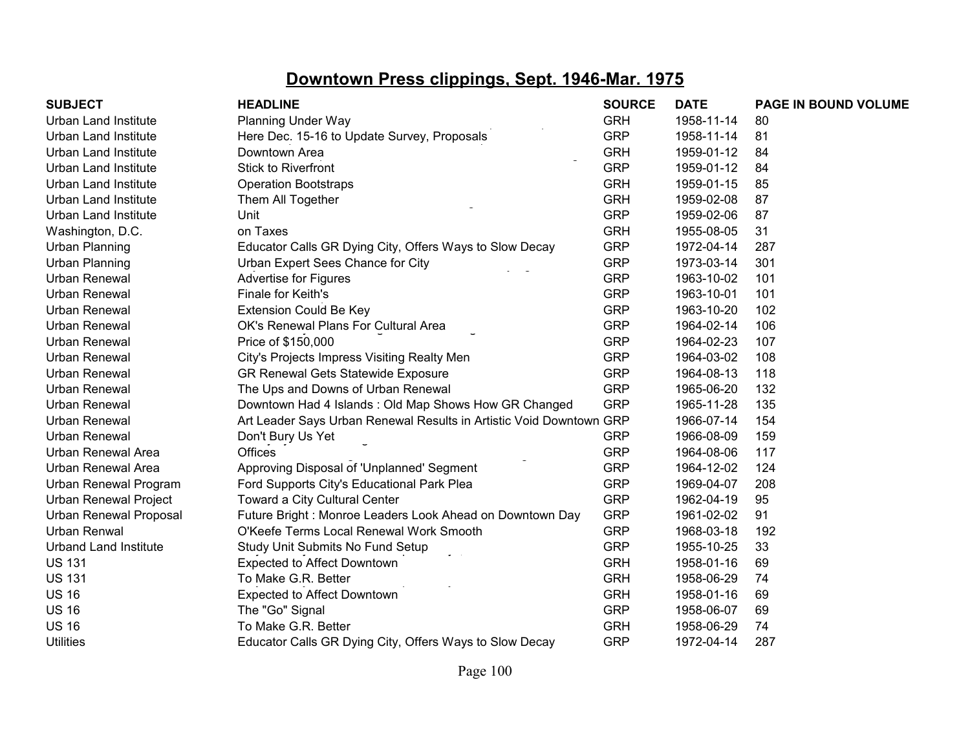| <b>SUBJECT</b>                | <b>HEADLINE</b>                                                     | <b>SOURCE</b> | <b>DATE</b> | <b>PAGE IN BOUND VOLUME</b> |
|-------------------------------|---------------------------------------------------------------------|---------------|-------------|-----------------------------|
| <b>Urban Land Institute</b>   | <b>Planning Under Way</b>                                           | <b>GRH</b>    | 1958-11-14  | 80                          |
| <b>Urban Land Institute</b>   | Here Dec. 15-16 to Update Survey, Proposals                         | <b>GRP</b>    | 1958-11-14  | 81                          |
| <b>Urban Land Institute</b>   | Downtown Area                                                       | <b>GRH</b>    | 1959-01-12  | 84                          |
| <b>Urban Land Institute</b>   | <b>Stick to Riverfront</b>                                          | <b>GRP</b>    | 1959-01-12  | 84                          |
| <b>Urban Land Institute</b>   | <b>Operation Bootstraps</b>                                         | <b>GRH</b>    | 1959-01-15  | 85                          |
| <b>Urban Land Institute</b>   | Them All Together                                                   | <b>GRH</b>    | 1959-02-08  | 87                          |
| <b>Urban Land Institute</b>   | Unit                                                                | <b>GRP</b>    | 1959-02-06  | 87                          |
| Washington, D.C.              | on Taxes                                                            | <b>GRH</b>    | 1955-08-05  | 31                          |
| <b>Urban Planning</b>         | Educator Calls GR Dying City, Offers Ways to Slow Decay             | <b>GRP</b>    | 1972-04-14  | 287                         |
| Urban Planning                | Urban Expert Sees Chance for City                                   | <b>GRP</b>    | 1973-03-14  | 301                         |
| <b>Urban Renewal</b>          | <b>Advertise for Figures</b>                                        | <b>GRP</b>    | 1963-10-02  | 101                         |
| <b>Urban Renewal</b>          | Finale for Keith's                                                  | <b>GRP</b>    | 1963-10-01  | 101                         |
| Urban Renewal                 | <b>Extension Could Be Key</b>                                       | <b>GRP</b>    | 1963-10-20  | 102                         |
| Urban Renewal                 | OK's Renewal Plans For Cultural Area                                | <b>GRP</b>    | 1964-02-14  | 106                         |
| Urban Renewal                 | Price of \$150,000                                                  | <b>GRP</b>    | 1964-02-23  | 107                         |
| <b>Urban Renewal</b>          | City's Projects Impress Visiting Realty Men                         | <b>GRP</b>    | 1964-03-02  | 108                         |
| <b>Urban Renewal</b>          | GR Renewal Gets Statewide Exposure                                  | <b>GRP</b>    | 1964-08-13  | 118                         |
| <b>Urban Renewal</b>          | The Ups and Downs of Urban Renewal                                  | <b>GRP</b>    | 1965-06-20  | 132                         |
| Urban Renewal                 | Downtown Had 4 Islands: Old Map Shows How GR Changed                | <b>GRP</b>    | 1965-11-28  | 135                         |
| <b>Urban Renewal</b>          | Art Leader Says Urban Renewal Results in Artistic Void Downtown GRP |               | 1966-07-14  | 154                         |
| <b>Urban Renewal</b>          | Don't Bury Us Yet                                                   | <b>GRP</b>    | 1966-08-09  | 159                         |
| <b>Urban Renewal Area</b>     | <b>Offices</b>                                                      | <b>GRP</b>    | 1964-08-06  | 117                         |
| <b>Urban Renewal Area</b>     | Approving Disposal of 'Unplanned' Segment                           | <b>GRP</b>    | 1964-12-02  | 124                         |
| Urban Renewal Program         | Ford Supports City's Educational Park Plea                          | <b>GRP</b>    | 1969-04-07  | 208                         |
| <b>Urban Renewal Project</b>  | Toward a City Cultural Center                                       | <b>GRP</b>    | 1962-04-19  | 95                          |
| <b>Urban Renewal Proposal</b> | Future Bright: Monroe Leaders Look Ahead on Downtown Day            | <b>GRP</b>    | 1961-02-02  | 91                          |
| Urban Renwal                  | O'Keefe Terms Local Renewal Work Smooth                             | <b>GRP</b>    | 1968-03-18  | 192                         |
| <b>Urband Land Institute</b>  | Study Unit Submits No Fund Setup                                    | <b>GRP</b>    | 1955-10-25  | 33                          |
| <b>US 131</b>                 | <b>Expected to Affect Downtown</b>                                  | <b>GRH</b>    | 1958-01-16  | 69                          |
| <b>US 131</b>                 | To Make G.R. Better                                                 | <b>GRH</b>    | 1958-06-29  | 74                          |
| <b>US 16</b>                  | Expected to Affect Downtown                                         | <b>GRH</b>    | 1958-01-16  | 69                          |
| <b>US 16</b>                  | The "Go" Signal                                                     | <b>GRP</b>    | 1958-06-07  | 69                          |
| <b>US 16</b>                  | To Make G.R. Better                                                 | <b>GRH</b>    | 1958-06-29  | 74                          |
| <b>Utilities</b>              | Educator Calls GR Dying City, Offers Ways to Slow Decay             | <b>GRP</b>    | 1972-04-14  | 287                         |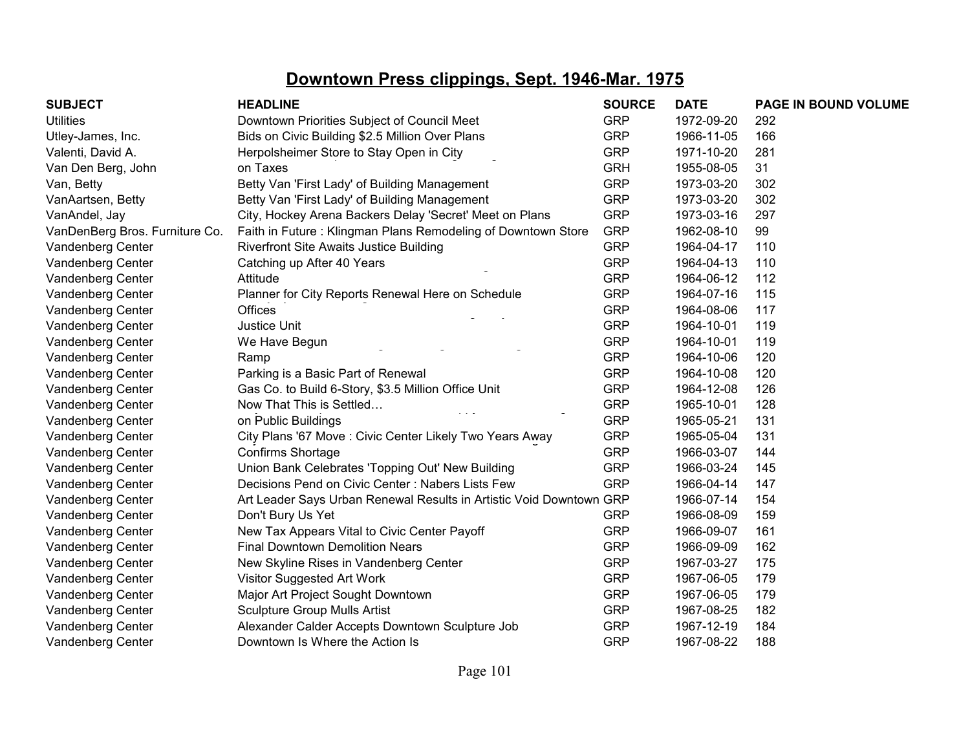| <b>SUBJECT</b>                 | <b>HEADLINE</b>                                                     | <b>SOURCE</b> | <b>DATE</b> | PAGE IN BOUND VOLUME |
|--------------------------------|---------------------------------------------------------------------|---------------|-------------|----------------------|
| <b>Utilities</b>               | Downtown Priorities Subject of Council Meet                         | <b>GRP</b>    | 1972-09-20  | 292                  |
| Utley-James, Inc.              | Bids on Civic Building \$2.5 Million Over Plans                     | <b>GRP</b>    | 1966-11-05  | 166                  |
| Valenti, David A.              | Herpolsheimer Store to Stay Open in City                            | <b>GRP</b>    | 1971-10-20  | 281                  |
| Van Den Berg, John             | on Taxes                                                            | <b>GRH</b>    | 1955-08-05  | 31                   |
| Van, Betty                     | Betty Van 'First Lady' of Building Management                       | <b>GRP</b>    | 1973-03-20  | 302                  |
| VanAartsen, Betty              | Betty Van 'First Lady' of Building Management                       | <b>GRP</b>    | 1973-03-20  | 302                  |
| VanAndel, Jay                  | City, Hockey Arena Backers Delay 'Secret' Meet on Plans             | <b>GRP</b>    | 1973-03-16  | 297                  |
| VanDenBerg Bros. Furniture Co. | Faith in Future: Klingman Plans Remodeling of Downtown Store        | <b>GRP</b>    | 1962-08-10  | 99                   |
| Vandenberg Center              | <b>Riverfront Site Awaits Justice Building</b>                      | <b>GRP</b>    | 1964-04-17  | 110                  |
| Vandenberg Center              | Catching up After 40 Years                                          | <b>GRP</b>    | 1964-04-13  | 110                  |
| Vandenberg Center              | Attitude                                                            | <b>GRP</b>    | 1964-06-12  | 112                  |
| Vandenberg Center              | Planner for City Reports Renewal Here on Schedule                   | <b>GRP</b>    | 1964-07-16  | 115                  |
| Vandenberg Center              | <b>Offices</b>                                                      | <b>GRP</b>    | 1964-08-06  | 117                  |
| Vandenberg Center              | Justice Unit                                                        | <b>GRP</b>    | 1964-10-01  | 119                  |
| Vandenberg Center              | We Have Begun                                                       | <b>GRP</b>    | 1964-10-01  | 119                  |
| Vandenberg Center              | Ramp                                                                | <b>GRP</b>    | 1964-10-06  | 120                  |
| Vandenberg Center              | Parking is a Basic Part of Renewal                                  | <b>GRP</b>    | 1964-10-08  | 120                  |
| Vandenberg Center              | Gas Co. to Build 6-Story, \$3.5 Million Office Unit                 | <b>GRP</b>    | 1964-12-08  | 126                  |
| Vandenberg Center              | Now That This is Settled                                            | <b>GRP</b>    | 1965-10-01  | 128                  |
| Vandenberg Center              | on Public Buildings                                                 | <b>GRP</b>    | 1965-05-21  | 131                  |
| Vandenberg Center              | City Plans '67 Move : Civic Center Likely Two Years Away            | <b>GRP</b>    | 1965-05-04  | 131                  |
| Vandenberg Center              | Confirms Shortage                                                   | <b>GRP</b>    | 1966-03-07  | 144                  |
| Vandenberg Center              | Union Bank Celebrates 'Topping Out' New Building                    | <b>GRP</b>    | 1966-03-24  | 145                  |
| Vandenberg Center              | Decisions Pend on Civic Center: Nabers Lists Few                    | <b>GRP</b>    | 1966-04-14  | 147                  |
| Vandenberg Center              | Art Leader Says Urban Renewal Results in Artistic Void Downtown GRP |               | 1966-07-14  | 154                  |
| Vandenberg Center              | Don't Bury Us Yet                                                   | <b>GRP</b>    | 1966-08-09  | 159                  |
| Vandenberg Center              | New Tax Appears Vital to Civic Center Payoff                        | <b>GRP</b>    | 1966-09-07  | 161                  |
| Vandenberg Center              | <b>Final Downtown Demolition Nears</b>                              | <b>GRP</b>    | 1966-09-09  | 162                  |
| Vandenberg Center              | New Skyline Rises in Vandenberg Center                              | <b>GRP</b>    | 1967-03-27  | 175                  |
| Vandenberg Center              | Visitor Suggested Art Work                                          | <b>GRP</b>    | 1967-06-05  | 179                  |
| Vandenberg Center              | Major Art Project Sought Downtown                                   | <b>GRP</b>    | 1967-06-05  | 179                  |
| Vandenberg Center              | <b>Sculpture Group Mulls Artist</b>                                 | <b>GRP</b>    | 1967-08-25  | 182                  |
| Vandenberg Center              | Alexander Calder Accepts Downtown Sculpture Job                     | <b>GRP</b>    | 1967-12-19  | 184                  |
| Vandenberg Center              | Downtown Is Where the Action Is                                     | <b>GRP</b>    | 1967-08-22  | 188                  |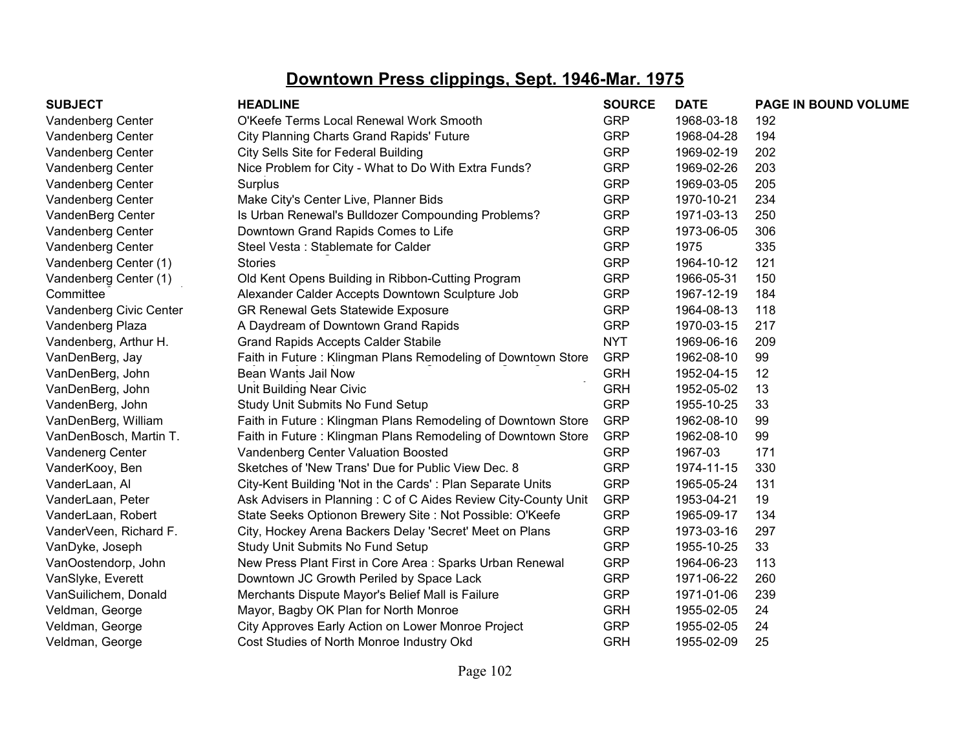| <b>SUBJECT</b>          | <b>HEADLINE</b>                                                | <b>SOURCE</b> | <b>DATE</b> | <b>PAGE IN BOUND VOLUME</b> |
|-------------------------|----------------------------------------------------------------|---------------|-------------|-----------------------------|
| Vandenberg Center       | O'Keefe Terms Local Renewal Work Smooth                        | <b>GRP</b>    | 1968-03-18  | 192                         |
| Vandenberg Center       | City Planning Charts Grand Rapids' Future                      | <b>GRP</b>    | 1968-04-28  | 194                         |
| Vandenberg Center       | City Sells Site for Federal Building                           | <b>GRP</b>    | 1969-02-19  | 202                         |
| Vandenberg Center       | Nice Problem for City - What to Do With Extra Funds?           | <b>GRP</b>    | 1969-02-26  | 203                         |
| Vandenberg Center       | Surplus                                                        | <b>GRP</b>    | 1969-03-05  | 205                         |
| Vandenberg Center       | Make City's Center Live, Planner Bids                          | <b>GRP</b>    | 1970-10-21  | 234                         |
| VandenBerg Center       | Is Urban Renewal's Bulldozer Compounding Problems?             | <b>GRP</b>    | 1971-03-13  | 250                         |
| Vandenberg Center       | Downtown Grand Rapids Comes to Life                            | <b>GRP</b>    | 1973-06-05  | 306                         |
| Vandenberg Center       | Steel Vesta: Stablemate for Calder                             | <b>GRP</b>    | 1975        | 335                         |
| Vandenberg Center (1)   | <b>Stories</b>                                                 | <b>GRP</b>    | 1964-10-12  | 121                         |
| Vandenberg Center (1)   | Old Kent Opens Building in Ribbon-Cutting Program              | <b>GRP</b>    | 1966-05-31  | 150                         |
| Committee               | Alexander Calder Accepts Downtown Sculpture Job                | <b>GRP</b>    | 1967-12-19  | 184                         |
| Vandenberg Civic Center | GR Renewal Gets Statewide Exposure                             | <b>GRP</b>    | 1964-08-13  | 118                         |
| Vandenberg Plaza        | A Daydream of Downtown Grand Rapids                            | <b>GRP</b>    | 1970-03-15  | 217                         |
| Vandenberg, Arthur H.   | <b>Grand Rapids Accepts Calder Stabile</b>                     | <b>NYT</b>    | 1969-06-16  | 209                         |
| VanDenBerg, Jay         | Faith in Future: Klingman Plans Remodeling of Downtown Store   | <b>GRP</b>    | 1962-08-10  | 99                          |
| VanDenBerg, John        | Bean Wants Jail Now                                            | <b>GRH</b>    | 1952-04-15  | 12                          |
| VanDenBerg, John        | Unit Building Near Civic                                       | <b>GRH</b>    | 1952-05-02  | 13                          |
| VandenBerg, John        | Study Unit Submits No Fund Setup                               | <b>GRP</b>    | 1955-10-25  | 33                          |
| VanDenBerg, William     | Faith in Future: Klingman Plans Remodeling of Downtown Store   | <b>GRP</b>    | 1962-08-10  | 99                          |
| VanDenBosch, Martin T.  | Faith in Future: Klingman Plans Remodeling of Downtown Store   | <b>GRP</b>    | 1962-08-10  | 99                          |
| Vandenerg Center        | Vandenberg Center Valuation Boosted                            | <b>GRP</b>    | 1967-03     | 171                         |
| VanderKooy, Ben         | Sketches of 'New Trans' Due for Public View Dec. 8             | <b>GRP</b>    | 1974-11-15  | 330                         |
| VanderLaan, Al          | City-Kent Building 'Not in the Cards': Plan Separate Units     | <b>GRP</b>    | 1965-05-24  | 131                         |
| VanderLaan, Peter       | Ask Advisers in Planning: C of C Aides Review City-County Unit | <b>GRP</b>    | 1953-04-21  | 19                          |
| VanderLaan, Robert      | State Seeks Optionon Brewery Site : Not Possible: O'Keefe      | <b>GRP</b>    | 1965-09-17  | 134                         |
| VanderVeen, Richard F.  | City, Hockey Arena Backers Delay 'Secret' Meet on Plans        | <b>GRP</b>    | 1973-03-16  | 297                         |
| VanDyke, Joseph         | Study Unit Submits No Fund Setup                               | <b>GRP</b>    | 1955-10-25  | 33                          |
| VanOostendorp, John     | New Press Plant First in Core Area: Sparks Urban Renewal       | <b>GRP</b>    | 1964-06-23  | 113                         |
| VanSlyke, Everett       | Downtown JC Growth Periled by Space Lack                       | <b>GRP</b>    | 1971-06-22  | 260                         |
| VanSuilichem, Donald    | Merchants Dispute Mayor's Belief Mall is Failure               | <b>GRP</b>    | 1971-01-06  | 239                         |
| Veldman, George         | Mayor, Bagby OK Plan for North Monroe                          | <b>GRH</b>    | 1955-02-05  | 24                          |
| Veldman, George         | City Approves Early Action on Lower Monroe Project             | <b>GRP</b>    | 1955-02-05  | 24                          |
| Veldman, George         | Cost Studies of North Monroe Industry Okd                      | <b>GRH</b>    | 1955-02-09  | 25                          |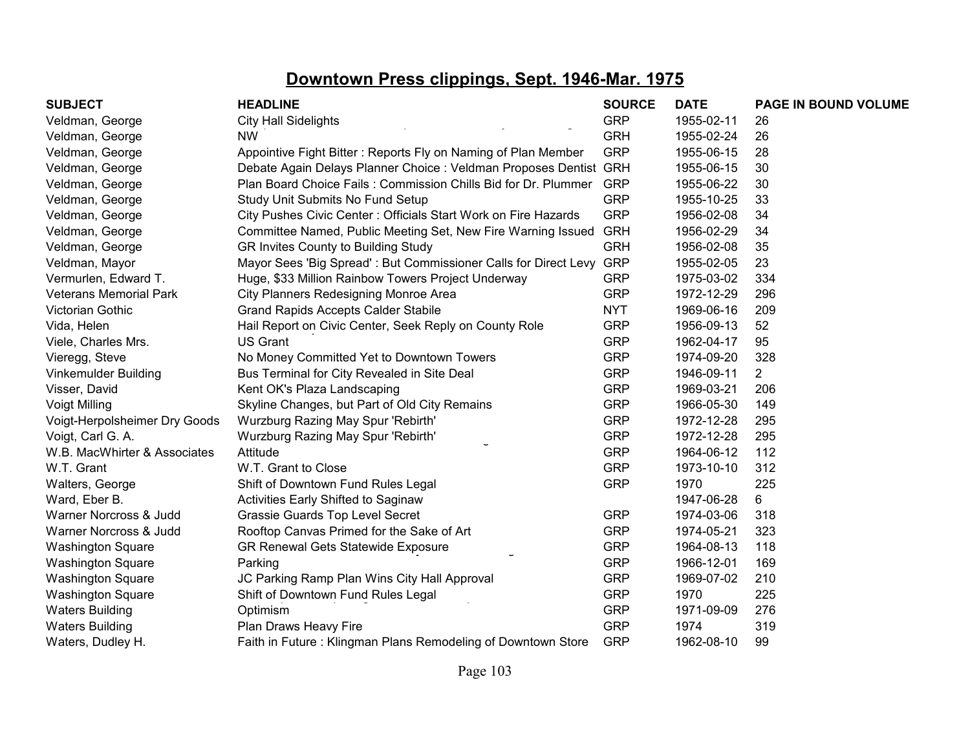| <b>SUBJECT</b>                | <b>HEADLINE</b>                                                   | <b>SOURCE</b> | <b>DATE</b> | PAGE IN BOUND VOLUME |
|-------------------------------|-------------------------------------------------------------------|---------------|-------------|----------------------|
| Veldman, George               | <b>City Hall Sidelights</b>                                       | <b>GRP</b>    | 1955-02-11  | 26                   |
| Veldman, George               | <b>NW</b>                                                         | <b>GRH</b>    | 1955-02-24  | 26                   |
| Veldman, George               | Appointive Fight Bitter: Reports Fly on Naming of Plan Member     | <b>GRP</b>    | 1955-06-15  | 28                   |
| Veldman, George               | Debate Again Delays Planner Choice : Veldman Proposes Dentist GRH |               | 1955-06-15  | 30                   |
| Veldman, George               | Plan Board Choice Fails: Commission Chills Bid for Dr. Plummer    | <b>GRP</b>    | 1955-06-22  | 30                   |
| Veldman, George               | Study Unit Submits No Fund Setup                                  | <b>GRP</b>    | 1955-10-25  | 33                   |
| Veldman, George               | City Pushes Civic Center: Officials Start Work on Fire Hazards    | <b>GRP</b>    | 1956-02-08  | 34                   |
| Veldman, George               | Committee Named, Public Meeting Set, New Fire Warning Issued GRH  |               | 1956-02-29  | 34                   |
| Veldman, George               | GR Invites County to Building Study                               | <b>GRH</b>    | 1956-02-08  | 35                   |
| Veldman, Mayor                | Mayor Sees 'Big Spread': But Commissioner Calls for Direct Levy   | <b>GRP</b>    | 1955-02-05  | 23                   |
| Vermurlen, Edward T.          | Huge, \$33 Million Rainbow Towers Project Underway                | <b>GRP</b>    | 1975-03-02  | 334                  |
| <b>Veterans Memorial Park</b> | City Planners Redesigning Monroe Area                             | <b>GRP</b>    | 1972-12-29  | 296                  |
| Victorian Gothic              | <b>Grand Rapids Accepts Calder Stabile</b>                        | <b>NYT</b>    | 1969-06-16  | 209                  |
| Vida, Helen                   | Hail Report on Civic Center, Seek Reply on County Role            | <b>GRP</b>    | 1956-09-13  | 52                   |
| Viele, Charles Mrs.           | <b>US Grant</b>                                                   | <b>GRP</b>    | 1962-04-17  | 95                   |
| Vieregg, Steve                | No Money Committed Yet to Downtown Towers                         | <b>GRP</b>    | 1974-09-20  | 328                  |
| Vinkemulder Building          | Bus Terminal for City Revealed in Site Deal                       | <b>GRP</b>    | 1946-09-11  | $\overline{2}$       |
| Visser, David                 | Kent OK's Plaza Landscaping                                       | <b>GRP</b>    | 1969-03-21  | 206                  |
| <b>Voigt Milling</b>          | Skyline Changes, but Part of Old City Remains                     | <b>GRP</b>    | 1966-05-30  | 149                  |
| Voigt-Herpolsheimer Dry Goods | Wurzburg Razing May Spur 'Rebirth'                                | <b>GRP</b>    | 1972-12-28  | 295                  |
| Voigt, Carl G. A.             | Wurzburg Razing May Spur 'Rebirth'                                | <b>GRP</b>    | 1972-12-28  | 295                  |
| W.B. MacWhirter & Associates  | Attitude                                                          | <b>GRP</b>    | 1964-06-12  | 112                  |
| W.T. Grant                    | W.T. Grant to Close                                               | <b>GRP</b>    | 1973-10-10  | 312                  |
| Walters, George               | Shift of Downtown Fund Rules Legal                                | <b>GRP</b>    | 1970        | 225                  |
| Ward, Eber B.                 | <b>Activities Early Shifted to Saginaw</b>                        |               | 1947-06-28  | 6                    |
| Warner Norcross & Judd        | Grassie Guards Top Level Secret                                   | <b>GRP</b>    | 1974-03-06  | 318                  |
| Warner Norcross & Judd        | Rooftop Canvas Primed for the Sake of Art                         | <b>GRP</b>    | 1974-05-21  | 323                  |
| <b>Washington Square</b>      | GR Renewal Gets Statewide Exposure                                | <b>GRP</b>    | 1964-08-13  | 118                  |
| <b>Washington Square</b>      | Parking                                                           | <b>GRP</b>    | 1966-12-01  | 169                  |
| <b>Washington Square</b>      | JC Parking Ramp Plan Wins City Hall Approval                      | <b>GRP</b>    | 1969-07-02  | 210                  |
| <b>Washington Square</b>      | Shift of Downtown Fund Rules Legal                                | <b>GRP</b>    | 1970        | 225                  |
| <b>Waters Building</b>        | Optimism                                                          | <b>GRP</b>    | 1971-09-09  | 276                  |
| <b>Waters Building</b>        | Plan Draws Heavy Fire                                             | <b>GRP</b>    | 1974        | 319                  |
| Waters, Dudley H.             | Faith in Future: Klingman Plans Remodeling of Downtown Store      | <b>GRP</b>    | 1962-08-10  | 99                   |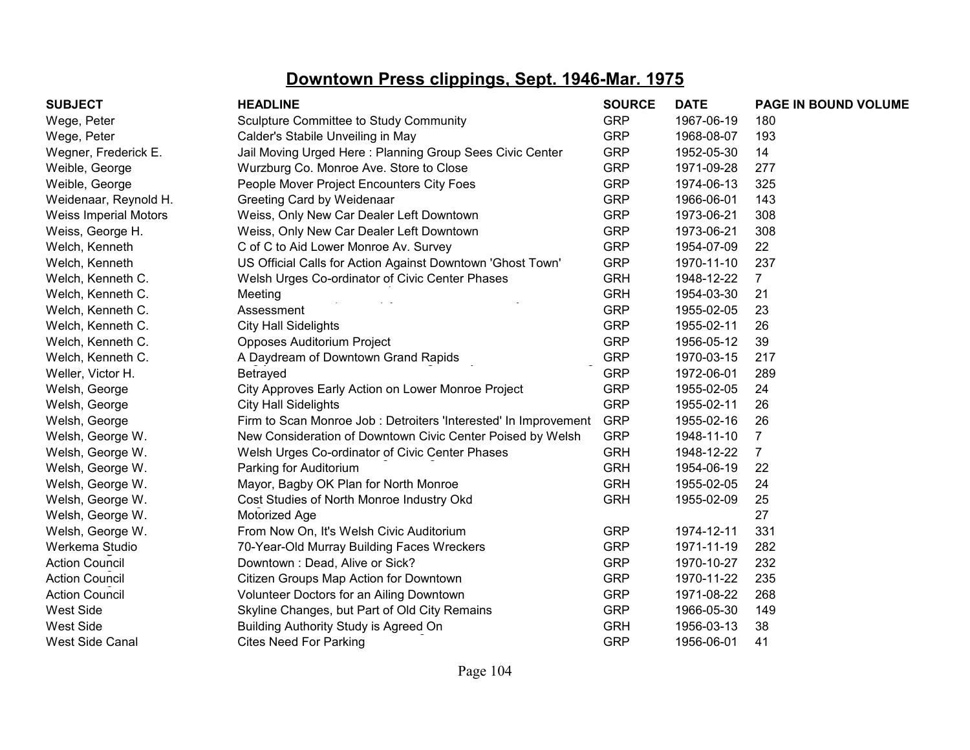| <b>SUBJECT</b>               | <b>HEADLINE</b>                                                 | <b>SOURCE</b> | <b>DATE</b> | PAGE IN BOUND VOLUME |
|------------------------------|-----------------------------------------------------------------|---------------|-------------|----------------------|
| Wege, Peter                  | Sculpture Committee to Study Community                          | <b>GRP</b>    | 1967-06-19  | 180                  |
| Wege, Peter                  | Calder's Stabile Unveiling in May                               | <b>GRP</b>    | 1968-08-07  | 193                  |
| Wegner, Frederick E.         | Jail Moving Urged Here: Planning Group Sees Civic Center        | <b>GRP</b>    | 1952-05-30  | 14                   |
| Weible, George               | Wurzburg Co. Monroe Ave. Store to Close                         | <b>GRP</b>    | 1971-09-28  | 277                  |
| Weible, George               | People Mover Project Encounters City Foes                       | <b>GRP</b>    | 1974-06-13  | 325                  |
| Weidenaar, Reynold H.        | Greeting Card by Weidenaar                                      | <b>GRP</b>    | 1966-06-01  | 143                  |
| <b>Weiss Imperial Motors</b> | Weiss, Only New Car Dealer Left Downtown                        | <b>GRP</b>    | 1973-06-21  | 308                  |
| Weiss, George H.             | Weiss, Only New Car Dealer Left Downtown                        | <b>GRP</b>    | 1973-06-21  | 308                  |
| Welch, Kenneth               | C of C to Aid Lower Monroe Av. Survey                           | <b>GRP</b>    | 1954-07-09  | 22                   |
| Welch, Kenneth               | US Official Calls for Action Against Downtown 'Ghost Town'      | <b>GRP</b>    | 1970-11-10  | 237                  |
| Welch, Kenneth C.            | Welsh Urges Co-ordinator of Civic Center Phases                 | <b>GRH</b>    | 1948-12-22  | $\overline{7}$       |
| Welch, Kenneth C.            | Meeting                                                         | <b>GRH</b>    | 1954-03-30  | 21                   |
| Welch, Kenneth C.            | Assessment                                                      | <b>GRP</b>    | 1955-02-05  | 23                   |
| Welch, Kenneth C.            | <b>City Hall Sidelights</b>                                     | <b>GRP</b>    | 1955-02-11  | 26                   |
| Welch, Kenneth C.            | Opposes Auditorium Project                                      | <b>GRP</b>    | 1956-05-12  | 39                   |
| Welch, Kenneth C.            | A Daydream of Downtown Grand Rapids                             | <b>GRP</b>    | 1970-03-15  | 217                  |
| Weller, Victor H.            | Betrayed                                                        | <b>GRP</b>    | 1972-06-01  | 289                  |
| Welsh, George                | City Approves Early Action on Lower Monroe Project              | <b>GRP</b>    | 1955-02-05  | 24                   |
| Welsh, George                | <b>City Hall Sidelights</b>                                     | <b>GRP</b>    | 1955-02-11  | 26                   |
| Welsh, George                | Firm to Scan Monroe Job: Detroiters 'Interested' In Improvement | <b>GRP</b>    | 1955-02-16  | 26                   |
| Welsh, George W.             | New Consideration of Downtown Civic Center Poised by Welsh      | <b>GRP</b>    | 1948-11-10  | $\overline{7}$       |
| Welsh, George W.             | Welsh Urges Co-ordinator of Civic Center Phases                 | <b>GRH</b>    | 1948-12-22  | $\overline{7}$       |
| Welsh, George W.             | Parking for Auditorium                                          | <b>GRH</b>    | 1954-06-19  | 22                   |
| Welsh, George W.             | Mayor, Bagby OK Plan for North Monroe                           | <b>GRH</b>    | 1955-02-05  | 24                   |
| Welsh, George W.             | Cost Studies of North Monroe Industry Okd                       | <b>GRH</b>    | 1955-02-09  | 25                   |
| Welsh, George W.             | Motorized Age                                                   |               |             | 27                   |
| Welsh, George W.             | From Now On, It's Welsh Civic Auditorium                        | <b>GRP</b>    | 1974-12-11  | 331                  |
| Werkema Studio               | 70-Year-Old Murray Building Faces Wreckers                      | <b>GRP</b>    | 1971-11-19  | 282                  |
| <b>Action Council</b>        | Downtown: Dead, Alive or Sick?                                  | <b>GRP</b>    | 1970-10-27  | 232                  |
| <b>Action Council</b>        | Citizen Groups Map Action for Downtown                          | <b>GRP</b>    | 1970-11-22  | 235                  |
| <b>Action Council</b>        | Volunteer Doctors for an Ailing Downtown                        | <b>GRP</b>    | 1971-08-22  | 268                  |
| <b>West Side</b>             | Skyline Changes, but Part of Old City Remains                   | <b>GRP</b>    | 1966-05-30  | 149                  |
| <b>West Side</b>             | Building Authority Study is Agreed On                           | <b>GRH</b>    | 1956-03-13  | 38                   |
| <b>West Side Canal</b>       | <b>Cites Need For Parking</b>                                   | <b>GRP</b>    | 1956-06-01  | 41                   |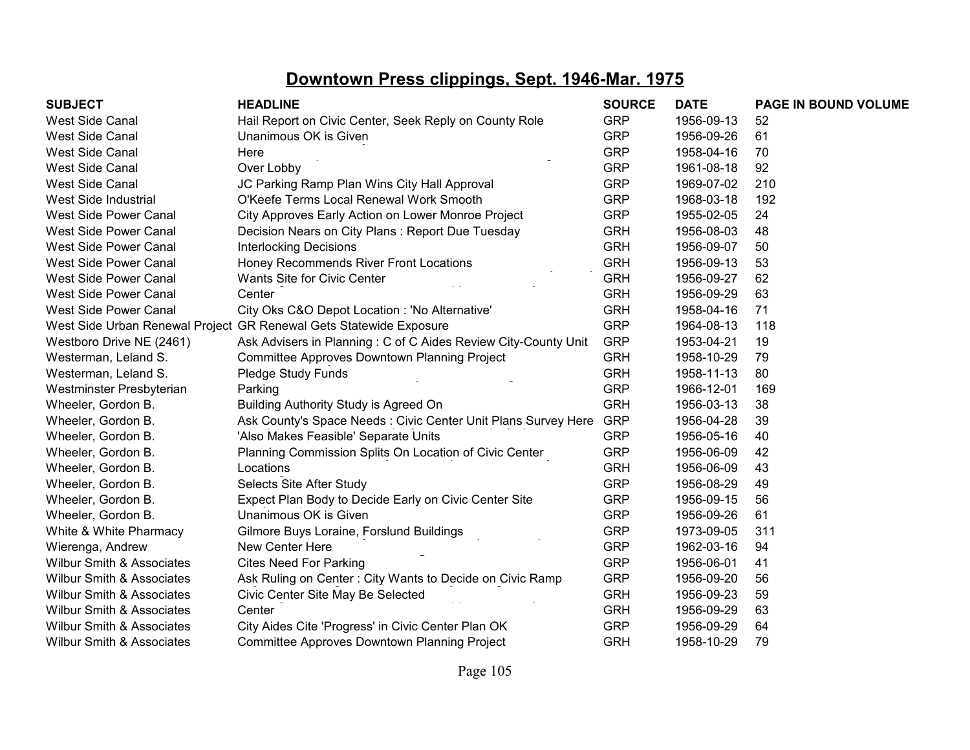| <b>SUBJECT</b>                       | <b>HEADLINE</b>                                                    | <b>SOURCE</b> | <b>DATE</b> | PAGE IN BOUND VOLUME |
|--------------------------------------|--------------------------------------------------------------------|---------------|-------------|----------------------|
| West Side Canal                      | Hail Report on Civic Center, Seek Reply on County Role             | <b>GRP</b>    | 1956-09-13  | 52                   |
| <b>West Side Canal</b>               | Unanimous OK is Given                                              | <b>GRP</b>    | 1956-09-26  | 61                   |
| <b>West Side Canal</b>               | Here                                                               | <b>GRP</b>    | 1958-04-16  | 70                   |
| <b>West Side Canal</b>               | Over Lobby                                                         | <b>GRP</b>    | 1961-08-18  | 92                   |
| <b>West Side Canal</b>               | JC Parking Ramp Plan Wins City Hall Approval                       | <b>GRP</b>    | 1969-07-02  | 210                  |
| West Side Industrial                 | O'Keefe Terms Local Renewal Work Smooth                            | <b>GRP</b>    | 1968-03-18  | 192                  |
| West Side Power Canal                | City Approves Early Action on Lower Monroe Project                 | <b>GRP</b>    | 1955-02-05  | 24                   |
| <b>West Side Power Canal</b>         | Decision Nears on City Plans: Report Due Tuesday                   | <b>GRH</b>    | 1956-08-03  | 48                   |
| West Side Power Canal                | <b>Interlocking Decisions</b>                                      | <b>GRH</b>    | 1956-09-07  | 50                   |
| <b>West Side Power Canal</b>         | Honey Recommends River Front Locations                             | <b>GRH</b>    | 1956-09-13  | 53                   |
| <b>West Side Power Canal</b>         | Wants Site for Civic Center                                        | <b>GRH</b>    | 1956-09-27  | 62                   |
| <b>West Side Power Canal</b>         | Center                                                             | <b>GRH</b>    | 1956-09-29  | 63                   |
| <b>West Side Power Canal</b>         | City Oks C&O Depot Location : 'No Alternative'                     | <b>GRH</b>    | 1958-04-16  | 71                   |
|                                      | West Side Urban Renewal Project GR Renewal Gets Statewide Exposure | <b>GRP</b>    | 1964-08-13  | 118                  |
| Westboro Drive NE (2461)             | Ask Advisers in Planning: C of C Aides Review City-County Unit     | <b>GRP</b>    | 1953-04-21  | 19                   |
| Westerman, Leland S.                 | Committee Approves Downtown Planning Project                       | <b>GRH</b>    | 1958-10-29  | 79                   |
| Westerman, Leland S.                 | Pledge Study Funds                                                 | <b>GRH</b>    | 1958-11-13  | 80                   |
| Westminster Presbyterian             | Parking                                                            | <b>GRP</b>    | 1966-12-01  | 169                  |
| Wheeler, Gordon B.                   | Building Authority Study is Agreed On                              | <b>GRH</b>    | 1956-03-13  | 38                   |
| Wheeler, Gordon B.                   | Ask County's Space Needs : Civic Center Unit Plans Survey Here     | <b>GRP</b>    | 1956-04-28  | 39                   |
| Wheeler, Gordon B.                   | 'Also Makes Feasible' Separate Units                               | <b>GRP</b>    | 1956-05-16  | 40                   |
| Wheeler, Gordon B.                   | Planning Commission Splits On Location of Civic Center             | <b>GRP</b>    | 1956-06-09  | 42                   |
| Wheeler, Gordon B.                   | Locations                                                          | <b>GRH</b>    | 1956-06-09  | 43                   |
| Wheeler, Gordon B.                   | Selects Site After Study                                           | <b>GRP</b>    | 1956-08-29  | 49                   |
| Wheeler, Gordon B.                   | Expect Plan Body to Decide Early on Civic Center Site              | <b>GRP</b>    | 1956-09-15  | 56                   |
| Wheeler, Gordon B.                   | Unanimous OK is Given                                              | <b>GRP</b>    | 1956-09-26  | 61                   |
| White & White Pharmacy               | Gilmore Buys Loraine, Forslund Buildings                           | <b>GRP</b>    | 1973-09-05  | 311                  |
| Wierenga, Andrew                     | New Center Here                                                    | <b>GRP</b>    | 1962-03-16  | 94                   |
| Wilbur Smith & Associates            | <b>Cites Need For Parking</b>                                      | <b>GRP</b>    | 1956-06-01  | 41                   |
| <b>Wilbur Smith &amp; Associates</b> | Ask Ruling on Center: City Wants to Decide on Civic Ramp           | <b>GRP</b>    | 1956-09-20  | 56                   |
| Wilbur Smith & Associates            | Civic Center Site May Be Selected                                  | <b>GRH</b>    | 1956-09-23  | 59                   |
| <b>Wilbur Smith &amp; Associates</b> | Center                                                             | <b>GRH</b>    | 1956-09-29  | 63                   |
| <b>Wilbur Smith &amp; Associates</b> | City Aides Cite 'Progress' in Civic Center Plan OK                 | <b>GRP</b>    | 1956-09-29  | 64                   |
| <b>Wilbur Smith &amp; Associates</b> | Committee Approves Downtown Planning Project                       | <b>GRH</b>    | 1958-10-29  | 79                   |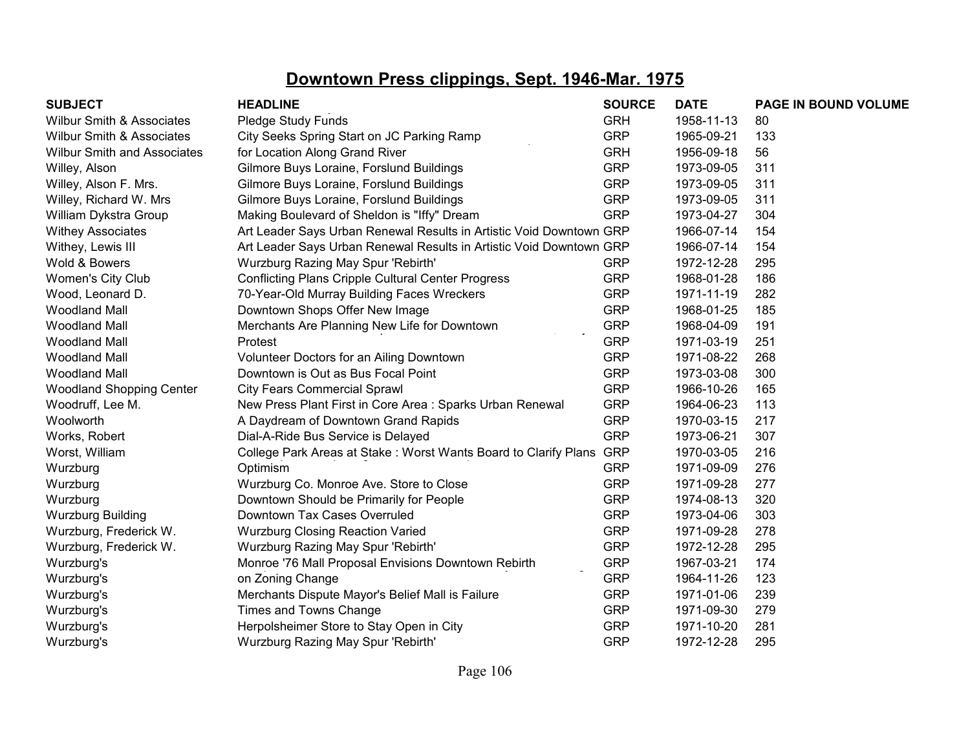| <b>SUBJECT</b>                       | <b>HEADLINE</b>                                                     | <b>SOURCE</b> | <b>DATE</b> | PAGE IN BOUND VOLUME |
|--------------------------------------|---------------------------------------------------------------------|---------------|-------------|----------------------|
| Wilbur Smith & Associates            | Pledge Study Funds                                                  | <b>GRH</b>    | 1958-11-13  | 80                   |
| <b>Wilbur Smith &amp; Associates</b> | City Seeks Spring Start on JC Parking Ramp                          | <b>GRP</b>    | 1965-09-21  | 133                  |
| <b>Wilbur Smith and Associates</b>   | for Location Along Grand River                                      | <b>GRH</b>    | 1956-09-18  | 56                   |
| Willey, Alson                        | Gilmore Buys Loraine, Forslund Buildings                            | <b>GRP</b>    | 1973-09-05  | 311                  |
| Willey, Alson F. Mrs.                | Gilmore Buys Loraine, Forslund Buildings                            | <b>GRP</b>    | 1973-09-05  | 311                  |
| Willey, Richard W. Mrs               | Gilmore Buys Loraine, Forslund Buildings                            | <b>GRP</b>    | 1973-09-05  | 311                  |
| William Dykstra Group                | Making Boulevard of Sheldon is "Iffy" Dream                         | <b>GRP</b>    | 1973-04-27  | 304                  |
| <b>Withey Associates</b>             | Art Leader Says Urban Renewal Results in Artistic Void Downtown GRP |               | 1966-07-14  | 154                  |
| Withey, Lewis III                    | Art Leader Says Urban Renewal Results in Artistic Void Downtown GRP |               | 1966-07-14  | 154                  |
| Wold & Bowers                        | Wurzburg Razing May Spur 'Rebirth'                                  | <b>GRP</b>    | 1972-12-28  | 295                  |
| Women's City Club                    | <b>Conflicting Plans Cripple Cultural Center Progress</b>           | <b>GRP</b>    | 1968-01-28  | 186                  |
| Wood, Leonard D.                     | 70-Year-Old Murray Building Faces Wreckers                          | <b>GRP</b>    | 1971-11-19  | 282                  |
| <b>Woodland Mall</b>                 | Downtown Shops Offer New Image                                      | <b>GRP</b>    | 1968-01-25  | 185                  |
| <b>Woodland Mall</b>                 | Merchants Are Planning New Life for Downtown                        | <b>GRP</b>    | 1968-04-09  | 191                  |
| <b>Woodland Mall</b>                 | Protest                                                             | <b>GRP</b>    | 1971-03-19  | 251                  |
| <b>Woodland Mall</b>                 | Volunteer Doctors for an Ailing Downtown                            | <b>GRP</b>    | 1971-08-22  | 268                  |
| Woodland Mall                        | Downtown is Out as Bus Focal Point                                  | <b>GRP</b>    | 1973-03-08  | 300                  |
| <b>Woodland Shopping Center</b>      | <b>City Fears Commercial Sprawl</b>                                 | <b>GRP</b>    | 1966-10-26  | 165                  |
| Woodruff, Lee M.                     | New Press Plant First in Core Area : Sparks Urban Renewal           | <b>GRP</b>    | 1964-06-23  | 113                  |
| Woolworth                            | A Daydream of Downtown Grand Rapids                                 | <b>GRP</b>    | 1970-03-15  | 217                  |
| Works, Robert                        | Dial-A-Ride Bus Service is Delayed                                  | <b>GRP</b>    | 1973-06-21  | 307                  |
| Worst, William                       | College Park Areas at Stake: Worst Wants Board to Clarify Plans     | <b>GRP</b>    | 1970-03-05  | 216                  |
| Wurzburg                             | Optimism                                                            | <b>GRP</b>    | 1971-09-09  | 276                  |
| Wurzburg                             | Wurzburg Co. Monroe Ave. Store to Close                             | <b>GRP</b>    | 1971-09-28  | 277                  |
| Wurzburg                             | Downtown Should be Primarily for People                             | <b>GRP</b>    | 1974-08-13  | 320                  |
| <b>Wurzburg Building</b>             | Downtown Tax Cases Overruled                                        | <b>GRP</b>    | 1973-04-06  | 303                  |
| Wurzburg, Frederick W.               | <b>Wurzburg Closing Reaction Varied</b>                             | <b>GRP</b>    | 1971-09-28  | 278                  |
| Wurzburg, Frederick W.               | Wurzburg Razing May Spur 'Rebirth'                                  | <b>GRP</b>    | 1972-12-28  | 295                  |
| Wurzburg's                           | Monroe '76 Mall Proposal Envisions Downtown Rebirth                 | <b>GRP</b>    | 1967-03-21  | 174                  |
| Wurzburg's                           | on Zoning Change                                                    | <b>GRP</b>    | 1964-11-26  | 123                  |
| Wurzburg's                           | Merchants Dispute Mayor's Belief Mall is Failure                    | <b>GRP</b>    | 1971-01-06  | 239                  |
| Wurzburg's                           | Times and Towns Change                                              | <b>GRP</b>    | 1971-09-30  | 279                  |
| Wurzburg's                           | Herpolsheimer Store to Stay Open in City                            | <b>GRP</b>    | 1971-10-20  | 281                  |
| Wurzburg's                           | Wurzburg Razing May Spur 'Rebirth'                                  | <b>GRP</b>    | 1972-12-28  | 295                  |